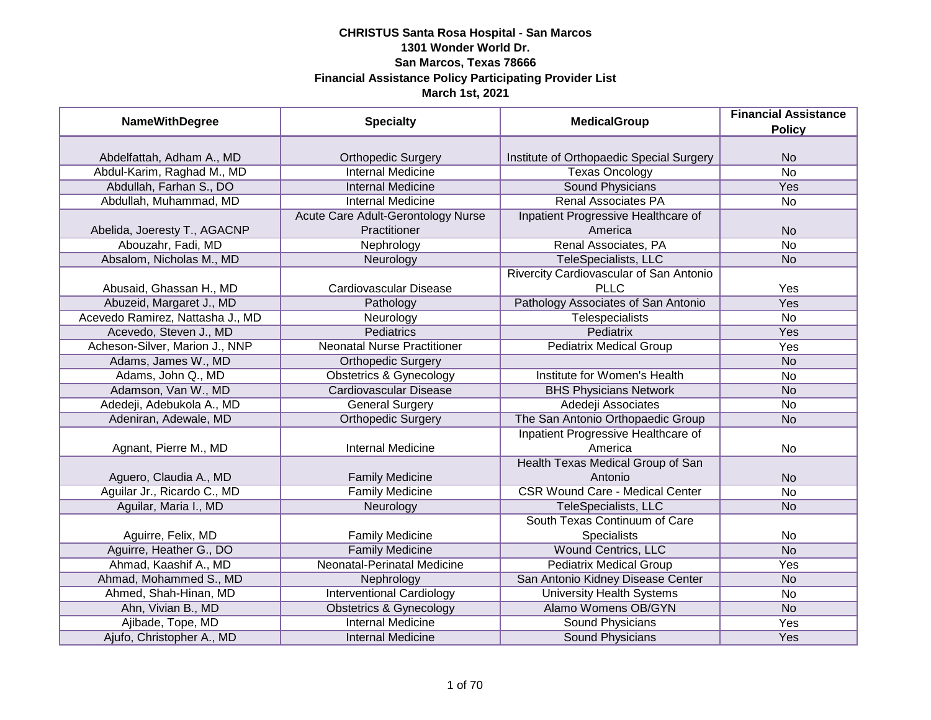| <b>NameWithDegree</b>            | <b>Specialty</b>                   | <b>MedicalGroup</b>                      | <b>Financial Assistance</b><br><b>Policy</b> |
|----------------------------------|------------------------------------|------------------------------------------|----------------------------------------------|
|                                  |                                    |                                          |                                              |
| Abdelfattah, Adham A., MD        | <b>Orthopedic Surgery</b>          | Institute of Orthopaedic Special Surgery | <b>No</b>                                    |
| Abdul-Karim, Raghad M., MD       | <b>Internal Medicine</b>           | <b>Texas Oncology</b>                    | $\overline{No}$                              |
| Abdullah, Farhan S., DO          | <b>Internal Medicine</b>           | <b>Sound Physicians</b>                  | <b>Yes</b>                                   |
| Abdullah, Muhammad, MD           | <b>Internal Medicine</b>           | <b>Renal Associates PA</b>               | No                                           |
|                                  | Acute Care Adult-Gerontology Nurse | Inpatient Progressive Healthcare of      |                                              |
| Abelida, Joeresty T., AGACNP     | Practitioner                       | America                                  | <b>No</b>                                    |
| Abouzahr, Fadi, MD               | Nephrology                         | Renal Associates, PA                     | <b>No</b>                                    |
| Absalom, Nicholas M., MD         | Neurology                          | TeleSpecialists, LLC                     | <b>No</b>                                    |
|                                  |                                    | Rivercity Cardiovascular of San Antonio  |                                              |
| Abusaid, Ghassan H., MD          | Cardiovascular Disease             | <b>PLLC</b>                              | Yes                                          |
| Abuzeid, Margaret J., MD         | Pathology                          | Pathology Associates of San Antonio      | <b>Yes</b>                                   |
| Acevedo Ramirez, Nattasha J., MD | Neurology                          | <b>Telespecialists</b>                   | <b>No</b>                                    |
| Acevedo, Steven J., MD           | <b>Pediatrics</b>                  | Pediatrix                                | Yes                                          |
| Acheson-Silver, Marion J., NNP   | <b>Neonatal Nurse Practitioner</b> | <b>Pediatrix Medical Group</b>           | Yes                                          |
| Adams, James W., MD              | <b>Orthopedic Surgery</b>          |                                          | <b>No</b>                                    |
| Adams, John Q., MD               | <b>Obstetrics &amp; Gynecology</b> | Institute for Women's Health             | <b>No</b>                                    |
| Adamson, Van W., MD              | <b>Cardiovascular Disease</b>      | <b>BHS Physicians Network</b>            | <b>No</b>                                    |
| Adedeji, Adebukola A., MD        | <b>General Surgery</b>             | Adedeji Associates                       | No                                           |
| Adeniran, Adewale, MD            | <b>Orthopedic Surgery</b>          | The San Antonio Orthopaedic Group        | <b>No</b>                                    |
|                                  |                                    | Inpatient Progressive Healthcare of      |                                              |
| Agnant, Pierre M., MD            | <b>Internal Medicine</b>           | America                                  | <b>No</b>                                    |
|                                  |                                    | Health Texas Medical Group of San        |                                              |
| Aguero, Claudia A., MD           | <b>Family Medicine</b>             | Antonio                                  | <b>No</b>                                    |
| Aguilar Jr., Ricardo C., MD      | <b>Family Medicine</b>             | <b>CSR Wound Care - Medical Center</b>   | <b>No</b>                                    |
| Aguilar, Maria I., MD            | Neurology                          | TeleSpecialists, LLC                     | <b>No</b>                                    |
|                                  |                                    | South Texas Continuum of Care            |                                              |
| Aguirre, Felix, MD               | <b>Family Medicine</b>             | Specialists                              | No                                           |
| Aguirre, Heather G., DO          | <b>Family Medicine</b>             | <b>Wound Centrics, LLC</b>               | <b>No</b>                                    |
| Ahmad, Kaashif A., MD            | <b>Neonatal-Perinatal Medicine</b> | <b>Pediatrix Medical Group</b>           | Yes                                          |
| Ahmad, Mohammed S., MD           | Nephrology                         | San Antonio Kidney Disease Center        | <b>No</b>                                    |
| Ahmed, Shah-Hinan, MD            | <b>Interventional Cardiology</b>   | <b>University Health Systems</b>         | No                                           |
| Ahn, Vivian B., MD               | <b>Obstetrics &amp; Gynecology</b> | Alamo Womens OB/GYN                      | N <sub>o</sub>                               |
| Ajibade, Tope, MD                | <b>Internal Medicine</b>           | <b>Sound Physicians</b>                  | <b>Yes</b>                                   |
| Ajufo, Christopher A., MD        | <b>Internal Medicine</b>           | Sound Physicians                         | Yes                                          |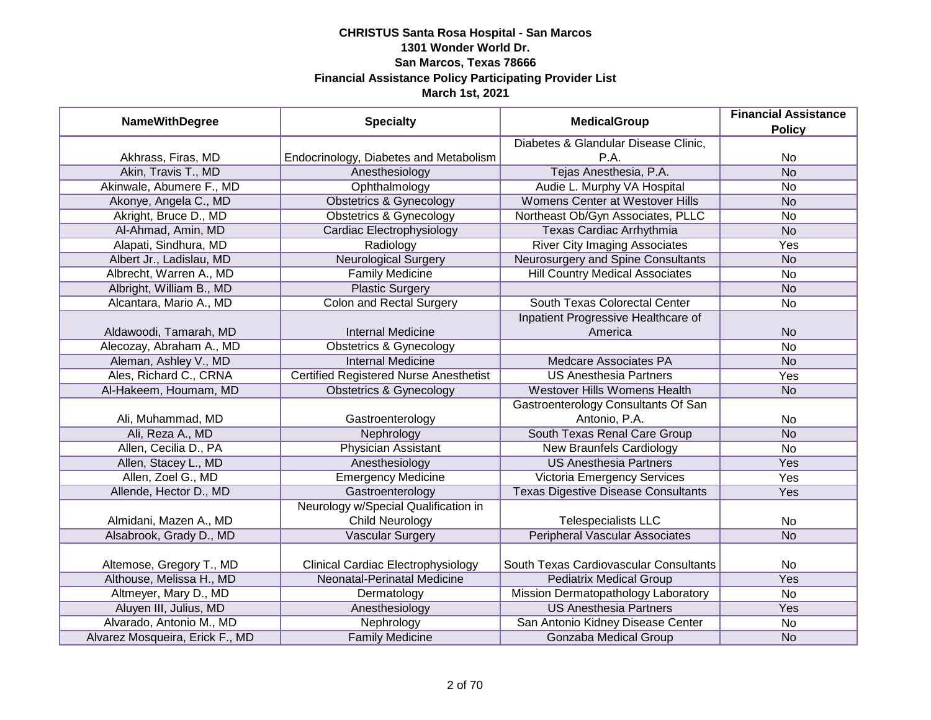| <b>NameWithDegree</b>           | <b>Specialty</b>                              | <b>MedicalGroup</b>                            | <b>Financial Assistance</b><br><b>Policy</b> |
|---------------------------------|-----------------------------------------------|------------------------------------------------|----------------------------------------------|
|                                 |                                               | Diabetes & Glandular Disease Clinic,           |                                              |
| Akhrass, Firas, MD              | Endocrinology, Diabetes and Metabolism        | P.A.                                           | No                                           |
| Akin, Travis T., MD             | Anesthesiology                                | Tejas Anesthesia, P.A.                         | N <sub>o</sub>                               |
| Akinwale, Abumere F., MD        | Ophthalmology                                 | Audie L. Murphy VA Hospital                    | <b>No</b>                                    |
| Akonye, Angela C., MD           | <b>Obstetrics &amp; Gynecology</b>            | Womens Center at Westover Hills                | <b>No</b>                                    |
| Akright, Bruce D., MD           | <b>Obstetrics &amp; Gynecology</b>            | Northeast Ob/Gyn Associates, PLLC              | <b>No</b>                                    |
| Al-Ahmad, Amin, MD              | Cardiac Electrophysiology                     | <b>Texas Cardiac Arrhythmia</b>                | <b>No</b>                                    |
| Alapati, Sindhura, MD           | Radiology                                     | <b>River City Imaging Associates</b>           | Yes                                          |
| Albert Jr., Ladislau, MD        | <b>Neurological Surgery</b>                   | Neurosurgery and Spine Consultants             | <b>No</b>                                    |
| Albrecht, Warren A., MD         | <b>Family Medicine</b>                        | <b>Hill Country Medical Associates</b>         | <b>No</b>                                    |
| Albright, William B., MD        | <b>Plastic Surgery</b>                        |                                                | <b>No</b>                                    |
| Alcantara, Mario A., MD         | <b>Colon and Rectal Surgery</b>               | South Texas Colorectal Center                  | <b>No</b>                                    |
| Aldawoodi, Tamarah, MD          | <b>Internal Medicine</b>                      | Inpatient Progressive Healthcare of<br>America | <b>No</b>                                    |
| Alecozay, Abraham A., MD        | <b>Obstetrics &amp; Gynecology</b>            |                                                | <b>No</b>                                    |
| Aleman, Ashley V., MD           | <b>Internal Medicine</b>                      | <b>Medcare Associates PA</b>                   | <b>No</b>                                    |
| Ales, Richard C., CRNA          | <b>Certified Registered Nurse Anesthetist</b> | <b>US Anesthesia Partners</b>                  | Yes                                          |
| Al-Hakeem, Houmam, MD           | <b>Obstetrics &amp; Gynecology</b>            | Westover Hills Womens Health                   | <b>No</b>                                    |
|                                 |                                               | Gastroenterology Consultants Of San            |                                              |
| Ali, Muhammad, MD               | Gastroenterology                              | Antonio, P.A.                                  | No                                           |
| Ali, Reza A., MD                | Nephrology                                    | South Texas Renal Care Group                   | <b>No</b>                                    |
| Allen, Cecilia D., PA           | Physician Assistant                           | <b>New Braunfels Cardiology</b>                | <b>No</b>                                    |
| Allen, Stacey L., MD            | Anesthesiology                                | <b>US Anesthesia Partners</b>                  | Yes                                          |
| Allen, Zoel G., MD              | <b>Emergency Medicine</b>                     | Victoria Emergency Services                    | Yes                                          |
| Allende, Hector D., MD          | Gastroenterology                              | <b>Texas Digestive Disease Consultants</b>     | Yes                                          |
|                                 | Neurology w/Special Qualification in          |                                                |                                              |
| Almidani, Mazen A., MD          | <b>Child Neurology</b>                        | <b>Telespecialists LLC</b>                     | No                                           |
| Alsabrook, Grady D., MD         | <b>Vascular Surgery</b>                       | <b>Peripheral Vascular Associates</b>          | <b>No</b>                                    |
| Altemose, Gregory T., MD        | <b>Clinical Cardiac Electrophysiology</b>     | South Texas Cardiovascular Consultants         | No                                           |
| Althouse, Melissa H., MD        | Neonatal-Perinatal Medicine                   | <b>Pediatrix Medical Group</b>                 | Yes                                          |
| Altmeyer, Mary D., MD           | Dermatology                                   | Mission Dermatopathology Laboratory            | <b>No</b>                                    |
| Aluyen III, Julius, MD          | Anesthesiology                                | <b>US Anesthesia Partners</b>                  | Yes                                          |
| Alvarado, Antonio M., MD        | Nephrology                                    | San Antonio Kidney Disease Center              | No                                           |
| Alvarez Mosqueira, Erick F., MD | <b>Family Medicine</b>                        | Gonzaba Medical Group                          | <b>No</b>                                    |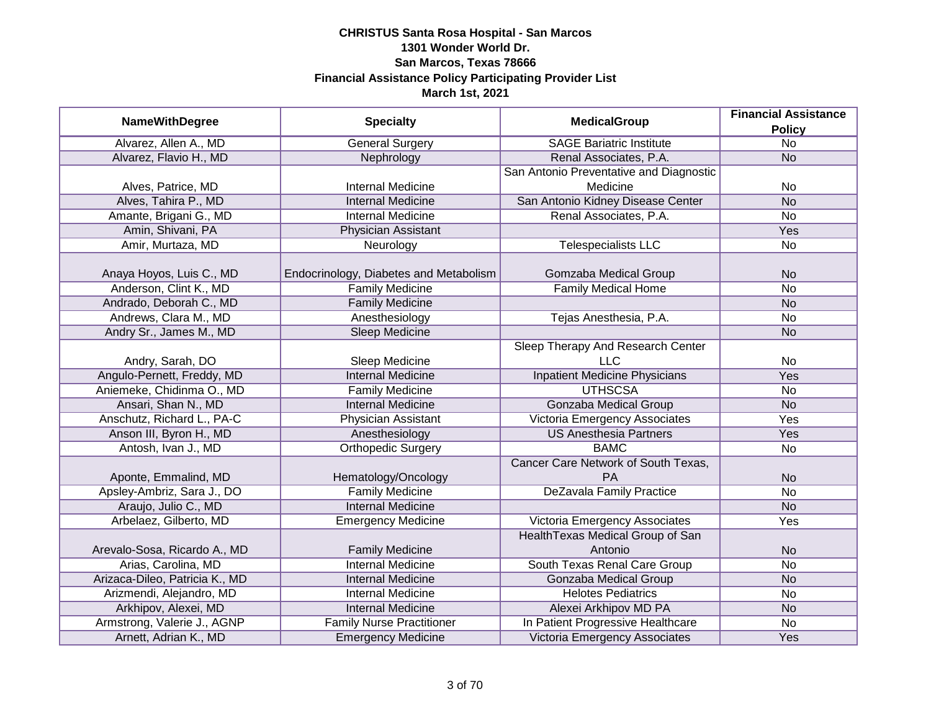| <b>NameWithDegree</b>          | <b>Specialty</b>                       | <b>MedicalGroup</b>                     | <b>Financial Assistance</b><br><b>Policy</b> |
|--------------------------------|----------------------------------------|-----------------------------------------|----------------------------------------------|
| Alvarez, Allen A., MD          | <b>General Surgery</b>                 | <b>SAGE Bariatric Institute</b>         | $\overline{No}$                              |
| Alvarez, Flavio H., MD         | Nephrology                             | Renal Associates, P.A.                  | <b>No</b>                                    |
|                                |                                        | San Antonio Preventative and Diagnostic |                                              |
| Alves, Patrice, MD             | <b>Internal Medicine</b>               | Medicine                                | No                                           |
| Alves, Tahira P., MD           | <b>Internal Medicine</b>               | San Antonio Kidney Disease Center       | N <sub>o</sub>                               |
| Amante, Brigani G., MD         | <b>Internal Medicine</b>               | Renal Associates, P.A.                  | <b>No</b>                                    |
| Amin, Shivani, PA              | Physician Assistant                    |                                         | <b>Yes</b>                                   |
| Amir, Murtaza, MD              | Neurology                              | <b>Telespecialists LLC</b>              | <b>No</b>                                    |
| Anaya Hoyos, Luis C., MD       | Endocrinology, Diabetes and Metabolism | Gomzaba Medical Group                   | <b>No</b>                                    |
| Anderson, Clint K., MD         | <b>Family Medicine</b>                 | <b>Family Medical Home</b>              | <b>No</b>                                    |
| Andrado, Deborah C., MD        | <b>Family Medicine</b>                 |                                         | <b>No</b>                                    |
| Andrews, Clara M., MD          | Anesthesiology                         | Tejas Anesthesia, P.A.                  | <b>No</b>                                    |
| Andry Sr., James M., MD        | <b>Sleep Medicine</b>                  |                                         | <b>No</b>                                    |
|                                |                                        | Sleep Therapy And Research Center       |                                              |
| Andry, Sarah, DO               | Sleep Medicine                         | <b>LLC</b>                              | <b>No</b>                                    |
| Angulo-Pernett, Freddy, MD     | <b>Internal Medicine</b>               | <b>Inpatient Medicine Physicians</b>    | Yes                                          |
| Aniemeke, Chidinma O., MD      | <b>Family Medicine</b>                 | <b>UTHSCSA</b>                          | <b>No</b>                                    |
| Ansari, Shan N., MD            | <b>Internal Medicine</b>               | <b>Gonzaba Medical Group</b>            | <b>No</b>                                    |
| Anschutz, Richard L., PA-C     | Physician Assistant                    | Victoria Emergency Associates           | Yes                                          |
| Anson III, Byron H., MD        | Anesthesiology                         | <b>US Anesthesia Partners</b>           | Yes                                          |
| Antosh, Ivan J., MD            | <b>Orthopedic Surgery</b>              | <b>BAMC</b>                             | <b>No</b>                                    |
|                                |                                        | Cancer Care Network of South Texas,     |                                              |
| Aponte, Emmalind, MD           | Hematology/Oncology                    | <b>PA</b>                               | <b>No</b>                                    |
| Apsley-Ambriz, Sara J., DO     | <b>Family Medicine</b>                 | <b>DeZavala Family Practice</b>         | <b>No</b>                                    |
| Araujo, Julio C., MD           | <b>Internal Medicine</b>               |                                         | <b>No</b>                                    |
| Arbelaez, Gilberto, MD         | <b>Emergency Medicine</b>              | Victoria Emergency Associates           | Yes                                          |
|                                |                                        | Health Texas Medical Group of San       |                                              |
| Arevalo-Sosa, Ricardo A., MD   | <b>Family Medicine</b>                 | Antonio                                 | <b>No</b>                                    |
| Arias, Carolina, MD            | <b>Internal Medicine</b>               | South Texas Renal Care Group            | <b>No</b>                                    |
| Arizaca-Dileo, Patricia K., MD | <b>Internal Medicine</b>               | <b>Gonzaba Medical Group</b>            | <b>No</b>                                    |
| Arizmendi, Alejandro, MD       | Internal Medicine                      | <b>Helotes Pediatrics</b>               | <b>No</b>                                    |
| Arkhipov, Alexei, MD           | <b>Internal Medicine</b>               | Alexei Arkhipov MD PA                   | <b>No</b>                                    |
| Armstrong, Valerie J., AGNP    | <b>Family Nurse Practitioner</b>       | In Patient Progressive Healthcare       | <b>No</b>                                    |
| Arnett, Adrian K., MD          | <b>Emergency Medicine</b>              | Victoria Emergency Associates           | Yes                                          |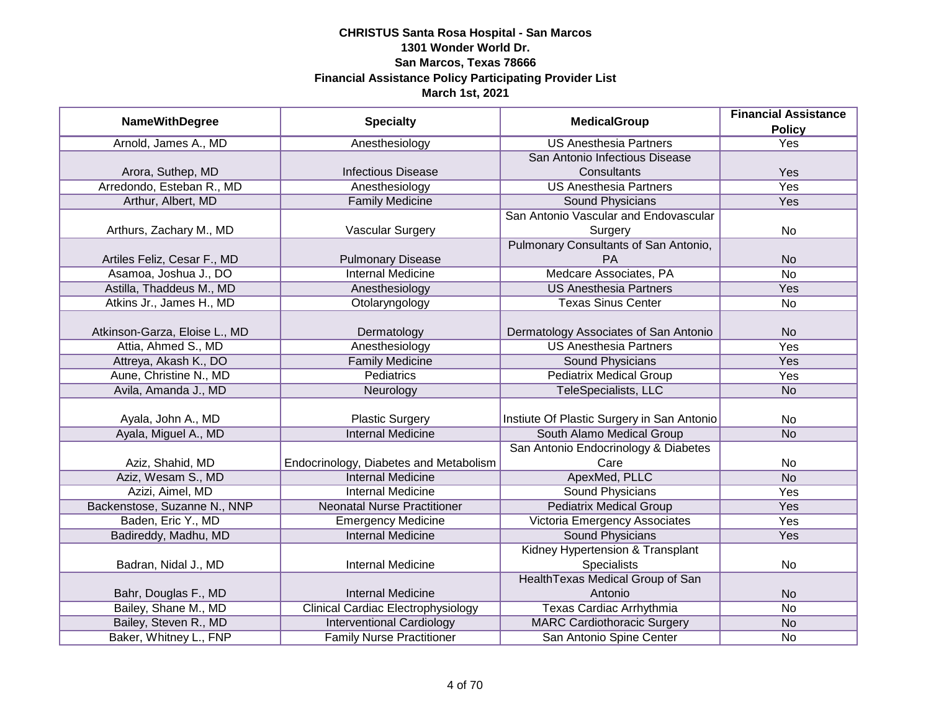|                               |                                           | <b>MedicalGroup</b>                        | <b>Financial Assistance</b> |
|-------------------------------|-------------------------------------------|--------------------------------------------|-----------------------------|
| <b>NameWithDegree</b>         | <b>Specialty</b>                          |                                            | <b>Policy</b>               |
| Arnold, James A., MD          | Anesthesiology                            | <b>US Anesthesia Partners</b>              | <b>Yes</b>                  |
|                               |                                           | San Antonio Infectious Disease             |                             |
| Arora, Suthep, MD             | <b>Infectious Disease</b>                 | Consultants                                | Yes                         |
| Arredondo, Esteban R., MD     | Anesthesiology                            | <b>US Anesthesia Partners</b>              | Yes                         |
| Arthur, Albert, MD            | <b>Family Medicine</b>                    | Sound Physicians                           | <b>Yes</b>                  |
|                               |                                           | San Antonio Vascular and Endovascular      |                             |
| Arthurs, Zachary M., MD       | Vascular Surgery                          | Surgery                                    | No                          |
|                               |                                           | Pulmonary Consultants of San Antonio,      |                             |
| Artiles Feliz, Cesar F., MD   | <b>Pulmonary Disease</b>                  | PA                                         | <b>No</b>                   |
| Asamoa, Joshua J., DO         | Internal Medicine                         | Medcare Associates, PA                     | <b>No</b>                   |
| Astilla, Thaddeus M., MD      | Anesthesiology                            | <b>US Anesthesia Partners</b>              | Yes                         |
| Atkins Jr., James H., MD      | Otolaryngology                            | <b>Texas Sinus Center</b>                  | No                          |
|                               |                                           |                                            |                             |
| Atkinson-Garza, Eloise L., MD | Dermatology                               | Dermatology Associates of San Antonio      | <b>No</b>                   |
| Attia, Ahmed S., MD           | Anesthesiology                            | <b>US Anesthesia Partners</b>              | Yes                         |
| Attreya, Akash K., DO         | <b>Family Medicine</b>                    | Sound Physicians                           | Yes                         |
| Aune, Christine N., MD        | Pediatrics                                | <b>Pediatrix Medical Group</b>             | Yes                         |
| Avila, Amanda J., MD          | Neurology                                 | TeleSpecialists, LLC                       | <b>No</b>                   |
|                               |                                           |                                            |                             |
| Ayala, John A., MD            | <b>Plastic Surgery</b>                    | Instiute Of Plastic Surgery in San Antonio | No                          |
| Ayala, Miguel A., MD          | <b>Internal Medicine</b>                  | South Alamo Medical Group                  | <b>No</b>                   |
|                               |                                           | San Antonio Endocrinology & Diabetes       |                             |
| Aziz, Shahid, MD              | Endocrinology, Diabetes and Metabolism    | Care                                       | No                          |
| Aziz, Wesam S., MD            | <b>Internal Medicine</b>                  | ApexMed, PLLC                              | <b>No</b>                   |
| Azizi, Aimel, MD              | <b>Internal Medicine</b>                  | <b>Sound Physicians</b>                    | Yes                         |
| Backenstose, Suzanne N., NNP  | <b>Neonatal Nurse Practitioner</b>        | <b>Pediatrix Medical Group</b>             | Yes                         |
| Baden, Eric Y., MD            | <b>Emergency Medicine</b>                 | Victoria Emergency Associates              | Yes                         |
| Badireddy, Madhu, MD          | <b>Internal Medicine</b>                  | <b>Sound Physicians</b>                    | Yes                         |
|                               |                                           | Kidney Hypertension & Transplant           |                             |
| Badran, Nidal J., MD          | <b>Internal Medicine</b>                  | <b>Specialists</b>                         | No                          |
|                               |                                           | Health Texas Medical Group of San          |                             |
| Bahr, Douglas F., MD          | <b>Internal Medicine</b>                  | Antonio                                    | <b>No</b>                   |
| Bailey, Shane M., MD          | <b>Clinical Cardiac Electrophysiology</b> | Texas Cardiac Arrhythmia                   | No                          |
| Bailey, Steven R., MD         | <b>Interventional Cardiology</b>          | <b>MARC Cardiothoracic Surgery</b>         | <b>No</b>                   |
| Baker, Whitney L., FNP        | <b>Family Nurse Practitioner</b>          | San Antonio Spine Center                   | No                          |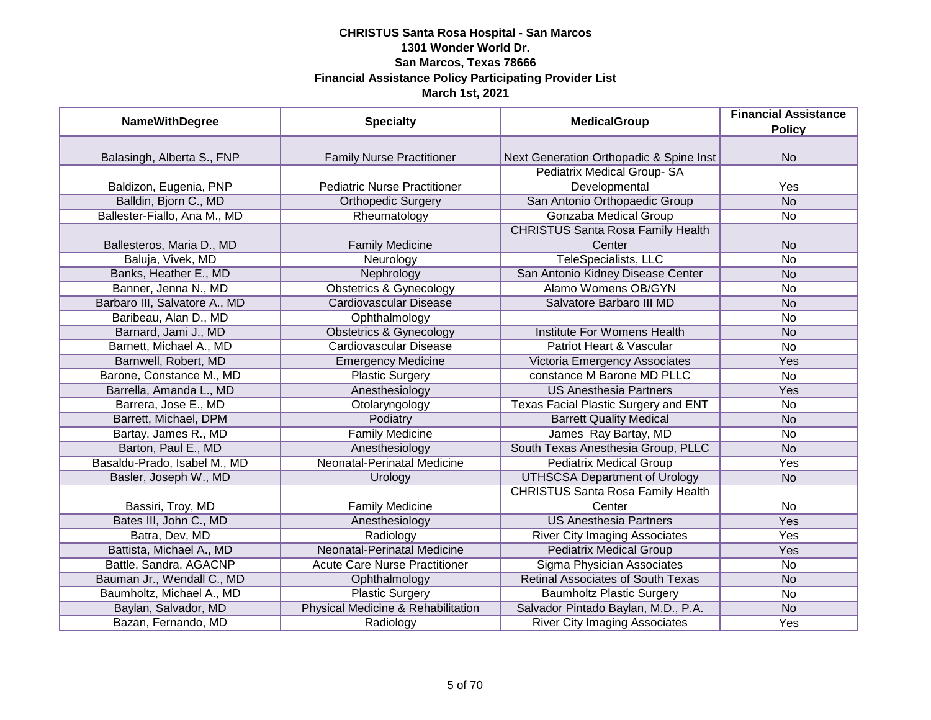| <b>NameWithDegree</b>         | <b>Specialty</b>                     | <b>MedicalGroup</b>                      | <b>Financial Assistance</b> |
|-------------------------------|--------------------------------------|------------------------------------------|-----------------------------|
|                               |                                      |                                          | <b>Policy</b>               |
|                               |                                      |                                          |                             |
| Balasingh, Alberta S., FNP    | <b>Family Nurse Practitioner</b>     | Next Generation Orthopadic & Spine Inst  | <b>No</b>                   |
|                               |                                      | Pediatrix Medical Group-SA               |                             |
| Baldizon, Eugenia, PNP        | <b>Pediatric Nurse Practitioner</b>  | Developmental                            | Yes                         |
| Balldin, Bjorn C., MD         | <b>Orthopedic Surgery</b>            | San Antonio Orthopaedic Group            | $\overline{No}$             |
| Ballester-Fiallo, Ana M., MD  | Rheumatology                         | Gonzaba Medical Group                    | <b>No</b>                   |
|                               |                                      | <b>CHRISTUS Santa Rosa Family Health</b> |                             |
| Ballesteros, Maria D., MD     | <b>Family Medicine</b>               | Center                                   | <b>No</b>                   |
| Baluja, Vivek, MD             | Neurology                            | <b>TeleSpecialists, LLC</b>              | <b>No</b>                   |
| Banks, Heather E., MD         | Nephrology                           | San Antonio Kidney Disease Center        | <b>No</b>                   |
| Banner, Jenna N., MD          | <b>Obstetrics &amp; Gynecology</b>   | <b>Alamo Womens OB/GYN</b>               | No                          |
| Barbaro III, Salvatore A., MD | <b>Cardiovascular Disease</b>        | Salvatore Barbaro III MD                 | <b>No</b>                   |
| Baribeau, Alan D., MD         | Ophthalmology                        |                                          | No                          |
| Barnard, Jami J., MD          | <b>Obstetrics &amp; Gynecology</b>   | Institute For Womens Health              | <b>No</b>                   |
| Barnett, Michael A., MD       | <b>Cardiovascular Disease</b>        | Patriot Heart & Vascular                 | <b>No</b>                   |
| Barnwell, Robert, MD          | <b>Emergency Medicine</b>            | Victoria Emergency Associates            | Yes                         |
| Barone, Constance M., MD      | <b>Plastic Surgery</b>               | constance M Barone MD PLLC               | No                          |
| Barrella, Amanda L., MD       | Anesthesiology                       | <b>US Anesthesia Partners</b>            | Yes                         |
| Barrera, Jose E., MD          | Otolaryngology                       | Texas Facial Plastic Surgery and ENT     | <b>No</b>                   |
| Barrett, Michael, DPM         | Podiatry                             | <b>Barrett Quality Medical</b>           | <b>No</b>                   |
| Bartay, James R., MD          | <b>Family Medicine</b>               | James Ray Bartay, MD                     | No                          |
| Barton, Paul E., MD           | Anesthesiology                       | South Texas Anesthesia Group, PLLC       | <b>No</b>                   |
| Basaldu-Prado, Isabel M., MD  | <b>Neonatal-Perinatal Medicine</b>   | <b>Pediatrix Medical Group</b>           | Yes                         |
| Basler, Joseph W., MD         | Urology                              | <b>UTHSCSA Department of Urology</b>     | <b>No</b>                   |
|                               |                                      | <b>CHRISTUS Santa Rosa Family Health</b> |                             |
| Bassiri, Troy, MD             | <b>Family Medicine</b>               | Center                                   | No                          |
| Bates III, John C., MD        | Anesthesiology                       | <b>US Anesthesia Partners</b>            | Yes                         |
| Batra, Dev, MD                | Radiology                            | <b>River City Imaging Associates</b>     | Yes                         |
| Battista, Michael A., MD      | <b>Neonatal-Perinatal Medicine</b>   | <b>Pediatrix Medical Group</b>           | Yes                         |
| Battle, Sandra, AGACNP        | <b>Acute Care Nurse Practitioner</b> | Sigma Physician Associates               | No                          |
| Bauman Jr., Wendall C., MD    | Ophthalmology                        | <b>Retinal Associates of South Texas</b> | <b>No</b>                   |
| Baumholtz, Michael A., MD     | <b>Plastic Surgery</b>               | <b>Baumholtz Plastic Surgery</b>         | No                          |
| Baylan, Salvador, MD          | Physical Medicine & Rehabilitation   | Salvador Pintado Baylan, M.D., P.A.      | <b>No</b>                   |
| Bazan, Fernando, MD           | Radiology                            | <b>River City Imaging Associates</b>     | Yes                         |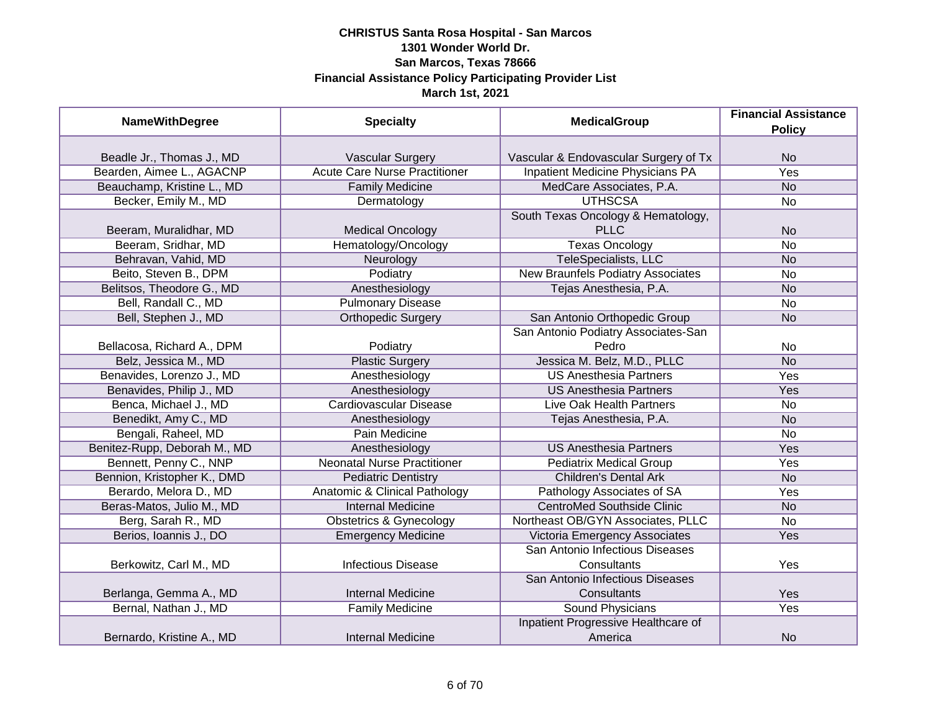| <b>NameWithDegree</b>        | <b>Specialty</b>                     | <b>MedicalGroup</b>                     | <b>Financial Assistance</b><br><b>Policy</b> |
|------------------------------|--------------------------------------|-----------------------------------------|----------------------------------------------|
|                              |                                      |                                         |                                              |
| Beadle Jr., Thomas J., MD    | <b>Vascular Surgery</b>              | Vascular & Endovascular Surgery of Tx   | <b>No</b>                                    |
| Bearden, Aimee L., AGACNP    | <b>Acute Care Nurse Practitioner</b> | <b>Inpatient Medicine Physicians PA</b> | <b>Yes</b>                                   |
| Beauchamp, Kristine L., MD   | <b>Family Medicine</b>               | MedCare Associates, P.A.                | N <sub>O</sub>                               |
| Becker, Emily M., MD         | Dermatology                          | <b>UTHSCSA</b>                          | No                                           |
|                              |                                      | South Texas Oncology & Hematology,      |                                              |
| Beeram, Muralidhar, MD       | <b>Medical Oncology</b>              | <b>PLLC</b>                             | <b>No</b>                                    |
| Beeram, Sridhar, MD          | Hematology/Oncology                  | <b>Texas Oncology</b>                   | <b>No</b>                                    |
| Behravan, Vahid, MD          | Neurology                            | TeleSpecialists, LLC                    | <b>No</b>                                    |
| Beito, Steven B., DPM        | Podiatry                             | New Braunfels Podiatry Associates       | No                                           |
| Belitsos, Theodore G., MD    | Anesthesiology                       | Tejas Anesthesia, P.A.                  | <b>No</b>                                    |
| Bell, Randall C., MD         | <b>Pulmonary Disease</b>             |                                         | No                                           |
| Bell, Stephen J., MD         | <b>Orthopedic Surgery</b>            | San Antonio Orthopedic Group            | <b>No</b>                                    |
|                              |                                      | San Antonio Podiatry Associates-San     |                                              |
| Bellacosa, Richard A., DPM   | Podiatry                             | Pedro                                   | No                                           |
| Belz, Jessica M., MD         | <b>Plastic Surgery</b>               | Jessica M. Belz, M.D., PLLC             | <b>No</b>                                    |
| Benavides, Lorenzo J., MD    | Anesthesiology                       | <b>US Anesthesia Partners</b>           | Yes                                          |
| Benavides, Philip J., MD     | Anesthesiology                       | <b>US Anesthesia Partners</b>           | Yes                                          |
| Benca, Michael J., MD        | <b>Cardiovascular Disease</b>        | <b>Live Oak Health Partners</b>         | <b>No</b>                                    |
| Benedikt, Amy C., MD         | Anesthesiology                       | Tejas Anesthesia, P.A.                  | <b>No</b>                                    |
| Bengali, Raheel, MD          | Pain Medicine                        |                                         | No                                           |
| Benitez-Rupp, Deborah M., MD | Anesthesiology                       | <b>US Anesthesia Partners</b>           | Yes                                          |
| Bennett, Penny C., NNP       | <b>Neonatal Nurse Practitioner</b>   | <b>Pediatrix Medical Group</b>          | Yes                                          |
| Bennion, Kristopher K., DMD  | <b>Pediatric Dentistry</b>           | <b>Children's Dental Ark</b>            | <b>No</b>                                    |
| Berardo, Melora D., MD       | Anatomic & Clinical Pathology        | Pathology Associates of SA              | Yes                                          |
| Beras-Matos, Julio M., MD    | <b>Internal Medicine</b>             | <b>CentroMed Southside Clinic</b>       | <b>No</b>                                    |
| Berg, Sarah R., MD           | <b>Obstetrics &amp; Gynecology</b>   | Northeast OB/GYN Associates, PLLC       | No                                           |
| Berios, Ioannis J., DO       | <b>Emergency Medicine</b>            | Victoria Emergency Associates           | Yes                                          |
|                              |                                      | San Antonio Infectious Diseases         |                                              |
| Berkowitz, Carl M., MD       | <b>Infectious Disease</b>            | Consultants                             | Yes                                          |
|                              |                                      | San Antonio Infectious Diseases         |                                              |
| Berlanga, Gemma A., MD       | <b>Internal Medicine</b>             | Consultants                             | Yes                                          |
| Bernal, Nathan J., MD        | <b>Family Medicine</b>               | Sound Physicians                        | Yes                                          |
|                              |                                      | Inpatient Progressive Healthcare of     |                                              |
| Bernardo, Kristine A., MD    | <b>Internal Medicine</b>             | America                                 | <b>No</b>                                    |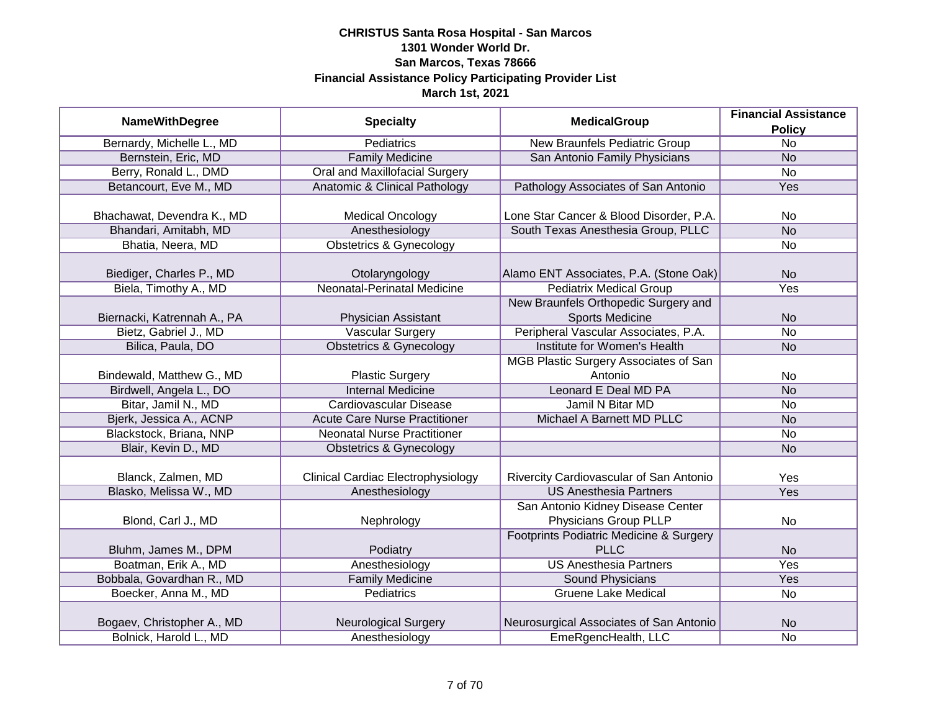| <b>NameWithDegree</b>                             | <b>Specialty</b>                                     | <b>MedicalGroup</b>                                                      | <b>Financial Assistance</b><br><b>Policy</b> |
|---------------------------------------------------|------------------------------------------------------|--------------------------------------------------------------------------|----------------------------------------------|
| Bernardy, Michelle L., MD                         | <b>Pediatrics</b>                                    | <b>New Braunfels Pediatric Group</b>                                     | $\overline{No}$                              |
| Bernstein, Eric, MD                               | <b>Family Medicine</b>                               | San Antonio Family Physicians                                            | <b>No</b>                                    |
| Berry, Ronald L., DMD                             | <b>Oral and Maxillofacial Surgery</b>                |                                                                          | No                                           |
| Betancourt, Eve M., MD                            | <b>Anatomic &amp; Clinical Pathology</b>             | Pathology Associates of San Antonio                                      | Yes                                          |
| Bhachawat, Devendra K., MD                        | <b>Medical Oncology</b>                              | Lone Star Cancer & Blood Disorder, P.A.                                  | <b>No</b>                                    |
| Bhandari, Amitabh, MD                             | Anesthesiology                                       | South Texas Anesthesia Group, PLLC                                       | N <sub>o</sub>                               |
| Bhatia, Neera, MD                                 | <b>Obstetrics &amp; Gynecology</b>                   |                                                                          | No                                           |
| Biediger, Charles P., MD<br>Biela, Timothy A., MD | Otolaryngology<br><b>Neonatal-Perinatal Medicine</b> | Alamo ENT Associates, P.A. (Stone Oak)<br><b>Pediatrix Medical Group</b> | <b>No</b><br>Yes                             |
|                                                   |                                                      | New Braunfels Orthopedic Surgery and                                     |                                              |
| Biernacki, Katrennah A., PA                       | Physician Assistant                                  | <b>Sports Medicine</b>                                                   | <b>No</b>                                    |
| Bietz, Gabriel J., MD                             | <b>Vascular Surgery</b>                              | Peripheral Vascular Associates, P.A.                                     | <b>No</b>                                    |
| Bilica, Paula, DO                                 | <b>Obstetrics &amp; Gynecology</b>                   | Institute for Women's Health                                             | <b>No</b>                                    |
|                                                   |                                                      | MGB Plastic Surgery Associates of San                                    |                                              |
| Bindewald, Matthew G., MD                         | <b>Plastic Surgery</b>                               | Antonio                                                                  | No                                           |
| Birdwell, Angela L., DO                           | <b>Internal Medicine</b>                             | Leonard E Deal MD PA                                                     | <b>No</b>                                    |
| Bitar, Jamil N., MD                               | <b>Cardiovascular Disease</b>                        | Jamil N Bitar MD                                                         | No                                           |
| Bjerk, Jessica A., ACNP                           | <b>Acute Care Nurse Practitioner</b>                 | Michael A Barnett MD PLLC                                                | <b>No</b>                                    |
| Blackstock, Briana, NNP                           | <b>Neonatal Nurse Practitioner</b>                   |                                                                          | <b>No</b>                                    |
| Blair, Kevin D., MD                               | Obstetrics & Gynecology                              |                                                                          | <b>No</b>                                    |
| Blanck, Zalmen, MD                                | <b>Clinical Cardiac Electrophysiology</b>            | Rivercity Cardiovascular of San Antonio                                  | Yes                                          |
| Blasko, Melissa W., MD                            | Anesthesiology                                       | <b>US Anesthesia Partners</b>                                            | Yes                                          |
| Blond, Carl J., MD                                | Nephrology                                           | San Antonio Kidney Disease Center<br>Physicians Group PLLP               | <b>No</b>                                    |
|                                                   |                                                      | Footprints Podiatric Medicine & Surgery                                  |                                              |
| Bluhm, James M., DPM                              | Podiatry                                             | <b>PLLC</b>                                                              | <b>No</b>                                    |
| Boatman, Erik A., MD                              | Anesthesiology                                       | <b>US Anesthesia Partners</b>                                            | Yes                                          |
| Bobbala, Govardhan R., MD                         | <b>Family Medicine</b>                               | Sound Physicians                                                         | Yes                                          |
| Boecker, Anna M., MD                              | Pediatrics                                           | <b>Gruene Lake Medical</b>                                               | No                                           |
| Bogaev, Christopher A., MD                        | <b>Neurological Surgery</b>                          | Neurosurgical Associates of San Antonio                                  | <b>No</b>                                    |
| Bolnick, Harold L., MD                            | Anesthesiology                                       | EmeRgencHealth, LLC                                                      | <b>No</b>                                    |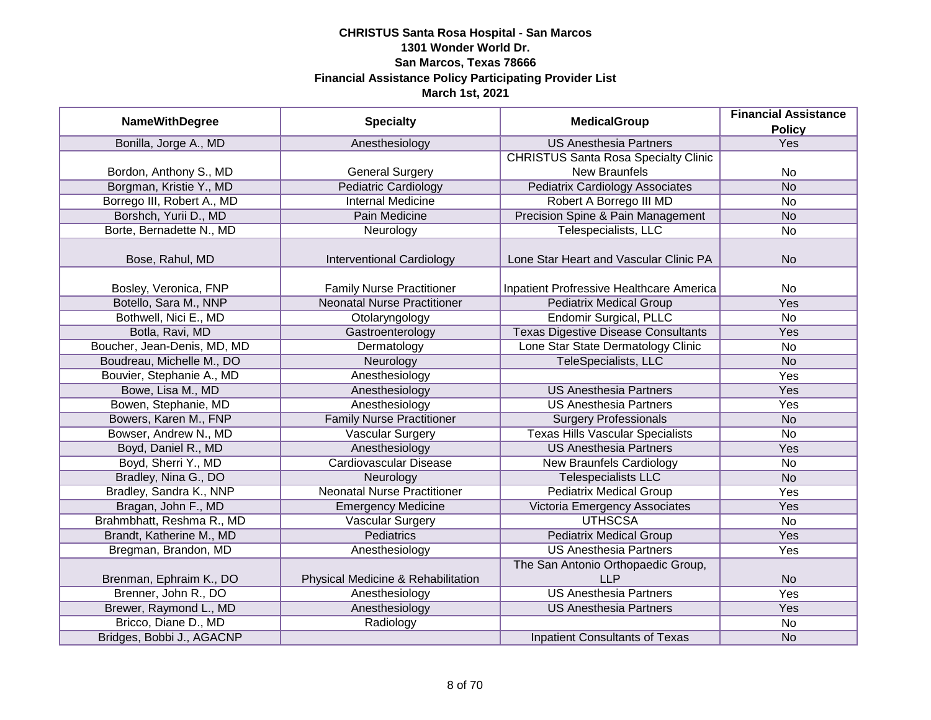|                             | <b>MedicalGroup</b>                | <b>Financial Assistance</b>                 |               |
|-----------------------------|------------------------------------|---------------------------------------------|---------------|
| <b>NameWithDegree</b>       | <b>Specialty</b>                   |                                             | <b>Policy</b> |
| Bonilla, Jorge A., MD       | Anesthesiology                     | <b>US Anesthesia Partners</b>               | Yes           |
|                             |                                    | <b>CHRISTUS Santa Rosa Specialty Clinic</b> |               |
| Bordon, Anthony S., MD      | <b>General Surgery</b>             | <b>New Braunfels</b>                        | <b>No</b>     |
| Borgman, Kristie Y., MD     | <b>Pediatric Cardiology</b>        | <b>Pediatrix Cardiology Associates</b>      | <b>No</b>     |
| Borrego III, Robert A., MD  | <b>Internal Medicine</b>           | Robert A Borrego III MD                     | <b>No</b>     |
| Borshch, Yurii D., MD       | Pain Medicine                      | Precision Spine & Pain Management           | <b>No</b>     |
| Borte, Bernadette N., MD    | Neurology                          | Telespecialists, LLC                        | <b>No</b>     |
| Bose, Rahul, MD             | Interventional Cardiology          | Lone Star Heart and Vascular Clinic PA      | <b>No</b>     |
| Bosley, Veronica, FNP       | <b>Family Nurse Practitioner</b>   | Inpatient Profressive Healthcare America    | <b>No</b>     |
| Botello, Sara M., NNP       | <b>Neonatal Nurse Practitioner</b> | <b>Pediatrix Medical Group</b>              | Yes           |
| Bothwell, Nici E., MD       | Otolaryngology                     | <b>Endomir Surgical, PLLC</b>               | <b>No</b>     |
| Botla, Ravi, MD             | Gastroenterology                   | <b>Texas Digestive Disease Consultants</b>  | Yes           |
| Boucher, Jean-Denis, MD, MD | Dermatology                        | Lone Star State Dermatology Clinic          | <b>No</b>     |
| Boudreau, Michelle M., DO   | Neurology                          | TeleSpecialists, LLC                        | <b>No</b>     |
| Bouvier, Stephanie A., MD   | Anesthesiology                     |                                             | Yes           |
| Bowe, Lisa M., MD           | Anesthesiology                     | <b>US Anesthesia Partners</b>               | Yes           |
| Bowen, Stephanie, MD        | Anesthesiology                     | <b>US Anesthesia Partners</b>               | Yes           |
| Bowers, Karen M., FNP       | <b>Family Nurse Practitioner</b>   | <b>Surgery Professionals</b>                | <b>No</b>     |
| Bowser, Andrew N., MD       | <b>Vascular Surgery</b>            | <b>Texas Hills Vascular Specialists</b>     | <b>No</b>     |
| Boyd, Daniel R., MD         | Anesthesiology                     | <b>US Anesthesia Partners</b>               | Yes           |
| Boyd, Sherri Y., MD         | <b>Cardiovascular Disease</b>      | <b>New Braunfels Cardiology</b>             | <b>No</b>     |
| Bradley, Nina G., DO        | Neurology                          | <b>Telespecialists LLC</b>                  | <b>No</b>     |
| Bradley, Sandra K., NNP     | <b>Neonatal Nurse Practitioner</b> | <b>Pediatrix Medical Group</b>              | Yes           |
| Bragan, John F., MD         | <b>Emergency Medicine</b>          | Victoria Emergency Associates               | Yes           |
| Brahmbhatt, Reshma R., MD   | Vascular Surgery                   | <b>UTHSCSA</b>                              | <b>No</b>     |
| Brandt, Katherine M., MD    | <b>Pediatrics</b>                  | <b>Pediatrix Medical Group</b>              | Yes           |
| Bregman, Brandon, MD        | Anesthesiology                     | <b>US Anesthesia Partners</b>               | Yes           |
|                             |                                    | The San Antonio Orthopaedic Group,          |               |
| Brenman, Ephraim K., DO     | Physical Medicine & Rehabilitation | <b>LLP</b>                                  | <b>No</b>     |
| Brenner, John R., DO        | Anesthesiology                     | <b>US Anesthesia Partners</b>               | <b>Yes</b>    |
| Brewer, Raymond L., MD      | Anesthesiology                     | <b>US Anesthesia Partners</b>               | Yes           |
| Bricco, Diane D., MD        | Radiology                          |                                             | No            |
| Bridges, Bobbi J., AGACNP   |                                    | <b>Inpatient Consultants of Texas</b>       | <b>No</b>     |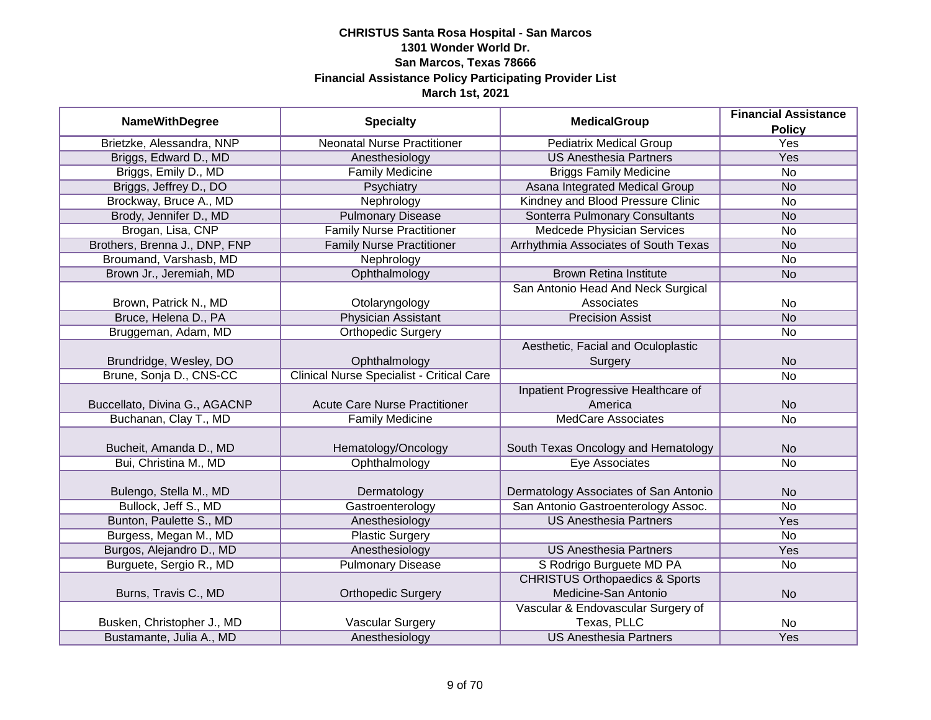| <b>NameWithDegree</b>         |                                                  | <b>MedicalGroup</b>                       | <b>Financial Assistance</b> |
|-------------------------------|--------------------------------------------------|-------------------------------------------|-----------------------------|
|                               | <b>Specialty</b>                                 |                                           | <b>Policy</b>               |
| Brietzke, Alessandra, NNP     | <b>Neonatal Nurse Practitioner</b>               | <b>Pediatrix Medical Group</b>            | <b>Yes</b>                  |
| Briggs, Edward D., MD         | Anesthesiology                                   | <b>US Anesthesia Partners</b>             | <b>Yes</b>                  |
| Briggs, Emily D., MD          | <b>Family Medicine</b>                           | <b>Briggs Family Medicine</b>             | No                          |
| Briggs, Jeffrey D., DO        | Psychiatry                                       | Asana Integrated Medical Group            | <b>No</b>                   |
| Brockway, Bruce A., MD        | Nephrology                                       | Kindney and Blood Pressure Clinic         | <b>No</b>                   |
| Brody, Jennifer D., MD        | <b>Pulmonary Disease</b>                         | Sonterra Pulmonary Consultants            | <b>No</b>                   |
| Brogan, Lisa, CNP             | <b>Family Nurse Practitioner</b>                 | <b>Medcede Physician Services</b>         | <b>No</b>                   |
| Brothers, Brenna J., DNP, FNP | <b>Family Nurse Practitioner</b>                 | Arrhythmia Associates of South Texas      | <b>No</b>                   |
| Broumand, Varshasb, MD        | Nephrology                                       |                                           | No                          |
| Brown Jr., Jeremiah, MD       | Ophthalmology                                    | <b>Brown Retina Institute</b>             | <b>No</b>                   |
|                               |                                                  | San Antonio Head And Neck Surgical        |                             |
| Brown, Patrick N., MD         | Otolaryngology                                   | Associates                                | <b>No</b>                   |
| Bruce, Helena D., PA          | <b>Physician Assistant</b>                       | <b>Precision Assist</b>                   | <b>No</b>                   |
| Bruggeman, Adam, MD           | Orthopedic Surgery                               |                                           | <b>No</b>                   |
|                               |                                                  | Aesthetic, Facial and Oculoplastic        |                             |
| Brundridge, Wesley, DO        | Ophthalmology                                    | Surgery                                   | <b>No</b>                   |
| Brune, Sonja D., CNS-CC       | <b>Clinical Nurse Specialist - Critical Care</b> |                                           | <b>No</b>                   |
|                               |                                                  | Inpatient Progressive Healthcare of       |                             |
| Buccellato, Divina G., AGACNP | <b>Acute Care Nurse Practitioner</b>             | America                                   | <b>No</b>                   |
| Buchanan, Clay T., MD         | <b>Family Medicine</b>                           | <b>MedCare Associates</b>                 | <b>No</b>                   |
|                               |                                                  |                                           |                             |
| Bucheit, Amanda D., MD        | Hematology/Oncology                              | South Texas Oncology and Hematology       | <b>No</b>                   |
| Bui, Christina M., MD         | Ophthalmology                                    | Eye Associates                            | <b>No</b>                   |
|                               |                                                  |                                           |                             |
| Bulengo, Stella M., MD        | Dermatology                                      | Dermatology Associates of San Antonio     | <b>No</b>                   |
| Bullock, Jeff S., MD          | Gastroenterology                                 | San Antonio Gastroenterology Assoc.       | <b>No</b>                   |
| Bunton, Paulette S., MD       | Anesthesiology                                   | <b>US Anesthesia Partners</b>             | Yes                         |
| Burgess, Megan M., MD         | <b>Plastic Surgery</b>                           |                                           | <b>No</b>                   |
| Burgos, Alejandro D., MD      | Anesthesiology                                   | <b>US Anesthesia Partners</b>             | Yes                         |
| Burguete, Sergio R., MD       | <b>Pulmonary Disease</b>                         | S Rodrigo Burguete MD PA                  | <b>No</b>                   |
|                               |                                                  | <b>CHRISTUS Orthopaedics &amp; Sports</b> |                             |
| Burns, Travis C., MD          | <b>Orthopedic Surgery</b>                        | Medicine-San Antonio                      | <b>No</b>                   |
|                               |                                                  | Vascular & Endovascular Surgery of        |                             |
| Busken, Christopher J., MD    | Vascular Surgery                                 | Texas, PLLC                               | <b>No</b>                   |
| Bustamante, Julia A., MD      | Anesthesiology                                   | <b>US Anesthesia Partners</b>             | Yes                         |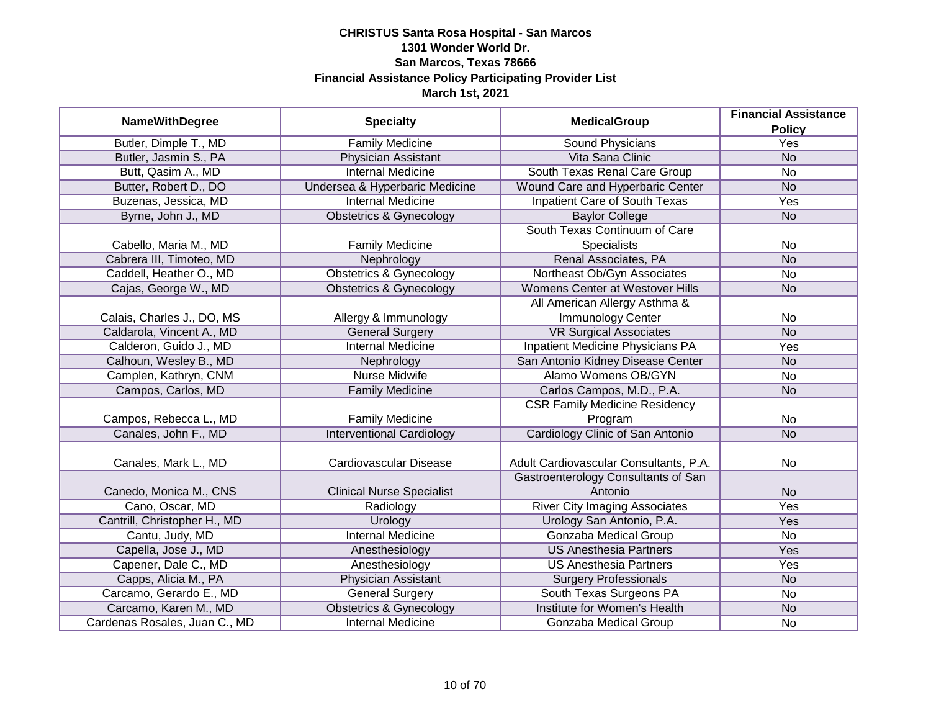| <b>NameWithDegree</b>         | <b>Specialty</b>                   | <b>MedicalGroup</b>                    | <b>Financial Assistance</b> |
|-------------------------------|------------------------------------|----------------------------------------|-----------------------------|
|                               |                                    |                                        | <b>Policy</b>               |
| Butler, Dimple T., MD         | <b>Family Medicine</b>             | <b>Sound Physicians</b>                | <b>Yes</b>                  |
| Butler, Jasmin S., PA         | Physician Assistant                | Vita Sana Clinic                       | <b>No</b>                   |
| Butt, Qasim A., MD            | <b>Internal Medicine</b>           | South Texas Renal Care Group           | <b>No</b>                   |
| Butter, Robert D., DO         | Undersea & Hyperbaric Medicine     | Wound Care and Hyperbaric Center       | <b>No</b>                   |
| Buzenas, Jessica, MD          | <b>Internal Medicine</b>           | <b>Inpatient Care of South Texas</b>   | Yes                         |
| Byrne, John J., MD            | <b>Obstetrics &amp; Gynecology</b> | <b>Baylor College</b>                  | <b>No</b>                   |
|                               |                                    | South Texas Continuum of Care          |                             |
| Cabello, Maria M., MD         | <b>Family Medicine</b>             | <b>Specialists</b>                     | No                          |
| Cabrera III, Timoteo, MD      | Nephrology                         | Renal Associates, PA                   | <b>No</b>                   |
| Caddell, Heather O., MD       | <b>Obstetrics &amp; Gynecology</b> | Northeast Ob/Gyn Associates            | No                          |
| Cajas, George W., MD          | <b>Obstetrics &amp; Gynecology</b> | Womens Center at Westover Hills        | <b>No</b>                   |
|                               |                                    | All American Allergy Asthma &          |                             |
| Calais, Charles J., DO, MS    | Allergy & Immunology               | Immunology Center                      | No                          |
| Caldarola, Vincent A., MD     | <b>General Surgery</b>             | <b>VR Surgical Associates</b>          | <b>No</b>                   |
| Calderon, Guido J., MD        | <b>Internal Medicine</b>           | Inpatient Medicine Physicians PA       | Yes                         |
| Calhoun, Wesley B., MD        | Nephrology                         | San Antonio Kidney Disease Center      | <b>No</b>                   |
| Camplen, Kathryn, CNM         | <b>Nurse Midwife</b>               | Alamo Womens OB/GYN                    | No                          |
| Campos, Carlos, MD            | <b>Family Medicine</b>             | Carlos Campos, M.D., P.A.              | <b>No</b>                   |
|                               |                                    | <b>CSR Family Medicine Residency</b>   |                             |
| Campos, Rebecca L., MD        | <b>Family Medicine</b>             | Program                                | No                          |
| Canales, John F., MD          | <b>Interventional Cardiology</b>   | Cardiology Clinic of San Antonio       | <b>No</b>                   |
|                               |                                    |                                        |                             |
| Canales, Mark L., MD          | Cardiovascular Disease             | Adult Cardiovascular Consultants, P.A. | <b>No</b>                   |
|                               |                                    | Gastroenterology Consultants of San    |                             |
| Canedo, Monica M., CNS        | <b>Clinical Nurse Specialist</b>   | Antonio                                | <b>No</b>                   |
| Cano, Oscar, MD               | Radiology                          | <b>River City Imaging Associates</b>   | Yes                         |
| Cantrill, Christopher H., MD  | <b>Urology</b>                     | Urology San Antonio, P.A.              | Yes                         |
| Cantu, Judy, MD               | <b>Internal Medicine</b>           | <b>Gonzaba Medical Group</b>           | <b>No</b>                   |
| Capella, Jose J., MD          | Anesthesiology                     | <b>US Anesthesia Partners</b>          | Yes                         |
| Capener, Dale C., MD          | Anesthesiology                     | <b>US Anesthesia Partners</b>          | Yes                         |
| Capps, Alicia M., PA          | Physician Assistant                | <b>Surgery Professionals</b>           | <b>No</b>                   |
| Carcamo, Gerardo E., MD       | <b>General Surgery</b>             | South Texas Surgeons PA                | No                          |
| Carcamo, Karen M., MD         | <b>Obstetrics &amp; Gynecology</b> | Institute for Women's Health           | <b>No</b>                   |
| Cardenas Rosales, Juan C., MD | <b>Internal Medicine</b>           | Gonzaba Medical Group                  | No                          |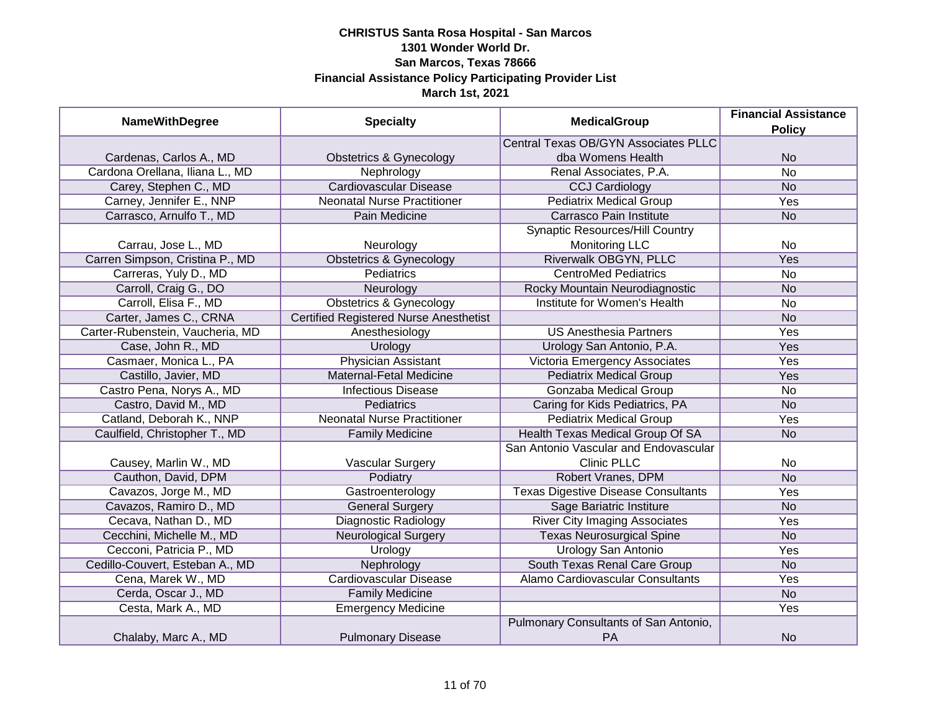| <b>NameWithDegree</b>            | <b>Specialty</b>                              | <b>MedicalGroup</b>                                | <b>Financial Assistance</b><br><b>Policy</b> |
|----------------------------------|-----------------------------------------------|----------------------------------------------------|----------------------------------------------|
|                                  |                                               | <b>Central Texas OB/GYN Associates PLLC</b>        |                                              |
| Cardenas, Carlos A., MD          | <b>Obstetrics &amp; Gynecology</b>            | dba Womens Health                                  | <b>No</b>                                    |
| Cardona Orellana, Iliana L., MD  | Nephrology                                    | Renal Associates, P.A.                             | $\overline{No}$                              |
| Carey, Stephen C., MD            | <b>Cardiovascular Disease</b>                 | <b>CCJ Cardiology</b>                              | <b>No</b>                                    |
| Carney, Jennifer E., NNP         | <b>Neonatal Nurse Practitioner</b>            | <b>Pediatrix Medical Group</b>                     | <b>Yes</b>                                   |
| Carrasco, Arnulfo T., MD         | Pain Medicine                                 | Carrasco Pain Institute                            | <b>No</b>                                    |
|                                  |                                               | <b>Synaptic Resources/Hill Country</b>             |                                              |
| Carrau, Jose L., MD              | Neurology                                     | <b>Monitoring LLC</b>                              | <b>No</b>                                    |
| Carren Simpson, Cristina P., MD  | <b>Obstetrics &amp; Gynecology</b>            | Riverwalk OBGYN, PLLC                              | Yes                                          |
| Carreras, Yuly D., MD            | Pediatrics                                    | <b>CentroMed Pediatrics</b>                        | <b>No</b>                                    |
| Carroll, Craig G., DO            | Neurology                                     | Rocky Mountain Neurodiagnostic                     | <b>No</b>                                    |
| Carroll, Elisa F., MD            | <b>Obstetrics &amp; Gynecology</b>            | Institute for Women's Health                       | <b>No</b>                                    |
| Carter, James C., CRNA           | <b>Certified Registered Nurse Anesthetist</b> |                                                    | <b>No</b>                                    |
| Carter-Rubenstein, Vaucheria, MD | Anesthesiology                                | <b>US Anesthesia Partners</b>                      | Yes                                          |
| Case, John R., MD                | Urology                                       | Urology San Antonio, P.A.                          | Yes                                          |
| Casmaer, Monica L., PA           | <b>Physician Assistant</b>                    | Victoria Emergency Associates                      | Yes                                          |
| Castillo, Javier, MD             | Maternal-Fetal Medicine                       | <b>Pediatrix Medical Group</b>                     | Yes                                          |
| Castro Pena, Norys A., MD        | <b>Infectious Disease</b>                     | <b>Gonzaba Medical Group</b>                       | <b>No</b>                                    |
| Castro, David M., MD             | Pediatrics                                    | Caring for Kids Pediatrics, PA                     | <b>No</b>                                    |
| Catland, Deborah K., NNP         | <b>Neonatal Nurse Practitioner</b>            | <b>Pediatrix Medical Group</b>                     | Yes                                          |
| Caulfield, Christopher T., MD    | <b>Family Medicine</b>                        | Health Texas Medical Group Of SA                   | <b>No</b>                                    |
|                                  |                                               | San Antonio Vascular and Endovascular              |                                              |
| Causey, Marlin W., MD            | Vascular Surgery                              | <b>Clinic PLLC</b>                                 | <b>No</b>                                    |
| Cauthon, David, DPM              | Podiatry                                      | Robert Vranes, DPM                                 | <b>No</b>                                    |
| Cavazos, Jorge M., MD            | Gastroenterology                              | <b>Texas Digestive Disease Consultants</b>         | Yes                                          |
| Cavazos, Ramiro D., MD           | <b>General Surgery</b>                        | Sage Bariatric Institure                           | <b>No</b>                                    |
| Cecava, Nathan D., MD            | <b>Diagnostic Radiology</b>                   | <b>River City Imaging Associates</b>               | Yes                                          |
| Cecchini, Michelle M., MD        | <b>Neurological Surgery</b>                   | <b>Texas Neurosurgical Spine</b>                   | <b>No</b>                                    |
| Cecconi, Patricia P., MD         | Urology                                       | <b>Urology San Antonio</b>                         | Yes                                          |
| Cedillo-Couvert, Esteban A., MD  | Nephrology                                    | South Texas Renal Care Group                       | <b>No</b>                                    |
| Cena, Marek W., MD               | <b>Cardiovascular Disease</b>                 | Alamo Cardiovascular Consultants                   | Yes                                          |
| Cerda, Oscar J., MD              | <b>Family Medicine</b>                        |                                                    | N <sub>o</sub>                               |
| Cesta, Mark A., MD               | <b>Emergency Medicine</b>                     |                                                    | Yes                                          |
| Chalaby, Marc A., MD             | <b>Pulmonary Disease</b>                      | Pulmonary Consultants of San Antonio,<br><b>PA</b> | <b>No</b>                                    |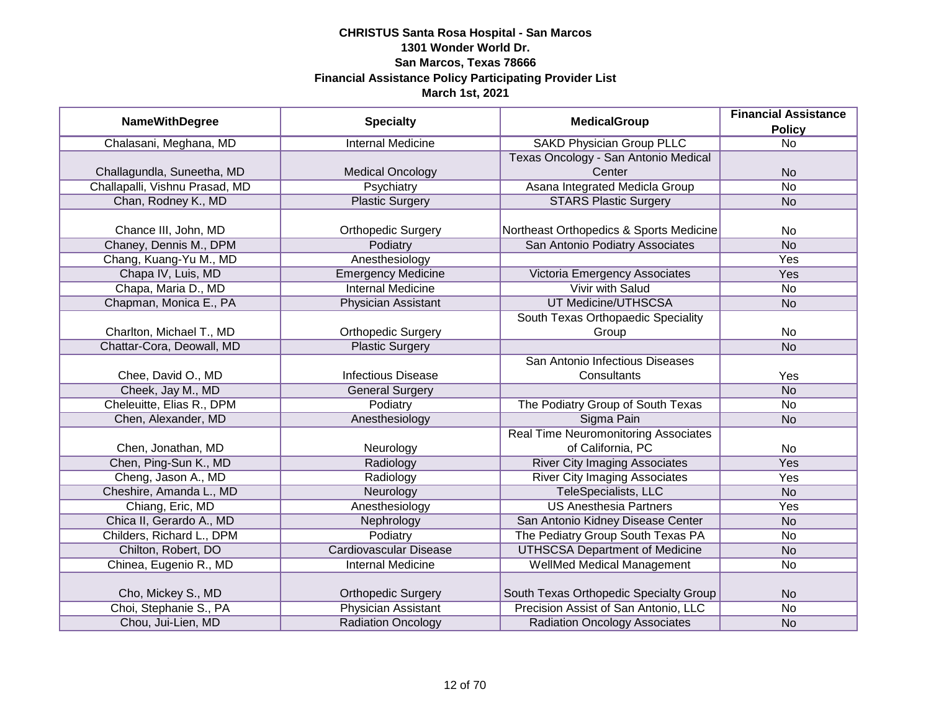|                                | <b>Specialty</b>           | <b>MedicalGroup</b>                         | <b>Financial Assistance</b> |
|--------------------------------|----------------------------|---------------------------------------------|-----------------------------|
| <b>NameWithDegree</b>          |                            |                                             | <b>Policy</b>               |
| Chalasani, Meghana, MD         | <b>Internal Medicine</b>   | <b>SAKD Physician Group PLLC</b>            | $\overline{No}$             |
|                                |                            | Texas Oncology - San Antonio Medical        |                             |
| Challagundla, Suneetha, MD     | <b>Medical Oncology</b>    | Center                                      | <b>No</b>                   |
| Challapalli, Vishnu Prasad, MD | Psychiatry                 | Asana Integrated Medicla Group              | <b>No</b>                   |
| Chan, Rodney K., MD            | <b>Plastic Surgery</b>     | <b>STARS Plastic Surgery</b>                | <b>No</b>                   |
|                                |                            |                                             |                             |
| Chance III, John, MD           | <b>Orthopedic Surgery</b>  | Northeast Orthopedics & Sports Medicine     | No                          |
| Chaney, Dennis M., DPM         | Podiatry                   | San Antonio Podiatry Associates             | <b>No</b>                   |
| Chang, Kuang-Yu M., MD         | Anesthesiology             |                                             | Yes                         |
| Chapa IV, Luis, MD             | <b>Emergency Medicine</b>  | Victoria Emergency Associates               | Yes                         |
| Chapa, Maria D., MD            | <b>Internal Medicine</b>   | <b>Vivir with Salud</b>                     | No                          |
| Chapman, Monica E., PA         | Physician Assistant        | UT Medicine/UTHSCSA                         | <b>No</b>                   |
|                                |                            | South Texas Orthopaedic Speciality          |                             |
| Charlton, Michael T., MD       | <b>Orthopedic Surgery</b>  | Group                                       | <b>No</b>                   |
| Chattar-Cora, Deowall, MD      | <b>Plastic Surgery</b>     |                                             | <b>No</b>                   |
|                                |                            | San Antonio Infectious Diseases             |                             |
| Chee, David O., MD             | <b>Infectious Disease</b>  | Consultants                                 | Yes                         |
| Cheek, Jay M., MD              | <b>General Surgery</b>     |                                             | <b>No</b>                   |
| Cheleuitte, Elias R., DPM      | Podiatry                   | The Podiatry Group of South Texas           | <b>No</b>                   |
| Chen, Alexander, MD            | Anesthesiology             | Sigma Pain                                  | <b>No</b>                   |
|                                |                            | <b>Real Time Neuromonitoring Associates</b> |                             |
| Chen, Jonathan, MD             | Neurology                  | of California, PC                           | <b>No</b>                   |
| Chen, Ping-Sun K., MD          | Radiology                  | <b>River City Imaging Associates</b>        | Yes                         |
| Cheng, Jason A., MD            | Radiology                  | <b>River City Imaging Associates</b>        | Yes                         |
| Cheshire, Amanda L., MD        | Neurology                  | <b>TeleSpecialists, LLC</b>                 | <b>No</b>                   |
| Chiang, Eric, MD               | Anesthesiology             | <b>US Anesthesia Partners</b>               | Yes                         |
| Chica II, Gerardo A., MD       | Nephrology                 | San Antonio Kidney Disease Center           | <b>No</b>                   |
| Childers, Richard L., DPM      | Podiatry                   | The Pediatry Group South Texas PA           | <b>No</b>                   |
| Chilton, Robert, DO            | Cardiovascular Disease     | <b>UTHSCSA Department of Medicine</b>       | <b>No</b>                   |
| Chinea, Eugenio R., MD         | <b>Internal Medicine</b>   | WellMed Medical Management                  | <b>No</b>                   |
|                                |                            |                                             |                             |
| Cho, Mickey S., MD             | <b>Orthopedic Surgery</b>  | South Texas Orthopedic Specialty Group      | <b>No</b>                   |
| Choi, Stephanie S., PA         | <b>Physician Assistant</b> | Precision Assist of San Antonio, LLC        | No                          |
| Chou, Jui-Lien, MD             | <b>Radiation Oncology</b>  | <b>Radiation Oncology Associates</b>        | <b>No</b>                   |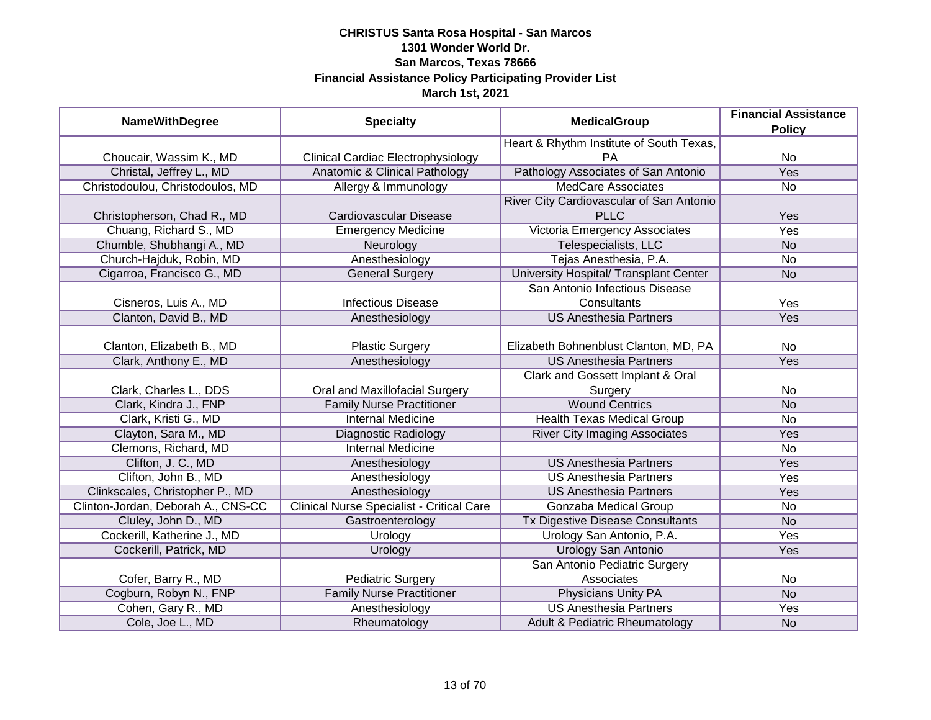| <b>NameWithDegree</b>              | <b>Specialty</b>                                 | <b>MedicalGroup</b>                      | <b>Financial Assistance</b><br><b>Policy</b> |
|------------------------------------|--------------------------------------------------|------------------------------------------|----------------------------------------------|
|                                    |                                                  | Heart & Rhythm Institute of South Texas, |                                              |
| Choucair, Wassim K., MD            | Clinical Cardiac Electrophysiology               | <b>PA</b>                                | No                                           |
| Christal, Jeffrey L., MD           | Anatomic & Clinical Pathology                    | Pathology Associates of San Antonio      | Yes                                          |
| Christodoulou, Christodoulos, MD   | Allergy & Immunology                             | <b>MedCare Associates</b>                | No                                           |
|                                    |                                                  | River City Cardiovascular of San Antonio |                                              |
| Christopherson, Chad R., MD        | Cardiovascular Disease                           | <b>PLLC</b>                              | Yes                                          |
| Chuang, Richard S., MD             | <b>Emergency Medicine</b>                        | Victoria Emergency Associates            | <b>Yes</b>                                   |
| Chumble, Shubhangi A., MD          | Neurology                                        | Telespecialists, LLC                     | <b>No</b>                                    |
| Church-Hajduk, Robin, MD           | Anesthesiology                                   | Tejas Anesthesia, P.A.                   | No                                           |
| Cigarroa, Francisco G., MD         | <b>General Surgery</b>                           | University Hospital/ Transplant Center   | <b>No</b>                                    |
|                                    |                                                  | San Antonio Infectious Disease           |                                              |
| Cisneros, Luis A., MD              | <b>Infectious Disease</b>                        | Consultants                              | Yes                                          |
| Clanton, David B., MD              | Anesthesiology                                   | <b>US Anesthesia Partners</b>            | Yes                                          |
|                                    |                                                  |                                          |                                              |
| Clanton, Elizabeth B., MD          | <b>Plastic Surgery</b>                           | Elizabeth Bohnenblust Clanton, MD, PA    | <b>No</b>                                    |
| Clark, Anthony E., MD              | Anesthesiology                                   | <b>US Anesthesia Partners</b>            | Yes                                          |
|                                    |                                                  | Clark and Gossett Implant & Oral         |                                              |
| Clark, Charles L., DDS             | Oral and Maxillofacial Surgery                   | Surgery                                  | No                                           |
| Clark, Kindra J., FNP              | <b>Family Nurse Practitioner</b>                 | <b>Wound Centrics</b>                    | <b>No</b>                                    |
| Clark, Kristi G., MD               | <b>Internal Medicine</b>                         | <b>Health Texas Medical Group</b>        | <b>No</b>                                    |
| Clayton, Sara M., MD               | <b>Diagnostic Radiology</b>                      | <b>River City Imaging Associates</b>     | Yes                                          |
| Clemons, Richard, MD               | <b>Internal Medicine</b>                         |                                          | No                                           |
| Clifton, J. C., MD                 | Anesthesiology                                   | <b>US Anesthesia Partners</b>            | Yes                                          |
| Clifton, John B., MD               | Anesthesiology                                   | <b>US Anesthesia Partners</b>            | Yes                                          |
| Clinkscales, Christopher P., MD    | Anesthesiology                                   | <b>US Anesthesia Partners</b>            | Yes                                          |
| Clinton-Jordan, Deborah A., CNS-CC | <b>Clinical Nurse Specialist - Critical Care</b> | Gonzaba Medical Group                    | <b>No</b>                                    |
| Cluley, John D., MD                | Gastroenterology                                 | Tx Digestive Disease Consultants         | <b>No</b>                                    |
| Cockerill, Katherine J., MD        | Urology                                          | Urology San Antonio, P.A.                | Yes                                          |
| Cockerill, Patrick, MD             | Urology                                          | <b>Urology San Antonio</b>               | Yes                                          |
|                                    |                                                  | San Antonio Pediatric Surgery            |                                              |
| Cofer, Barry R., MD                | <b>Pediatric Surgery</b>                         | Associates                               | No                                           |
| Cogburn, Robyn N., FNP             | <b>Family Nurse Practitioner</b>                 | <b>Physicians Unity PA</b>               | <b>No</b>                                    |
| Cohen, Gary R., MD                 | Anesthesiology                                   | <b>US Anesthesia Partners</b>            | Yes                                          |
| Cole, Joe L., MD                   | Rheumatology                                     | Adult & Pediatric Rheumatology           | <b>No</b>                                    |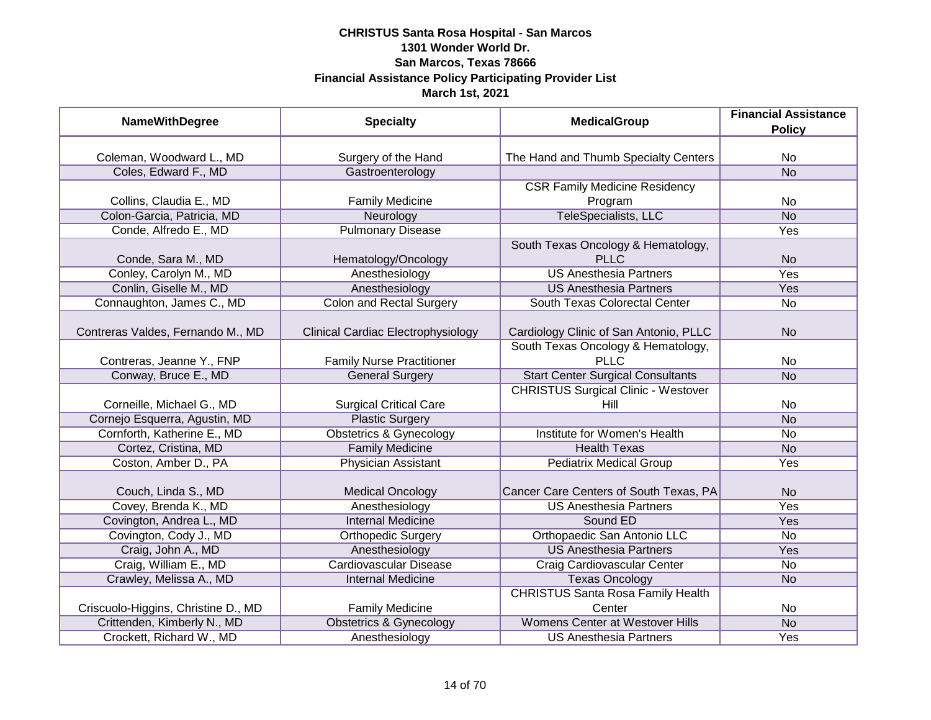| <b>NameWithDegree</b>               | <b>Specialty</b>                   | <b>MedicalGroup</b>                        | <b>Financial Assistance</b><br><b>Policy</b> |
|-------------------------------------|------------------------------------|--------------------------------------------|----------------------------------------------|
|                                     |                                    |                                            |                                              |
| Coleman, Woodward L., MD            | Surgery of the Hand                | The Hand and Thumb Specialty Centers       | No                                           |
| Coles, Edward F., MD                | Gastroenterology                   |                                            | <b>No</b>                                    |
|                                     |                                    | <b>CSR Family Medicine Residency</b>       |                                              |
| Collins, Claudia E., MD             | <b>Family Medicine</b>             | Program                                    | <b>No</b>                                    |
| Colon-Garcia, Patricia, MD          | Neurology                          | TeleSpecialists, LLC                       | <b>No</b>                                    |
| Conde, Alfredo E., MD               | <b>Pulmonary Disease</b>           |                                            | <b>Yes</b>                                   |
|                                     |                                    | South Texas Oncology & Hematology,         |                                              |
| Conde, Sara M., MD                  | Hematology/Oncology                | <b>PLLC</b>                                | <b>No</b>                                    |
| Conley, Carolyn M., MD              | Anesthesiology                     | <b>US Anesthesia Partners</b>              | Yes                                          |
| Conlin, Giselle M., MD              | Anesthesiology                     | <b>US Anesthesia Partners</b>              | Yes                                          |
| Connaughton, James C., MD           | <b>Colon and Rectal Surgery</b>    | South Texas Colorectal Center              | No                                           |
|                                     |                                    |                                            |                                              |
| Contreras Valdes, Fernando M., MD   | Clinical Cardiac Electrophysiology | Cardiology Clinic of San Antonio, PLLC     | N <sub>o</sub>                               |
|                                     |                                    | South Texas Oncology & Hematology,         |                                              |
| Contreras, Jeanne Y., FNP           | <b>Family Nurse Practitioner</b>   | PLLC                                       | No                                           |
| Conway, Bruce E., MD                | <b>General Surgery</b>             | <b>Start Center Surgical Consultants</b>   | <b>No</b>                                    |
|                                     |                                    | <b>CHRISTUS Surgical Clinic - Westover</b> |                                              |
| Corneille, Michael G., MD           | <b>Surgical Critical Care</b>      | Hill                                       | No                                           |
| Cornejo Esquerra, Agustin, MD       | <b>Plastic Surgery</b>             |                                            | <b>No</b>                                    |
| Cornforth, Katherine E., MD         | <b>Obstetrics &amp; Gynecology</b> | Institute for Women's Health               | <b>No</b>                                    |
| Cortez, Cristina, MD                | <b>Family Medicine</b>             | <b>Health Texas</b>                        | <b>No</b>                                    |
| Coston, Amber D., PA                | <b>Physician Assistant</b>         | <b>Pediatrix Medical Group</b>             | Yes                                          |
| Couch, Linda S., MD                 | <b>Medical Oncology</b>            | Cancer Care Centers of South Texas, PA     | N <sub>o</sub>                               |
| Covey, Brenda K., MD                | Anesthesiology                     | <b>US Anesthesia Partners</b>              | Yes                                          |
| Covington, Andrea L., MD            | <b>Internal Medicine</b>           | Sound ED                                   | Yes                                          |
| Covington, Cody J., MD              | <b>Orthopedic Surgery</b>          | Orthopaedic San Antonio LLC                | <b>No</b>                                    |
| Craig, John A., MD                  | Anesthesiology                     | <b>US Anesthesia Partners</b>              | <b>Yes</b>                                   |
| Craig, William E., MD               | <b>Cardiovascular Disease</b>      | Craig Cardiovascular Center                | No                                           |
| Crawley, Melissa A., MD             | <b>Internal Medicine</b>           | <b>Texas Oncology</b>                      | <b>No</b>                                    |
|                                     |                                    | <b>CHRISTUS Santa Rosa Family Health</b>   |                                              |
| Criscuolo-Higgins, Christine D., MD | <b>Family Medicine</b>             | Center                                     | No                                           |
| Crittenden, Kimberly N., MD         | <b>Obstetrics &amp; Gynecology</b> | <b>Womens Center at Westover Hills</b>     | N <sub>o</sub>                               |
| Crockett, Richard W., MD            | Anesthesiology                     | <b>US Anesthesia Partners</b>              | <b>Yes</b>                                   |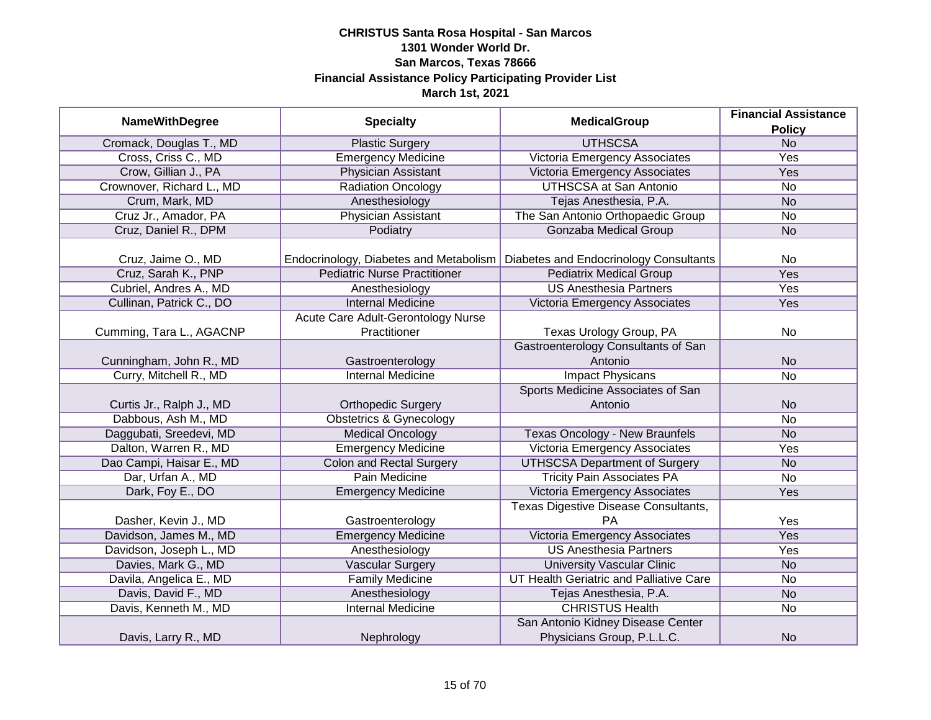| <b>NameWithDegree</b>     | <b>Specialty</b>                                   | <b>MedicalGroup</b>                        | <b>Financial Assistance</b><br><b>Policy</b> |
|---------------------------|----------------------------------------------------|--------------------------------------------|----------------------------------------------|
| Cromack, Douglas T., MD   | <b>Plastic Surgery</b>                             | <b>UTHSCSA</b>                             | N <sub>o</sub>                               |
| Cross, Criss C., MD       | <b>Emergency Medicine</b>                          | Victoria Emergency Associates              | <b>Yes</b>                                   |
| Crow, Gillian J., PA      | <b>Physician Assistant</b>                         | Victoria Emergency Associates              | <b>Yes</b>                                   |
| Crownover, Richard L., MD | <b>Radiation Oncology</b>                          | <b>UTHSCSA at San Antonio</b>              | No                                           |
| Crum, Mark, MD            | Anesthesiology                                     | Tejas Anesthesia, P.A.                     | <b>No</b>                                    |
| Cruz Jr., Amador, PA      | Physician Assistant                                | The San Antonio Orthopaedic Group          | <b>No</b>                                    |
| Cruz, Daniel R., DPM      | Podiatry                                           | Gonzaba Medical Group                      | <b>No</b>                                    |
| Cruz, Jaime O., MD        | Endocrinology, Diabetes and Metabolism             | Diabetes and Endocrinology Consultants     | <b>No</b>                                    |
| Cruz, Sarah K., PNP       | <b>Pediatric Nurse Practitioner</b>                | <b>Pediatrix Medical Group</b>             | <b>Yes</b>                                   |
| Cubriel, Andres A., MD    | Anesthesiology                                     | <b>US Anesthesia Partners</b>              | Yes                                          |
| Cullinan, Patrick C., DO  | <b>Internal Medicine</b>                           | Victoria Emergency Associates              | Yes                                          |
| Cumming, Tara L., AGACNP  | Acute Care Adult-Gerontology Nurse<br>Practitioner | Texas Urology Group, PA                    | No                                           |
|                           |                                                    | Gastroenterology Consultants of San        |                                              |
| Cunningham, John R., MD   | Gastroenterology                                   | Antonio                                    | <b>No</b>                                    |
| Curry, Mitchell R., MD    | <b>Internal Medicine</b>                           | <b>Impact Physicans</b>                    | <b>No</b>                                    |
|                           |                                                    | Sports Medicine Associates of San          |                                              |
| Curtis Jr., Ralph J., MD  | <b>Orthopedic Surgery</b>                          | Antonio                                    | <b>No</b>                                    |
| Dabbous, Ash M., MD       | <b>Obstetrics &amp; Gynecology</b>                 |                                            | <b>No</b>                                    |
| Daggubati, Sreedevi, MD   | <b>Medical Oncology</b>                            | Texas Oncology - New Braunfels             | <b>No</b>                                    |
| Dalton, Warren R., MD     | <b>Emergency Medicine</b>                          | Victoria Emergency Associates              | Yes                                          |
| Dao Campi, Haisar E., MD  | <b>Colon and Rectal Surgery</b>                    | <b>UTHSCSA Department of Surgery</b>       | <b>No</b>                                    |
| Dar, Urfan A., MD         | <b>Pain Medicine</b>                               | <b>Tricity Pain Associates PA</b>          | No                                           |
| Dark, Foy E., DO          | <b>Emergency Medicine</b>                          | Victoria Emergency Associates              | Yes                                          |
| Dasher, Kevin J., MD      |                                                    | Texas Digestive Disease Consultants,<br>PA | Yes                                          |
| Davidson, James M., MD    | Gastroenterology<br><b>Emergency Medicine</b>      | <b>Victoria Emergency Associates</b>       | Yes                                          |
| Davidson, Joseph L., MD   | Anesthesiology                                     | <b>US Anesthesia Partners</b>              | Yes                                          |
| Davies, Mark G., MD       |                                                    | <b>University Vascular Clinic</b>          |                                              |
| Davila, Angelica E., MD   | <b>Vascular Surgery</b><br><b>Family Medicine</b>  | UT Health Geriatric and Palliative Care    | <b>No</b><br>No                              |
| Davis, David F., MD       | Anesthesiology                                     | Tejas Anesthesia, P.A.                     | <b>No</b>                                    |
| Davis, Kenneth M., MD     | <b>Internal Medicine</b>                           | <b>CHRISTUS Health</b>                     | No                                           |
|                           |                                                    | San Antonio Kidney Disease Center          |                                              |
| Davis, Larry R., MD       | Nephrology                                         | Physicians Group, P.L.L.C.                 | <b>No</b>                                    |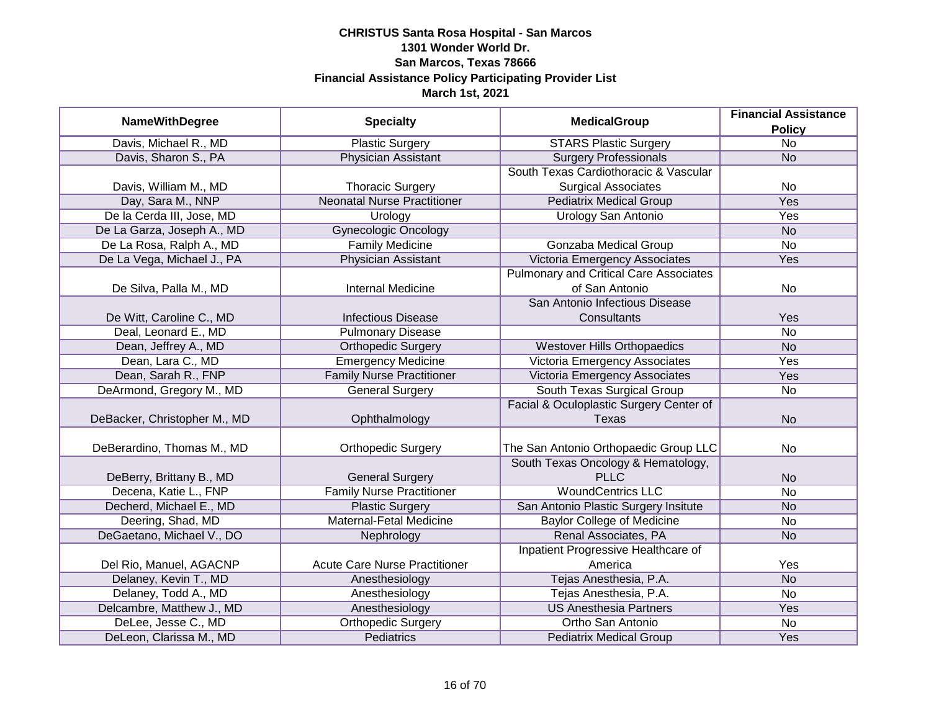|                              |                                      | <b>MedicalGroup</b>                           | <b>Financial Assistance</b> |
|------------------------------|--------------------------------------|-----------------------------------------------|-----------------------------|
| <b>NameWithDegree</b>        | <b>Specialty</b>                     |                                               | <b>Policy</b>               |
| Davis, Michael R., MD        | <b>Plastic Surgery</b>               | <b>STARS Plastic Surgery</b>                  | $\overline{No}$             |
| Davis, Sharon S., PA         | <b>Physician Assistant</b>           | <b>Surgery Professionals</b>                  | N <sub>o</sub>              |
|                              |                                      | South Texas Cardiothoracic & Vascular         |                             |
| Davis, William M., MD        | <b>Thoracic Surgery</b>              | <b>Surgical Associates</b>                    | No                          |
| Day, Sara M., NNP            | <b>Neonatal Nurse Practitioner</b>   | <b>Pediatrix Medical Group</b>                | <b>Yes</b>                  |
| De la Cerda III, Jose, MD    | Urology                              | Urology San Antonio                           | Yes                         |
| De La Garza, Joseph A., MD   | <b>Gynecologic Oncology</b>          |                                               | <b>No</b>                   |
| De La Rosa, Ralph A., MD     | <b>Family Medicine</b>               | Gonzaba Medical Group                         | No                          |
| De La Vega, Michael J., PA   | <b>Physician Assistant</b>           | Victoria Emergency Associates                 | Yes                         |
|                              |                                      | <b>Pulmonary and Critical Care Associates</b> |                             |
| De Silva, Palla M., MD       | <b>Internal Medicine</b>             | of San Antonio                                | No                          |
|                              |                                      | San Antonio Infectious Disease                |                             |
| De Witt, Caroline C., MD     | <b>Infectious Disease</b>            | Consultants                                   | Yes                         |
| Deal, Leonard E., MD         | <b>Pulmonary Disease</b>             |                                               | <b>No</b>                   |
| Dean, Jeffrey A., MD         | <b>Orthopedic Surgery</b>            | <b>Westover Hills Orthopaedics</b>            | <b>No</b>                   |
| Dean, Lara C., MD            | <b>Emergency Medicine</b>            | Victoria Emergency Associates                 | Yes                         |
| Dean, Sarah R., FNP          | <b>Family Nurse Practitioner</b>     | Victoria Emergency Associates                 | Yes                         |
| DeArmond, Gregory M., MD     | <b>General Surgery</b>               | South Texas Surgical Group                    | No                          |
|                              |                                      | Facial & Oculoplastic Surgery Center of       |                             |
| DeBacker, Christopher M., MD | Ophthalmology                        | Texas                                         | <b>No</b>                   |
|                              |                                      |                                               |                             |
| DeBerardino, Thomas M., MD   | <b>Orthopedic Surgery</b>            | The San Antonio Orthopaedic Group LLC         | <b>No</b>                   |
|                              |                                      | South Texas Oncology & Hematology,            |                             |
| DeBerry, Brittany B., MD     | <b>General Surgery</b>               | <b>PLLC</b>                                   | <b>No</b>                   |
| Decena, Katie L., FNP        | <b>Family Nurse Practitioner</b>     | <b>WoundCentrics LLC</b>                      | <b>No</b>                   |
| Decherd, Michael E., MD      | <b>Plastic Surgery</b>               | San Antonio Plastic Surgery Insitute          | <b>No</b>                   |
| Deering, Shad, MD            | Maternal-Fetal Medicine              | <b>Baylor College of Medicine</b>             | No                          |
| DeGaetano, Michael V., DO    | Nephrology                           | Renal Associates, PA                          | <b>No</b>                   |
|                              |                                      | Inpatient Progressive Healthcare of           |                             |
| Del Rio, Manuel, AGACNP      | <b>Acute Care Nurse Practitioner</b> | America                                       | Yes                         |
| Delaney, Kevin T., MD        | Anesthesiology                       | Tejas Anesthesia, P.A.                        | N <sub>o</sub>              |
| Delaney, Todd A., MD         | Anesthesiology                       | Tejas Anesthesia, P.A.                        | No                          |
| Delcambre, Matthew J., MD    | Anesthesiology                       | <b>US Anesthesia Partners</b>                 | Yes                         |
| DeLee, Jesse C., MD          | Orthopedic Surgery                   | Ortho San Antonio                             | $\overline{No}$             |
| DeLeon, Clarissa M., MD      | <b>Pediatrics</b>                    | <b>Pediatrix Medical Group</b>                | Yes                         |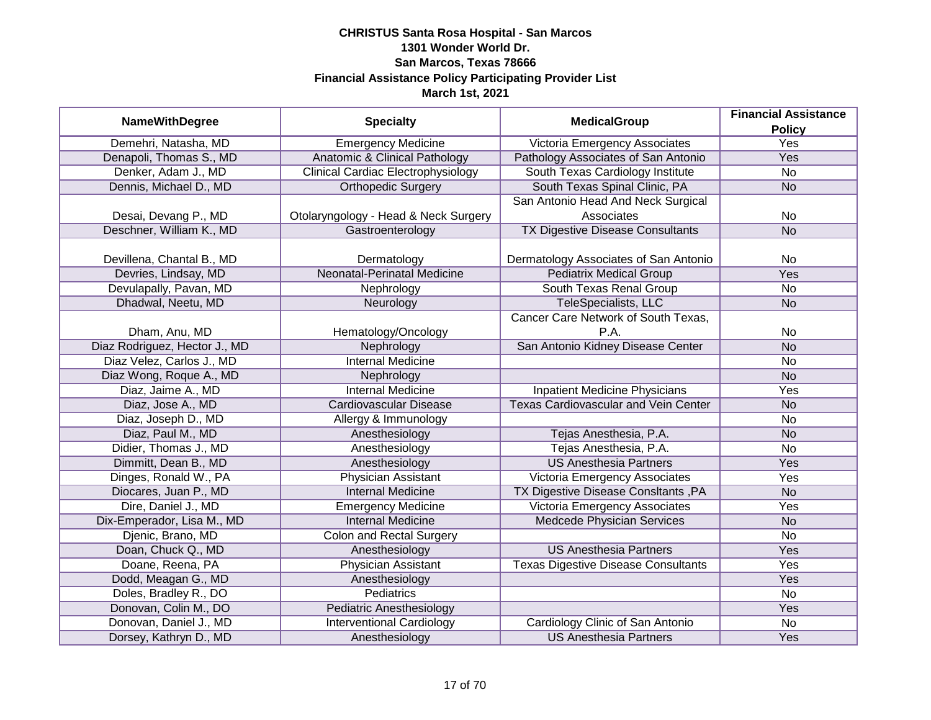|                               |                                           | <b>MedicalGroup</b>                         | <b>Financial Assistance</b> |
|-------------------------------|-------------------------------------------|---------------------------------------------|-----------------------------|
| <b>NameWithDegree</b>         | <b>Specialty</b>                          |                                             | <b>Policy</b>               |
| Demehri, Natasha, MD          | <b>Emergency Medicine</b>                 | Victoria Emergency Associates               | <b>Yes</b>                  |
| Denapoli, Thomas S., MD       | Anatomic & Clinical Pathology             | Pathology Associates of San Antonio         | <b>Yes</b>                  |
| Denker, Adam J., MD           | <b>Clinical Cardiac Electrophysiology</b> | South Texas Cardiology Institute            | <b>No</b>                   |
| Dennis, Michael D., MD        | <b>Orthopedic Surgery</b>                 | South Texas Spinal Clinic, PA               | <b>No</b>                   |
|                               |                                           | San Antonio Head And Neck Surgical          |                             |
| Desai, Devang P., MD          | Otolaryngology - Head & Neck Surgery      | Associates                                  | No                          |
| Deschner, William K., MD      | Gastroenterology                          | <b>TX Digestive Disease Consultants</b>     | <b>No</b>                   |
|                               |                                           |                                             |                             |
| Devillena, Chantal B., MD     | Dermatology                               | Dermatology Associates of San Antonio       | No                          |
| Devries, Lindsay, MD          | Neonatal-Perinatal Medicine               | <b>Pediatrix Medical Group</b>              | Yes                         |
| Devulapally, Pavan, MD        | Nephrology                                | South Texas Renal Group                     | <b>No</b>                   |
| Dhadwal, Neetu, MD            | Neurology                                 | TeleSpecialists, LLC                        | <b>No</b>                   |
|                               |                                           | Cancer Care Network of South Texas,         |                             |
| Dham, Anu, MD                 | Hematology/Oncology                       | P.A.                                        | No                          |
| Diaz Rodriguez, Hector J., MD | Nephrology                                | San Antonio Kidney Disease Center           | <b>No</b>                   |
| Diaz Velez, Carlos J., MD     | <b>Internal Medicine</b>                  |                                             | No                          |
| Diaz Wong, Roque A., MD       | Nephrology                                |                                             | <b>No</b>                   |
| Diaz, Jaime A., MD            | <b>Internal Medicine</b>                  | <b>Inpatient Medicine Physicians</b>        | Yes                         |
| Diaz, Jose A., MD             | <b>Cardiovascular Disease</b>             | <b>Texas Cardiovascular and Vein Center</b> | <b>No</b>                   |
| Diaz, Joseph D., MD           | Allergy & Immunology                      |                                             | <b>No</b>                   |
| Diaz, Paul M., MD             | Anesthesiology                            | Tejas Anesthesia, P.A.                      | <b>No</b>                   |
| Didier, Thomas J., MD         | Anesthesiology                            | Tejas Anesthesia, P.A.                      | <b>No</b>                   |
| Dimmitt, Dean B., MD          | Anesthesiology                            | <b>US Anesthesia Partners</b>               | Yes                         |
| Dinges, Ronald W., PA         | Physician Assistant                       | Victoria Emergency Associates               | Yes                         |
| Diocares, Juan P., MD         | <b>Internal Medicine</b>                  | TX Digestive Disease ConsItants, PA         | <b>No</b>                   |
| Dire, Daniel J., MD           | <b>Emergency Medicine</b>                 | Victoria Emergency Associates               | Yes                         |
| Dix-Emperador, Lisa M., MD    | <b>Internal Medicine</b>                  | Medcede Physician Services                  | <b>No</b>                   |
| Djenic, Brano, MD             | Colon and Rectal Surgery                  |                                             | <b>No</b>                   |
| Doan, Chuck Q., MD            | Anesthesiology                            | <b>US Anesthesia Partners</b>               | Yes                         |
| Doane, Reena, PA              | <b>Physician Assistant</b>                | <b>Texas Digestive Disease Consultants</b>  | Yes                         |
| Dodd, Meagan G., MD           | Anesthesiology                            |                                             | Yes                         |
| Doles, Bradley R., DO         | Pediatrics                                |                                             | No                          |
| Donovan, Colin M., DO         | <b>Pediatric Anesthesiology</b>           |                                             | <b>Yes</b>                  |
| Donovan, Daniel J., MD        | <b>Interventional Cardiology</b>          | Cardiology Clinic of San Antonio            | No                          |
| Dorsey, Kathryn D., MD        | Anesthesiology                            | <b>US Anesthesia Partners</b>               | Yes                         |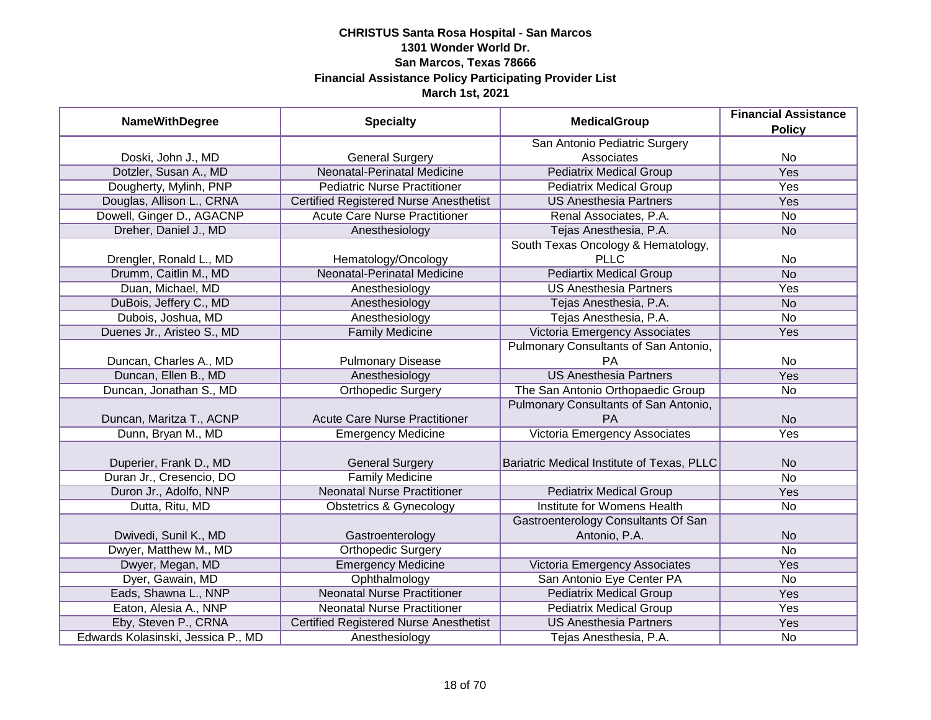| <b>NameWithDegree</b>              | <b>Specialty</b>                              | <b>MedicalGroup</b>                        | <b>Financial Assistance</b><br><b>Policy</b> |
|------------------------------------|-----------------------------------------------|--------------------------------------------|----------------------------------------------|
|                                    |                                               | San Antonio Pediatric Surgery              |                                              |
| Doski, John J., MD                 | <b>General Surgery</b>                        | Associates                                 | No                                           |
| Dotzler, Susan A., MD              | <b>Neonatal-Perinatal Medicine</b>            | <b>Pediatrix Medical Group</b>             | <b>Yes</b>                                   |
| Dougherty, Mylinh, PNP             | <b>Pediatric Nurse Practitioner</b>           | <b>Pediatrix Medical Group</b>             | <b>Yes</b>                                   |
| Douglas, Allison L., CRNA          | <b>Certified Registered Nurse Anesthetist</b> | <b>US Anesthesia Partners</b>              | <b>Yes</b>                                   |
| Dowell, Ginger D., AGACNP          | <b>Acute Care Nurse Practitioner</b>          | Renal Associates, P.A.                     | No                                           |
| Dreher, Daniel J., MD              | Anesthesiology                                | Tejas Anesthesia, P.A.                     | <b>No</b>                                    |
|                                    |                                               | South Texas Oncology & Hematology,         |                                              |
| Drengler, Ronald L., MD            | Hematology/Oncology                           | <b>PLLC</b>                                | No                                           |
| Drumm, Caitlin M., MD              | Neonatal-Perinatal Medicine                   | <b>Pediartix Medical Group</b>             | <b>No</b>                                    |
| Duan, Michael, MD                  | Anesthesiology                                | <b>US Anesthesia Partners</b>              | Yes                                          |
| DuBois, Jeffery C., MD             | Anesthesiology                                | Tejas Anesthesia, P.A.                     | <b>No</b>                                    |
| Dubois, Joshua, MD                 | Anesthesiology                                | Tejas Anesthesia, P.A.                     | No                                           |
| Duenes Jr., Aristeo S., MD         | <b>Family Medicine</b>                        | Victoria Emergency Associates              | Yes                                          |
|                                    |                                               | Pulmonary Consultants of San Antonio,      |                                              |
| Duncan, Charles A., MD             | <b>Pulmonary Disease</b>                      | <b>PA</b>                                  | No                                           |
| Duncan, Ellen B., MD               | Anesthesiology                                | <b>US Anesthesia Partners</b>              | Yes                                          |
| Duncan, Jonathan S., MD            | <b>Orthopedic Surgery</b>                     | The San Antonio Orthopaedic Group          | No                                           |
|                                    |                                               | Pulmonary Consultants of San Antonio,      |                                              |
| Duncan, Maritza T., ACNP           | <b>Acute Care Nurse Practitioner</b>          | PA                                         | <b>No</b>                                    |
| Dunn, Bryan M., MD                 | <b>Emergency Medicine</b>                     | Victoria Emergency Associates              | Yes                                          |
| Duperier, Frank D., MD             | <b>General Surgery</b>                        | Bariatric Medical Institute of Texas, PLLC | <b>No</b>                                    |
| Duran Jr., Cresencio, DO           | <b>Family Medicine</b>                        |                                            | <b>No</b>                                    |
| Duron Jr., Adolfo, NNP             | <b>Neonatal Nurse Practitioner</b>            | <b>Pediatrix Medical Group</b>             | Yes                                          |
| Dutta, Ritu, MD                    | <b>Obstetrics &amp; Gynecology</b>            | Institute for Womens Health                | No                                           |
|                                    |                                               | Gastroenterology Consultants Of San        |                                              |
| Dwivedi, Sunil K., MD              | Gastroenterology                              | Antonio, P.A.                              | <b>No</b>                                    |
| Dwyer, Matthew M., MD              | <b>Orthopedic Surgery</b>                     |                                            | <b>No</b>                                    |
| Dwyer, Megan, MD                   | <b>Emergency Medicine</b>                     | Victoria Emergency Associates              | Yes                                          |
| Dyer, Gawain, MD                   | Ophthalmology                                 | San Antonio Eye Center PA                  | No                                           |
| Eads, Shawna L., NNP               | <b>Neonatal Nurse Practitioner</b>            | <b>Pediatrix Medical Group</b>             | Yes                                          |
| Eaton, Alesia A., NNP              | <b>Neonatal Nurse Practitioner</b>            | <b>Pediatrix Medical Group</b>             | Yes                                          |
| Eby, Steven P., CRNA               | <b>Certified Registered Nurse Anesthetist</b> | <b>US Anesthesia Partners</b>              | <b>Yes</b>                                   |
| Edwards Kolasinski, Jessica P., MD | Anesthesiology                                | Tejas Anesthesia, P.A.                     | No                                           |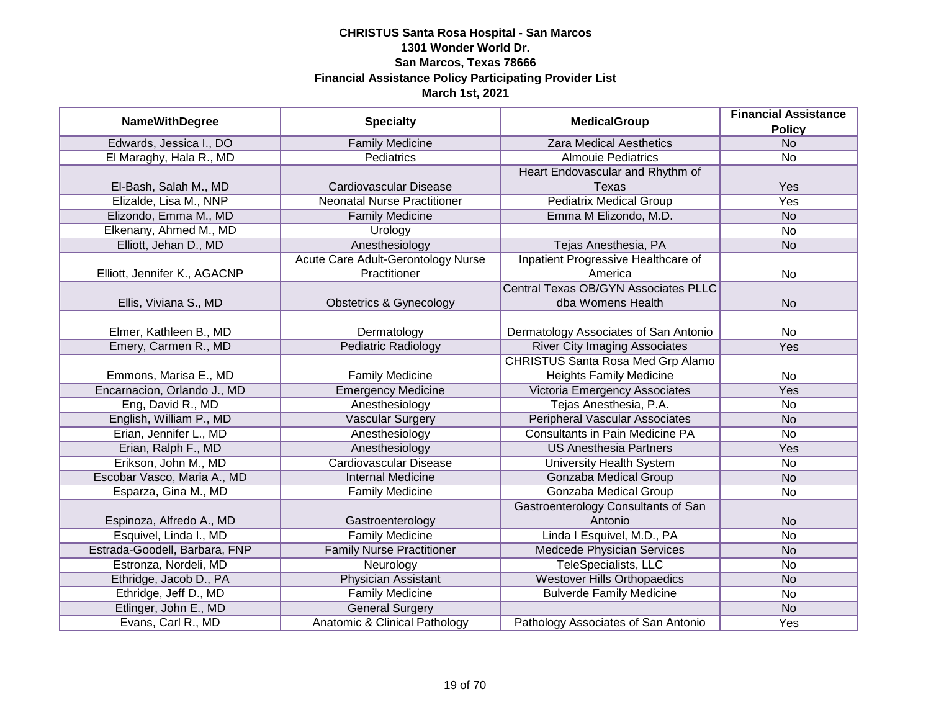|                               |                                          | <b>MedicalGroup</b>                         | <b>Financial Assistance</b> |
|-------------------------------|------------------------------------------|---------------------------------------------|-----------------------------|
| <b>NameWithDegree</b>         | <b>Specialty</b>                         |                                             | <b>Policy</b>               |
| Edwards, Jessica I., DO       | <b>Family Medicine</b>                   | <b>Zara Medical Aesthetics</b>              | <b>No</b>                   |
| El Maraghy, Hala R., MD       | <b>Pediatrics</b>                        | <b>Almouie Pediatrics</b>                   | <b>No</b>                   |
|                               |                                          | Heart Endovascular and Rhythm of            |                             |
| El-Bash, Salah M., MD         | <b>Cardiovascular Disease</b>            | Texas                                       | Yes                         |
| Elizalde, Lisa M., NNP        | <b>Neonatal Nurse Practitioner</b>       | <b>Pediatrix Medical Group</b>              | <b>Yes</b>                  |
| Elizondo, Emma M., MD         | <b>Family Medicine</b>                   | Emma M Elizondo, M.D.                       | <b>No</b>                   |
| Elkenany, Ahmed M., MD        | Urology                                  |                                             | $\overline{No}$             |
| Elliott, Jehan D., MD         | Anesthesiology                           | Tejas Anesthesia, PA                        | <b>No</b>                   |
|                               | Acute Care Adult-Gerontology Nurse       | Inpatient Progressive Healthcare of         |                             |
| Elliott, Jennifer K., AGACNP  | Practitioner                             | America                                     | No                          |
|                               |                                          | <b>Central Texas OB/GYN Associates PLLC</b> |                             |
| Ellis, Viviana S., MD         | <b>Obstetrics &amp; Gynecology</b>       | dba Womens Health                           | <b>No</b>                   |
|                               |                                          |                                             |                             |
| Elmer, Kathleen B., MD        | Dermatology                              | Dermatology Associates of San Antonio       | No                          |
| Emery, Carmen R., MD          | Pediatric Radiology                      | <b>River City Imaging Associates</b>        | Yes                         |
|                               |                                          | <b>CHRISTUS Santa Rosa Med Grp Alamo</b>    |                             |
| Emmons, Marisa E., MD         | <b>Family Medicine</b>                   | <b>Heights Family Medicine</b>              | No                          |
| Encarnacion, Orlando J., MD   | <b>Emergency Medicine</b>                | Victoria Emergency Associates               | Yes                         |
| Eng, David R., MD             | Anesthesiology                           | Tejas Anesthesia, P.A.                      | <b>No</b>                   |
| English, William P., MD       | <b>Vascular Surgery</b>                  | <b>Peripheral Vascular Associates</b>       | <b>No</b>                   |
| Erian, Jennifer L., MD        | Anesthesiology                           | <b>Consultants in Pain Medicine PA</b>      | No                          |
| Erian, Ralph F., MD           | Anesthesiology                           | <b>US Anesthesia Partners</b>               | Yes                         |
| Erikson, John M., MD          | <b>Cardiovascular Disease</b>            | <b>University Health System</b>             | <b>No</b>                   |
| Escobar Vasco, Maria A., MD   | <b>Internal Medicine</b>                 | <b>Gonzaba Medical Group</b>                | <b>No</b>                   |
| Esparza, Gina M., MD          | <b>Family Medicine</b>                   | Gonzaba Medical Group                       | <b>No</b>                   |
|                               |                                          | Gastroenterology Consultants of San         |                             |
| Espinoza, Alfredo A., MD      | Gastroenterology                         | Antonio                                     | <b>No</b>                   |
| Esquivel, Linda I., MD        | <b>Family Medicine</b>                   | Linda I Esquivel, M.D., PA                  | <b>No</b>                   |
| Estrada-Goodell, Barbara, FNP | <b>Family Nurse Practitioner</b>         | <b>Medcede Physician Services</b>           | <b>No</b>                   |
| Estronza, Nordeli, MD         | Neurology                                | <b>TeleSpecialists, LLC</b>                 | No                          |
| Ethridge, Jacob D., PA        | <b>Physician Assistant</b>               | <b>Westover Hills Orthopaedics</b>          | <b>No</b>                   |
| Ethridge, Jeff D., MD         | <b>Family Medicine</b>                   | <b>Bulverde Family Medicine</b>             | <b>No</b>                   |
| Etlinger, John E., MD         | <b>General Surgery</b>                   |                                             | <b>No</b>                   |
| Evans, Carl R., MD            | <b>Anatomic &amp; Clinical Pathology</b> | Pathology Associates of San Antonio         | Yes                         |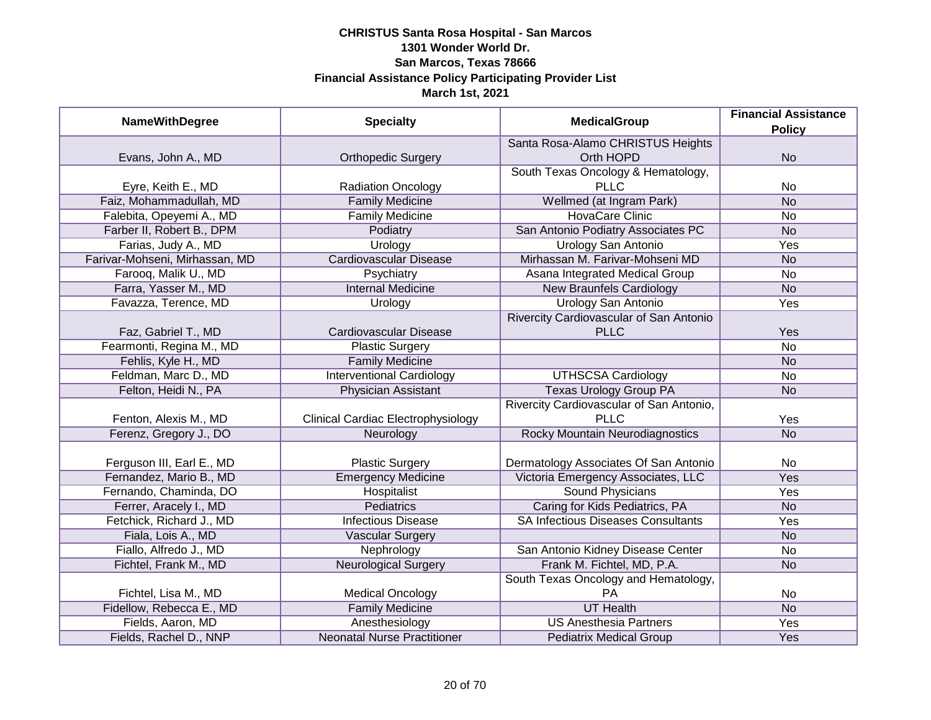| <b>NameWithDegree</b>          | <b>Specialty</b>                          | <b>MedicalGroup</b>                       | <b>Financial Assistance</b> |
|--------------------------------|-------------------------------------------|-------------------------------------------|-----------------------------|
|                                |                                           |                                           | <b>Policy</b>               |
|                                |                                           | Santa Rosa-Alamo CHRISTUS Heights         |                             |
| Evans, John A., MD             | <b>Orthopedic Surgery</b>                 | Orth HOPD                                 | <b>No</b>                   |
|                                |                                           | South Texas Oncology & Hematology,        |                             |
| Eyre, Keith E., MD             | <b>Radiation Oncology</b>                 | <b>PLLC</b>                               | No                          |
| Faiz, Mohammadullah, MD        | <b>Family Medicine</b>                    | Wellmed (at Ingram Park)                  | <b>No</b>                   |
| Falebita, Opeyemi A., MD       | <b>Family Medicine</b>                    | <b>HovaCare Clinic</b>                    | <b>No</b>                   |
| Farber II, Robert B., DPM      | Podiatry                                  | San Antonio Podiatry Associates PC        | <b>No</b>                   |
| Farias, Judy A., MD            | Urology                                   | Urology San Antonio                       | <b>Yes</b>                  |
| Farivar-Mohseni, Mirhassan, MD | <b>Cardiovascular Disease</b>             | Mirhassan M. Farivar-Mohseni MD           | <b>No</b>                   |
| Farooq, Malik U., MD           | Psychiatry                                | Asana Integrated Medical Group            | No                          |
| Farra, Yasser M., MD           | <b>Internal Medicine</b>                  | <b>New Braunfels Cardiology</b>           | <b>No</b>                   |
| Favazza, Terence, MD           | Urology                                   | <b>Urology San Antonio</b>                | Yes                         |
|                                |                                           | Rivercity Cardiovascular of San Antonio   |                             |
| Faz, Gabriel T., MD            | Cardiovascular Disease                    | <b>PLLC</b>                               | Yes                         |
| Fearmonti, Regina M., MD       | <b>Plastic Surgery</b>                    |                                           | <b>No</b>                   |
| Fehlis, Kyle H., MD            | <b>Family Medicine</b>                    |                                           | <b>No</b>                   |
| Feldman, Marc D., MD           | <b>Interventional Cardiology</b>          | <b>UTHSCSA Cardiology</b>                 | No                          |
| Felton, Heidi N., PA           | <b>Physician Assistant</b>                | <b>Texas Urology Group PA</b>             | <b>No</b>                   |
|                                |                                           | Rivercity Cardiovascular of San Antonio,  |                             |
| Fenton, Alexis M., MD          | <b>Clinical Cardiac Electrophysiology</b> | <b>PLLC</b>                               | Yes                         |
| Ferenz, Gregory J., DO         | Neurology                                 | Rocky Mountain Neurodiagnostics           | <b>No</b>                   |
|                                |                                           |                                           |                             |
| Ferguson III, Earl E., MD      | <b>Plastic Surgery</b>                    | Dermatology Associates Of San Antonio     | <b>No</b>                   |
| Fernandez, Mario B., MD        | <b>Emergency Medicine</b>                 | Victoria Emergency Associates, LLC        | Yes                         |
| Fernando, Chaminda, DO         | Hospitalist                               | <b>Sound Physicians</b>                   | Yes                         |
| Ferrer, Aracely I., MD         | Pediatrics                                | Caring for Kids Pediatrics, PA            | <b>No</b>                   |
| Fetchick, Richard J., MD       | <b>Infectious Disease</b>                 | <b>SA Infectious Diseases Consultants</b> | Yes                         |
| Fiala, Lois A., MD             | <b>Vascular Surgery</b>                   |                                           | <b>No</b>                   |
| Fiallo, Alfredo J., MD         | Nephrology                                | San Antonio Kidney Disease Center         | No                          |
| Fichtel, Frank M., MD          | <b>Neurological Surgery</b>               | Frank M. Fichtel, MD, P.A.                | <b>No</b>                   |
|                                |                                           | South Texas Oncology and Hematology,      |                             |
| Fichtel, Lisa M., MD           | <b>Medical Oncology</b>                   | PA                                        | <b>No</b>                   |
| Fidellow, Rebecca E., MD       | <b>Family Medicine</b>                    | <b>UT Health</b>                          | <b>No</b>                   |
| Fields, Aaron, MD              | Anesthesiology                            | <b>US Anesthesia Partners</b>             | Yes                         |
| Fields, Rachel D., NNP         | <b>Neonatal Nurse Practitioner</b>        | <b>Pediatrix Medical Group</b>            | Yes                         |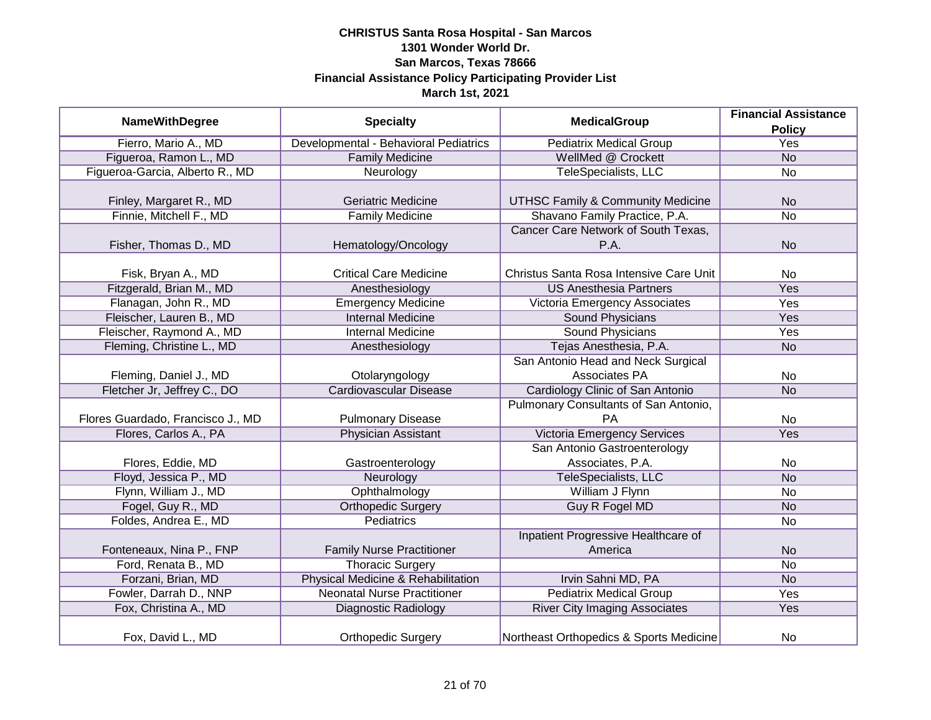| <b>NameWithDegree</b>             | <b>Specialty</b>                      | <b>MedicalGroup</b>                          | <b>Financial Assistance</b> |
|-----------------------------------|---------------------------------------|----------------------------------------------|-----------------------------|
|                                   |                                       |                                              | <b>Policy</b>               |
| Fierro, Mario A., MD              | Developmental - Behavioral Pediatrics | <b>Pediatrix Medical Group</b>               | <b>Yes</b>                  |
| Figueroa, Ramon L., MD            | <b>Family Medicine</b>                | WellMed @ Crockett                           | N <sub>o</sub>              |
| Figueroa-Garcia, Alberto R., MD   | Neurology                             | <b>TeleSpecialists, LLC</b>                  | No                          |
|                                   |                                       |                                              |                             |
| Finley, Margaret R., MD           | Geriatric Medicine                    | <b>UTHSC Family &amp; Community Medicine</b> | <b>No</b>                   |
| Finnie, Mitchell F., MD           | <b>Family Medicine</b>                | Shavano Family Practice, P.A.                | No                          |
|                                   |                                       | Cancer Care Network of South Texas,          |                             |
| Fisher, Thomas D., MD             | Hematology/Oncology                   | P.A.                                         | <b>No</b>                   |
|                                   |                                       |                                              |                             |
| Fisk, Bryan A., MD                | <b>Critical Care Medicine</b>         | Christus Santa Rosa Intensive Care Unit      | <b>No</b>                   |
| Fitzgerald, Brian M., MD          | Anesthesiology                        | <b>US Anesthesia Partners</b>                | Yes                         |
| Flanagan, John R., MD             | <b>Emergency Medicine</b>             | Victoria Emergency Associates                | Yes                         |
| Fleischer, Lauren B., MD          | <b>Internal Medicine</b>              | <b>Sound Physicians</b>                      | Yes                         |
| Fleischer, Raymond A., MD         | <b>Internal Medicine</b>              | <b>Sound Physicians</b>                      | Yes                         |
| Fleming, Christine L., MD         | Anesthesiology                        | Tejas Anesthesia, P.A.                       | <b>No</b>                   |
|                                   |                                       | San Antonio Head and Neck Surgical           |                             |
| Fleming, Daniel J., MD            | Otolaryngology                        | Associates PA                                | No                          |
| Fletcher Jr, Jeffrey C., DO       | <b>Cardiovascular Disease</b>         | Cardiology Clinic of San Antonio             | <b>No</b>                   |
|                                   |                                       | Pulmonary Consultants of San Antonio,        |                             |
| Flores Guardado, Francisco J., MD | <b>Pulmonary Disease</b>              | <b>PA</b>                                    | <b>No</b>                   |
| Flores, Carlos A., PA             | <b>Physician Assistant</b>            | <b>Victoria Emergency Services</b>           | Yes                         |
|                                   |                                       | San Antonio Gastroenterology                 |                             |
| Flores, Eddie, MD                 | Gastroenterology                      | Associates, P.A.                             | <b>No</b>                   |
| Floyd, Jessica P., MD             | Neurology                             | TeleSpecialists, LLC                         | <b>No</b>                   |
| Flynn, William J., MD             | Ophthalmology                         | William J Flynn                              | No                          |
| Fogel, Guy R., MD                 | <b>Orthopedic Surgery</b>             | Guy R Fogel MD                               | <b>No</b>                   |
| Foldes, Andrea E., MD             | <b>Pediatrics</b>                     |                                              | No                          |
|                                   |                                       | Inpatient Progressive Healthcare of          |                             |
| Fonteneaux, Nina P., FNP          | <b>Family Nurse Practitioner</b>      | America                                      | <b>No</b>                   |
| Ford, Renata B., MD               | <b>Thoracic Surgery</b>               |                                              | No                          |
| Forzani, Brian, MD                | Physical Medicine & Rehabilitation    | Irvin Sahni MD, PA                           | <b>No</b>                   |
| Fowler, Darrah D., NNP            | <b>Neonatal Nurse Practitioner</b>    | <b>Pediatrix Medical Group</b>               | Yes                         |
| Fox, Christina A., MD             | Diagnostic Radiology                  | <b>River City Imaging Associates</b>         | Yes                         |
| Fox, David L., MD                 | <b>Orthopedic Surgery</b>             | Northeast Orthopedics & Sports Medicine      | No                          |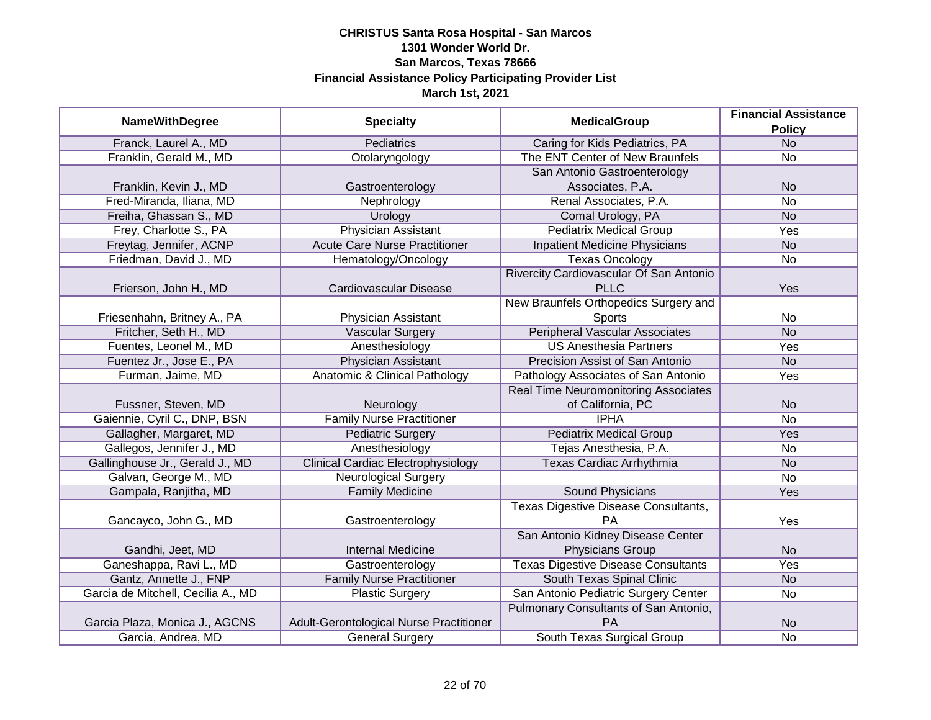|                                    |                                           | <b>MedicalGroup</b>                         | <b>Financial Assistance</b> |
|------------------------------------|-------------------------------------------|---------------------------------------------|-----------------------------|
| <b>NameWithDegree</b>              | <b>Specialty</b>                          |                                             | <b>Policy</b>               |
| Franck, Laurel A., MD              | <b>Pediatrics</b>                         | Caring for Kids Pediatrics, PA              | <b>No</b>                   |
| Franklin, Gerald M., MD            | Otolaryngology                            | The ENT Center of New Braunfels             | <b>No</b>                   |
|                                    |                                           | San Antonio Gastroenterology                |                             |
| Franklin, Kevin J., MD             | Gastroenterology                          | Associates, P.A.                            | <b>No</b>                   |
| Fred-Miranda, Iliana, MD           | Nephrology                                | Renal Associates, P.A.                      | <b>No</b>                   |
| Freiha, Ghassan S., MD             | Urology                                   | Comal Urology, PA                           | <b>No</b>                   |
| Frey, Charlotte S., PA             | <b>Physician Assistant</b>                | <b>Pediatrix Medical Group</b>              | <b>Yes</b>                  |
| Freytag, Jennifer, ACNP            | <b>Acute Care Nurse Practitioner</b>      | <b>Inpatient Medicine Physicians</b>        | <b>No</b>                   |
| Friedman, David J., MD             | Hematology/Oncology                       | <b>Texas Oncology</b>                       | No                          |
|                                    |                                           | Rivercity Cardiovascular Of San Antonio     |                             |
| Frierson, John H., MD              | Cardiovascular Disease                    | <b>PLLC</b>                                 | Yes                         |
|                                    |                                           | New Braunfels Orthopedics Surgery and       |                             |
| Friesenhahn, Britney A., PA        | Physician Assistant                       | <b>Sports</b>                               | No                          |
| Fritcher, Seth H., MD              | <b>Vascular Surgery</b>                   | <b>Peripheral Vascular Associates</b>       | <b>No</b>                   |
| Fuentes, Leonel M., MD             | Anesthesiology                            | <b>US Anesthesia Partners</b>               | Yes                         |
| Fuentez Jr., Jose E., PA           | <b>Physician Assistant</b>                | Precision Assist of San Antonio             | <b>No</b>                   |
| Furman, Jaime, MD                  | Anatomic & Clinical Pathology             | Pathology Associates of San Antonio         | Yes                         |
|                                    |                                           | <b>Real Time Neuromonitoring Associates</b> |                             |
| Fussner, Steven, MD                | Neurology                                 | of California, PC                           | <b>No</b>                   |
| Gaiennie, Cyril C., DNP, BSN       | <b>Family Nurse Practitioner</b>          | <b>IPHA</b>                                 | <b>No</b>                   |
| Gallagher, Margaret, MD            | <b>Pediatric Surgery</b>                  | <b>Pediatrix Medical Group</b>              | Yes                         |
| Gallegos, Jennifer J., MD          | Anesthesiology                            | Tejas Anesthesia, P.A.                      | <b>No</b>                   |
| Gallinghouse Jr., Gerald J., MD    | <b>Clinical Cardiac Electrophysiology</b> | Texas Cardiac Arrhythmia                    | <b>No</b>                   |
| Galvan, George M., MD              | <b>Neurological Surgery</b>               |                                             | <b>No</b>                   |
| Gampala, Ranjitha, MD              | <b>Family Medicine</b>                    | <b>Sound Physicians</b>                     | Yes                         |
|                                    |                                           | Texas Digestive Disease Consultants,        |                             |
| Gancayco, John G., MD              | Gastroenterology                          | PA                                          | Yes                         |
|                                    |                                           | San Antonio Kidney Disease Center           |                             |
| Gandhi, Jeet, MD                   | <b>Internal Medicine</b>                  | Physicians Group                            | <b>No</b>                   |
| Ganeshappa, Ravi L., MD            | Gastroenterology                          | <b>Texas Digestive Disease Consultants</b>  | Yes                         |
| Gantz, Annette J., FNP             | <b>Family Nurse Practitioner</b>          | South Texas Spinal Clinic                   | <b>No</b>                   |
| Garcia de Mitchell, Cecilia A., MD | <b>Plastic Surgery</b>                    | San Antonio Pediatric Surgery Center        | <b>No</b>                   |
|                                    |                                           | Pulmonary Consultants of San Antonio,       |                             |
| Garcia Plaza, Monica J., AGCNS     | Adult-Gerontological Nurse Practitioner   | PA                                          | <b>No</b>                   |
| Garcia, Andrea, MD                 | <b>General Surgery</b>                    | South Texas Surgical Group                  | <b>No</b>                   |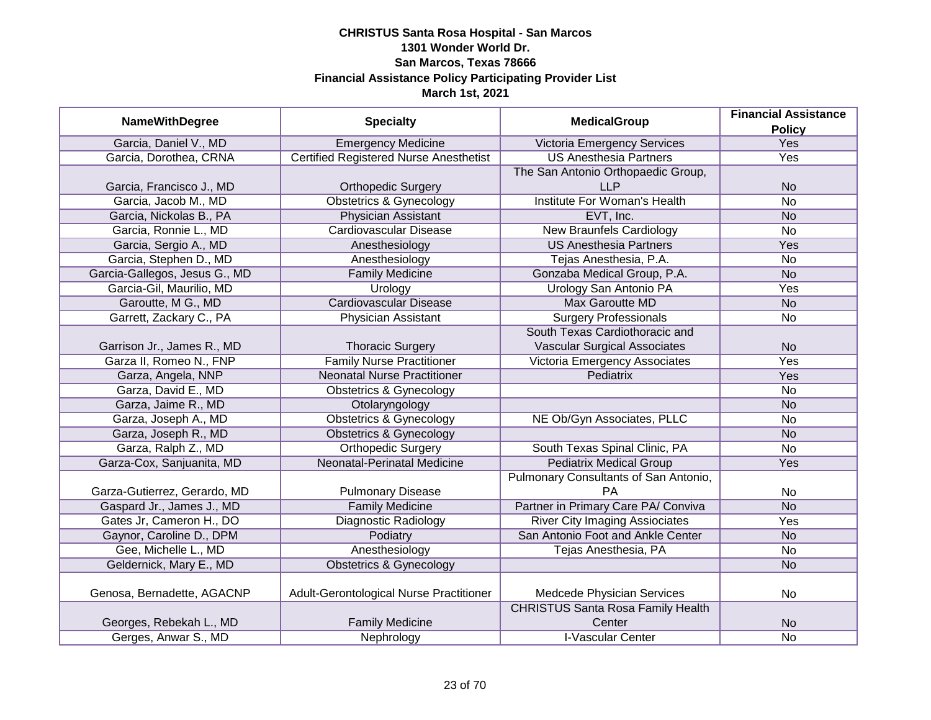|                               |                                               | <b>MedicalGroup</b>                      | <b>Financial Assistance</b> |
|-------------------------------|-----------------------------------------------|------------------------------------------|-----------------------------|
| <b>NameWithDegree</b>         | <b>Specialty</b>                              |                                          | <b>Policy</b>               |
| Garcia, Daniel V., MD         | <b>Emergency Medicine</b>                     | Victoria Emergency Services              | Yes                         |
| Garcia, Dorothea, CRNA        | <b>Certified Registered Nurse Anesthetist</b> | <b>US Anesthesia Partners</b>            | Yes                         |
|                               |                                               | The San Antonio Orthopaedic Group,       |                             |
| Garcia, Francisco J., MD      | <b>Orthopedic Surgery</b>                     | <b>LLP</b>                               | <b>No</b>                   |
| Garcia, Jacob M., MD          | <b>Obstetrics &amp; Gynecology</b>            | <b>Institute For Woman's Health</b>      | <b>No</b>                   |
| Garcia, Nickolas B., PA       | Physician Assistant                           | EVT, Inc.                                | <b>No</b>                   |
| Garcia, Ronnie L., MD         | <b>Cardiovascular Disease</b>                 | <b>New Braunfels Cardiology</b>          | <b>No</b>                   |
| Garcia, Sergio A., MD         | Anesthesiology                                | <b>US Anesthesia Partners</b>            | Yes                         |
| Garcia, Stephen D., MD        | Anesthesiology                                | Tejas Anesthesia, P.A.                   | <b>No</b>                   |
| Garcia-Gallegos, Jesus G., MD | <b>Family Medicine</b>                        | Gonzaba Medical Group, P.A.              | <b>No</b>                   |
| Garcia-Gil, Maurilio, MD      | Urology                                       | Urology San Antonio PA                   | Yes                         |
| Garoutte, M G., MD            | <b>Cardiovascular Disease</b>                 | <b>Max Garoutte MD</b>                   | <b>No</b>                   |
| Garrett, Zackary C., PA       | <b>Physician Assistant</b>                    | <b>Surgery Professionals</b>             | <b>No</b>                   |
|                               |                                               | South Texas Cardiothoracic and           |                             |
| Garrison Jr., James R., MD    | <b>Thoracic Surgery</b>                       | <b>Vascular Surgical Associates</b>      | <b>No</b>                   |
| Garza II, Romeo N., FNP       | <b>Family Nurse Practitioner</b>              | Victoria Emergency Associates            | Yes                         |
| Garza, Angela, NNP            | <b>Neonatal Nurse Practitioner</b>            | Pediatrix                                | Yes                         |
| Garza, David E., MD           | <b>Obstetrics &amp; Gynecology</b>            |                                          | <b>No</b>                   |
| Garza, Jaime R., MD           | Otolaryngology                                |                                          | <b>No</b>                   |
| Garza, Joseph A., MD          | <b>Obstetrics &amp; Gynecology</b>            | NE Ob/Gyn Associates, PLLC               | <b>No</b>                   |
| Garza, Joseph R., MD          | <b>Obstetrics &amp; Gynecology</b>            |                                          | <b>No</b>                   |
| Garza, Ralph Z., MD           | <b>Orthopedic Surgery</b>                     | South Texas Spinal Clinic, PA            | <b>No</b>                   |
| Garza-Cox, Sanjuanita, MD     | Neonatal-Perinatal Medicine                   | <b>Pediatrix Medical Group</b>           | Yes                         |
|                               |                                               | Pulmonary Consultants of San Antonio,    |                             |
| Garza-Gutierrez, Gerardo, MD  | <b>Pulmonary Disease</b>                      | PA                                       | <b>No</b>                   |
| Gaspard Jr., James J., MD     | <b>Family Medicine</b>                        | Partner in Primary Care PA/ Conviva      | <b>No</b>                   |
| Gates Jr, Cameron H., DO      | <b>Diagnostic Radiology</b>                   | <b>River City Imaging Assiociates</b>    | Yes                         |
| Gaynor, Caroline D., DPM      | Podiatry                                      | San Antonio Foot and Ankle Center        | <b>No</b>                   |
| Gee, Michelle L., MD          | Anesthesiology                                | Tejas Anesthesia, PA                     | <b>No</b>                   |
| Geldernick, Mary E., MD       | <b>Obstetrics &amp; Gynecology</b>            |                                          | <b>No</b>                   |
|                               |                                               |                                          |                             |
| Genosa, Bernadette, AGACNP    | Adult-Gerontological Nurse Practitioner       | Medcede Physician Services               | <b>No</b>                   |
|                               |                                               | <b>CHRISTUS Santa Rosa Family Health</b> |                             |
| Georges, Rebekah L., MD       | <b>Family Medicine</b>                        | Center                                   | <b>No</b>                   |
| Gerges, Anwar S., MD          | Nephrology                                    | <b>I-Vascular Center</b>                 | <b>No</b>                   |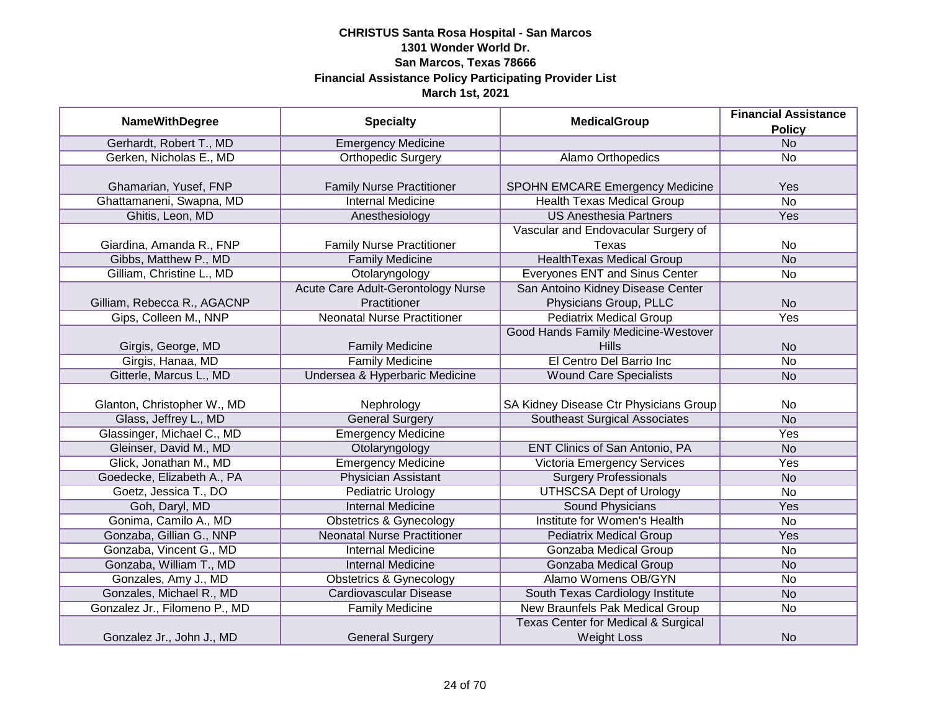|                               |                                           | <b>MedicalGroup</b>                            | <b>Financial Assistance</b> |
|-------------------------------|-------------------------------------------|------------------------------------------------|-----------------------------|
| <b>NameWithDegree</b>         | <b>Specialty</b>                          |                                                | <b>Policy</b>               |
| Gerhardt, Robert T., MD       | <b>Emergency Medicine</b>                 |                                                | N <sub>o</sub>              |
| Gerken, Nicholas E., MD       | <b>Orthopedic Surgery</b>                 | Alamo Orthopedics                              | No                          |
|                               |                                           |                                                |                             |
| Ghamarian, Yusef, FNP         | <b>Family Nurse Practitioner</b>          | <b>SPOHN EMCARE Emergency Medicine</b>         | Yes                         |
| Ghattamaneni, Swapna, MD      | <b>Internal Medicine</b>                  | <b>Health Texas Medical Group</b>              | $\overline{No}$             |
| Ghitis, Leon, MD              | Anesthesiology                            | <b>US Anesthesia Partners</b>                  | Yes                         |
|                               |                                           | Vascular and Endovacular Surgery of            |                             |
| Giardina, Amanda R., FNP      | <b>Family Nurse Practitioner</b>          | Texas                                          | No                          |
| Gibbs, Matthew P., MD         | <b>Family Medicine</b>                    | <b>HealthTexas Medical Group</b>               | <b>No</b>                   |
| Gilliam, Christine L., MD     | Otolaryngology                            | Everyones ENT and Sinus Center                 | No                          |
|                               | <b>Acute Care Adult-Gerontology Nurse</b> | San Antoino Kidney Disease Center              |                             |
| Gilliam, Rebecca R., AGACNP   | Practitioner                              | Physicians Group, PLLC                         | <b>No</b>                   |
| Gips, Colleen M., NNP         | <b>Neonatal Nurse Practitioner</b>        | <b>Pediatrix Medical Group</b>                 | Yes                         |
|                               |                                           | Good Hands Family Medicine-Westover            |                             |
| Girgis, George, MD            | <b>Family Medicine</b>                    | Hills                                          | <b>No</b>                   |
| Girgis, Hanaa, MD             | <b>Family Medicine</b>                    | El Centro Del Barrio Inc                       | No                          |
| Gitterle, Marcus L., MD       | Undersea & Hyperbaric Medicine            | <b>Wound Care Specialists</b>                  | <b>No</b>                   |
|                               |                                           |                                                |                             |
| Glanton, Christopher W., MD   | Nephrology                                | SA Kidney Disease Ctr Physicians Group         | No                          |
| Glass, Jeffrey L., MD         | <b>General Surgery</b>                    | Southeast Surgical Associates                  | <b>No</b>                   |
| Glassinger, Michael C., MD    | <b>Emergency Medicine</b>                 |                                                | Yes                         |
| Gleinser, David M., MD        | Otolaryngology                            | <b>ENT Clinics of San Antonio, PA</b>          | <b>No</b>                   |
| Glick, Jonathan M., MD        | <b>Emergency Medicine</b>                 | <b>Victoria Emergency Services</b>             | Yes                         |
| Goedecke, Elizabeth A., PA    | <b>Physician Assistant</b>                | <b>Surgery Professionals</b>                   | <b>No</b>                   |
| Goetz, Jessica T., DO         | <b>Pediatric Urology</b>                  | <b>UTHSCSA Dept of Urology</b>                 | <b>No</b>                   |
| Goh, Daryl, MD                | <b>Internal Medicine</b>                  | <b>Sound Physicians</b>                        | Yes                         |
| Gonima, Camilo A., MD         | <b>Obstetrics &amp; Gynecology</b>        | Institute for Women's Health                   | No                          |
| Gonzaba, Gillian G., NNP      | <b>Neonatal Nurse Practitioner</b>        | <b>Pediatrix Medical Group</b>                 | Yes                         |
| Gonzaba, Vincent G., MD       | <b>Internal Medicine</b>                  | Gonzaba Medical Group                          | No                          |
| Gonzaba, William T., MD       | <b>Internal Medicine</b>                  | Gonzaba Medical Group                          | <b>No</b>                   |
| Gonzales, Amy J., MD          | <b>Obstetrics &amp; Gynecology</b>        | Alamo Womens OB/GYN                            | No                          |
| Gonzales, Michael R., MD      | <b>Cardiovascular Disease</b>             | South Texas Cardiology Institute               | <b>No</b>                   |
| Gonzalez Jr., Filomeno P., MD | <b>Family Medicine</b>                    | New Braunfels Pak Medical Group                | No                          |
|                               |                                           | <b>Texas Center for Medical &amp; Surgical</b> |                             |
| Gonzalez Jr., John J., MD     | <b>General Surgery</b>                    | <b>Weight Loss</b>                             | <b>No</b>                   |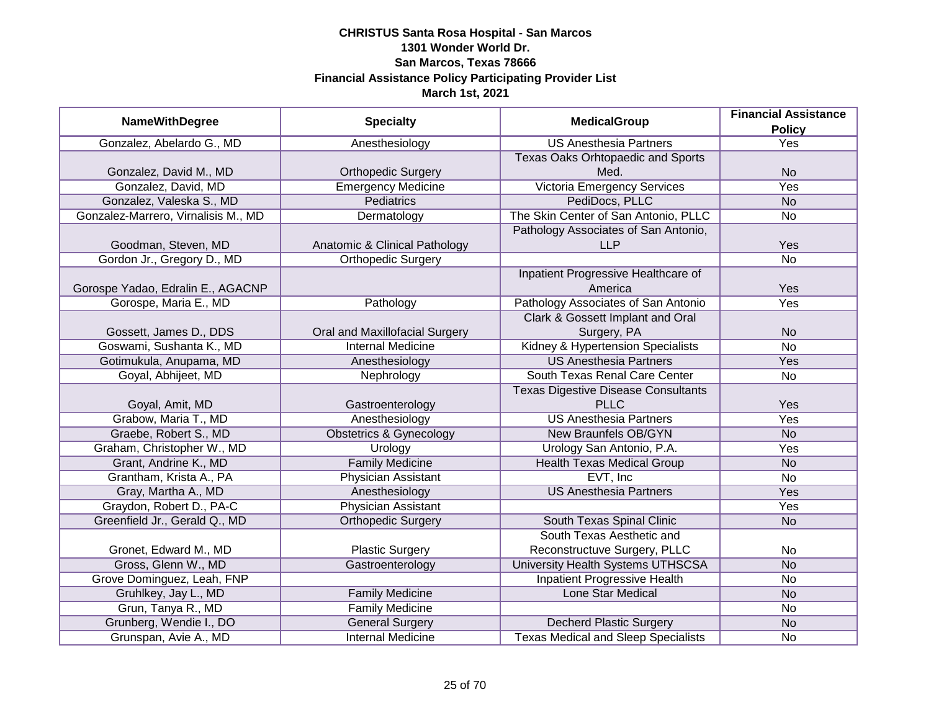| <b>NameWithDegree</b>               | <b>Specialty</b>                   | <b>MedicalGroup</b>                                | <b>Financial Assistance</b> |
|-------------------------------------|------------------------------------|----------------------------------------------------|-----------------------------|
|                                     |                                    |                                                    | <b>Policy</b>               |
| Gonzalez, Abelardo G., MD           | Anesthesiology                     | <b>US Anesthesia Partners</b>                      | <b>Yes</b>                  |
|                                     |                                    | <b>Texas Oaks Orhtopaedic and Sports</b>           |                             |
| Gonzalez, David M., MD              | <b>Orthopedic Surgery</b>          | Med.                                               | <b>No</b>                   |
| Gonzalez, David, MD                 | <b>Emergency Medicine</b>          | <b>Victoria Emergency Services</b>                 | <b>Yes</b>                  |
| Gonzalez, Valeska S., MD            | <b>Pediatrics</b>                  | PediDocs, PLLC                                     | N <sub>o</sub>              |
| Gonzalez-Marrero, Virnalisis M., MD | Dermatology                        | The Skin Center of San Antonio, PLLC               | <b>No</b>                   |
| Goodman, Steven, MD                 | Anatomic & Clinical Pathology      | Pathology Associates of San Antonio,<br><b>LLP</b> | Yes                         |
| Gordon Jr., Gregory D., MD          | <b>Orthopedic Surgery</b>          |                                                    | <b>No</b>                   |
| Gorospe Yadao, Edralin E., AGACNP   |                                    | Inpatient Progressive Healthcare of<br>America     | Yes                         |
| Gorospe, Maria E., MD               | Pathology                          | Pathology Associates of San Antonio                | Yes                         |
|                                     |                                    | Clark & Gossett Implant and Oral                   |                             |
| Gossett, James D., DDS              | Oral and Maxillofacial Surgery     | Surgery, PA                                        | <b>No</b>                   |
| Goswami, Sushanta K., MD            | <b>Internal Medicine</b>           | Kidney & Hypertension Specialists                  | No                          |
| Gotimukula, Anupama, MD             | Anesthesiology                     | <b>US Anesthesia Partners</b>                      | Yes                         |
| Goyal, Abhijeet, MD                 | Nephrology                         | South Texas Renal Care Center                      | No                          |
|                                     |                                    | <b>Texas Digestive Disease Consultants</b>         |                             |
| Goyal, Amit, MD                     | Gastroenterology                   | <b>PLLC</b>                                        | Yes                         |
| Grabow, Maria T., MD                | Anesthesiology                     | <b>US Anesthesia Partners</b>                      | Yes                         |
| Graebe, Robert S., MD               | <b>Obstetrics &amp; Gynecology</b> | New Braunfels OB/GYN                               | <b>No</b>                   |
| Graham, Christopher W., MD          | Urology                            | Urology San Antonio, P.A.                          | Yes                         |
| Grant, Andrine K., MD               | <b>Family Medicine</b>             | <b>Health Texas Medical Group</b>                  | <b>No</b>                   |
| Grantham, Krista A., PA             | <b>Physician Assistant</b>         | EVT, Inc                                           | <b>No</b>                   |
| Gray, Martha A., MD                 | Anesthesiology                     | <b>US Anesthesia Partners</b>                      | Yes                         |
| Graydon, Robert D., PA-C            | <b>Physician Assistant</b>         |                                                    | Yes                         |
| Greenfield Jr., Gerald Q., MD       | <b>Orthopedic Surgery</b>          | South Texas Spinal Clinic                          | <b>No</b>                   |
|                                     |                                    | South Texas Aesthetic and                          |                             |
| Gronet, Edward M., MD               | <b>Plastic Surgery</b>             | Reconstructuve Surgery, PLLC                       | No                          |
| Gross, Glenn W., MD                 | Gastroenterology                   | University Health Systems UTHSCSA                  | <b>No</b>                   |
| Grove Dominguez, Leah, FNP          |                                    | <b>Inpatient Progressive Health</b>                | No                          |
| Gruhlkey, Jay L., MD                | <b>Family Medicine</b>             | <b>Lone Star Medical</b>                           | <b>No</b>                   |
| Grun, Tanya R., MD                  | <b>Family Medicine</b>             |                                                    | No                          |
| Grunberg, Wendie I., DO             | <b>General Surgery</b>             | <b>Decherd Plastic Surgery</b>                     | <b>No</b>                   |
| Grunspan, Avie A., MD               | <b>Internal Medicine</b>           | <b>Texas Medical and Sleep Specialists</b>         | No                          |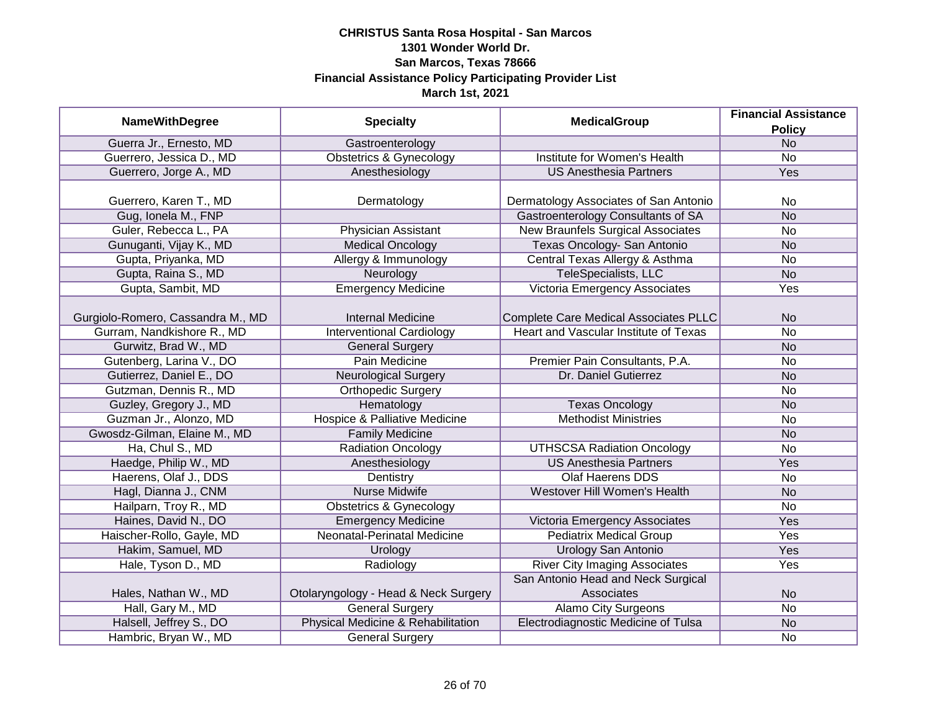|                                   |                                          | <b>MedicalGroup</b>                   | <b>Financial Assistance</b> |
|-----------------------------------|------------------------------------------|---------------------------------------|-----------------------------|
| <b>NameWithDegree</b>             | <b>Specialty</b>                         |                                       | <b>Policy</b>               |
| Guerra Jr., Ernesto, MD           | Gastroenterology                         |                                       | <b>No</b>                   |
| Guerrero, Jessica D., MD          | <b>Obstetrics &amp; Gynecology</b>       | Institute for Women's Health          | <b>No</b>                   |
| Guerrero, Jorge A., MD            | Anesthesiology                           | <b>US Anesthesia Partners</b>         | <b>Yes</b>                  |
|                                   |                                          |                                       |                             |
| Guerrero, Karen T., MD            | Dermatology                              | Dermatology Associates of San Antonio | No                          |
| Gug, Ionela M., FNP               |                                          | Gastroenterology Consultants of SA    | <b>No</b>                   |
| Guler, Rebecca L., PA             | Physician Assistant                      | New Braunfels Surgical Associates     | <b>No</b>                   |
| Gunuganti, Vijay K., MD           | <b>Medical Oncology</b>                  | Texas Oncology- San Antonio           | <b>No</b>                   |
| Gupta, Priyanka, MD               | Allergy & Immunology                     | Central Texas Allergy & Asthma        | <b>No</b>                   |
| Gupta, Raina S., MD               | Neurology                                | TeleSpecialists, LLC                  | <b>No</b>                   |
| Gupta, Sambit, MD                 | <b>Emergency Medicine</b>                | Victoria Emergency Associates         | Yes                         |
|                                   |                                          |                                       |                             |
| Gurgiolo-Romero, Cassandra M., MD | <b>Internal Medicine</b>                 | Complete Care Medical Associates PLLC | <b>No</b>                   |
| Gurram, Nandkishore R., MD        | <b>Interventional Cardiology</b>         | Heart and Vascular Institute of Texas | <b>No</b>                   |
| Gurwitz, Brad W., MD              | <b>General Surgery</b>                   |                                       | <b>No</b>                   |
| Gutenberg, Larina V., DO          | Pain Medicine                            | Premier Pain Consultants, P.A.        | No                          |
| Gutierrez, Daniel E., DO          | <b>Neurological Surgery</b>              | Dr. Daniel Gutierrez                  | <b>No</b>                   |
| Gutzman, Dennis R., MD            | Orthopedic Surgery                       |                                       | <b>No</b>                   |
| Guzley, Gregory J., MD            | Hematology                               | <b>Texas Oncology</b>                 | <b>No</b>                   |
| Guzman Jr., Alonzo, MD            | <b>Hospice &amp; Palliative Medicine</b> | <b>Methodist Ministries</b>           | <b>No</b>                   |
| Gwosdz-Gilman, Elaine M., MD      | <b>Family Medicine</b>                   |                                       | <b>No</b>                   |
| Ha, Chul S., MD                   | <b>Radiation Oncology</b>                | <b>UTHSCSA Radiation Oncology</b>     | <b>No</b>                   |
| Haedge, Philip W., MD             | Anesthesiology                           | <b>US Anesthesia Partners</b>         | Yes                         |
| Haerens, Olaf J., DDS             | Dentistry                                | <b>Olaf Haerens DDS</b>               | No                          |
| Hagl, Dianna J., CNM              | <b>Nurse Midwife</b>                     | Westover Hill Women's Health          | <b>No</b>                   |
| Hailparn, Troy R., MD             | <b>Obstetrics &amp; Gynecology</b>       |                                       | <b>No</b>                   |
| Haines, David N., DO              | <b>Emergency Medicine</b>                | Victoria Emergency Associates         | <b>Yes</b>                  |
| Haischer-Rollo, Gayle, MD         | Neonatal-Perinatal Medicine              | <b>Pediatrix Medical Group</b>        | Yes                         |
| Hakim, Samuel, MD                 | Urology                                  | <b>Urology San Antonio</b>            | Yes                         |
| Hale, Tyson D., MD                | Radiology                                | <b>River City Imaging Associates</b>  | Yes                         |
|                                   |                                          | San Antonio Head and Neck Surgical    |                             |
| Hales, Nathan W., MD              | Otolaryngology - Head & Neck Surgery     | Associates                            | <b>No</b>                   |
| Hall, Gary M., MD                 | <b>General Surgery</b>                   | <b>Alamo City Surgeons</b>            | $\overline{No}$             |
| Halsell, Jeffrey S., DO           | Physical Medicine & Rehabilitation       | Electrodiagnostic Medicine of Tulsa   | <b>No</b>                   |
| Hambric, Bryan W., MD             | <b>General Surgery</b>                   |                                       | <b>No</b>                   |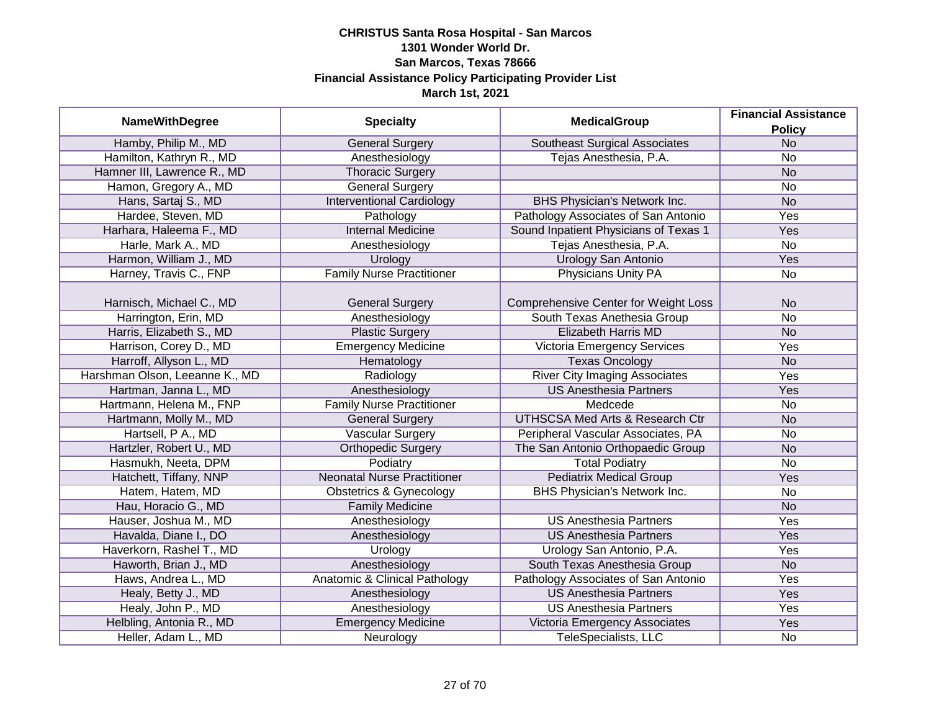|                                |                                    | <b>MedicalGroup</b>                         | <b>Financial Assistance</b> |
|--------------------------------|------------------------------------|---------------------------------------------|-----------------------------|
| <b>NameWithDegree</b>          | <b>Specialty</b>                   |                                             | <b>Policy</b>               |
| Hamby, Philip M., MD           | <b>General Surgery</b>             | <b>Southeast Surgical Associates</b>        | N <sub>o</sub>              |
| Hamilton, Kathryn R., MD       | Anesthesiology                     | Tejas Anesthesia, P.A.                      | No                          |
| Hamner III, Lawrence R., MD    | <b>Thoracic Surgery</b>            |                                             | N <sub>o</sub>              |
| Hamon, Gregory A., MD          | <b>General Surgery</b>             |                                             | No                          |
| Hans, Sartaj S., MD            | <b>Interventional Cardiology</b>   | BHS Physician's Network Inc.                | <b>No</b>                   |
| Hardee, Steven, MD             | Pathology                          | Pathology Associates of San Antonio         | Yes                         |
| Harhara, Haleema F., MD        | <b>Internal Medicine</b>           | Sound Inpatient Physicians of Texas 1       | Yes                         |
| Harle, Mark A., MD             | Anesthesiology                     | Tejas Anesthesia, P.A.                      | <b>No</b>                   |
| Harmon, William J., MD         | Urology                            | <b>Urology San Antonio</b>                  | Yes                         |
| Harney, Travis C., FNP         | <b>Family Nurse Practitioner</b>   | <b>Physicians Unity PA</b>                  | <b>No</b>                   |
|                                |                                    |                                             |                             |
| Harnisch, Michael C., MD       | <b>General Surgery</b>             | <b>Comprehensive Center for Weight Loss</b> | <b>No</b>                   |
| Harrington, Erin, MD           | Anesthesiology                     | South Texas Anethesia Group                 | <b>No</b>                   |
| Harris, Elizabeth S., MD       | <b>Plastic Surgery</b>             | <b>Elizabeth Harris MD</b>                  | <b>No</b>                   |
| Harrison, Corey D., MD         | <b>Emergency Medicine</b>          | Victoria Emergency Services                 | Yes                         |
| Harroff, Allyson L., MD        | Hematology                         | <b>Texas Oncology</b>                       | <b>No</b>                   |
| Harshman Olson, Leeanne K., MD | Radiology                          | <b>River City Imaging Associates</b>        | Yes                         |
| Hartman, Janna L., MD          | Anesthesiology                     | <b>US Anesthesia Partners</b>               | Yes                         |
| Hartmann, Helena M., FNP       | <b>Family Nurse Practitioner</b>   | Medcede                                     | No                          |
| Hartmann, Molly M., MD         | <b>General Surgery</b>             | UTHSCSA Med Arts & Research Ctr             | <b>No</b>                   |
| Hartsell, P A., MD             | <b>Vascular Surgery</b>            | Peripheral Vascular Associates, PA          | No                          |
| Hartzler, Robert U., MD        | Orthopedic Surgery                 | The San Antonio Orthopaedic Group           | <b>No</b>                   |
| Hasmukh, Neeta, DPM            | Podiatry                           | <b>Total Podiatry</b>                       | <b>No</b>                   |
| Hatchett, Tiffany, NNP         | <b>Neonatal Nurse Practitioner</b> | <b>Pediatrix Medical Group</b>              | Yes                         |
| Hatem, Hatem, MD               | <b>Obstetrics &amp; Gynecology</b> | BHS Physician's Network Inc.                | No                          |
| Hau, Horacio G., MD            | <b>Family Medicine</b>             |                                             | <b>No</b>                   |
| Hauser, Joshua M., MD          | Anesthesiology                     | <b>US Anesthesia Partners</b>               | Yes                         |
| Havalda, Diane I., DO          | Anesthesiology                     | <b>US Anesthesia Partners</b>               | Yes                         |
| Haverkorn, Rashel T., MD       | Urology                            | Urology San Antonio, P.A.                   | Yes                         |
| Haworth, Brian J., MD          | Anesthesiology                     | South Texas Anesthesia Group                | <b>No</b>                   |
| Haws, Andrea L., MD            | Anatomic & Clinical Pathology      | Pathology Associates of San Antonio         | Yes                         |
| Healy, Betty J., MD            | Anesthesiology                     | <b>US Anesthesia Partners</b>               | Yes                         |
| Healy, John P., MD             | Anesthesiology                     | <b>US Anesthesia Partners</b>               | Yes                         |
| Helbling, Antonia R., MD       | <b>Emergency Medicine</b>          | Victoria Emergency Associates               | Yes                         |
| Heller, Adam L., MD            | Neurology                          | <b>TeleSpecialists, LLC</b>                 | No                          |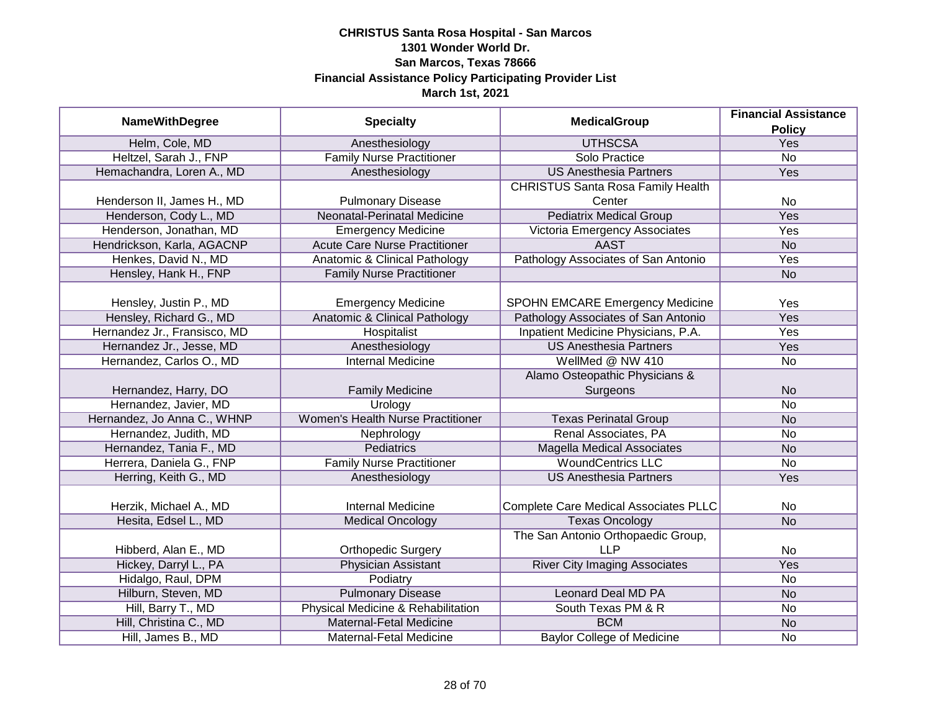| <b>NameWithDegree</b>        | <b>Specialty</b>                         | <b>MedicalGroup</b>                          | <b>Financial Assistance</b> |
|------------------------------|------------------------------------------|----------------------------------------------|-----------------------------|
|                              |                                          |                                              | <b>Policy</b>               |
| Helm, Cole, MD               | Anesthesiology                           | <b>UTHSCSA</b>                               | <b>Yes</b>                  |
| Heltzel, Sarah J., FNP       | <b>Family Nurse Practitioner</b>         | Solo Practice                                | $\overline{No}$             |
| Hemachandra, Loren A., MD    | Anesthesiology                           | <b>US Anesthesia Partners</b>                | <b>Yes</b>                  |
|                              |                                          | <b>CHRISTUS Santa Rosa Family Health</b>     |                             |
| Henderson II, James H., MD   | <b>Pulmonary Disease</b>                 | Center                                       | <b>No</b>                   |
| Henderson, Cody L., MD       | Neonatal-Perinatal Medicine              | <b>Pediatrix Medical Group</b>               | Yes                         |
| Henderson, Jonathan, MD      | <b>Emergency Medicine</b>                | Victoria Emergency Associates                | Yes                         |
| Hendrickson, Karla, AGACNP   | <b>Acute Care Nurse Practitioner</b>     | <b>AAST</b>                                  | <b>No</b>                   |
| Henkes, David N., MD         | Anatomic & Clinical Pathology            | Pathology Associates of San Antonio          | Yes                         |
| Hensley, Hank H., FNP        | <b>Family Nurse Practitioner</b>         |                                              | <b>No</b>                   |
|                              |                                          |                                              |                             |
| Hensley, Justin P., MD       | <b>Emergency Medicine</b>                | <b>SPOHN EMCARE Emergency Medicine</b>       | Yes                         |
| Hensley, Richard G., MD      | <b>Anatomic &amp; Clinical Pathology</b> | Pathology Associates of San Antonio          | Yes                         |
| Hernandez Jr., Fransisco, MD | Hospitalist                              | Inpatient Medicine Physicians, P.A.          | Yes                         |
| Hernandez Jr., Jesse, MD     | Anesthesiology                           | <b>US Anesthesia Partners</b>                | Yes                         |
| Hernandez, Carlos O., MD     | <b>Internal Medicine</b>                 | WellMed @ NW 410                             | <b>No</b>                   |
|                              |                                          | Alamo Osteopathic Physicians &               |                             |
| Hernandez, Harry, DO         | <b>Family Medicine</b>                   | Surgeons                                     | <b>No</b>                   |
| Hernandez, Javier, MD        | Urology                                  |                                              | <b>No</b>                   |
| Hernandez, Jo Anna C., WHNP  | <b>Women's Health Nurse Practitioner</b> | <b>Texas Perinatal Group</b>                 | <b>No</b>                   |
| Hernandez, Judith, MD        | Nephrology                               | Renal Associates, PA                         | <b>No</b>                   |
| Hernandez, Tania F., MD      | <b>Pediatrics</b>                        | <b>Magella Medical Associates</b>            | <b>No</b>                   |
| Herrera, Daniela G., FNP     | <b>Family Nurse Practitioner</b>         | <b>WoundCentrics LLC</b>                     | <b>No</b>                   |
| Herring, Keith G., MD        | Anesthesiology                           | <b>US Anesthesia Partners</b>                | Yes                         |
|                              |                                          |                                              |                             |
| Herzik, Michael A., MD       | <b>Internal Medicine</b>                 | <b>Complete Care Medical Associates PLLC</b> | <b>No</b>                   |
| Hesita, Edsel L., MD         | <b>Medical Oncology</b>                  | <b>Texas Oncology</b>                        | <b>No</b>                   |
|                              |                                          | The San Antonio Orthopaedic Group,           |                             |
| Hibberd, Alan E., MD         | <b>Orthopedic Surgery</b>                | <b>LLP</b>                                   | <b>No</b>                   |
| Hickey, Darryl L., PA        | <b>Physician Assistant</b>               | <b>River City Imaging Associates</b>         | Yes                         |
| Hidalgo, Raul, DPM           | Podiatry                                 |                                              | <b>No</b>                   |
| Hilburn, Steven, MD          | <b>Pulmonary Disease</b>                 | <b>Leonard Deal MD PA</b>                    | <b>No</b>                   |
| Hill, Barry T., MD           | Physical Medicine & Rehabilitation       | South Texas PM & R                           | <b>No</b>                   |
| Hill, Christina C., MD       | <b>Maternal-Fetal Medicine</b>           | <b>BCM</b>                                   | <b>No</b>                   |
| Hill, James B., MD           | Maternal-Fetal Medicine                  | <b>Baylor College of Medicine</b>            | <b>No</b>                   |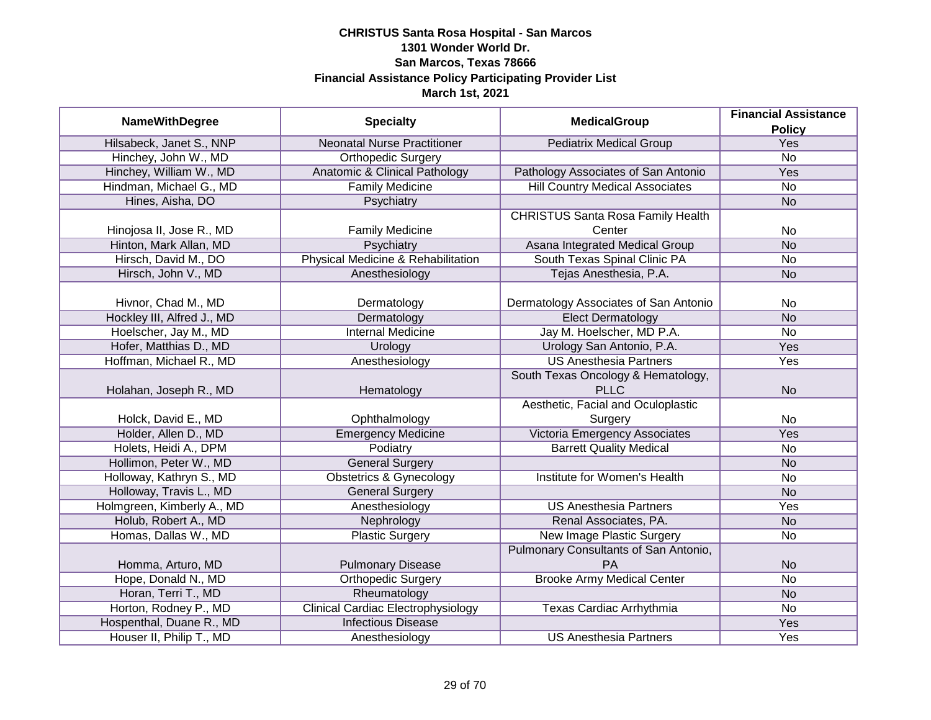| <b>NameWithDegree</b>      | <b>Specialty</b>                          | <b>MedicalGroup</b>                      | <b>Financial Assistance</b> |
|----------------------------|-------------------------------------------|------------------------------------------|-----------------------------|
|                            |                                           |                                          | <b>Policy</b>               |
| Hilsabeck, Janet S., NNP   | <b>Neonatal Nurse Practitioner</b>        | <b>Pediatrix Medical Group</b>           | Yes                         |
| Hinchey, John W., MD       | <b>Orthopedic Surgery</b>                 |                                          | <b>No</b>                   |
| Hinchey, William W., MD    | Anatomic & Clinical Pathology             | Pathology Associates of San Antonio      | Yes                         |
| Hindman, Michael G., MD    | <b>Family Medicine</b>                    | <b>Hill Country Medical Associates</b>   | No                          |
| Hines, Aisha, DO           | Psychiatry                                |                                          | <b>No</b>                   |
|                            |                                           | <b>CHRISTUS Santa Rosa Family Health</b> |                             |
| Hinojosa II, Jose R., MD   | <b>Family Medicine</b>                    | Center                                   | No                          |
| Hinton, Mark Allan, MD     | Psychiatry                                | Asana Integrated Medical Group           | <b>No</b>                   |
| Hirsch, David M., DO       | Physical Medicine & Rehabilitation        | South Texas Spinal Clinic PA             | No                          |
| Hirsch, John V., MD        | Anesthesiology                            | Tejas Anesthesia, P.A.                   | <b>No</b>                   |
|                            |                                           |                                          |                             |
| Hivnor, Chad M., MD        | Dermatology                               | Dermatology Associates of San Antonio    | No                          |
| Hockley III, Alfred J., MD | Dermatology                               | <b>Elect Dermatology</b>                 | <b>No</b>                   |
| Hoelscher, Jay M., MD      | <b>Internal Medicine</b>                  | Jay M. Hoelscher, MD P.A.                | No                          |
| Hofer, Matthias D., MD     | Urology                                   | Urology San Antonio, P.A.                | Yes                         |
| Hoffman, Michael R., MD    | Anesthesiology                            | <b>US Anesthesia Partners</b>            | Yes                         |
|                            |                                           | South Texas Oncology & Hematology,       |                             |
| Holahan, Joseph R., MD     | Hematology                                | <b>PLLC</b>                              | <b>No</b>                   |
|                            |                                           | Aesthetic, Facial and Oculoplastic       |                             |
| Holck, David E., MD        | Ophthalmology                             | Surgery                                  | No                          |
| Holder, Allen D., MD       | <b>Emergency Medicine</b>                 | Victoria Emergency Associates            | Yes                         |
| Holets, Heidi A., DPM      | Podiatry                                  | <b>Barrett Quality Medical</b>           | No                          |
| Hollimon, Peter W., MD     | <b>General Surgery</b>                    |                                          | <b>No</b>                   |
| Holloway, Kathryn S., MD   | <b>Obstetrics &amp; Gynecology</b>        | <b>Institute for Women's Health</b>      | No                          |
| Holloway, Travis L., MD    | <b>General Surgery</b>                    |                                          | <b>No</b>                   |
| Holmgreen, Kimberly A., MD | Anesthesiology                            | <b>US Anesthesia Partners</b>            | Yes                         |
| Holub, Robert A., MD       | Nephrology                                | Renal Associates, PA.                    | <b>No</b>                   |
| Homas, Dallas W., MD       | <b>Plastic Surgery</b>                    | <b>New Image Plastic Surgery</b>         | No                          |
|                            |                                           | Pulmonary Consultants of San Antonio,    |                             |
| Homma, Arturo, MD          | <b>Pulmonary Disease</b>                  | PA                                       | <b>No</b>                   |
| Hope, Donald N., MD        | <b>Orthopedic Surgery</b>                 | <b>Brooke Army Medical Center</b>        | $\overline{No}$             |
| Horan, Terri T., MD        | Rheumatology                              |                                          | <b>No</b>                   |
| Horton, Rodney P., MD      | <b>Clinical Cardiac Electrophysiology</b> | Texas Cardiac Arrhythmia                 | No                          |
| Hospenthal, Duane R., MD   | <b>Infectious Disease</b>                 |                                          | <b>Yes</b>                  |
| Houser II, Philip T., MD   | Anesthesiology                            | <b>US Anesthesia Partners</b>            | Yes                         |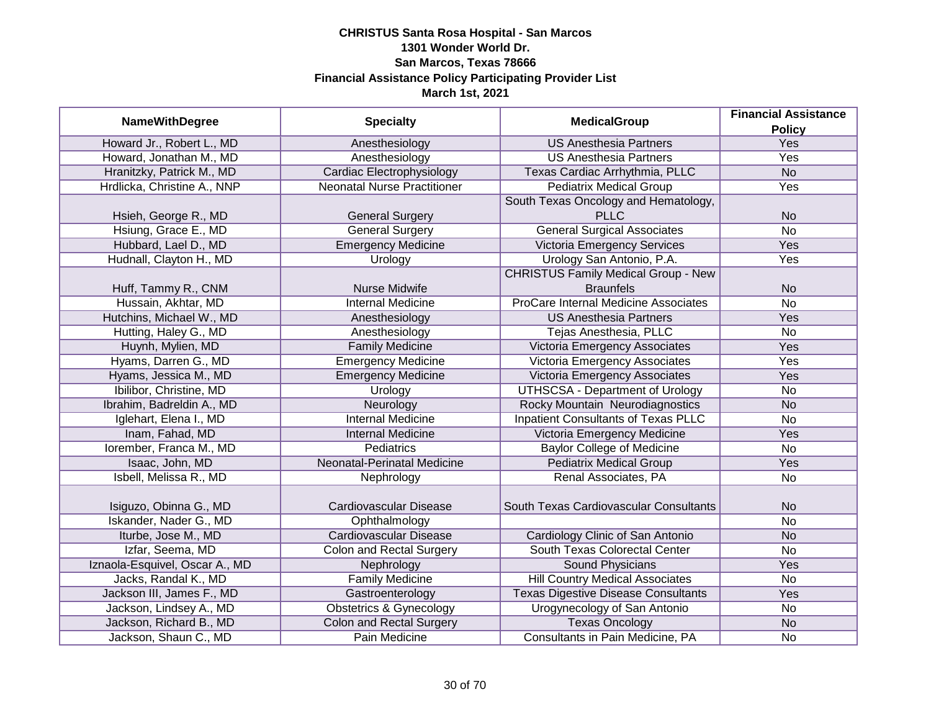| <b>NameWithDegree</b>                                    | <b>Specialty</b>                                                | <b>MedicalGroup</b>                                 | <b>Financial Assistance</b> |
|----------------------------------------------------------|-----------------------------------------------------------------|-----------------------------------------------------|-----------------------------|
| Howard Jr., Robert L., MD                                | Anesthesiology                                                  | <b>US Anesthesia Partners</b>                       | <b>Policy</b><br>Yes        |
| Howard, Jonathan M., MD                                  | Anesthesiology                                                  | <b>US Anesthesia Partners</b>                       | Yes                         |
|                                                          |                                                                 | Texas Cardiac Arrhythmia, PLLC                      | N <sub>o</sub>              |
| Hranitzky, Patrick M., MD<br>Hrdlicka, Christine A., NNP | Cardiac Electrophysiology<br><b>Neonatal Nurse Practitioner</b> | <b>Pediatrix Medical Group</b>                      | <b>Yes</b>                  |
|                                                          |                                                                 |                                                     |                             |
| Hsieh, George R., MD                                     | <b>General Surgery</b>                                          | South Texas Oncology and Hematology,<br><b>PLLC</b> | <b>No</b>                   |
| Hsiung, Grace E., MD                                     | <b>General Surgery</b>                                          | <b>General Surgical Associates</b>                  | $\overline{No}$             |
| Hubbard, Lael D., MD                                     | <b>Emergency Medicine</b>                                       | Victoria Emergency Services                         | <b>Yes</b>                  |
| Hudnall, Clayton H., MD                                  | Urology                                                         | Urology San Antonio, P.A.                           | Yes                         |
|                                                          |                                                                 | <b>CHRISTUS Family Medical Group - New</b>          |                             |
| Huff, Tammy R., CNM                                      | Nurse Midwife                                                   | <b>Braunfels</b>                                    | <b>No</b>                   |
| Hussain, Akhtar, MD                                      | <b>Internal Medicine</b>                                        | ProCare Internal Medicine Associates                | <b>No</b>                   |
| Hutchins, Michael W., MD                                 | Anesthesiology                                                  | <b>US Anesthesia Partners</b>                       | Yes                         |
| Hutting, Haley G., MD                                    | Anesthesiology                                                  | Tejas Anesthesia, PLLC                              | <b>No</b>                   |
| Huynh, Mylien, MD                                        | <b>Family Medicine</b>                                          | Victoria Emergency Associates                       | Yes                         |
| Hyams, Darren G., MD                                     | <b>Emergency Medicine</b>                                       | Victoria Emergency Associates                       | Yes                         |
| Hyams, Jessica M., MD                                    | <b>Emergency Medicine</b>                                       | Victoria Emergency Associates                       | Yes                         |
| Ibilibor, Christine, MD                                  | Urology                                                         | <b>UTHSCSA - Department of Urology</b>              | No                          |
| Ibrahim, Badreldin A., MD                                | Neurology                                                       | Rocky Mountain Neurodiagnostics                     | <b>No</b>                   |
| Iglehart, Elena I., MD                                   | <b>Internal Medicine</b>                                        | <b>Inpatient Consultants of Texas PLLC</b>          | No                          |
| Inam, Fahad, MD                                          | <b>Internal Medicine</b>                                        | Victoria Emergency Medicine                         | Yes                         |
| Iorember, Franca M., MD                                  | <b>Pediatrics</b>                                               | <b>Baylor College of Medicine</b>                   | <b>No</b>                   |
| Isaac, John, MD                                          | Neonatal-Perinatal Medicine                                     | <b>Pediatrix Medical Group</b>                      | Yes                         |
| Isbell, Melissa R., MD                                   | Nephrology                                                      | Renal Associates, PA                                | <b>No</b>                   |
|                                                          |                                                                 |                                                     |                             |
| Isiguzo, Obinna G., MD                                   | Cardiovascular Disease                                          | South Texas Cardiovascular Consultants              | <b>No</b>                   |
| Iskander, Nader G., MD                                   | Ophthalmology                                                   |                                                     | <b>No</b>                   |
| Iturbe, Jose M., MD                                      | <b>Cardiovascular Disease</b>                                   | Cardiology Clinic of San Antonio                    | <b>No</b>                   |
| Izfar, Seema, MD                                         | <b>Colon and Rectal Surgery</b>                                 | South Texas Colorectal Center                       | No                          |
| Iznaola-Esquivel, Oscar A., MD                           | Nephrology                                                      | <b>Sound Physicians</b>                             | Yes                         |
| Jacks, Randal K., MD                                     | <b>Family Medicine</b>                                          | <b>Hill Country Medical Associates</b>              | No                          |
| Jackson III, James F., MD                                | Gastroenterology                                                | <b>Texas Digestive Disease Consultants</b>          | Yes                         |
| Jackson, Lindsey A., MD                                  | <b>Obstetrics &amp; Gynecology</b>                              | Urogynecology of San Antonio                        | No                          |
| Jackson, Richard B., MD                                  | <b>Colon and Rectal Surgery</b>                                 | <b>Texas Oncology</b>                               | <b>No</b>                   |
| Jackson, Shaun C., MD                                    | Pain Medicine                                                   | Consultants in Pain Medicine, PA                    | No                          |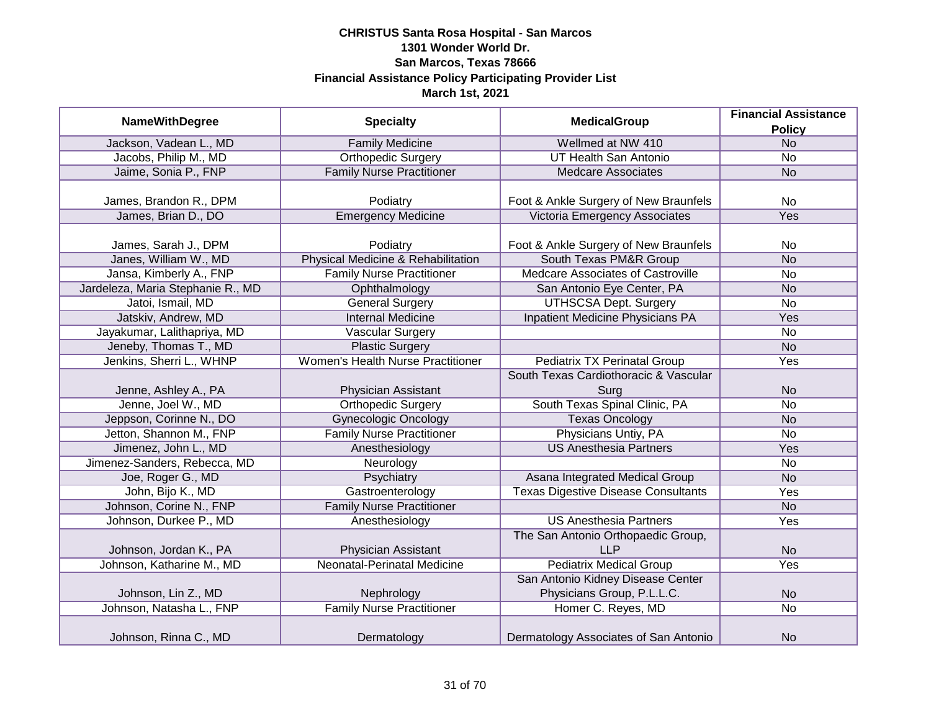| <b>NameWithDegree</b>             | <b>Specialty</b>                   | <b>MedicalGroup</b>                        | <b>Financial Assistance</b> |
|-----------------------------------|------------------------------------|--------------------------------------------|-----------------------------|
|                                   |                                    |                                            | <b>Policy</b>               |
| Jackson, Vadean L., MD            | <b>Family Medicine</b>             | Wellmed at NW 410                          | <b>No</b>                   |
| Jacobs, Philip M., MD             | <b>Orthopedic Surgery</b>          | <b>UT Health San Antonio</b>               | $\overline{No}$             |
| Jaime, Sonia P., FNP              | <b>Family Nurse Practitioner</b>   | <b>Medcare Associates</b>                  | <b>No</b>                   |
|                                   |                                    |                                            |                             |
| James, Brandon R., DPM            | Podiatry                           | Foot & Ankle Surgery of New Braunfels      | <b>No</b>                   |
| James, Brian D., DO               | <b>Emergency Medicine</b>          | Victoria Emergency Associates              | Yes                         |
|                                   |                                    |                                            |                             |
| James, Sarah J., DPM              | Podiatry                           | Foot & Ankle Surgery of New Braunfels      | No.                         |
| Janes, William W., MD             | Physical Medicine & Rehabilitation | South Texas PM&R Group                     | <b>No</b>                   |
| Jansa, Kimberly A., FNP           | <b>Family Nurse Practitioner</b>   | Medcare Associates of Castroville          | <b>No</b>                   |
| Jardeleza, Maria Stephanie R., MD | Ophthalmology                      | San Antonio Eye Center, PA                 | <b>No</b>                   |
| Jatoi, Ismail, MD                 | <b>General Surgery</b>             | <b>UTHSCSA Dept. Surgery</b>               | <b>No</b>                   |
| Jatskiv, Andrew, MD               | <b>Internal Medicine</b>           | Inpatient Medicine Physicians PA           | Yes                         |
| Jayakumar, Lalithapriya, MD       | <b>Vascular Surgery</b>            |                                            | <b>No</b>                   |
| Jeneby, Thomas T., MD             | <b>Plastic Surgery</b>             |                                            | <b>No</b>                   |
| Jenkins, Sherri L., WHNP          | Women's Health Nurse Practitioner  | <b>Pediatrix TX Perinatal Group</b>        | Yes                         |
|                                   |                                    | South Texas Cardiothoracic & Vascular      |                             |
| Jenne, Ashley A., PA              | Physician Assistant                | Surg                                       | <b>No</b>                   |
| Jenne, Joel W., MD                | <b>Orthopedic Surgery</b>          | South Texas Spinal Clinic, PA              | <b>No</b>                   |
| Jeppson, Corinne N., DO           | <b>Gynecologic Oncology</b>        | <b>Texas Oncology</b>                      | <b>No</b>                   |
| Jetton, Shannon M., FNP           | <b>Family Nurse Practitioner</b>   | Physicians Untiy, PA                       | No                          |
| Jimenez, John L., MD              | Anesthesiology                     | <b>US Anesthesia Partners</b>              | Yes                         |
| Jimenez-Sanders, Rebecca, MD      | Neurology                          |                                            | No                          |
| Joe, Roger G., MD                 | Psychiatry                         | Asana Integrated Medical Group             | <b>No</b>                   |
| John, Bijo K., MD                 | Gastroenterology                   | <b>Texas Digestive Disease Consultants</b> | Yes                         |
| Johnson, Corine N., FNP           | <b>Family Nurse Practitioner</b>   |                                            | <b>No</b>                   |
| Johnson, Durkee P., MD            | Anesthesiology                     | <b>US Anesthesia Partners</b>              | Yes                         |
|                                   |                                    | The San Antonio Orthopaedic Group,         |                             |
| Johnson, Jordan K., PA            | Physician Assistant                | <b>LLP</b>                                 | <b>No</b>                   |
| Johnson, Katharine M., MD         | Neonatal-Perinatal Medicine        | <b>Pediatrix Medical Group</b>             | Yes                         |
|                                   |                                    | San Antonio Kidney Disease Center          |                             |
| Johnson, Lin Z., MD               | Nephrology                         | Physicians Group, P.L.L.C.                 | <b>No</b>                   |
| Johnson, Natasha L., FNP          | <b>Family Nurse Practitioner</b>   | Homer C. Reyes, MD                         | $\overline{No}$             |
|                                   |                                    |                                            |                             |
| Johnson, Rinna C., MD             | Dermatology                        | Dermatology Associates of San Antonio      | <b>No</b>                   |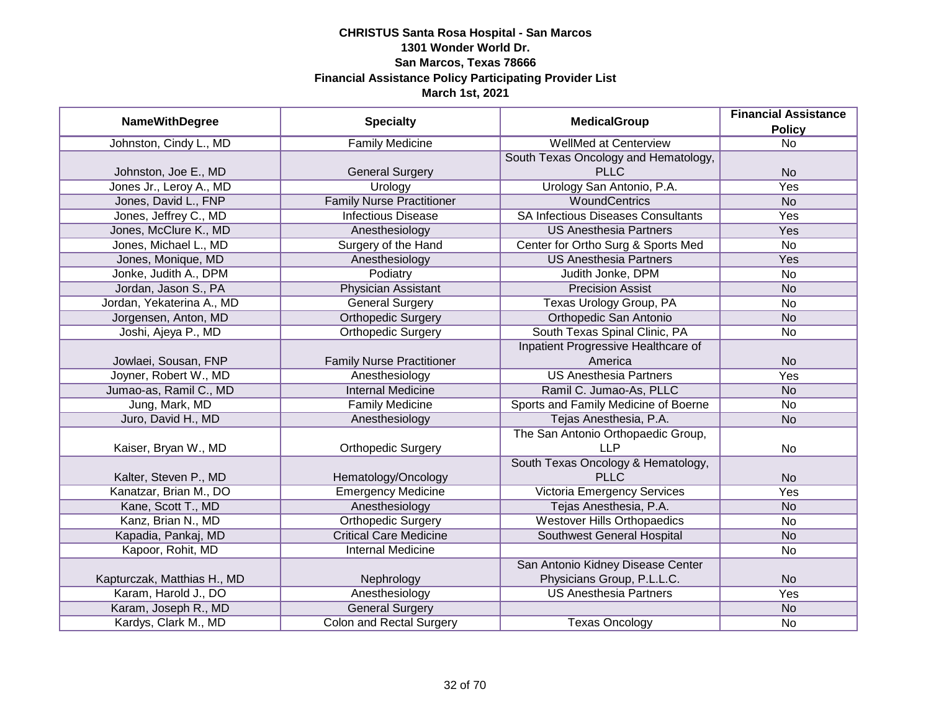| <b>NameWithDegree</b>       | <b>Specialty</b>                 | <b>MedicalGroup</b>                       | <b>Financial Assistance</b> |
|-----------------------------|----------------------------------|-------------------------------------------|-----------------------------|
|                             |                                  |                                           | <b>Policy</b>               |
| Johnston, Cindy L., MD      | <b>Family Medicine</b>           | <b>WellMed at Centerview</b>              | $\overline{No}$             |
|                             |                                  | South Texas Oncology and Hematology,      |                             |
| Johnston, Joe E., MD        | <b>General Surgery</b>           | <b>PLLC</b>                               | <b>No</b>                   |
| Jones Jr., Leroy A., MD     | Urology                          | Urology San Antonio, P.A.                 | Yes                         |
| Jones, David L., FNP        | <b>Family Nurse Practitioner</b> | <b>WoundCentrics</b>                      | <b>No</b>                   |
| Jones, Jeffrey C., MD       | <b>Infectious Disease</b>        | <b>SA Infectious Diseases Consultants</b> | Yes                         |
| Jones, McClure K., MD       | Anesthesiology                   | <b>US Anesthesia Partners</b>             | Yes                         |
| Jones, Michael L., MD       | Surgery of the Hand              | Center for Ortho Surg & Sports Med        | No                          |
| Jones, Monique, MD          | Anesthesiology                   | <b>US Anesthesia Partners</b>             | Yes                         |
| Jonke, Judith A., DPM       | Podiatry                         | Judith Jonke, DPM                         | No                          |
| Jordan, Jason S., PA        | <b>Physician Assistant</b>       | <b>Precision Assist</b>                   | <b>No</b>                   |
| Jordan, Yekaterina A., MD   | <b>General Surgery</b>           | Texas Urology Group, PA                   | No                          |
| Jorgensen, Anton, MD        | <b>Orthopedic Surgery</b>        | Orthopedic San Antonio                    | <b>No</b>                   |
| Joshi, Ajeya P., MD         | <b>Orthopedic Surgery</b>        | South Texas Spinal Clinic, PA             | No                          |
|                             |                                  | Inpatient Progressive Healthcare of       |                             |
| Jowlaei, Sousan, FNP        | <b>Family Nurse Practitioner</b> | America                                   | <b>No</b>                   |
| Joyner, Robert W., MD       | Anesthesiology                   | <b>US Anesthesia Partners</b>             | Yes                         |
| Jumao-as, Ramil C., MD      | <b>Internal Medicine</b>         | Ramil C. Jumao-As, PLLC                   | <b>No</b>                   |
| Jung, Mark, MD              | <b>Family Medicine</b>           | Sports and Family Medicine of Boerne      | <b>No</b>                   |
| Juro, David H., MD          | Anesthesiology                   | Tejas Anesthesia, P.A.                    | <b>No</b>                   |
|                             |                                  | The San Antonio Orthopaedic Group,        |                             |
| Kaiser, Bryan W., MD        | <b>Orthopedic Surgery</b>        | <b>LLP</b>                                | No                          |
|                             |                                  | South Texas Oncology & Hematology,        |                             |
| Kalter, Steven P., MD       | Hematology/Oncology              | <b>PLLC</b>                               | <b>No</b>                   |
| Kanatzar, Brian M., DO      | <b>Emergency Medicine</b>        | Victoria Emergency Services               | Yes                         |
| Kane, Scott T., MD          | Anesthesiology                   | Tejas Anesthesia, P.A.                    | <b>No</b>                   |
| Kanz, Brian N., MD          | <b>Orthopedic Surgery</b>        | <b>Westover Hills Orthopaedics</b>        | <b>No</b>                   |
| Kapadia, Pankaj, MD         | <b>Critical Care Medicine</b>    | Southwest General Hospital                | <b>No</b>                   |
| Kapoor, Rohit, MD           | <b>Internal Medicine</b>         |                                           | No                          |
|                             |                                  | San Antonio Kidney Disease Center         |                             |
| Kapturczak, Matthias H., MD | Nephrology                       | Physicians Group, P.L.L.C.                | <b>No</b>                   |
| Karam, Harold J., DO        | Anesthesiology                   | <b>US Anesthesia Partners</b>             | Yes                         |
| Karam, Joseph R., MD        | <b>General Surgery</b>           |                                           | <b>No</b>                   |
| Kardys, Clark M., MD        | <b>Colon and Rectal Surgery</b>  | <b>Texas Oncology</b>                     | No                          |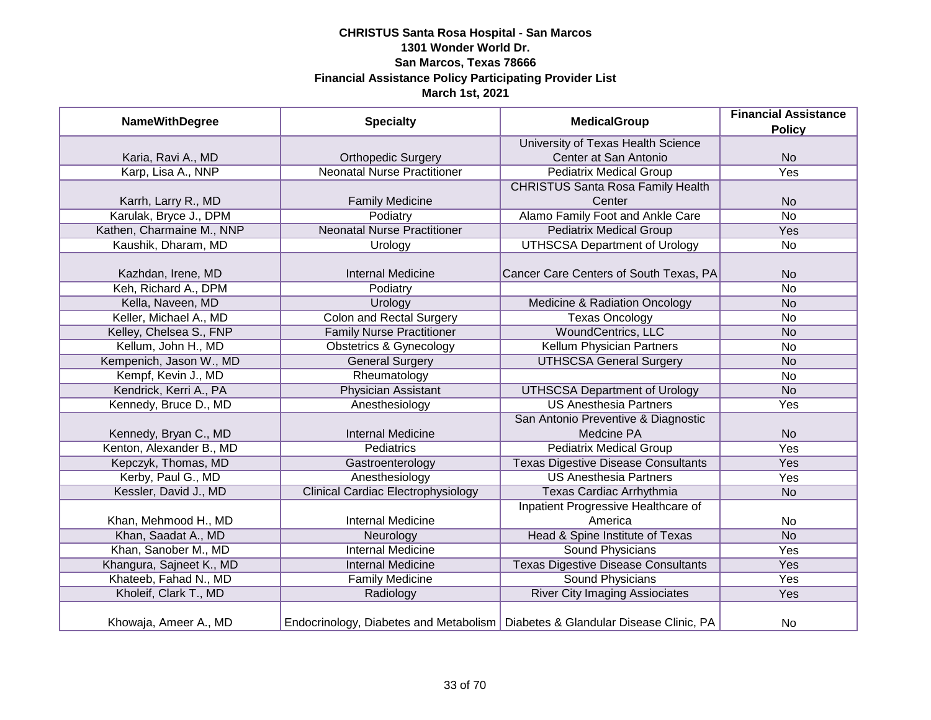| <b>NameWithDegree</b>     |                                           | <b>MedicalGroup</b><br><b>Specialty</b>                                          | <b>Financial Assistance</b> |
|---------------------------|-------------------------------------------|----------------------------------------------------------------------------------|-----------------------------|
|                           |                                           |                                                                                  | <b>Policy</b>               |
|                           |                                           | University of Texas Health Science                                               |                             |
| Karia, Ravi A., MD        | <b>Orthopedic Surgery</b>                 | Center at San Antonio                                                            | <b>No</b>                   |
| Karp, Lisa A., NNP        | <b>Neonatal Nurse Practitioner</b>        | <b>Pediatrix Medical Group</b>                                                   | Yes                         |
|                           |                                           | <b>CHRISTUS Santa Rosa Family Health</b>                                         |                             |
| Karrh, Larry R., MD       | <b>Family Medicine</b>                    | Center                                                                           | <b>No</b>                   |
| Karulak, Bryce J., DPM    | Podiatry                                  | Alamo Family Foot and Ankle Care                                                 | <b>No</b>                   |
| Kathen, Charmaine M., NNP | <b>Neonatal Nurse Practitioner</b>        | <b>Pediatrix Medical Group</b>                                                   | Yes                         |
| Kaushik, Dharam, MD       | Urology                                   | <b>UTHSCSA Department of Urology</b>                                             | No                          |
|                           |                                           |                                                                                  |                             |
| Kazhdan, Irene, MD        | <b>Internal Medicine</b>                  | Cancer Care Centers of South Texas, PA                                           | <b>No</b>                   |
| Keh, Richard A., DPM      | Podiatry                                  |                                                                                  | <b>No</b>                   |
| Kella, Naveen, MD         | Urology                                   | Medicine & Radiation Oncology                                                    | <b>No</b>                   |
| Keller, Michael A., MD    | <b>Colon and Rectal Surgery</b>           | <b>Texas Oncology</b>                                                            | <b>No</b>                   |
| Kelley, Chelsea S., FNP   | <b>Family Nurse Practitioner</b>          | <b>WoundCentrics, LLC</b>                                                        | <b>No</b>                   |
| Kellum, John H., MD       | <b>Obstetrics &amp; Gynecology</b>        | Kellum Physician Partners                                                        | No                          |
| Kempenich, Jason W., MD   | <b>General Surgery</b>                    | <b>UTHSCSA General Surgery</b>                                                   | <b>No</b>                   |
| Kempf, Kevin J., MD       | Rheumatology                              |                                                                                  | <b>No</b>                   |
| Kendrick, Kerri A., PA    | <b>Physician Assistant</b>                | <b>UTHSCSA Department of Urology</b>                                             | <b>No</b>                   |
| Kennedy, Bruce D., MD     | Anesthesiology                            | <b>US Anesthesia Partners</b>                                                    | Yes                         |
|                           |                                           | San Antonio Preventive & Diagnostic                                              |                             |
| Kennedy, Bryan C., MD     | <b>Internal Medicine</b>                  | Medcine PA                                                                       | <b>No</b>                   |
| Kenton, Alexander B., MD  | Pediatrics                                | <b>Pediatrix Medical Group</b>                                                   | Yes                         |
| Kepczyk, Thomas, MD       | Gastroenterology                          | <b>Texas Digestive Disease Consultants</b>                                       | Yes                         |
| Kerby, Paul G., MD        | Anesthesiology                            | <b>US Anesthesia Partners</b>                                                    | Yes                         |
| Kessler, David J., MD     | <b>Clinical Cardiac Electrophysiology</b> | Texas Cardiac Arrhythmia                                                         | <b>No</b>                   |
|                           |                                           | Inpatient Progressive Healthcare of                                              |                             |
| Khan, Mehmood H., MD      | <b>Internal Medicine</b>                  | America                                                                          | No                          |
| Khan, Saadat A., MD       | Neurology                                 | Head & Spine Institute of Texas                                                  | <b>No</b>                   |
| Khan, Sanober M., MD      | <b>Internal Medicine</b>                  | Sound Physicians                                                                 | Yes                         |
| Khangura, Sajneet K., MD  | <b>Internal Medicine</b>                  | <b>Texas Digestive Disease Consultants</b>                                       | Yes                         |
| Khateeb, Fahad N., MD     | <b>Family Medicine</b>                    | <b>Sound Physicians</b>                                                          | <b>Yes</b>                  |
| Kholeif, Clark T., MD     | Radiology                                 | <b>River City Imaging Assiociates</b>                                            | Yes                         |
| Khowaja, Ameer A., MD     |                                           | Endocrinology, Diabetes and Metabolism   Diabetes & Glandular Disease Clinic, PA | No                          |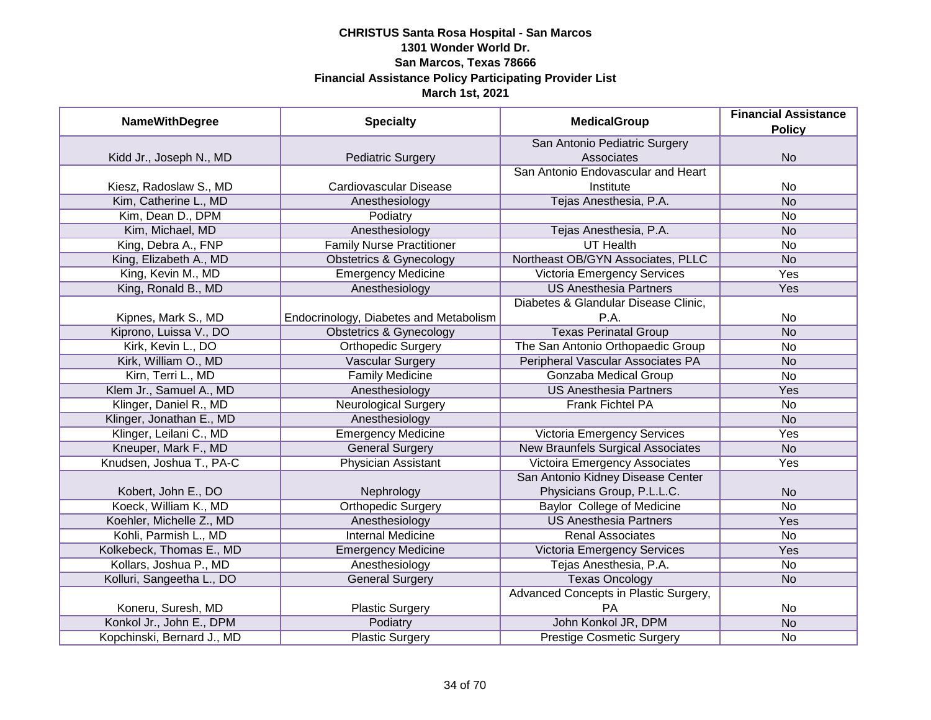| <b>NameWithDegree</b>      | <b>Specialty</b>                       | <b>MedicalGroup</b>                      | <b>Financial Assistance</b> |
|----------------------------|----------------------------------------|------------------------------------------|-----------------------------|
|                            |                                        |                                          | <b>Policy</b>               |
|                            |                                        | San Antonio Pediatric Surgery            |                             |
| Kidd Jr., Joseph N., MD    | <b>Pediatric Surgery</b>               | Associates                               | <b>No</b>                   |
|                            |                                        | San Antonio Endovascular and Heart       |                             |
| Kiesz, Radoslaw S., MD     | Cardiovascular Disease                 | Institute                                | No                          |
| Kim, Catherine L., MD      | Anesthesiology                         | Tejas Anesthesia, P.A.                   | <b>No</b>                   |
| Kim, Dean D., DPM          | Podiatry                               |                                          | No                          |
| Kim, Michael, MD           | Anesthesiology                         | Tejas Anesthesia, P.A.                   | <b>No</b>                   |
| King, Debra A., FNP        | <b>Family Nurse Practitioner</b>       | <b>UT Health</b>                         | No                          |
| King, Elizabeth A., MD     | <b>Obstetrics &amp; Gynecology</b>     | Northeast OB/GYN Associates, PLLC        | <b>No</b>                   |
| King, Kevin M., MD         | Emergency Medicine                     | Victoria Emergency Services              | Yes                         |
| King, Ronald B., MD        | Anesthesiology                         | <b>US Anesthesia Partners</b>            | Yes                         |
|                            |                                        | Diabetes & Glandular Disease Clinic,     |                             |
| Kipnes, Mark S., MD        | Endocrinology, Diabetes and Metabolism | P.A.                                     | No                          |
| Kiprono, Luissa V., DO     | Obstetrics & Gynecology                | <b>Texas Perinatal Group</b>             | <b>No</b>                   |
| Kirk, Kevin L., DO         | Orthopedic Surgery                     | The San Antonio Orthopaedic Group        | No                          |
| Kirk, William O., MD       | <b>Vascular Surgery</b>                | Peripheral Vascular Associates PA        | <b>No</b>                   |
| Kirn, Terri L., MD         | <b>Family Medicine</b>                 | <b>Gonzaba Medical Group</b>             | No                          |
| Klem Jr., Samuel A., MD    | Anesthesiology                         | <b>US Anesthesia Partners</b>            | Yes                         |
| Klinger, Daniel R., MD     | <b>Neurological Surgery</b>            | Frank Fichtel PA                         | No                          |
| Klinger, Jonathan E., MD   | Anesthesiology                         |                                          | <b>No</b>                   |
| Klinger, Leilani C., MD    | <b>Emergency Medicine</b>              | Victoria Emergency Services              | Yes                         |
| Kneuper, Mark F., MD       | <b>General Surgery</b>                 | <b>New Braunfels Surgical Associates</b> | <b>No</b>                   |
| Knudsen, Joshua T., PA-C   | <b>Physician Assistant</b>             | <b>Victoira Emergency Associates</b>     | Yes                         |
|                            |                                        | San Antonio Kidney Disease Center        |                             |
| Kobert, John E., DO        | Nephrology                             | Physicians Group, P.L.L.C.               | <b>No</b>                   |
| Koeck, William K., MD      | <b>Orthopedic Surgery</b>              | <b>Baylor College of Medicine</b>        | No                          |
| Koehler, Michelle Z., MD   | Anesthesiology                         | <b>US Anesthesia Partners</b>            | Yes                         |
| Kohli, Parmish L., MD      | <b>Internal Medicine</b>               | <b>Renal Associates</b>                  | No                          |
| Kolkebeck, Thomas E., MD   | <b>Emergency Medicine</b>              | Victoria Emergency Services              | Yes                         |
| Kollars, Joshua P., MD     | Anesthesiology                         | Tejas Anesthesia, P.A.                   | No                          |
| Kolluri, Sangeetha L., DO  | <b>General Surgery</b>                 | <b>Texas Oncology</b>                    | <b>No</b>                   |
|                            |                                        | Advanced Concepts in Plastic Surgery,    |                             |
| Koneru, Suresh, MD         | <b>Plastic Surgery</b>                 | PA                                       | No                          |
| Konkol Jr., John E., DPM   | Podiatry                               | John Konkol JR, DPM                      | N <sub>o</sub>              |
| Kopchinski, Bernard J., MD | <b>Plastic Surgery</b>                 | <b>Prestige Cosmetic Surgery</b>         | No                          |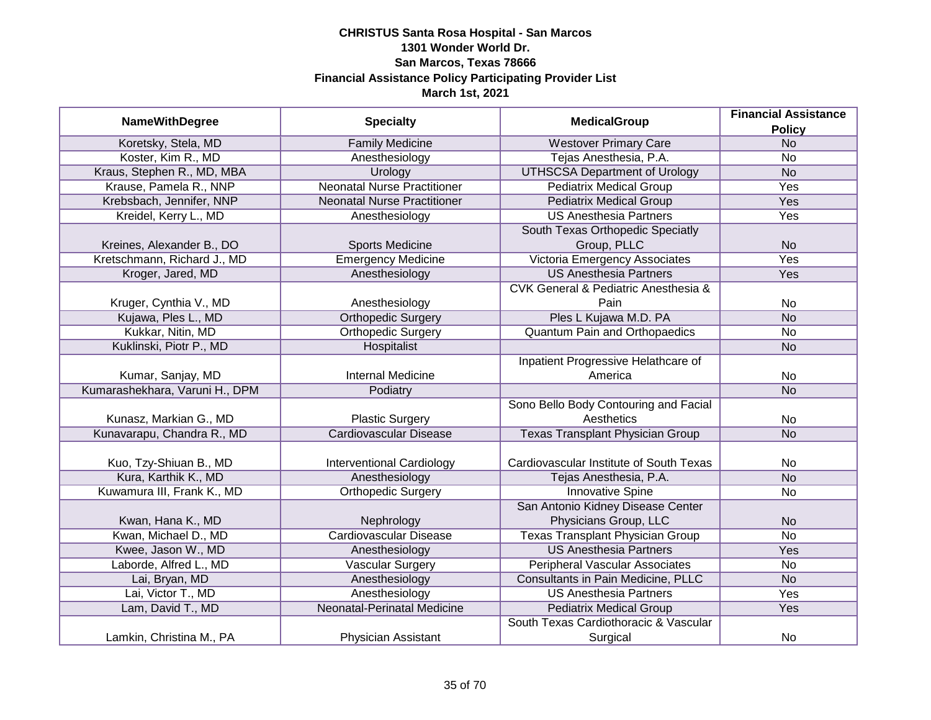| <b>NameWithDegree</b>          | <b>Specialty</b>                   | <b>MedicalGroup</b>                                 | <b>Financial Assistance</b> |
|--------------------------------|------------------------------------|-----------------------------------------------------|-----------------------------|
|                                |                                    |                                                     | <b>Policy</b>               |
| Koretsky, Stela, MD            | <b>Family Medicine</b>             | <b>Westover Primary Care</b>                        | N <sub>o</sub>              |
| Koster, Kim R., MD             | Anesthesiology                     | Tejas Anesthesia, P.A.                              | No                          |
| Kraus, Stephen R., MD, MBA     | Urology                            | <b>UTHSCSA Department of Urology</b>                | N <sub>o</sub>              |
| Krause, Pamela R., NNP         | <b>Neonatal Nurse Practitioner</b> | <b>Pediatrix Medical Group</b>                      | <b>Yes</b>                  |
| Krebsbach, Jennifer, NNP       | <b>Neonatal Nurse Practitioner</b> | <b>Pediatrix Medical Group</b>                      | <b>Yes</b>                  |
| Kreidel, Kerry L., MD          | Anesthesiology                     | <b>US Anesthesia Partners</b>                       | <b>Yes</b>                  |
|                                |                                    | South Texas Orthopedic Speciatly                    |                             |
| Kreines, Alexander B., DO      | <b>Sports Medicine</b>             | Group, PLLC                                         | <b>No</b>                   |
| Kretschmann, Richard J., MD    | <b>Emergency Medicine</b>          | Victoria Emergency Associates                       | Yes                         |
| Kroger, Jared, MD              | Anesthesiology                     | <b>US Anesthesia Partners</b>                       | Yes                         |
|                                |                                    | <b>CVK General &amp; Pediatric Anesthesia &amp;</b> |                             |
| Kruger, Cynthia V., MD         | Anesthesiology                     | Pain                                                | <b>No</b>                   |
| Kujawa, Ples L., MD            | <b>Orthopedic Surgery</b>          | Ples L Kujawa M.D. PA                               | <b>No</b>                   |
| Kukkar, Nitin, MD              | <b>Orthopedic Surgery</b>          | <b>Quantum Pain and Orthopaedics</b>                | No                          |
| Kuklinski, Piotr P., MD        | Hospitalist                        |                                                     | <b>No</b>                   |
|                                |                                    | Inpatient Progressive Helathcare of                 |                             |
| Kumar, Sanjay, MD              | <b>Internal Medicine</b>           | America                                             | No                          |
| Kumarashekhara, Varuni H., DPM | Podiatry                           |                                                     | <b>No</b>                   |
|                                |                                    | Sono Bello Body Contouring and Facial               |                             |
| Kunasz, Markian G., MD         | <b>Plastic Surgery</b>             | Aesthetics                                          | No                          |
| Kunavarapu, Chandra R., MD     | <b>Cardiovascular Disease</b>      | <b>Texas Transplant Physician Group</b>             | <b>No</b>                   |
|                                |                                    |                                                     |                             |
| Kuo, Tzy-Shiuan B., MD         | <b>Interventional Cardiology</b>   | Cardiovascular Institute of South Texas             | No                          |
| Kura, Karthik K., MD           | Anesthesiology                     | Tejas Anesthesia, P.A.                              | <b>No</b>                   |
| Kuwamura III, Frank K., MD     | <b>Orthopedic Surgery</b>          | <b>Innovative Spine</b>                             | <b>No</b>                   |
|                                |                                    | San Antonio Kidney Disease Center                   |                             |
| Kwan, Hana K., MD              | Nephrology                         | Physicians Group, LLC                               | <b>No</b>                   |
| Kwan, Michael D., MD           | <b>Cardiovascular Disease</b>      | <b>Texas Transplant Physician Group</b>             | <b>No</b>                   |
| Kwee, Jason W., MD             | Anesthesiology                     | <b>US Anesthesia Partners</b>                       | Yes                         |
| Laborde, Alfred L., MD         | <b>Vascular Surgery</b>            | <b>Peripheral Vascular Associates</b>               | No                          |
| Lai, Bryan, MD                 | Anesthesiology                     | Consultants in Pain Medicine, PLLC                  | <b>No</b>                   |
| Lai, Victor T., MD             | Anesthesiology                     | <b>US Anesthesia Partners</b>                       | Yes                         |
| Lam, David T., MD              | Neonatal-Perinatal Medicine        | <b>Pediatrix Medical Group</b>                      | Yes                         |
|                                |                                    | South Texas Cardiothoracic & Vascular               |                             |
| Lamkin, Christina M., PA       | Physician Assistant                | Surgical                                            | No                          |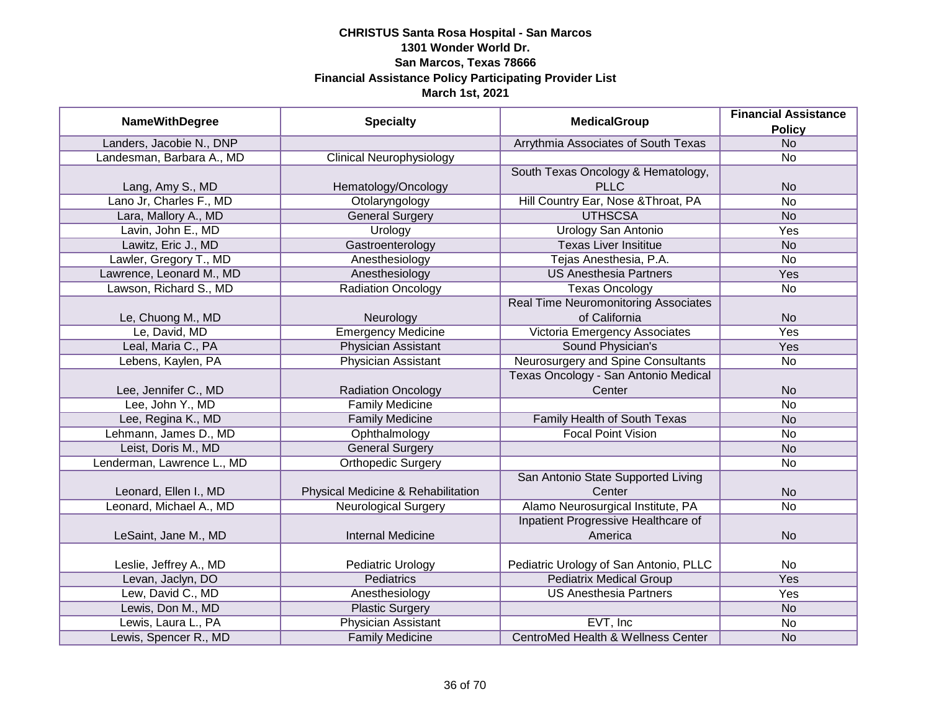|                            |                                    |                                               | <b>Financial Assistance</b> |
|----------------------------|------------------------------------|-----------------------------------------------|-----------------------------|
| <b>NameWithDegree</b>      | <b>Specialty</b>                   | <b>MedicalGroup</b>                           | <b>Policy</b>               |
| Landers, Jacobie N., DNP   |                                    | Arrythmia Associates of South Texas           | N <sub>o</sub>              |
| Landesman, Barbara A., MD  | <b>Clinical Neurophysiology</b>    |                                               | No                          |
|                            |                                    | South Texas Oncology & Hematology,            |                             |
| Lang, Amy S., MD           | Hematology/Oncology                | <b>PLLC</b>                                   | <b>No</b>                   |
| Lano Jr, Charles F., MD    | Otolaryngology                     | Hill Country Ear, Nose & Throat, PA           | No                          |
| Lara, Mallory A., MD       | <b>General Surgery</b>             | <b>UTHSCSA</b>                                | <b>No</b>                   |
| Lavin, John E., MD         | Urology                            | <b>Urology San Antonio</b>                    | <b>Yes</b>                  |
| Lawitz, Eric J., MD        | Gastroenterology                   | <b>Texas Liver Insititue</b>                  | <b>No</b>                   |
| Lawler, Gregory T., MD     | Anesthesiology                     | Tejas Anesthesia, P.A.                        | <b>No</b>                   |
| Lawrence, Leonard M., MD   | Anesthesiology                     | <b>US Anesthesia Partners</b>                 | Yes                         |
| Lawson, Richard S., MD     | <b>Radiation Oncology</b>          | <b>Texas Oncology</b>                         | <b>No</b>                   |
|                            |                                    | <b>Real Time Neuromonitoring Associates</b>   |                             |
| Le, Chuong M., MD          | Neurology                          | of California                                 | <b>No</b>                   |
| Le, David, MD              | <b>Emergency Medicine</b>          | Victoria Emergency Associates                 | Yes                         |
| Leal, Maria C., PA         | <b>Physician Assistant</b>         | Sound Physician's                             | Yes                         |
| Lebens, Kaylen, PA         | <b>Physician Assistant</b>         | Neurosurgery and Spine Consultants            | No                          |
|                            |                                    | Texas Oncology - San Antonio Medical          |                             |
| Lee, Jennifer C., MD       | <b>Radiation Oncology</b>          | Center                                        | <b>No</b>                   |
| Lee, John Y., MD           | <b>Family Medicine</b>             |                                               | No                          |
| Lee, Regina K., MD         | <b>Family Medicine</b>             | Family Health of South Texas                  | <b>No</b>                   |
| Lehmann, James D., MD      | Ophthalmology                      | <b>Focal Point Vision</b>                     | <b>No</b>                   |
| Leist, Doris M., MD        | <b>General Surgery</b>             |                                               | <b>No</b>                   |
| Lenderman, Lawrence L., MD | <b>Orthopedic Surgery</b>          |                                               | <b>No</b>                   |
|                            |                                    | San Antonio State Supported Living            |                             |
| Leonard, Ellen I., MD      | Physical Medicine & Rehabilitation | Center                                        | <b>No</b>                   |
| Leonard, Michael A., MD    | <b>Neurological Surgery</b>        | Alamo Neurosurgical Institute, PA             | No                          |
|                            |                                    | Inpatient Progressive Healthcare of           |                             |
| LeSaint, Jane M., MD       | <b>Internal Medicine</b>           | America                                       | <b>No</b>                   |
|                            |                                    |                                               |                             |
| Leslie, Jeffrey A., MD     | Pediatric Urology                  | Pediatric Urology of San Antonio, PLLC        | No                          |
| Levan, Jaclyn, DO          | <b>Pediatrics</b>                  | <b>Pediatrix Medical Group</b>                | <b>Yes</b>                  |
| Lew, David C., MD          | Anesthesiology                     | <b>US Anesthesia Partners</b>                 | Yes                         |
| Lewis, Don M., MD          | <b>Plastic Surgery</b>             |                                               | <b>No</b>                   |
| Lewis, Laura L., PA        | <b>Physician Assistant</b>         | EVT, Inc                                      | No                          |
| Lewis, Spencer R., MD      | <b>Family Medicine</b>             | <b>CentroMed Health &amp; Wellness Center</b> | <b>No</b>                   |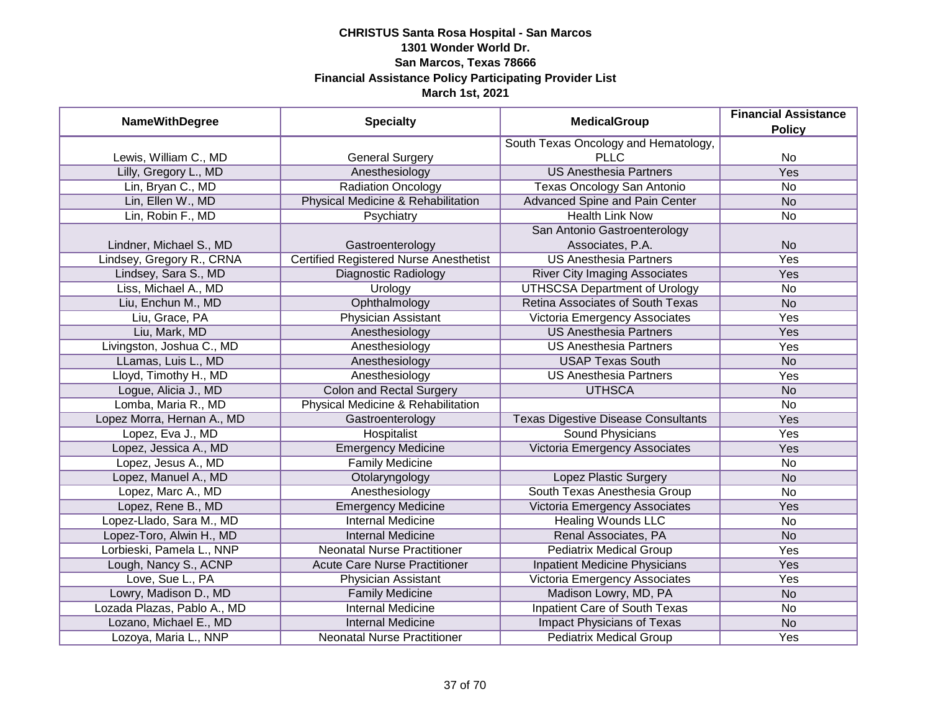| <b>NameWithDegree</b>       | <b>Specialty</b>                              | <b>MedicalGroup</b>                        | <b>Financial Assistance</b><br><b>Policy</b> |
|-----------------------------|-----------------------------------------------|--------------------------------------------|----------------------------------------------|
|                             |                                               | South Texas Oncology and Hematology,       |                                              |
| Lewis, William C., MD       | <b>General Surgery</b>                        | <b>PLLC</b>                                | No                                           |
| Lilly, Gregory L., MD       | Anesthesiology                                | <b>US Anesthesia Partners</b>              | <b>Yes</b>                                   |
| Lin, Bryan C., MD           | <b>Radiation Oncology</b>                     | <b>Texas Oncology San Antonio</b>          | <b>No</b>                                    |
| Lin, Ellen W., MD           | Physical Medicine & Rehabilitation            | <b>Advanced Spine and Pain Center</b>      | <b>No</b>                                    |
| Lin, Robin F., MD           | Psychiatry                                    | <b>Health Link Now</b>                     | No                                           |
|                             |                                               | San Antonio Gastroenterology               |                                              |
| Lindner, Michael S., MD     | Gastroenterology                              | Associates, P.A.                           | <b>No</b>                                    |
| Lindsey, Gregory R., CRNA   | <b>Certified Registered Nurse Anesthetist</b> | <b>US Anesthesia Partners</b>              | Yes                                          |
| Lindsey, Sara S., MD        | Diagnostic Radiology                          | <b>River City Imaging Associates</b>       | Yes                                          |
| Liss, Michael A., MD        | Urology                                       | <b>UTHSCSA Department of Urology</b>       | <b>No</b>                                    |
| Liu, Enchun M., MD          | Ophthalmology                                 | Retina Associates of South Texas           | <b>No</b>                                    |
| Liu, Grace, PA              | Physician Assistant                           | Victoria Emergency Associates              | Yes                                          |
| Liu, Mark, MD               | Anesthesiology                                | <b>US Anesthesia Partners</b>              | Yes                                          |
| Livingston, Joshua C., MD   | Anesthesiology                                | <b>US Anesthesia Partners</b>              | Yes                                          |
| LLamas, Luis L., MD         | Anesthesiology                                | <b>USAP Texas South</b>                    | <b>No</b>                                    |
| Lloyd, Timothy H., MD       | Anesthesiology                                | <b>US Anesthesia Partners</b>              | Yes                                          |
| Logue, Alicia J., MD        | <b>Colon and Rectal Surgery</b>               | <b>UTHSCA</b>                              | <b>No</b>                                    |
| Lomba, Maria R., MD         | Physical Medicine & Rehabilitation            |                                            | No                                           |
| Lopez Morra, Hernan A., MD  | Gastroenterology                              | <b>Texas Digestive Disease Consultants</b> | Yes                                          |
| Lopez, Eva J., MD           | Hospitalist                                   | <b>Sound Physicians</b>                    | Yes                                          |
| Lopez, Jessica A., MD       | <b>Emergency Medicine</b>                     | Victoria Emergency Associates              | Yes                                          |
| Lopez, Jesus A., MD         | <b>Family Medicine</b>                        |                                            | <b>No</b>                                    |
| Lopez, Manuel A., MD        | Otolaryngology                                | Lopez Plastic Surgery                      | <b>No</b>                                    |
| Lopez, Marc A., MD          | Anesthesiology                                | South Texas Anesthesia Group               | <b>No</b>                                    |
| Lopez, Rene B., MD          | <b>Emergency Medicine</b>                     | Victoria Emergency Associates              | Yes                                          |
| Lopez-Llado, Sara M., MD    | <b>Internal Medicine</b>                      | <b>Healing Wounds LLC</b>                  | <b>No</b>                                    |
| Lopez-Toro, Alwin H., MD    | <b>Internal Medicine</b>                      | Renal Associates, PA                       | <b>No</b>                                    |
| Lorbieski, Pamela L., NNP   | <b>Neonatal Nurse Practitioner</b>            | <b>Pediatrix Medical Group</b>             | Yes                                          |
| Lough, Nancy S., ACNP       | <b>Acute Care Nurse Practitioner</b>          | <b>Inpatient Medicine Physicians</b>       | <b>Yes</b>                                   |
| Love, Sue L., PA            | Physician Assistant                           | Victoria Emergency Associates              | <b>Yes</b>                                   |
| Lowry, Madison D., MD       | <b>Family Medicine</b>                        | Madison Lowry, MD, PA                      | <b>No</b>                                    |
| Lozada Plazas, Pablo A., MD | <b>Internal Medicine</b>                      | <b>Inpatient Care of South Texas</b>       | No                                           |
| Lozano, Michael E., MD      | <b>Internal Medicine</b>                      | <b>Impact Physicians of Texas</b>          | N <sub>o</sub>                               |
| Lozoya, Maria L., NNP       | <b>Neonatal Nurse Practitioner</b>            | <b>Pediatrix Medical Group</b>             | <b>Yes</b>                                   |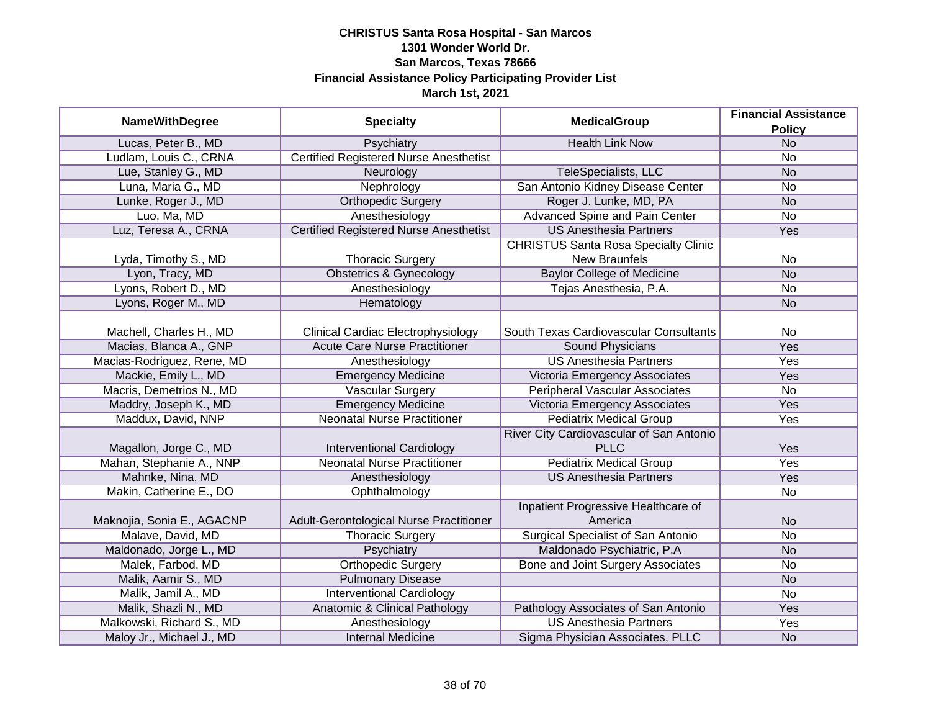| <b>NameWithDegree</b>      | <b>Specialty</b>                              | <b>MedicalGroup</b>                         | <b>Financial Assistance</b> |
|----------------------------|-----------------------------------------------|---------------------------------------------|-----------------------------|
| Lucas, Peter B., MD        | Psychiatry                                    | <b>Health Link Now</b>                      | <b>Policy</b><br><b>No</b>  |
| Ludlam, Louis C., CRNA     | <b>Certified Registered Nurse Anesthetist</b> |                                             | No                          |
| Lue, Stanley G., MD        | Neurology                                     | TeleSpecialists, LLC                        | <b>No</b>                   |
| Luna, Maria G., MD         | Nephrology                                    | San Antonio Kidney Disease Center           | No                          |
| Lunke, Roger J., MD        | <b>Orthopedic Surgery</b>                     | Roger J. Lunke, MD, PA                      | N <sub>O</sub>              |
| Luo, Ma, MD                | Anesthesiology                                | Advanced Spine and Pain Center              | No                          |
| Luz, Teresa A., CRNA       | <b>Certified Registered Nurse Anesthetist</b> | <b>US Anesthesia Partners</b>               | Yes                         |
|                            |                                               | <b>CHRISTUS Santa Rosa Specialty Clinic</b> |                             |
| Lyda, Timothy S., MD       | <b>Thoracic Surgery</b>                       | <b>New Braunfels</b>                        | No                          |
| Lyon, Tracy, MD            | <b>Obstetrics &amp; Gynecology</b>            | <b>Baylor College of Medicine</b>           | <b>No</b>                   |
| Lyons, Robert D., MD       | Anesthesiology                                | Tejas Anesthesia, P.A.                      | <b>No</b>                   |
| Lyons, Roger M., MD        | Hematology                                    |                                             | <b>No</b>                   |
|                            |                                               |                                             |                             |
| Machell, Charles H., MD    | <b>Clinical Cardiac Electrophysiology</b>     | South Texas Cardiovascular Consultants      | No                          |
| Macias, Blanca A., GNP     | <b>Acute Care Nurse Practitioner</b>          | Sound Physicians                            | Yes                         |
| Macias-Rodriguez, Rene, MD | Anesthesiology                                | <b>US Anesthesia Partners</b>               | Yes                         |
| Mackie, Emily L., MD       | <b>Emergency Medicine</b>                     | Victoria Emergency Associates               | Yes                         |
| Macris, Demetrios N., MD   | <b>Vascular Surgery</b>                       | <b>Peripheral Vascular Associates</b>       | No                          |
| Maddry, Joseph K., MD      | <b>Emergency Medicine</b>                     | Victoria Emergency Associates               | Yes                         |
| Maddux, David, NNP         | <b>Neonatal Nurse Practitioner</b>            | <b>Pediatrix Medical Group</b>              | Yes                         |
|                            |                                               | River City Cardiovascular of San Antonio    |                             |
| Magallon, Jorge C., MD     | <b>Interventional Cardiology</b>              | <b>PLLC</b>                                 | Yes                         |
| Mahan, Stephanie A., NNP   | <b>Neonatal Nurse Practitioner</b>            | <b>Pediatrix Medical Group</b>              | Yes                         |
| Mahnke, Nina, MD           | Anesthesiology                                | <b>US Anesthesia Partners</b>               | Yes                         |
| Makin, Catherine E., DO    | Ophthalmology                                 |                                             | <b>No</b>                   |
|                            |                                               | Inpatient Progressive Healthcare of         |                             |
| Maknojia, Sonia E., AGACNP | Adult-Gerontological Nurse Practitioner       | America                                     | <b>No</b>                   |
| Malave, David, MD          | <b>Thoracic Surgery</b>                       | <b>Surgical Specialist of San Antonio</b>   | <b>No</b>                   |
| Maldonado, Jorge L., MD    | Psychiatry                                    | Maldonado Psychiatric, P.A                  | <b>No</b>                   |
| Malek, Farbod, MD          | <b>Orthopedic Surgery</b>                     | Bone and Joint Surgery Associates           | No                          |
| Malik, Aamir S., MD        | <b>Pulmonary Disease</b>                      |                                             | <b>No</b>                   |
| Malik, Jamil A., MD        | <b>Interventional Cardiology</b>              |                                             | No                          |
| Malik, Shazli N., MD       | Anatomic & Clinical Pathology                 | Pathology Associates of San Antonio         | Yes                         |
| Malkowski, Richard S., MD  | Anesthesiology                                | <b>US Anesthesia Partners</b>               | Yes                         |
| Maloy Jr., Michael J., MD  | <b>Internal Medicine</b>                      | Sigma Physician Associates, PLLC            | <b>No</b>                   |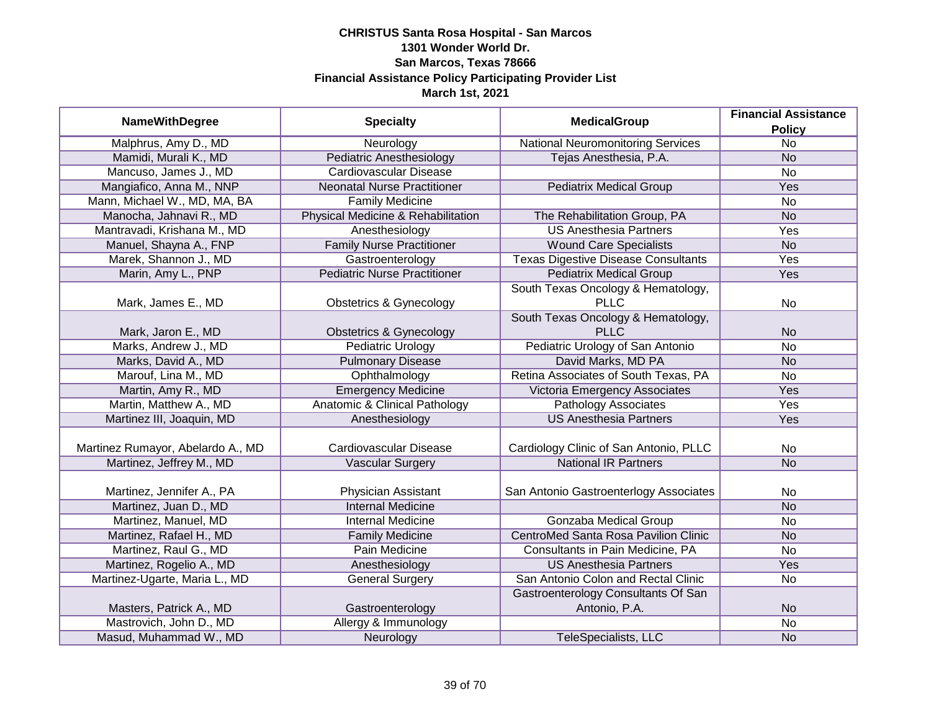| <b>NameWithDegree</b>             | <b>Specialty</b>                         | <b>MedicalGroup</b>                        | <b>Financial Assistance</b> |
|-----------------------------------|------------------------------------------|--------------------------------------------|-----------------------------|
|                                   |                                          |                                            | <b>Policy</b>               |
| Malphrus, Amy D., MD              | Neurology                                | <b>National Neuromonitoring Services</b>   | $\overline{No}$             |
| Mamidi, Murali K., MD             | <b>Pediatric Anesthesiology</b>          | Tejas Anesthesia, P.A.                     | <b>No</b>                   |
| Mancuso, James J., MD             | <b>Cardiovascular Disease</b>            |                                            | No                          |
| Mangiafico, Anna M., NNP          | <b>Neonatal Nurse Practitioner</b>       | <b>Pediatrix Medical Group</b>             | Yes                         |
| Mann, Michael W., MD, MA, BA      | <b>Family Medicine</b>                   |                                            | <b>No</b>                   |
| Manocha, Jahnavi R., MD           | Physical Medicine & Rehabilitation       | The Rehabilitation Group, PA               | <b>No</b>                   |
| Mantravadi, Krishana M., MD       | Anesthesiology                           | <b>US Anesthesia Partners</b>              | <b>Yes</b>                  |
| Manuel, Shayna A., FNP            | <b>Family Nurse Practitioner</b>         | <b>Wound Care Specialists</b>              | <b>No</b>                   |
| Marek, Shannon J., MD             | Gastroenterology                         | <b>Texas Digestive Disease Consultants</b> | Yes                         |
| Marin, Amy L., PNP                | <b>Pediatric Nurse Practitioner</b>      | <b>Pediatrix Medical Group</b>             | Yes                         |
|                                   |                                          | South Texas Oncology & Hematology,         |                             |
| Mark, James E., MD                | <b>Obstetrics &amp; Gynecology</b>       | <b>PLLC</b>                                | <b>No</b>                   |
|                                   |                                          | South Texas Oncology & Hematology,         |                             |
| Mark, Jaron E., MD                | <b>Obstetrics &amp; Gynecology</b>       | <b>PLLC</b>                                | <b>No</b>                   |
| Marks, Andrew J., MD              | Pediatric Urology                        | Pediatric Urology of San Antonio           | <b>No</b>                   |
| Marks, David A., MD               | <b>Pulmonary Disease</b>                 | David Marks, MD PA                         | <b>No</b>                   |
| Marouf, Lina M., MD               | Ophthalmology                            | Retina Associates of South Texas, PA       | <b>No</b>                   |
| Martin, Amy R., MD                | <b>Emergency Medicine</b>                | Victoria Emergency Associates              | Yes                         |
| Martin, Matthew A., MD            | <b>Anatomic &amp; Clinical Pathology</b> | <b>Pathology Associates</b>                | Yes                         |
| Martinez III, Joaquin, MD         | Anesthesiology                           | <b>US Anesthesia Partners</b>              | Yes                         |
|                                   |                                          |                                            |                             |
| Martinez Rumayor, Abelardo A., MD | Cardiovascular Disease                   | Cardiology Clinic of San Antonio, PLLC     | No                          |
| Martinez, Jeffrey M., MD          | <b>Vascular Surgery</b>                  | <b>National IR Partners</b>                | <b>No</b>                   |
|                                   |                                          |                                            |                             |
| Martinez, Jennifer A., PA         | Physician Assistant                      | San Antonio Gastroenterlogy Associates     | <b>No</b>                   |
| Martinez, Juan D., MD             | <b>Internal Medicine</b>                 |                                            | <b>No</b>                   |
| Martinez, Manuel, MD              | Internal Medicine                        | <b>Gonzaba Medical Group</b>               | <b>No</b>                   |
| Martinez, Rafael H., MD           | <b>Family Medicine</b>                   | CentroMed Santa Rosa Pavilion Clinic       | <b>No</b>                   |
| Martinez, Raul G., MD             | Pain Medicine                            | Consultants in Pain Medicine, PA           | <b>No</b>                   |
| Martinez, Rogelio A., MD          | Anesthesiology                           | <b>US Anesthesia Partners</b>              | Yes                         |
| Martinez-Ugarte, Maria L., MD     | <b>General Surgery</b>                   | San Antonio Colon and Rectal Clinic        | <b>No</b>                   |
|                                   |                                          | Gastroenterology Consultants Of San        |                             |
| Masters, Patrick A., MD           | Gastroenterology                         | Antonio, P.A.                              | <b>No</b>                   |
| Mastrovich, John D., MD           | Allergy & Immunology                     |                                            | <b>No</b>                   |
| Masud, Muhammad W., MD            | Neurology                                | TeleSpecialists, LLC                       | <b>No</b>                   |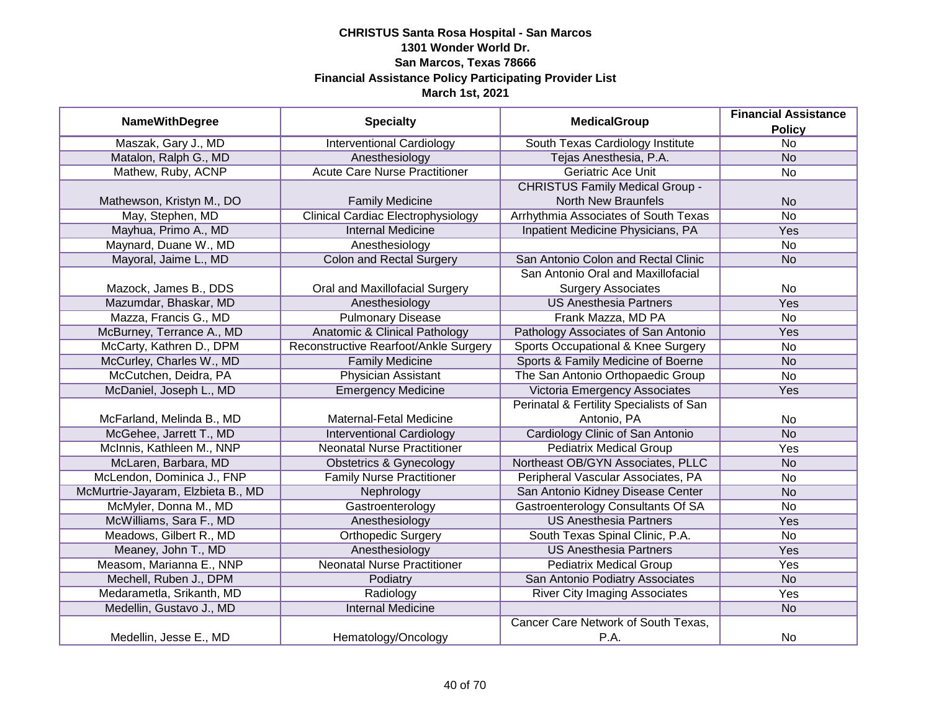|                                    |                                           | <b>Financial Assistance</b>              |                 |
|------------------------------------|-------------------------------------------|------------------------------------------|-----------------|
| <b>NameWithDegree</b>              | <b>Specialty</b>                          | <b>MedicalGroup</b>                      | <b>Policy</b>   |
| Maszak, Gary J., MD                | <b>Interventional Cardiology</b>          | South Texas Cardiology Institute         | $\overline{No}$ |
| Matalon, Ralph G., MD              | Anesthesiology                            | Tejas Anesthesia, P.A.                   | N <sub>o</sub>  |
| Mathew, Ruby, ACNP                 | <b>Acute Care Nurse Practitioner</b>      | <b>Geriatric Ace Unit</b>                | $\overline{No}$ |
|                                    |                                           | <b>CHRISTUS Family Medical Group -</b>   |                 |
| Mathewson, Kristyn M., DO          | <b>Family Medicine</b>                    | <b>North New Braunfels</b>               | <b>No</b>       |
| May, Stephen, MD                   | <b>Clinical Cardiac Electrophysiology</b> | Arrhythmia Associates of South Texas     | <b>No</b>       |
| Mayhua, Primo A., MD               | <b>Internal Medicine</b>                  | Inpatient Medicine Physicians, PA        | Yes             |
| Maynard, Duane W., MD              | Anesthesiology                            |                                          | <b>No</b>       |
| Mayoral, Jaime L., MD              | <b>Colon and Rectal Surgery</b>           | San Antonio Colon and Rectal Clinic      | <b>No</b>       |
|                                    |                                           | San Antonio Oral and Maxillofacial       |                 |
| Mazock, James B., DDS              | Oral and Maxillofacial Surgery            | <b>Surgery Associates</b>                | No              |
| Mazumdar, Bhaskar, MD              | Anesthesiology                            | <b>US Anesthesia Partners</b>            | Yes             |
| Mazza, Francis G., MD              | <b>Pulmonary Disease</b>                  | Frank Mazza, MD PA                       | <b>No</b>       |
| McBurney, Terrance A., MD          | <b>Anatomic &amp; Clinical Pathology</b>  | Pathology Associates of San Antonio      | Yes             |
| McCarty, Kathren D., DPM           | Reconstructive Rearfoot/Ankle Surgery     | Sports Occupational & Knee Surgery       | No              |
| McCurley, Charles W., MD           | <b>Family Medicine</b>                    | Sports & Family Medicine of Boerne       | <b>No</b>       |
| McCutchen, Deidra, PA              | <b>Physician Assistant</b>                | The San Antonio Orthopaedic Group        | <b>No</b>       |
| McDaniel, Joseph L., MD            | <b>Emergency Medicine</b>                 | Victoria Emergency Associates            | Yes             |
|                                    |                                           | Perinatal & Fertility Specialists of San |                 |
| McFarland, Melinda B., MD          | Maternal-Fetal Medicine                   | Antonio, PA                              | No              |
| McGehee, Jarrett T., MD            | <b>Interventional Cardiology</b>          | Cardiology Clinic of San Antonio         | <b>No</b>       |
| McInnis, Kathleen M., NNP          | <b>Neonatal Nurse Practitioner</b>        | <b>Pediatrix Medical Group</b>           | Yes             |
| McLaren, Barbara, MD               | Obstetrics & Gynecology                   | Northeast OB/GYN Associates, PLLC        | <b>No</b>       |
| McLendon, Dominica J., FNP         | <b>Family Nurse Practitioner</b>          | Peripheral Vascular Associates, PA       | No              |
| McMurtrie-Jayaram, Elzbieta B., MD | Nephrology                                | San Antonio Kidney Disease Center        | <b>No</b>       |
| McMyler, Donna M., MD              | Gastroenterology                          | Gastroenterology Consultants Of SA       | No              |
| McWilliams, Sara F., MD            | Anesthesiology                            | <b>US Anesthesia Partners</b>            | Yes             |
| Meadows, Gilbert R., MD            | <b>Orthopedic Surgery</b>                 | South Texas Spinal Clinic, P.A.          | No              |
| Meaney, John T., MD                | Anesthesiology                            | <b>US Anesthesia Partners</b>            | Yes             |
| Measom, Marianna E., NNP           | <b>Neonatal Nurse Practitioner</b>        | <b>Pediatrix Medical Group</b>           | Yes             |
| Mechell, Ruben J., DPM             | Podiatry                                  | San Antonio Podiatry Associates          | <b>No</b>       |
| Medarametla, Srikanth, MD          | Radiology                                 | <b>River City Imaging Associates</b>     | Yes             |
| Medellin, Gustavo J., MD           | <b>Internal Medicine</b>                  |                                          | N <sub>o</sub>  |
|                                    |                                           | Cancer Care Network of South Texas,      |                 |
| Medellin, Jesse E., MD             | Hematology/Oncology                       | P.A.                                     | No              |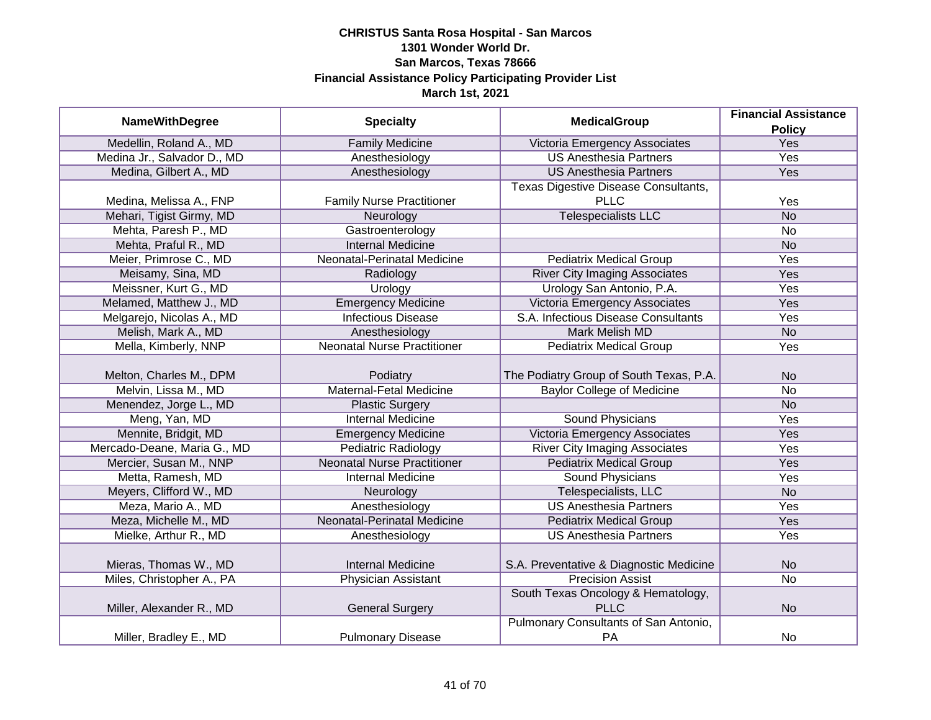|                             |                                    | <b>MedicalGroup</b>                     | <b>Financial Assistance</b> |
|-----------------------------|------------------------------------|-----------------------------------------|-----------------------------|
| <b>NameWithDegree</b>       | <b>Specialty</b>                   |                                         | <b>Policy</b>               |
| Medellin, Roland A., MD     | <b>Family Medicine</b>             | Victoria Emergency Associates           | <b>Yes</b>                  |
| Medina Jr., Salvador D., MD | Anesthesiology                     | <b>US Anesthesia Partners</b>           | <b>Yes</b>                  |
| Medina, Gilbert A., MD      | Anesthesiology                     | <b>US Anesthesia Partners</b>           | <b>Yes</b>                  |
|                             |                                    | Texas Digestive Disease Consultants,    |                             |
| Medina, Melissa A., FNP     | <b>Family Nurse Practitioner</b>   | <b>PLLC</b>                             | Yes                         |
| Mehari, Tigist Girmy, MD    | Neurology                          | <b>Telespecialists LLC</b>              | <b>No</b>                   |
| Mehta, Paresh P., MD        | Gastroenterology                   |                                         | <b>No</b>                   |
| Mehta, Praful R., MD        | <b>Internal Medicine</b>           |                                         | <b>No</b>                   |
| Meier, Primrose C., MD      | Neonatal-Perinatal Medicine        | <b>Pediatrix Medical Group</b>          | Yes                         |
| Meisamy, Sina, MD           | Radiology                          | <b>River City Imaging Associates</b>    | Yes                         |
| Meissner, Kurt G., MD       | Urology                            | Urology San Antonio, P.A.               | Yes                         |
| Melamed, Matthew J., MD     | <b>Emergency Medicine</b>          | Victoria Emergency Associates           | Yes                         |
| Melgarejo, Nicolas A., MD   | <b>Infectious Disease</b>          | S.A. Infectious Disease Consultants     | Yes                         |
| Melish, Mark A., MD         | Anesthesiology                     | <b>Mark Melish MD</b>                   | <b>No</b>                   |
| Mella, Kimberly, NNP        | <b>Neonatal Nurse Practitioner</b> | <b>Pediatrix Medical Group</b>          | Yes                         |
|                             |                                    |                                         |                             |
| Melton, Charles M., DPM     | Podiatry                           | The Podiatry Group of South Texas, P.A. | <b>No</b>                   |
| Melvin, Lissa M., MD        | <b>Maternal-Fetal Medicine</b>     | <b>Baylor College of Medicine</b>       | <b>No</b>                   |
| Menendez, Jorge L., MD      | <b>Plastic Surgery</b>             |                                         | <b>No</b>                   |
| Meng, Yan, MD               | <b>Internal Medicine</b>           | <b>Sound Physicians</b>                 | Yes                         |
| Mennite, Bridgit, MD        | <b>Emergency Medicine</b>          | Victoria Emergency Associates           | Yes                         |
| Mercado-Deane, Maria G., MD | Pediatric Radiology                | <b>River City Imaging Associates</b>    | Yes                         |
| Mercier, Susan M., NNP      | <b>Neonatal Nurse Practitioner</b> | <b>Pediatrix Medical Group</b>          | Yes                         |
| Metta, Ramesh, MD           | <b>Internal Medicine</b>           | <b>Sound Physicians</b>                 | Yes                         |
| Meyers, Clifford W., MD     | Neurology                          | Telespecialists, LLC                    | <b>No</b>                   |
| Meza, Mario A., MD          | Anesthesiology                     | <b>US Anesthesia Partners</b>           | Yes                         |
| Meza, Michelle M., MD       | <b>Neonatal-Perinatal Medicine</b> | <b>Pediatrix Medical Group</b>          | Yes                         |
| Mielke, Arthur R., MD       | Anesthesiology                     | <b>US Anesthesia Partners</b>           | Yes                         |
|                             |                                    |                                         |                             |
| Mieras, Thomas W., MD       | <b>Internal Medicine</b>           | S.A. Preventative & Diagnostic Medicine | <b>No</b>                   |
| Miles, Christopher A., PA   | <b>Physician Assistant</b>         | <b>Precision Assist</b>                 | $\overline{No}$             |
|                             |                                    | South Texas Oncology & Hematology,      |                             |
| Miller, Alexander R., MD    | <b>General Surgery</b>             | <b>PLLC</b>                             | <b>No</b>                   |
|                             |                                    | Pulmonary Consultants of San Antonio,   |                             |
| Miller, Bradley E., MD      | <b>Pulmonary Disease</b>           | PA                                      | No                          |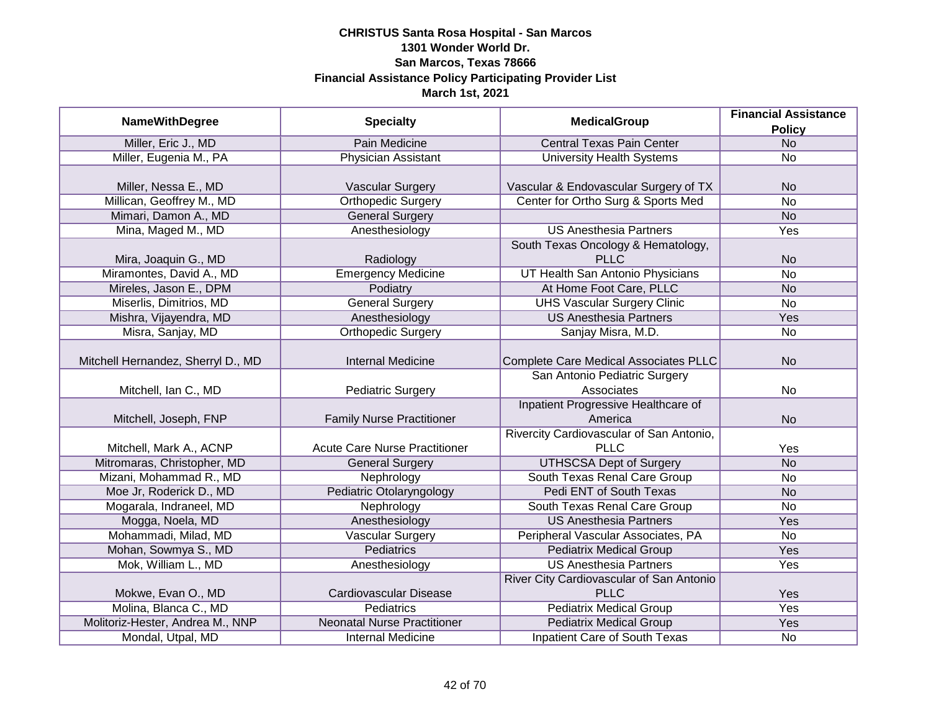|                                    |                                      |                                              | <b>Financial Assistance</b> |
|------------------------------------|--------------------------------------|----------------------------------------------|-----------------------------|
| <b>NameWithDegree</b>              | <b>Specialty</b>                     | <b>MedicalGroup</b>                          | <b>Policy</b>               |
| Miller, Eric J., MD                | Pain Medicine                        | <b>Central Texas Pain Center</b>             | N <sub>o</sub>              |
| Miller, Eugenia M., PA             | <b>Physician Assistant</b>           | <b>University Health Systems</b>             | <b>No</b>                   |
|                                    |                                      |                                              |                             |
| Miller, Nessa E., MD               | <b>Vascular Surgery</b>              | Vascular & Endovascular Surgery of TX        | <b>No</b>                   |
| Millican, Geoffrey M., MD          | <b>Orthopedic Surgery</b>            | Center for Ortho Surg & Sports Med           | No                          |
| Mimari, Damon A., MD               | <b>General Surgery</b>               |                                              | <b>No</b>                   |
| Mina, Maged M., MD                 | Anesthesiology                       | <b>US Anesthesia Partners</b>                | Yes                         |
|                                    |                                      | South Texas Oncology & Hematology,           |                             |
| Mira, Joaquin G., MD               | Radiology                            | <b>PLLC</b>                                  | <b>No</b>                   |
| Miramontes, David A., MD           | <b>Emergency Medicine</b>            | UT Health San Antonio Physicians             | <b>No</b>                   |
| Mireles, Jason E., DPM             | Podiatry                             | At Home Foot Care, PLLC                      | <b>No</b>                   |
| Miserlis, Dimitrios, MD            | <b>General Surgery</b>               | <b>UHS Vascular Surgery Clinic</b>           | <b>No</b>                   |
| Mishra, Vijayendra, MD             | Anesthesiology                       | <b>US Anesthesia Partners</b>                | Yes                         |
| Misra, Sanjay, MD                  | <b>Orthopedic Surgery</b>            | Sanjay Misra, M.D.                           | No                          |
|                                    |                                      |                                              |                             |
| Mitchell Hernandez, Sherryl D., MD | <b>Internal Medicine</b>             | <b>Complete Care Medical Associates PLLC</b> | <b>No</b>                   |
|                                    |                                      | San Antonio Pediatric Surgery                |                             |
| Mitchell, Ian C., MD               | <b>Pediatric Surgery</b>             | Associates                                   | No                          |
|                                    |                                      | Inpatient Progressive Healthcare of          |                             |
| Mitchell, Joseph, FNP              | <b>Family Nurse Practitioner</b>     | America                                      | <b>No</b>                   |
|                                    |                                      | Rivercity Cardiovascular of San Antonio,     |                             |
| Mitchell, Mark A., ACNP            | <b>Acute Care Nurse Practitioner</b> | <b>PLLC</b>                                  | Yes                         |
| Mitromaras, Christopher, MD        | <b>General Surgery</b>               | <b>UTHSCSA Dept of Surgery</b>               | <b>No</b>                   |
| Mizani, Mohammad R., MD            | Nephrology                           | South Texas Renal Care Group                 | No                          |
| Moe Jr, Roderick D., MD            | Pediatric Otolaryngology             | Pedi ENT of South Texas                      | <b>No</b>                   |
| Mogarala, Indraneel, MD            | Nephrology                           | South Texas Renal Care Group                 | No                          |
| Mogga, Noela, MD                   | Anesthesiology                       | <b>US Anesthesia Partners</b>                | Yes                         |
| Mohammadi, Milad, MD               | <b>Vascular Surgery</b>              | Peripheral Vascular Associates, PA           | No                          |
| Mohan, Sowmya S., MD               | <b>Pediatrics</b>                    | <b>Pediatrix Medical Group</b>               | Yes                         |
| Mok, William L., MD                | Anesthesiology                       | <b>US Anesthesia Partners</b>                | Yes                         |
|                                    |                                      | River City Cardiovascular of San Antonio     |                             |
| Mokwe, Evan O., MD                 | Cardiovascular Disease               | <b>PLLC</b>                                  | Yes                         |
| Molina, Blanca C., MD              | <b>Pediatrics</b>                    | <b>Pediatrix Medical Group</b>               | <b>Yes</b>                  |
| Molitoriz-Hester, Andrea M., NNP   | <b>Neonatal Nurse Practitioner</b>   | <b>Pediatrix Medical Group</b>               | <b>Yes</b>                  |
| Mondal, Utpal, MD                  | <b>Internal Medicine</b>             | <b>Inpatient Care of South Texas</b>         | No                          |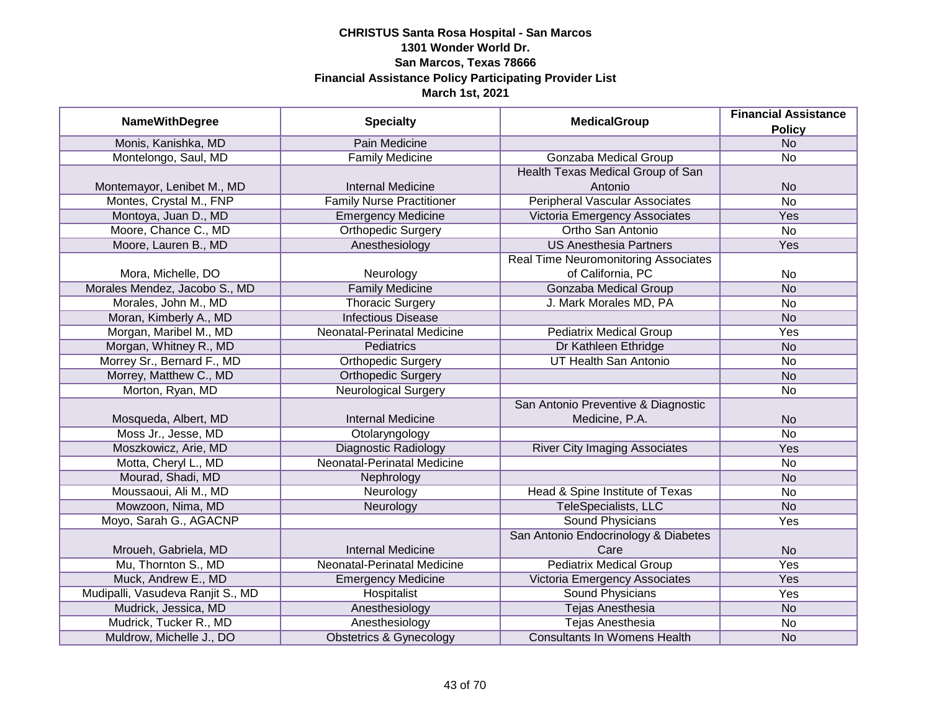| <b>NameWithDegree</b>             | <b>Specialty</b>                   | <b>MedicalGroup</b>                         | <b>Financial Assistance</b> |
|-----------------------------------|------------------------------------|---------------------------------------------|-----------------------------|
|                                   |                                    |                                             | <b>Policy</b>               |
| Monis, Kanishka, MD               | Pain Medicine                      |                                             | <b>No</b>                   |
| Montelongo, Saul, MD              | <b>Family Medicine</b>             | <b>Gonzaba Medical Group</b>                | $\overline{No}$             |
|                                   |                                    | Health Texas Medical Group of San           |                             |
| Montemayor, Lenibet M., MD        | <b>Internal Medicine</b>           | Antonio                                     | <b>No</b>                   |
| Montes, Crystal M., FNP           | <b>Family Nurse Practitioner</b>   | <b>Peripheral Vascular Associates</b>       | $\overline{No}$             |
| Montoya, Juan D., MD              | <b>Emergency Medicine</b>          | Victoria Emergency Associates               | Yes                         |
| Moore, Chance C., MD              | <b>Orthopedic Surgery</b>          | Ortho San Antonio                           | No                          |
| Moore, Lauren B., MD              | Anesthesiology                     | <b>US Anesthesia Partners</b>               | Yes                         |
|                                   |                                    | <b>Real Time Neuromonitoring Associates</b> |                             |
| Mora, Michelle, DO                | Neurology                          | of California, PC                           | No                          |
| Morales Mendez, Jacobo S., MD     | <b>Family Medicine</b>             | Gonzaba Medical Group                       | <b>No</b>                   |
| Morales, John M., MD              | <b>Thoracic Surgery</b>            | J. Mark Morales MD, PA                      | No                          |
| Moran, Kimberly A., MD            | <b>Infectious Disease</b>          |                                             | <b>No</b>                   |
| Morgan, Maribel M., MD            | Neonatal-Perinatal Medicine        | <b>Pediatrix Medical Group</b>              | Yes                         |
| Morgan, Whitney R., MD            | Pediatrics                         | Dr Kathleen Ethridge                        | <b>No</b>                   |
| Morrey Sr., Bernard F., MD        | <b>Orthopedic Surgery</b>          | <b>UT Health San Antonio</b>                | No                          |
| Morrey, Matthew C., MD            | <b>Orthopedic Surgery</b>          |                                             | <b>No</b>                   |
| Morton, Ryan, MD                  | <b>Neurological Surgery</b>        |                                             | No                          |
|                                   |                                    | San Antonio Preventive & Diagnostic         |                             |
| Mosqueda, Albert, MD              | <b>Internal Medicine</b>           | Medicine, P.A.                              | <b>No</b>                   |
| Moss Jr., Jesse, MD               | Otolaryngology                     |                                             | <b>No</b>                   |
| Moszkowicz, Arie, MD              | <b>Diagnostic Radiology</b>        | <b>River City Imaging Associates</b>        | Yes                         |
| Motta, Cheryl L., MD              | <b>Neonatal-Perinatal Medicine</b> |                                             | <b>No</b>                   |
| Mourad, Shadi, MD                 | Nephrology                         |                                             | <b>No</b>                   |
| Moussaoui, Ali M., MD             | Neurology                          | Head & Spine Institute of Texas             | No                          |
| Mowzoon, Nima, MD                 | Neurology                          | <b>TeleSpecialists, LLC</b>                 | <b>No</b>                   |
| Moyo, Sarah G., AGACNP            |                                    | Sound Physicians                            | Yes                         |
|                                   |                                    | San Antonio Endocrinology & Diabetes        |                             |
| Mroueh, Gabriela, MD              | <b>Internal Medicine</b>           | Care                                        | <b>No</b>                   |
| Mu, Thornton S., MD               | Neonatal-Perinatal Medicine        | <b>Pediatrix Medical Group</b>              | Yes                         |
| Muck, Andrew E., MD               | <b>Emergency Medicine</b>          | Victoria Emergency Associates               | Yes                         |
| Mudipalli, Vasudeva Ranjit S., MD | Hospitalist                        | <b>Sound Physicians</b>                     | Yes                         |
| Mudrick, Jessica, MD              | Anesthesiology                     | <b>Tejas Anesthesia</b>                     | <b>No</b>                   |
| Mudrick, Tucker R., MD            | Anesthesiology                     | <b>Tejas Anesthesia</b>                     | No                          |
| Muldrow, Michelle J., DO          | <b>Obstetrics &amp; Gynecology</b> | <b>Consultants In Womens Health</b>         | <b>No</b>                   |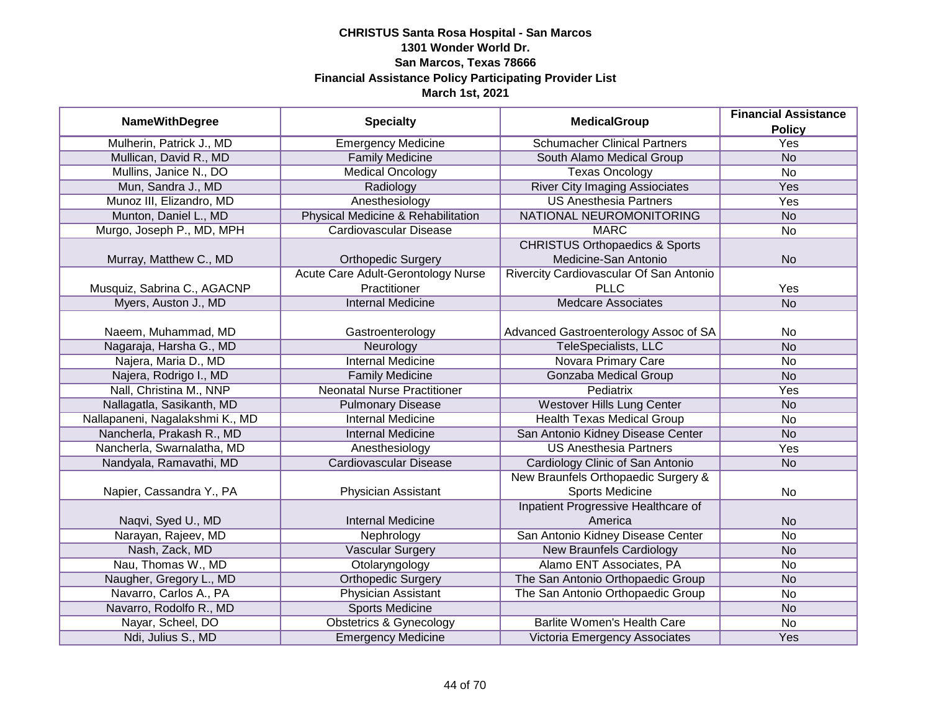|                                 |                                           |                                           | <b>Financial Assistance</b> |
|---------------------------------|-------------------------------------------|-------------------------------------------|-----------------------------|
| <b>NameWithDegree</b>           | <b>Specialty</b>                          | <b>MedicalGroup</b>                       | <b>Policy</b>               |
| Mulherin, Patrick J., MD        | <b>Emergency Medicine</b>                 | <b>Schumacher Clinical Partners</b>       | <b>Yes</b>                  |
| Mullican, David R., MD          | <b>Family Medicine</b>                    | South Alamo Medical Group                 | <b>No</b>                   |
| Mullins, Janice N., DO          | <b>Medical Oncology</b>                   | <b>Texas Oncology</b>                     | No                          |
| Mun, Sandra J., MD              | Radiology                                 | <b>River City Imaging Assiociates</b>     | Yes                         |
| Munoz III, Elizandro, MD        | Anesthesiology                            | <b>US Anesthesia Partners</b>             | <b>Yes</b>                  |
| Munton, Daniel L., MD           | Physical Medicine & Rehabilitation        | NATIONAL NEUROMONITORING                  | <b>No</b>                   |
| Murgo, Joseph P., MD, MPH       | Cardiovascular Disease                    | <b>MARC</b>                               | $\overline{No}$             |
|                                 |                                           | <b>CHRISTUS Orthopaedics &amp; Sports</b> |                             |
| Murray, Matthew C., MD          | <b>Orthopedic Surgery</b>                 | Medicine-San Antonio                      | <b>No</b>                   |
|                                 | <b>Acute Care Adult-Gerontology Nurse</b> | Rivercity Cardiovascular Of San Antonio   |                             |
| Musquiz, Sabrina C., AGACNP     | Practitioner                              | <b>PLLC</b>                               | Yes                         |
| Myers, Auston J., MD            | <b>Internal Medicine</b>                  | <b>Medcare Associates</b>                 | <b>No</b>                   |
|                                 |                                           |                                           |                             |
| Naeem, Muhammad, MD             | Gastroenterology                          | Advanced Gastroenterology Assoc of SA     | No                          |
| Nagaraja, Harsha G., MD         | Neurology                                 | TeleSpecialists, LLC                      | <b>No</b>                   |
| Najera, Maria D., MD            | <b>Internal Medicine</b>                  | <b>Novara Primary Care</b>                | <b>No</b>                   |
| Najera, Rodrigo I., MD          | <b>Family Medicine</b>                    | <b>Gonzaba Medical Group</b>              | <b>No</b>                   |
| Nall, Christina M., NNP         | <b>Neonatal Nurse Practitioner</b>        | Pediatrix                                 | Yes                         |
| Nallagatla, Sasikanth, MD       | <b>Pulmonary Disease</b>                  | Westover Hills Lung Center                | <b>No</b>                   |
| Nallapaneni, Nagalakshmi K., MD | Internal Medicine                         | <b>Health Texas Medical Group</b>         | No                          |
| Nancherla, Prakash R., MD       | <b>Internal Medicine</b>                  | San Antonio Kidney Disease Center         | <b>No</b>                   |
| Nancherla, Swarnalatha, MD      | Anesthesiology                            | <b>US Anesthesia Partners</b>             | Yes                         |
| Nandyala, Ramavathi, MD         | <b>Cardiovascular Disease</b>             | Cardiology Clinic of San Antonio          | <b>No</b>                   |
|                                 |                                           | New Braunfels Orthopaedic Surgery &       |                             |
| Napier, Cassandra Y., PA        | Physician Assistant                       | <b>Sports Medicine</b>                    | No                          |
|                                 |                                           | Inpatient Progressive Healthcare of       |                             |
| Naqvi, Syed U., MD              | <b>Internal Medicine</b>                  | America                                   | <b>No</b>                   |
| Narayan, Rajeev, MD             | Nephrology                                | San Antonio Kidney Disease Center         | <b>No</b>                   |
| Nash, Zack, MD                  | <b>Vascular Surgery</b>                   | <b>New Braunfels Cardiology</b>           | <b>No</b>                   |
| Nau, Thomas W., MD              | Otolaryngology                            | Alamo ENT Associates, PA                  | <b>No</b>                   |
| Naugher, Gregory L., MD         | <b>Orthopedic Surgery</b>                 | The San Antonio Orthopaedic Group         | <b>No</b>                   |
| Navarro, Carlos A., PA          | <b>Physician Assistant</b>                | The San Antonio Orthopaedic Group         | No                          |
| Navarro, Rodolfo R., MD         | <b>Sports Medicine</b>                    |                                           | N <sub>o</sub>              |
| Nayar, Scheel, DO               | <b>Obstetrics &amp; Gynecology</b>        | Barlite Women's Health Care               | No                          |
| Ndi, Julius S., MD              | <b>Emergency Medicine</b>                 | Victoria Emergency Associates             | Yes                         |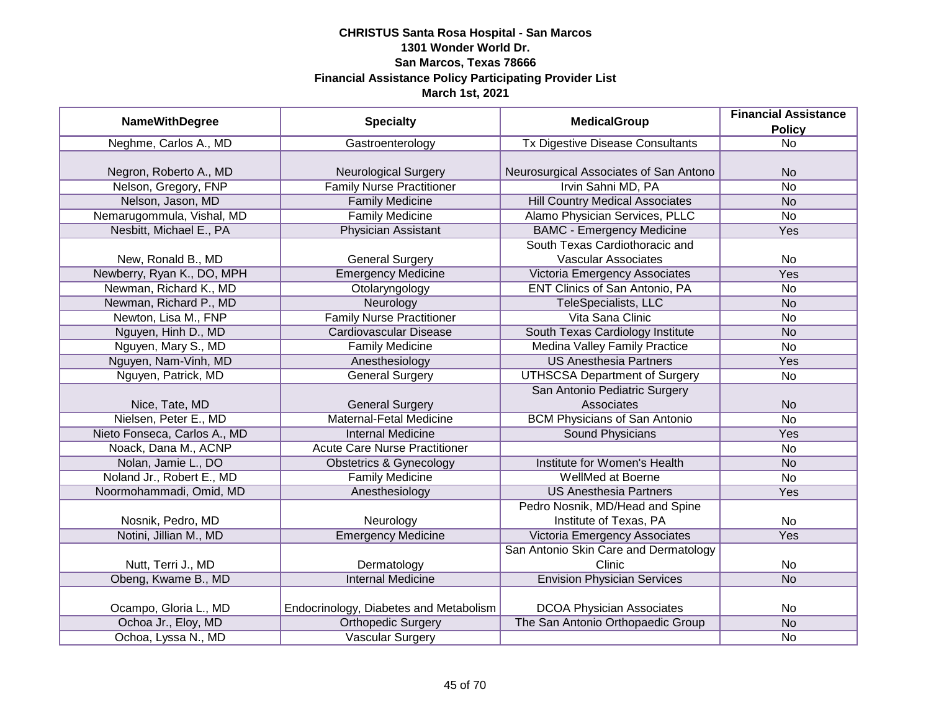| <b>NameWithDegree</b>        | <b>Specialty</b>                       | <b>MedicalGroup</b>                     | <b>Financial Assistance</b> |
|------------------------------|----------------------------------------|-----------------------------------------|-----------------------------|
|                              |                                        |                                         | <b>Policy</b>               |
| Neghme, Carlos A., MD        | Gastroenterology                       | <b>Tx Digestive Disease Consultants</b> | $\overline{No}$             |
|                              |                                        |                                         |                             |
| Negron, Roberto A., MD       | <b>Neurological Surgery</b>            | Neurosurgical Associates of San Antono  | <b>No</b>                   |
| Nelson, Gregory, FNP         | <b>Family Nurse Practitioner</b>       | Irvin Sahni MD, PA                      | $\overline{No}$             |
| Nelson, Jason, MD            | <b>Family Medicine</b>                 | <b>Hill Country Medical Associates</b>  | <b>No</b>                   |
| Nemarugommula, Vishal, MD    | <b>Family Medicine</b>                 | Alamo Physician Services, PLLC          | No                          |
| Nesbitt, Michael E., PA      | <b>Physician Assistant</b>             | <b>BAMC - Emergency Medicine</b>        | Yes                         |
|                              |                                        | South Texas Cardiothoracic and          |                             |
| New, Ronald B., MD           | <b>General Surgery</b>                 | <b>Vascular Associates</b>              | No                          |
| Newberry, Ryan K., DO, MPH   | <b>Emergency Medicine</b>              | Victoria Emergency Associates           | Yes                         |
| Newman, Richard K., MD       | Otolaryngology                         | ENT Clinics of San Antonio, PA          | <b>No</b>                   |
| Newman, Richard P., MD       | Neurology                              | <b>TeleSpecialists, LLC</b>             | <b>No</b>                   |
| Newton, Lisa M., FNP         | <b>Family Nurse Practitioner</b>       | Vita Sana Clinic                        | <b>No</b>                   |
| Nguyen, Hinh D., MD          | <b>Cardiovascular Disease</b>          | South Texas Cardiology Institute        | <b>No</b>                   |
| Nguyen, Mary S., MD          | <b>Family Medicine</b>                 | Medina Valley Family Practice           | No                          |
| Nguyen, Nam-Vinh, MD         | Anesthesiology                         | <b>US Anesthesia Partners</b>           | Yes                         |
| Nguyen, Patrick, MD          | <b>General Surgery</b>                 | <b>UTHSCSA Department of Surgery</b>    | No                          |
|                              |                                        | San Antonio Pediatric Surgery           |                             |
| Nice, Tate, MD               | <b>General Surgery</b>                 | Associates                              | <b>No</b>                   |
| Nielsen, Peter E., MD        | <b>Maternal-Fetal Medicine</b>         | <b>BCM Physicians of San Antonio</b>    | <b>No</b>                   |
| Nieto Fonseca, Carlos A., MD | <b>Internal Medicine</b>               | Sound Physicians                        | Yes                         |
| Noack, Dana M., ACNP         | <b>Acute Care Nurse Practitioner</b>   |                                         | No                          |
| Nolan, Jamie L., DO          | <b>Obstetrics &amp; Gynecology</b>     | <b>Institute for Women's Health</b>     | <b>No</b>                   |
| Noland Jr., Robert E., MD    | <b>Family Medicine</b>                 | WellMed at Boerne                       | No                          |
| Noormohammadi, Omid, MD      | Anesthesiology                         | <b>US Anesthesia Partners</b>           | Yes                         |
|                              |                                        | Pedro Nosnik, MD/Head and Spine         |                             |
| Nosnik, Pedro, MD            | Neurology                              | Institute of Texas, PA                  | No                          |
| Notini, Jillian M., MD       | <b>Emergency Medicine</b>              | Victoria Emergency Associates           | Yes                         |
|                              |                                        | San Antonio Skin Care and Dermatology   |                             |
| Nutt, Terri J., MD           | Dermatology                            | Clinic                                  | No                          |
| Obeng, Kwame B., MD          | <b>Internal Medicine</b>               | <b>Envision Physician Services</b>      | <b>No</b>                   |
|                              |                                        |                                         |                             |
| Ocampo, Gloria L., MD        | Endocrinology, Diabetes and Metabolism | <b>DCOA Physician Associates</b>        | No                          |
| Ochoa Jr., Eloy, MD          | <b>Orthopedic Surgery</b>              | The San Antonio Orthopaedic Group       | N <sub>O</sub>              |
| Ochoa, Lyssa N., MD          | <b>Vascular Surgery</b>                |                                         | No                          |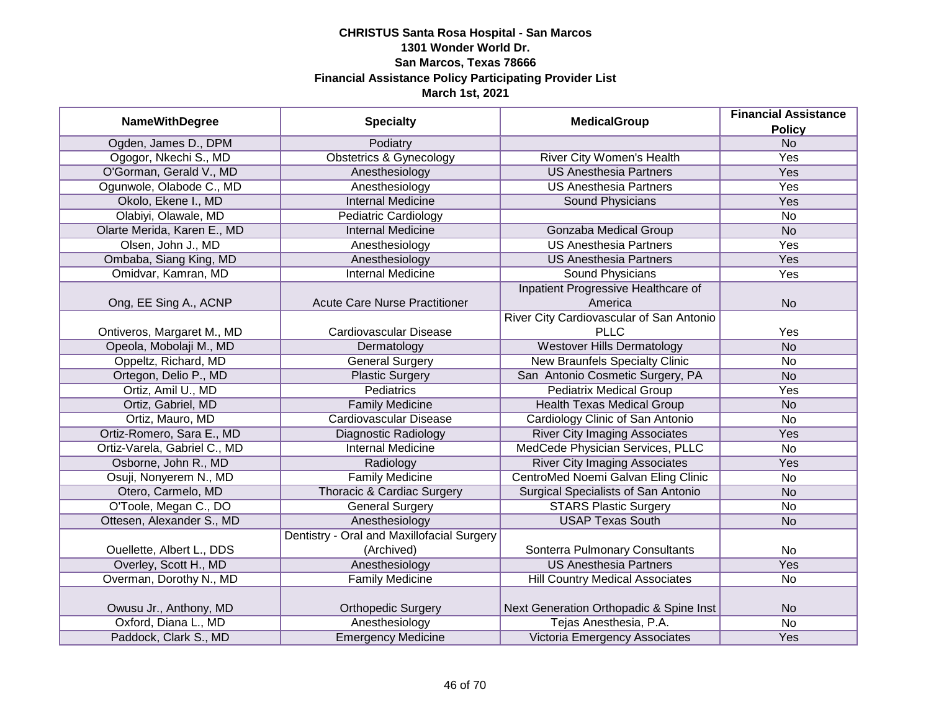| <b>NameWithDegree</b>        | <b>Specialty</b>                           | <b>MedicalGroup</b>                      | <b>Financial Assistance</b><br><b>Policy</b> |
|------------------------------|--------------------------------------------|------------------------------------------|----------------------------------------------|
| Ogden, James D., DPM         | Podiatry                                   |                                          | <b>No</b>                                    |
| Ogogor, Nkechi S., MD        | <b>Obstetrics &amp; Gynecology</b>         | River City Women's Health                | Yes                                          |
| O'Gorman, Gerald V., MD      | Anesthesiology                             | <b>US Anesthesia Partners</b>            | Yes                                          |
| Ogunwole, Olabode C., MD     | Anesthesiology                             | <b>US Anesthesia Partners</b>            | Yes                                          |
| Okolo, Ekene I., MD          | <b>Internal Medicine</b>                   | <b>Sound Physicians</b>                  | <b>Yes</b>                                   |
| Olabiyi, Olawale, MD         | <b>Pediatric Cardiology</b>                |                                          | <b>No</b>                                    |
| Olarte Merida, Karen E., MD  | <b>Internal Medicine</b>                   | <b>Gonzaba Medical Group</b>             | <b>No</b>                                    |
| Olsen, John J., MD           | Anesthesiology                             | <b>US Anesthesia Partners</b>            | Yes                                          |
| Ombaba, Siang King, MD       | Anesthesiology                             | <b>US Anesthesia Partners</b>            | Yes                                          |
| Omidvar, Kamran, MD          | <b>Internal Medicine</b>                   | Sound Physicians                         | Yes                                          |
|                              |                                            | Inpatient Progressive Healthcare of      |                                              |
| Ong, EE Sing A., ACNP        | <b>Acute Care Nurse Practitioner</b>       | America                                  | <b>No</b>                                    |
|                              |                                            | River City Cardiovascular of San Antonio |                                              |
| Ontiveros, Margaret M., MD   | Cardiovascular Disease                     | <b>PLLC</b>                              | Yes                                          |
| Opeola, Mobolaji M., MD      | Dermatology                                | <b>Westover Hills Dermatology</b>        | <b>No</b>                                    |
| Oppeltz, Richard, MD         | <b>General Surgery</b>                     | <b>New Braunfels Specialty Clinic</b>    | <b>No</b>                                    |
| Ortegon, Delio P., MD        | <b>Plastic Surgery</b>                     | San Antonio Cosmetic Surgery, PA         | <b>No</b>                                    |
| Ortiz, Amil U., MD           | <b>Pediatrics</b>                          | <b>Pediatrix Medical Group</b>           | Yes                                          |
| Ortiz, Gabriel, MD           | <b>Family Medicine</b>                     | <b>Health Texas Medical Group</b>        | <b>No</b>                                    |
| Ortiz, Mauro, MD             | Cardiovascular Disease                     | Cardiology Clinic of San Antonio         | <b>No</b>                                    |
| Ortiz-Romero, Sara E., MD    | <b>Diagnostic Radiology</b>                | <b>River City Imaging Associates</b>     | Yes                                          |
| Ortiz-Varela, Gabriel C., MD | <b>Internal Medicine</b>                   | MedCede Physician Services, PLLC         | <b>No</b>                                    |
| Osborne, John R., MD         | Radiology                                  | <b>River City Imaging Associates</b>     | Yes                                          |
| Osuji, Nonyerem N., MD       | <b>Family Medicine</b>                     | CentroMed Noemi Galvan Eling Clinic      | <b>No</b>                                    |
| Otero, Carmelo, MD           | <b>Thoracic &amp; Cardiac Surgery</b>      | Surgical Specialists of San Antonio      | <b>No</b>                                    |
| O'Toole, Megan C., DO        | <b>General Surgery</b>                     | <b>STARS Plastic Surgery</b>             | <b>No</b>                                    |
| Ottesen, Alexander S., MD    | Anesthesiology                             | <b>USAP Texas South</b>                  | <b>No</b>                                    |
|                              | Dentistry - Oral and Maxillofacial Surgery |                                          |                                              |
| Ouellette, Albert L., DDS    | (Archived)                                 | Sonterra Pulmonary Consultants           | <b>No</b>                                    |
| Overley, Scott H., MD        | Anesthesiology                             | <b>US Anesthesia Partners</b>            | Yes                                          |
| Overman, Dorothy N., MD      | <b>Family Medicine</b>                     | <b>Hill Country Medical Associates</b>   | <b>No</b>                                    |
|                              |                                            |                                          |                                              |
| Owusu Jr., Anthony, MD       | <b>Orthopedic Surgery</b>                  | Next Generation Orthopadic & Spine Inst  | <b>No</b>                                    |
| Oxford, Diana L., MD         | Anesthesiology                             | Tejas Anesthesia, P.A.                   | <b>No</b>                                    |
| Paddock, Clark S., MD        | <b>Emergency Medicine</b>                  | Victoria Emergency Associates            | Yes                                          |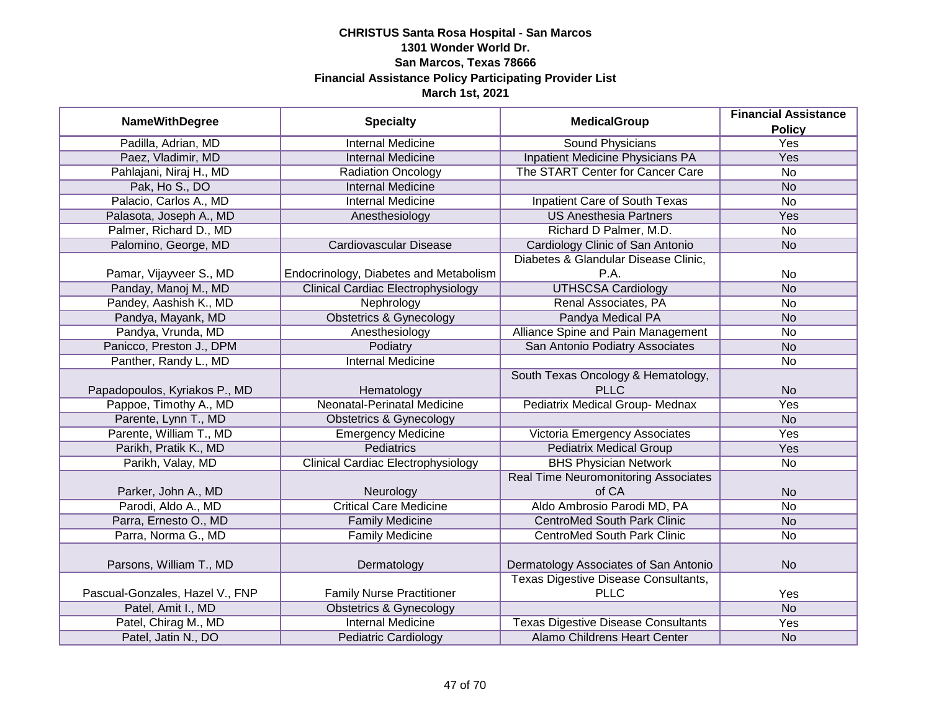| <b>NameWithDegree</b>           | <b>Specialty</b>                          | <b>MedicalGroup</b>                         | <b>Financial Assistance</b> |
|---------------------------------|-------------------------------------------|---------------------------------------------|-----------------------------|
|                                 |                                           |                                             | <b>Policy</b>               |
| Padilla, Adrian, MD             | <b>Internal Medicine</b>                  | <b>Sound Physicians</b>                     | <b>Yes</b>                  |
| Paez, Vladimir, MD              | <b>Internal Medicine</b>                  | <b>Inpatient Medicine Physicians PA</b>     | Yes                         |
| Pahlajani, Niraj H., MD         | <b>Radiation Oncology</b>                 | The START Center for Cancer Care            | $\overline{No}$             |
| Pak, Ho S., DO                  | <b>Internal Medicine</b>                  |                                             | <b>No</b>                   |
| Palacio, Carlos A., MD          | <b>Internal Medicine</b>                  | <b>Inpatient Care of South Texas</b>        | $\overline{No}$             |
| Palasota, Joseph A., MD         | Anesthesiology                            | <b>US Anesthesia Partners</b>               | Yes                         |
| Palmer, Richard D., MD          |                                           | Richard D Palmer, M.D.                      | No                          |
| Palomino, George, MD            | Cardiovascular Disease                    | Cardiology Clinic of San Antonio            | <b>No</b>                   |
|                                 |                                           | Diabetes & Glandular Disease Clinic,        |                             |
| Pamar, Vijayveer S., MD         | Endocrinology, Diabetes and Metabolism    | P.A.                                        | No                          |
| Panday, Manoj M., MD            | <b>Clinical Cardiac Electrophysiology</b> | <b>UTHSCSA Cardiology</b>                   | <b>No</b>                   |
| Pandey, Aashish K., MD          | Nephrology                                | Renal Associates, PA                        | No                          |
| Pandya, Mayank, MD              | <b>Obstetrics &amp; Gynecology</b>        | Pandya Medical PA                           | <b>No</b>                   |
| Pandya, Vrunda, MD              | Anesthesiology                            | Alliance Spine and Pain Management          | No                          |
| Panicco, Preston J., DPM        | Podiatry                                  | San Antonio Podiatry Associates             | <b>No</b>                   |
| Panther, Randy L., MD           | <b>Internal Medicine</b>                  |                                             | No                          |
|                                 |                                           | South Texas Oncology & Hematology,          |                             |
| Papadopoulos, Kyriakos P., MD   | Hematology                                | <b>PLLC</b>                                 | <b>No</b>                   |
| Pappoe, Timothy A., MD          | Neonatal-Perinatal Medicine               | Pediatrix Medical Group- Mednax             | Yes                         |
| Parente, Lynn T., MD            | <b>Obstetrics &amp; Gynecology</b>        |                                             | <b>No</b>                   |
| Parente, William T., MD         | <b>Emergency Medicine</b>                 | Victoria Emergency Associates               | Yes                         |
| Parikh, Pratik K., MD           | <b>Pediatrics</b>                         | <b>Pediatrix Medical Group</b>              | Yes                         |
| Parikh, Valay, MD               | <b>Clinical Cardiac Electrophysiology</b> | <b>BHS Physician Network</b>                | <b>No</b>                   |
|                                 |                                           | <b>Real Time Neuromonitoring Associates</b> |                             |
| Parker, John A., MD             | Neurology                                 | of CA                                       | <b>No</b>                   |
| Parodi, Aldo A., MD             | <b>Critical Care Medicine</b>             | Aldo Ambrosio Parodi MD, PA                 | <b>No</b>                   |
| Parra, Ernesto O., MD           | <b>Family Medicine</b>                    | <b>CentroMed South Park Clinic</b>          | <b>No</b>                   |
| Parra, Norma G., MD             | <b>Family Medicine</b>                    | <b>CentroMed South Park Clinic</b>          | No                          |
|                                 |                                           |                                             |                             |
| Parsons, William T., MD         | Dermatology                               | Dermatology Associates of San Antonio       | <b>No</b>                   |
|                                 |                                           | Texas Digestive Disease Consultants,        |                             |
| Pascual-Gonzales, Hazel V., FNP | <b>Family Nurse Practitioner</b>          | <b>PLLC</b>                                 | Yes                         |
| Patel, Amit I., MD              | <b>Obstetrics &amp; Gynecology</b>        |                                             | N <sub>o</sub>              |
| Patel, Chirag M., MD            | <b>Internal Medicine</b>                  | <b>Texas Digestive Disease Consultants</b>  | <b>Yes</b>                  |
| Patel, Jatin N., DO             | <b>Pediatric Cardiology</b>               | <b>Alamo Childrens Heart Center</b>         | <b>No</b>                   |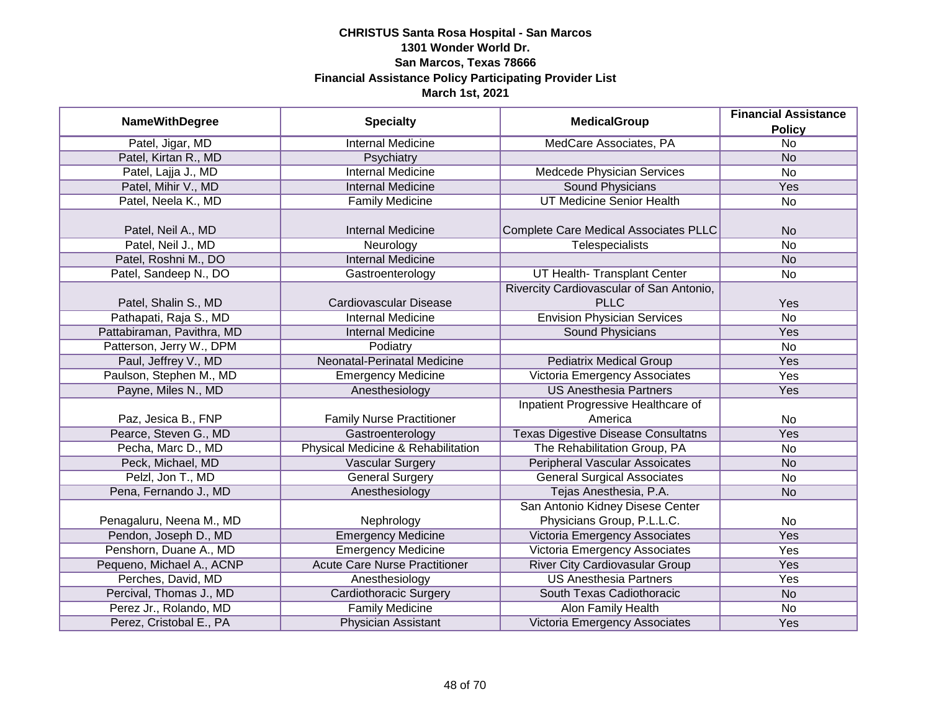|                            | <b>Specialty</b>                     | <b>MedicalGroup</b>                        | <b>Financial Assistance</b> |
|----------------------------|--------------------------------------|--------------------------------------------|-----------------------------|
| <b>NameWithDegree</b>      |                                      |                                            | <b>Policy</b>               |
| Patel, Jigar, MD           | <b>Internal Medicine</b>             | MedCare Associates, PA                     | $\overline{No}$             |
| Patel, Kirtan R., MD       | Psychiatry                           |                                            | <b>No</b>                   |
| Patel, Lajja J., MD        | <b>Internal Medicine</b>             | Medcede Physician Services                 | <b>No</b>                   |
| Patel, Mihir V., MD        | <b>Internal Medicine</b>             | <b>Sound Physicians</b>                    | Yes                         |
| Patel, Neela K., MD        | <b>Family Medicine</b>               | <b>UT Medicine Senior Health</b>           | No                          |
|                            |                                      |                                            |                             |
| Patel, Neil A., MD         | <b>Internal Medicine</b>             | Complete Care Medical Associates PLLC      | <b>No</b>                   |
| Patel, Neil J., MD         | Neurology                            | Telespecialists                            | <b>No</b>                   |
| Patel, Roshni M., DO       | <b>Internal Medicine</b>             |                                            | <b>No</b>                   |
| Patel, Sandeep N., DO      | Gastroenterology                     | UT Health- Transplant Center               | No                          |
|                            |                                      | Rivercity Cardiovascular of San Antonio,   |                             |
| Patel, Shalin S., MD       | Cardiovascular Disease               | <b>PLLC</b>                                | Yes                         |
| Pathapati, Raja S., MD     | <b>Internal Medicine</b>             | <b>Envision Physician Services</b>         | <b>No</b>                   |
| Pattabiraman, Pavithra, MD | <b>Internal Medicine</b>             | Sound Physicians                           | Yes                         |
| Patterson, Jerry W., DPM   | Podiatry                             |                                            | <b>No</b>                   |
| Paul, Jeffrey V., MD       | Neonatal-Perinatal Medicine          | <b>Pediatrix Medical Group</b>             | Yes                         |
| Paulson, Stephen M., MD    | <b>Emergency Medicine</b>            | <b>Victoria Emergency Associates</b>       | Yes                         |
| Payne, Miles N., MD        | Anesthesiology                       | <b>US Anesthesia Partners</b>              | Yes                         |
|                            |                                      | Inpatient Progressive Healthcare of        |                             |
| Paz, Jesica B., FNP        | <b>Family Nurse Practitioner</b>     | America                                    | No                          |
| Pearce, Steven G., MD      | Gastroenterology                     | <b>Texas Digestive Disease Consultatns</b> | Yes                         |
| Pecha, Marc D., MD         | Physical Medicine & Rehabilitation   | The Rehabilitation Group, PA               | No                          |
| Peck, Michael, MD          | <b>Vascular Surgery</b>              | <b>Peripheral Vascular Assoicates</b>      | <b>No</b>                   |
| Pelzl, Jon T., MD          | <b>General Surgery</b>               | <b>General Surgical Associates</b>         | No                          |
| Pena, Fernando J., MD      | Anesthesiology                       | Tejas Anesthesia, P.A.                     | <b>No</b>                   |
|                            |                                      | San Antonio Kidney Disese Center           |                             |
| Penagaluru, Neena M., MD   | Nephrology                           | Physicians Group, P.L.L.C.                 | No                          |
| Pendon, Joseph D., MD      | <b>Emergency Medicine</b>            | Victoria Emergency Associates              | Yes                         |
| Penshorn, Duane A., MD     | <b>Emergency Medicine</b>            | Victoria Emergency Associates              | Yes                         |
| Pequeno, Michael A., ACNP  | <b>Acute Care Nurse Practitioner</b> | <b>River City Cardiovasular Group</b>      | Yes                         |
| Perches, David, MD         | Anesthesiology                       | <b>US Anesthesia Partners</b>              | Yes                         |
| Percival, Thomas J., MD    | <b>Cardiothoracic Surgery</b>        | South Texas Cadiothoracic                  | <b>No</b>                   |
| Perez Jr., Rolando, MD     | <b>Family Medicine</b>               | <b>Alon Family Health</b>                  | No                          |
| Perez, Cristobal E., PA    | <b>Physician Assistant</b>           | Victoria Emergency Associates              | Yes                         |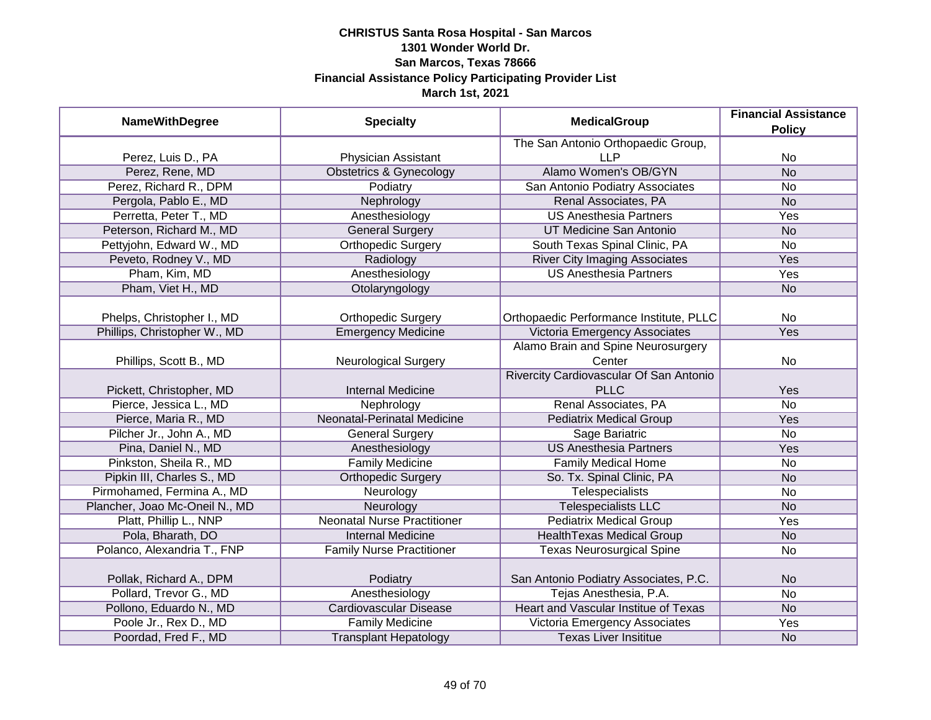| <b>NameWithDegree</b>          | <b>Specialty</b>                   | <b>MedicalGroup</b>                         | <b>Financial Assistance</b><br><b>Policy</b> |
|--------------------------------|------------------------------------|---------------------------------------------|----------------------------------------------|
|                                |                                    | The San Antonio Orthopaedic Group,          |                                              |
| Perez, Luis D., PA             | <b>Physician Assistant</b>         | <b>LLP</b>                                  | No                                           |
| Perez, Rene, MD                | <b>Obstetrics &amp; Gynecology</b> | Alamo Women's OB/GYN                        | N <sub>o</sub>                               |
| Perez, Richard R., DPM         | Podiatry                           | San Antonio Podiatry Associates             | <b>No</b>                                    |
| Pergola, Pablo E., MD          | Nephrology                         | Renal Associates, PA                        | <b>No</b>                                    |
| Perretta, Peter T., MD         | Anesthesiology                     | <b>US Anesthesia Partners</b>               | Yes                                          |
| Peterson, Richard M., MD       | <b>General Surgery</b>             | UT Medicine San Antonio                     | <b>No</b>                                    |
| Pettyjohn, Edward W., MD       | <b>Orthopedic Surgery</b>          | South Texas Spinal Clinic, PA               | <b>No</b>                                    |
| Peveto, Rodney V., MD          | Radiology                          | <b>River City Imaging Associates</b>        | Yes                                          |
| Pham, Kim, MD                  | Anesthesiology                     | <b>US Anesthesia Partners</b>               | Yes                                          |
| Pham, Viet H., MD              | Otolaryngology                     |                                             | <b>No</b>                                    |
| Phelps, Christopher I., MD     | <b>Orthopedic Surgery</b>          | Orthopaedic Performance Institute, PLLC     | <b>No</b>                                    |
| Phillips, Christopher W., MD   | <b>Emergency Medicine</b>          | Victoria Emergency Associates               | Yes                                          |
|                                |                                    | Alamo Brain and Spine Neurosurgery          |                                              |
| Phillips, Scott B., MD         | <b>Neurological Surgery</b>        | Center                                      | No                                           |
|                                |                                    | Rivercity Cardiovascular Of San Antonio     |                                              |
| Pickett, Christopher, MD       | <b>Internal Medicine</b>           | <b>PLLC</b>                                 | Yes                                          |
| Pierce, Jessica L., MD         | Nephrology                         | Renal Associates, PA                        | <b>No</b>                                    |
| Pierce, Maria R., MD           | <b>Neonatal-Perinatal Medicine</b> | <b>Pediatrix Medical Group</b>              | Yes                                          |
| Pilcher Jr., John A., MD       | <b>General Surgery</b>             | Sage Bariatric                              | <b>No</b>                                    |
| Pina, Daniel N., MD            | Anesthesiology                     | <b>US Anesthesia Partners</b>               | Yes                                          |
| Pinkston, Sheila R., MD        | <b>Family Medicine</b>             | <b>Family Medical Home</b>                  | <b>No</b>                                    |
| Pipkin III, Charles S., MD     | <b>Orthopedic Surgery</b>          | So. Tx. Spinal Clinic, PA                   | <b>No</b>                                    |
| Pirmohamed, Fermina A., MD     | Neurology                          | <b>Telespecialists</b>                      | <b>No</b>                                    |
| Plancher, Joao Mc-Oneil N., MD | Neurology                          | <b>Telespecialists LLC</b>                  | <b>No</b>                                    |
| Platt, Phillip L., NNP         | <b>Neonatal Nurse Practitioner</b> | <b>Pediatrix Medical Group</b>              | Yes                                          |
| Pola, Bharath, DO              | <b>Internal Medicine</b>           | <b>HealthTexas Medical Group</b>            | <b>No</b>                                    |
| Polanco, Alexandria T., FNP    | <b>Family Nurse Practitioner</b>   | <b>Texas Neurosurgical Spine</b>            | <b>No</b>                                    |
| Pollak, Richard A., DPM        | Podiatry                           | San Antonio Podiatry Associates, P.C.       | <b>No</b>                                    |
| Pollard, Trevor G., MD         | Anesthesiology                     | Tejas Anesthesia, P.A.                      | $\overline{No}$                              |
| Pollono, Eduardo N., MD        | Cardiovascular Disease             | <b>Heart and Vascular Institue of Texas</b> | <b>No</b>                                    |
| Poole Jr., Rex D., MD          | <b>Family Medicine</b>             | Victoria Emergency Associates               | Yes                                          |
| Poordad, Fred F., MD           | <b>Transplant Hepatology</b>       | <b>Texas Liver Insititue</b>                | <b>No</b>                                    |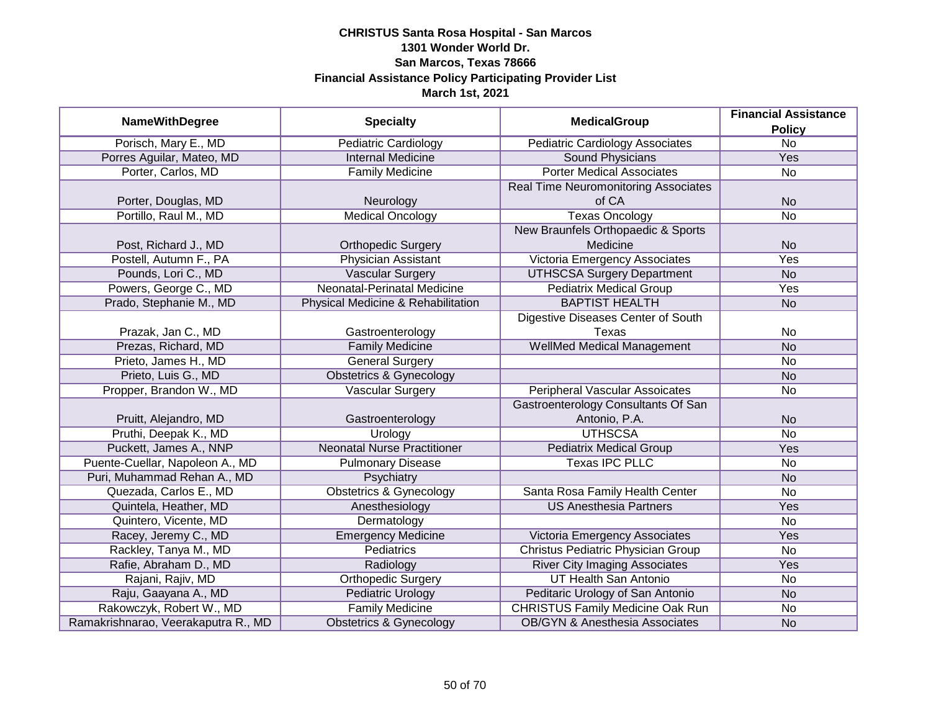|                                     |                                    | <b>MedicalGroup</b>                         | <b>Financial Assistance</b> |
|-------------------------------------|------------------------------------|---------------------------------------------|-----------------------------|
| <b>NameWithDegree</b>               | <b>Specialty</b>                   |                                             | <b>Policy</b>               |
| Porisch, Mary E., MD                | <b>Pediatric Cardiology</b>        | <b>Pediatric Cardiology Associates</b>      | $\overline{No}$             |
| Porres Aguilar, Mateo, MD           | <b>Internal Medicine</b>           | <b>Sound Physicians</b>                     | <b>Yes</b>                  |
| Porter, Carlos, MD                  | <b>Family Medicine</b>             | <b>Porter Medical Associates</b>            | No                          |
|                                     |                                    | <b>Real Time Neuromonitoring Associates</b> |                             |
| Porter, Douglas, MD                 | Neurology                          | of CA                                       | <b>No</b>                   |
| Portillo, Raul M., MD               | <b>Medical Oncology</b>            | <b>Texas Oncology</b>                       | <b>No</b>                   |
|                                     |                                    | New Braunfels Orthopaedic & Sports          |                             |
| Post, Richard J., MD                | <b>Orthopedic Surgery</b>          | Medicine                                    | <b>No</b>                   |
| Postell, Autumn F., PA              | Physician Assistant                | <b>Victoria Emergency Associates</b>        | Yes                         |
| Pounds, Lori C., MD                 | <b>Vascular Surgery</b>            | <b>UTHSCSA Surgery Department</b>           | <b>No</b>                   |
| Powers, George C., MD               | Neonatal-Perinatal Medicine        | <b>Pediatrix Medical Group</b>              | Yes                         |
| Prado, Stephanie M., MD             | Physical Medicine & Rehabilitation | <b>BAPTIST HEALTH</b>                       | <b>No</b>                   |
|                                     |                                    | Digestive Diseases Center of South          |                             |
| Prazak, Jan C., MD                  | Gastroenterology                   | Texas                                       | <b>No</b>                   |
| Prezas, Richard, MD                 | <b>Family Medicine</b>             | <b>WellMed Medical Management</b>           | <b>No</b>                   |
| Prieto, James H., MD                | <b>General Surgery</b>             |                                             | No                          |
| Prieto, Luis G., MD                 | <b>Obstetrics &amp; Gynecology</b> |                                             | <b>No</b>                   |
| Propper, Brandon W., MD             | <b>Vascular Surgery</b>            | <b>Peripheral Vascular Assoicates</b>       | <b>No</b>                   |
|                                     |                                    | Gastroenterology Consultants Of San         |                             |
| Pruitt, Alejandro, MD               | Gastroenterology                   | Antonio, P.A.                               | <b>No</b>                   |
| Pruthi, Deepak K., MD               | Urology                            | <b>UTHSCSA</b>                              | <b>No</b>                   |
| Puckett, James A., NNP              | <b>Neonatal Nurse Practitioner</b> | <b>Pediatrix Medical Group</b>              | Yes                         |
| Puente-Cuellar, Napoleon A., MD     | <b>Pulmonary Disease</b>           | <b>Texas IPC PLLC</b>                       | No                          |
| Puri, Muhammad Rehan A., MD         | Psychiatry                         |                                             | <b>No</b>                   |
| Quezada, Carlos E., MD              | <b>Obstetrics &amp; Gynecology</b> | Santa Rosa Family Health Center             | No                          |
| Quintela, Heather, MD               | Anesthesiology                     | <b>US Anesthesia Partners</b>               | Yes                         |
| Quintero, Vicente, MD               | Dermatology                        |                                             | <b>No</b>                   |
| Racey, Jeremy C., MD                | <b>Emergency Medicine</b>          | Victoria Emergency Associates               | Yes                         |
| Rackley, Tanya M., MD               | <b>Pediatrics</b>                  | <b>Christus Pediatric Physician Group</b>   | <b>No</b>                   |
| Rafie, Abraham D., MD               | Radiology                          | <b>River City Imaging Associates</b>        | Yes                         |
| Rajani, Rajiv, MD                   | <b>Orthopedic Surgery</b>          | <b>UT Health San Antonio</b>                | <b>No</b>                   |
| Raju, Gaayana A., MD                | <b>Pediatric Urology</b>           | Peditaric Urology of San Antonio            | <b>No</b>                   |
| Rakowczyk, Robert W., MD            | <b>Family Medicine</b>             | <b>CHRISTUS Family Medicine Oak Run</b>     | No                          |
| Ramakrishnarao, Veerakaputra R., MD | <b>Obstetrics &amp; Gynecology</b> | <b>OB/GYN &amp; Anesthesia Associates</b>   | <b>No</b>                   |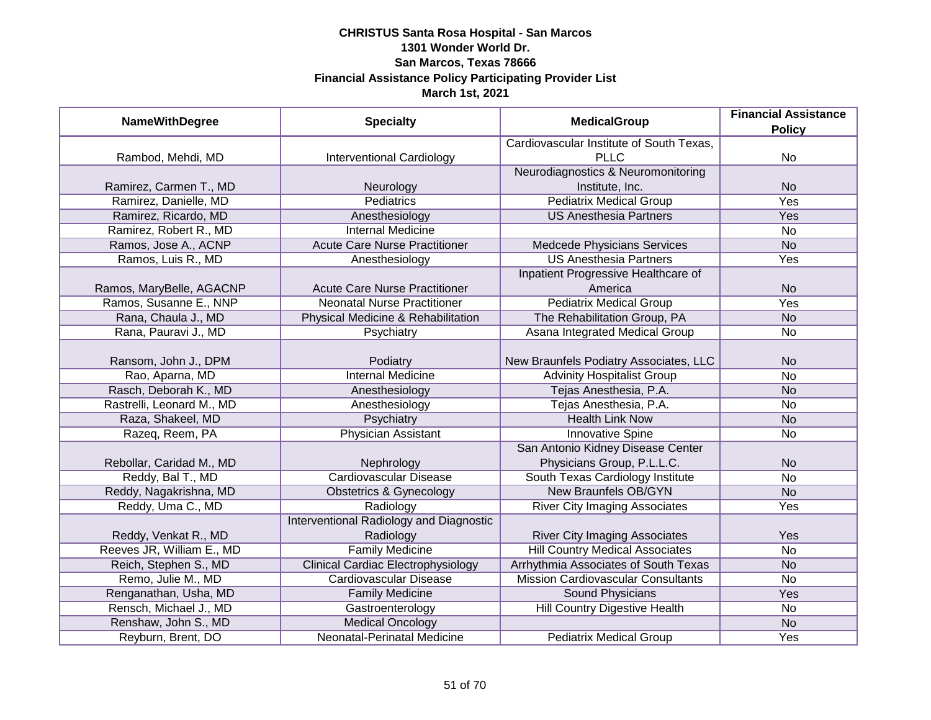| <b>NameWithDegree</b>     | <b>Specialty</b>                          | <b>MedicalGroup</b>                       | <b>Financial Assistance</b> |
|---------------------------|-------------------------------------------|-------------------------------------------|-----------------------------|
|                           |                                           |                                           | <b>Policy</b>               |
|                           |                                           | Cardiovascular Institute of South Texas,  |                             |
| Rambod, Mehdi, MD         | <b>Interventional Cardiology</b>          | <b>PLLC</b>                               | No                          |
|                           |                                           | Neurodiagnostics & Neuromonitoring        |                             |
| Ramirez, Carmen T., MD    | Neurology                                 | Institute, Inc.                           | <b>No</b>                   |
| Ramirez, Danielle, MD     | Pediatrics                                | <b>Pediatrix Medical Group</b>            | <b>Yes</b>                  |
| Ramirez, Ricardo, MD      | Anesthesiology                            | <b>US Anesthesia Partners</b>             | Yes                         |
| Ramirez, Robert R., MD    | <b>Internal Medicine</b>                  |                                           | No                          |
| Ramos, Jose A., ACNP      | <b>Acute Care Nurse Practitioner</b>      | Medcede Physicians Services               | <b>No</b>                   |
| Ramos, Luis R., MD        | Anesthesiology                            | <b>US Anesthesia Partners</b>             | Yes                         |
|                           |                                           | Inpatient Progressive Healthcare of       |                             |
| Ramos, MaryBelle, AGACNP  | <b>Acute Care Nurse Practitioner</b>      | America                                   | <b>No</b>                   |
| Ramos, Susanne E., NNP    | <b>Neonatal Nurse Practitioner</b>        | <b>Pediatrix Medical Group</b>            | Yes                         |
| Rana, Chaula J., MD       | Physical Medicine & Rehabilitation        | The Rehabilitation Group, PA              | <b>No</b>                   |
| Rana, Pauravi J., MD      | Psychiatry                                | Asana Integrated Medical Group            | No                          |
|                           |                                           |                                           |                             |
| Ransom, John J., DPM      | Podiatry                                  | New Braunfels Podiatry Associates, LLC    | <b>No</b>                   |
| Rao, Aparna, MD           | <b>Internal Medicine</b>                  | <b>Advinity Hospitalist Group</b>         | <b>No</b>                   |
| Rasch, Deborah K., MD     | Anesthesiology                            | Tejas Anesthesia, P.A.                    | <b>No</b>                   |
| Rastrelli, Leonard M., MD | Anesthesiology                            | Tejas Anesthesia, P.A.                    | No                          |
| Raza, Shakeel, MD         | Psychiatry                                | <b>Health Link Now</b>                    | <b>No</b>                   |
| Razeq, Reem, PA           | <b>Physician Assistant</b>                | <b>Innovative Spine</b>                   | <b>No</b>                   |
|                           |                                           | San Antonio Kidney Disease Center         |                             |
| Rebollar, Caridad M., MD  | Nephrology                                | Physicians Group, P.L.L.C.                | <b>No</b>                   |
| Reddy, Bal T., MD         | Cardiovascular Disease                    | South Texas Cardiology Institute          | <b>No</b>                   |
| Reddy, Nagakrishna, MD    | <b>Obstetrics &amp; Gynecology</b>        | <b>New Braunfels OB/GYN</b>               | <b>No</b>                   |
| Reddy, Uma C., MD         | Radiology                                 | <b>River City Imaging Associates</b>      | Yes                         |
|                           | Interventional Radiology and Diagnostic   |                                           |                             |
| Reddy, Venkat R., MD      | Radiology                                 | <b>River City Imaging Associates</b>      | Yes                         |
| Reeves JR, William E., MD | <b>Family Medicine</b>                    | <b>Hill Country Medical Associates</b>    | <b>No</b>                   |
| Reich, Stephen S., MD     | <b>Clinical Cardiac Electrophysiology</b> | Arrhythmia Associates of South Texas      | <b>No</b>                   |
| Remo, Julie M., MD        | <b>Cardiovascular Disease</b>             | <b>Mission Cardiovascular Consultants</b> | No                          |
| Renganathan, Usha, MD     | <b>Family Medicine</b>                    | <b>Sound Physicians</b>                   | Yes                         |
| Rensch, Michael J., MD    | Gastroenterology                          | Hill Country Digestive Health             | No                          |
| Renshaw, John S., MD      | <b>Medical Oncology</b>                   |                                           | <b>No</b>                   |
| Reyburn, Brent, DO        | Neonatal-Perinatal Medicine               | <b>Pediatrix Medical Group</b>            | <b>Yes</b>                  |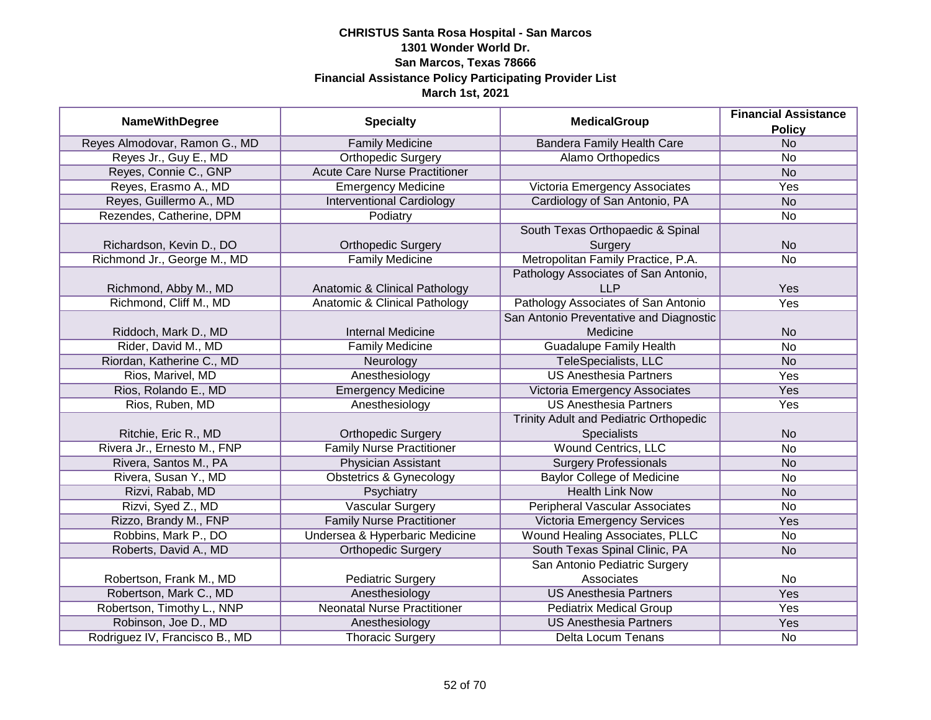|                                |                                      | <b>MedicalGroup</b>                           | <b>Financial Assistance</b> |
|--------------------------------|--------------------------------------|-----------------------------------------------|-----------------------------|
| <b>NameWithDegree</b>          | <b>Specialty</b>                     |                                               | <b>Policy</b>               |
| Reyes Almodovar, Ramon G., MD  | <b>Family Medicine</b>               | <b>Bandera Family Health Care</b>             | N <sub>o</sub>              |
| Reyes Jr., Guy E., MD          | <b>Orthopedic Surgery</b>            | Alamo Orthopedics                             | No                          |
| Reyes, Connie C., GNP          | <b>Acute Care Nurse Practitioner</b> |                                               | N <sub>o</sub>              |
| Reyes, Erasmo A., MD           | <b>Emergency Medicine</b>            | Victoria Emergency Associates                 | <b>Yes</b>                  |
| Reyes, Guillermo A., MD        | <b>Interventional Cardiology</b>     | Cardiology of San Antonio, PA                 | <b>No</b>                   |
| Rezendes, Catherine, DPM       | Podiatry                             |                                               | No                          |
|                                |                                      | South Texas Orthopaedic & Spinal              |                             |
| Richardson, Kevin D., DO       | <b>Orthopedic Surgery</b>            | Surgery                                       | <b>No</b>                   |
| Richmond Jr., George M., MD    | <b>Family Medicine</b>               | Metropolitan Family Practice, P.A.            | No                          |
|                                |                                      | Pathology Associates of San Antonio,          |                             |
| Richmond, Abby M., MD          | Anatomic & Clinical Pathology        | LLP                                           | Yes                         |
| Richmond, Cliff M., MD         | Anatomic & Clinical Pathology        | Pathology Associates of San Antonio           | Yes                         |
|                                |                                      | San Antonio Preventative and Diagnostic       |                             |
| Riddoch, Mark D., MD           | <b>Internal Medicine</b>             | Medicine                                      | <b>No</b>                   |
| Rider, David M., MD            | <b>Family Medicine</b>               | <b>Guadalupe Family Health</b>                | No                          |
| Riordan, Katherine C., MD      | Neurology                            | <b>TeleSpecialists, LLC</b>                   | <b>No</b>                   |
| Rios, Marivel, MD              | Anesthesiology                       | <b>US Anesthesia Partners</b>                 | Yes                         |
| Rios, Rolando E., MD           | <b>Emergency Medicine</b>            | Victoria Emergency Associates                 | Yes                         |
| Rios, Ruben, MD                | Anesthesiology                       | <b>US Anesthesia Partners</b>                 | Yes                         |
|                                |                                      | <b>Trinity Adult and Pediatric Orthopedic</b> |                             |
| Ritchie, Eric R., MD           | <b>Orthopedic Surgery</b>            | <b>Specialists</b>                            | <b>No</b>                   |
| Rivera Jr., Ernesto M., FNP    | <b>Family Nurse Practitioner</b>     | <b>Wound Centrics, LLC</b>                    | No                          |
| Rivera, Santos M., PA          | <b>Physician Assistant</b>           | <b>Surgery Professionals</b>                  | <b>No</b>                   |
| Rivera, Susan Y., MD           | <b>Obstetrics &amp; Gynecology</b>   | <b>Baylor College of Medicine</b>             | No                          |
| Rizvi, Rabab, MD               | Psychiatry                           | <b>Health Link Now</b>                        | <b>No</b>                   |
| Rizvi, Syed Z., MD             | Vascular Surgery                     | Peripheral Vascular Associates                | No                          |
| Rizzo, Brandy M., FNP          | <b>Family Nurse Practitioner</b>     | <b>Victoria Emergency Services</b>            | Yes                         |
| Robbins, Mark P., DO           | Undersea & Hyperbaric Medicine       | Wound Healing Associates, PLLC                | No                          |
| Roberts, David A., MD          | <b>Orthopedic Surgery</b>            | South Texas Spinal Clinic, PA                 | <b>No</b>                   |
|                                |                                      | San Antonio Pediatric Surgery                 |                             |
| Robertson, Frank M., MD        | <b>Pediatric Surgery</b>             | Associates                                    | <b>No</b>                   |
| Robertson, Mark C., MD         | Anesthesiology                       | <b>US Anesthesia Partners</b>                 | <b>Yes</b>                  |
| Robertson, Timothy L., NNP     | <b>Neonatal Nurse Practitioner</b>   | <b>Pediatrix Medical Group</b>                | <b>Yes</b>                  |
| Robinson, Joe D., MD           | Anesthesiology                       | <b>US Anesthesia Partners</b>                 | Yes                         |
| Rodriguez IV, Francisco B., MD | <b>Thoracic Surgery</b>              | Delta Locum Tenans                            | No                          |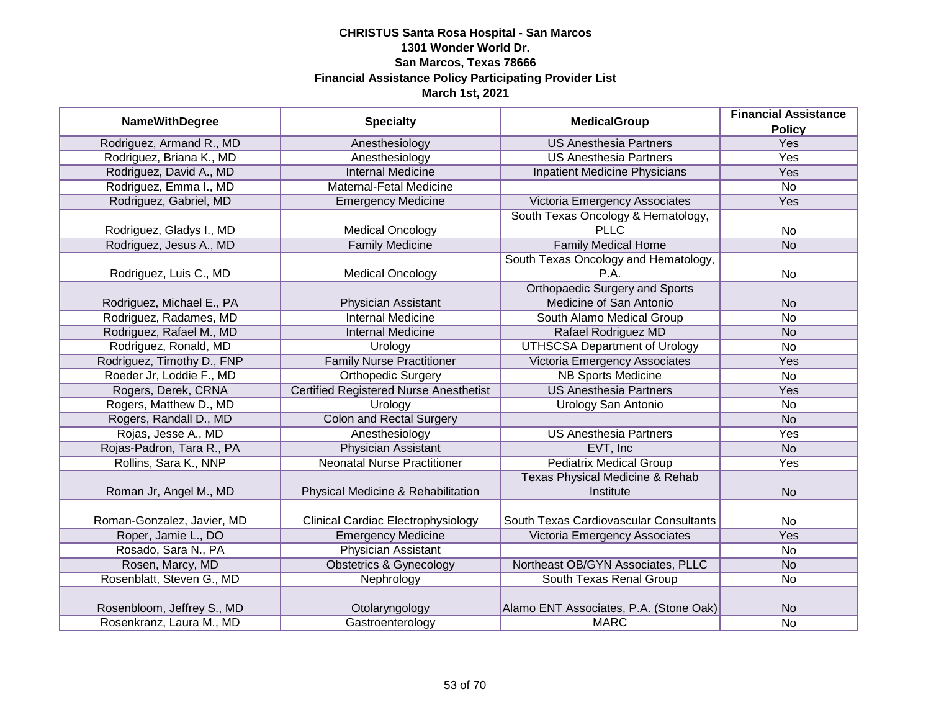|                            |                                               | <b>Specialty</b><br><b>MedicalGroup</b>    | <b>Financial Assistance</b> |
|----------------------------|-----------------------------------------------|--------------------------------------------|-----------------------------|
| <b>NameWithDegree</b>      |                                               |                                            | <b>Policy</b>               |
| Rodriguez, Armand R., MD   | Anesthesiology                                | <b>US Anesthesia Partners</b>              | <b>Yes</b>                  |
| Rodriguez, Briana K., MD   | Anesthesiology                                | <b>US Anesthesia Partners</b>              | <b>Yes</b>                  |
| Rodriguez, David A., MD    | <b>Internal Medicine</b>                      | Inpatient Medicine Physicians              | Yes                         |
| Rodriguez, Emma I., MD     | Maternal-Fetal Medicine                       |                                            | $\overline{No}$             |
| Rodriguez, Gabriel, MD     | <b>Emergency Medicine</b>                     | Victoria Emergency Associates              | Yes                         |
|                            |                                               | South Texas Oncology & Hematology,         |                             |
| Rodriguez, Gladys I., MD   | <b>Medical Oncology</b>                       | <b>PLLC</b>                                | No                          |
| Rodriguez, Jesus A., MD    | <b>Family Medicine</b>                        | <b>Family Medical Home</b>                 | <b>No</b>                   |
|                            |                                               | South Texas Oncology and Hematology,       |                             |
| Rodriguez, Luis C., MD     | <b>Medical Oncology</b>                       | P.A.                                       | No                          |
|                            |                                               | <b>Orthopaedic Surgery and Sports</b>      |                             |
| Rodriguez, Michael E., PA  | Physician Assistant                           | Medicine of San Antonio                    | <b>No</b>                   |
| Rodriguez, Radames, MD     | <b>Internal Medicine</b>                      | South Alamo Medical Group                  | <b>No</b>                   |
| Rodriguez, Rafael M., MD   | <b>Internal Medicine</b>                      | Rafael Rodriguez MD                        | <b>No</b>                   |
| Rodriguez, Ronald, MD      | Urology                                       | <b>UTHSCSA Department of Urology</b>       | <b>No</b>                   |
| Rodriguez, Timothy D., FNP | <b>Family Nurse Practitioner</b>              | <b>Victoria Emergency Associates</b>       | Yes                         |
| Roeder Jr, Loddie F., MD   | <b>Orthopedic Surgery</b>                     | <b>NB Sports Medicine</b>                  | No                          |
| Rogers, Derek, CRNA        | <b>Certified Registered Nurse Anesthetist</b> | <b>US Anesthesia Partners</b>              | Yes                         |
| Rogers, Matthew D., MD     | Urology                                       | Urology San Antonio                        | <b>No</b>                   |
| Rogers, Randall D., MD     | <b>Colon and Rectal Surgery</b>               |                                            | <b>No</b>                   |
| Rojas, Jesse A., MD        | Anesthesiology                                | <b>US Anesthesia Partners</b>              | Yes                         |
| Rojas-Padron, Tara R., PA  | <b>Physician Assistant</b>                    | EVT, Inc                                   | <b>No</b>                   |
| Rollins, Sara K., NNP      | <b>Neonatal Nurse Practitioner</b>            | <b>Pediatrix Medical Group</b>             | Yes                         |
|                            |                                               | <b>Texas Physical Medicine &amp; Rehab</b> |                             |
| Roman Jr, Angel M., MD     | Physical Medicine & Rehabilitation            | Institute                                  | <b>No</b>                   |
|                            |                                               |                                            |                             |
| Roman-Gonzalez, Javier, MD | <b>Clinical Cardiac Electrophysiology</b>     | South Texas Cardiovascular Consultants     | No                          |
| Roper, Jamie L., DO        | <b>Emergency Medicine</b>                     | Victoria Emergency Associates              | <b>Yes</b>                  |
| Rosado, Sara N., PA        | Physician Assistant                           |                                            | No                          |
| Rosen, Marcy, MD           | <b>Obstetrics &amp; Gynecology</b>            | Northeast OB/GYN Associates, PLLC          | <b>No</b>                   |
| Rosenblatt, Steven G., MD  | Nephrology                                    | South Texas Renal Group                    | No                          |
|                            |                                               |                                            |                             |
| Rosenbloom, Jeffrey S., MD | Otolaryngology                                | Alamo ENT Associates, P.A. (Stone Oak)     | <b>No</b>                   |
| Rosenkranz, Laura M., MD   | Gastroenterology                              | <b>MARC</b>                                | No                          |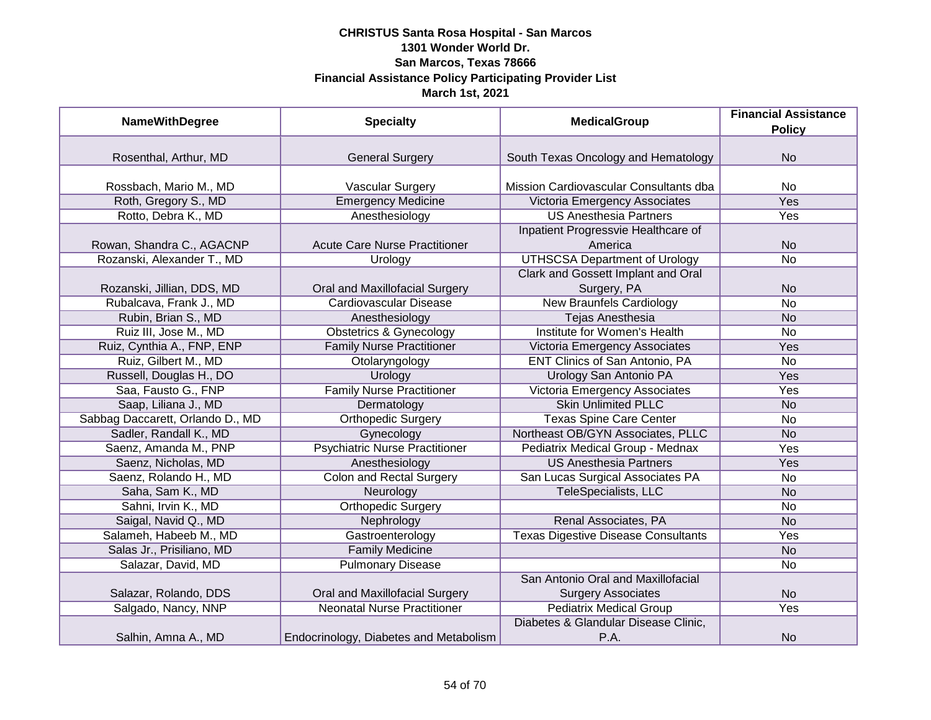| <b>NameWithDegree</b>            | <b>Specialty</b>                       | <b>MedicalGroup</b>                                             | <b>Financial Assistance</b><br><b>Policy</b> |
|----------------------------------|----------------------------------------|-----------------------------------------------------------------|----------------------------------------------|
|                                  |                                        |                                                                 |                                              |
| Rosenthal, Arthur, MD            | <b>General Surgery</b>                 | South Texas Oncology and Hematology                             | <b>No</b>                                    |
| Rossbach, Mario M., MD           | Vascular Surgery                       | Mission Cardiovascular Consultants dba                          | No                                           |
| Roth, Gregory S., MD             | <b>Emergency Medicine</b>              | Victoria Emergency Associates                                   | <b>Yes</b>                                   |
| Rotto, Debra K., MD              | Anesthesiology                         | <b>US Anesthesia Partners</b>                                   | Yes                                          |
|                                  |                                        | Inpatient Progressvie Healthcare of                             |                                              |
| Rowan, Shandra C., AGACNP        | <b>Acute Care Nurse Practitioner</b>   | America                                                         | <b>No</b>                                    |
| Rozanski, Alexander T., MD       | <b>Urology</b>                         | <b>UTHSCSA Department of Urology</b>                            | No                                           |
|                                  |                                        | Clark and Gossett Implant and Oral                              |                                              |
| Rozanski, Jillian, DDS, MD       | Oral and Maxillofacial Surgery         | Surgery, PA                                                     | <b>No</b>                                    |
| Rubalcava, Frank J., MD          | <b>Cardiovascular Disease</b>          | <b>New Braunfels Cardiology</b>                                 | <b>No</b>                                    |
| Rubin, Brian S., MD              | Anesthesiology                         | Tejas Anesthesia                                                | <b>No</b>                                    |
| Ruiz III, Jose M., MD            | <b>Obstetrics &amp; Gynecology</b>     | <b>Institute for Women's Health</b>                             | No                                           |
| Ruiz, Cynthia A., FNP, ENP       | <b>Family Nurse Practitioner</b>       | Victoria Emergency Associates                                   | Yes                                          |
| Ruiz, Gilbert M., MD             | Otolaryngology                         | <b>ENT Clinics of San Antonio, PA</b>                           | <b>No</b>                                    |
| Russell, Douglas H., DO          | Urology                                | Urology San Antonio PA                                          | Yes                                          |
| Saa, Fausto G., FNP              | <b>Family Nurse Practitioner</b>       | Victoria Emergency Associates                                   | Yes                                          |
| Saap, Liliana J., MD             | Dermatology                            | <b>Skin Unlimited PLLC</b>                                      | <b>No</b>                                    |
| Sabbag Daccarett, Orlando D., MD | <b>Orthopedic Surgery</b>              | <b>Texas Spine Care Center</b>                                  | <b>No</b>                                    |
| Sadler, Randall K., MD           | Gynecology                             | Northeast OB/GYN Associates, PLLC                               | <b>No</b>                                    |
| Saenz, Amanda M., PNP            | <b>Psychiatric Nurse Practitioner</b>  | Pediatrix Medical Group - Mednax                                | Yes                                          |
| Saenz, Nicholas, MD              | Anesthesiology                         | <b>US Anesthesia Partners</b>                                   | Yes                                          |
| Saenz, Rolando H., MD            | <b>Colon and Rectal Surgery</b>        | San Lucas Surgical Associates PA                                | No                                           |
| Saha, Sam K., MD                 | Neurology                              | TeleSpecialists, LLC                                            | <b>No</b>                                    |
| Sahni, Irvin K., MD              | <b>Orthopedic Surgery</b>              |                                                                 | <b>No</b>                                    |
| Saigal, Navid Q., MD             | Nephrology                             | Renal Associates, PA                                            | <b>No</b>                                    |
| Salameh, Habeeb M., MD           | Gastroenterology                       | <b>Texas Digestive Disease Consultants</b>                      | Yes                                          |
| Salas Jr., Prisiliano, MD        | <b>Family Medicine</b>                 |                                                                 | <b>No</b>                                    |
| Salazar, David, MD               | <b>Pulmonary Disease</b>               |                                                                 | No                                           |
| Salazar, Rolando, DDS            | Oral and Maxillofacial Surgery         | San Antonio Oral and Maxillofacial<br><b>Surgery Associates</b> | <b>No</b>                                    |
| Salgado, Nancy, NNP              | <b>Neonatal Nurse Practitioner</b>     | <b>Pediatrix Medical Group</b>                                  | Yes                                          |
| Salhin, Amna A., MD              | Endocrinology, Diabetes and Metabolism | Diabetes & Glandular Disease Clinic,<br>P.A.                    | <b>No</b>                                    |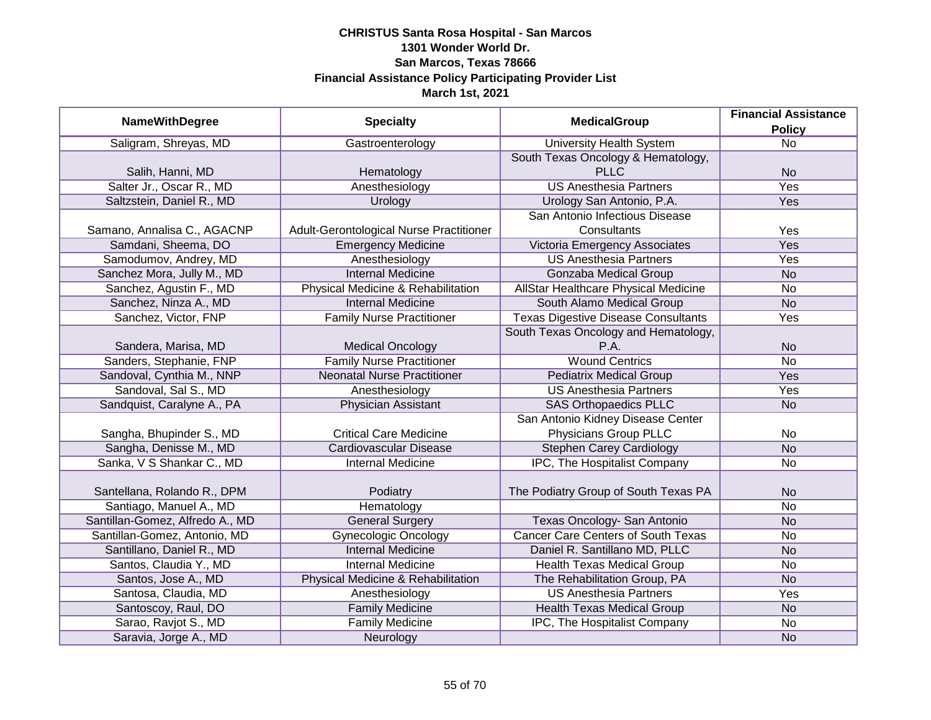| <b>NameWithDegree</b>           | <b>Specialty</b>                        | <b>MedicalGroup</b>                        | <b>Financial Assistance</b> |
|---------------------------------|-----------------------------------------|--------------------------------------------|-----------------------------|
|                                 |                                         |                                            | <b>Policy</b>               |
| Saligram, Shreyas, MD           | Gastroenterology                        | <b>University Health System</b>            | <b>No</b>                   |
|                                 |                                         | South Texas Oncology & Hematology,         |                             |
| Salih, Hanni, MD                | Hematology                              | <b>PLLC</b>                                | <b>No</b>                   |
| Salter Jr., Oscar R., MD        | Anesthesiology                          | <b>US Anesthesia Partners</b>              | <b>Yes</b>                  |
| Saltzstein, Daniel R., MD       | Urology                                 | Urology San Antonio, P.A.                  | <b>Yes</b>                  |
|                                 |                                         | San Antonio Infectious Disease             |                             |
| Samano, Annalisa C., AGACNP     | Adult-Gerontological Nurse Practitioner | Consultants                                | Yes                         |
| Samdani, Sheema, DO             | <b>Emergency Medicine</b>               | Victoria Emergency Associates              | Yes                         |
| Samodumov, Andrey, MD           | Anesthesiology                          | <b>US Anesthesia Partners</b>              | Yes                         |
| Sanchez Mora, Jully M., MD      | <b>Internal Medicine</b>                | Gonzaba Medical Group                      | <b>No</b>                   |
| Sanchez, Agustin F., MD         | Physical Medicine & Rehabilitation      | AllStar Healthcare Physical Medicine       | No                          |
| Sanchez, Ninza A., MD           | <b>Internal Medicine</b>                | South Alamo Medical Group                  | <b>No</b>                   |
| Sanchez, Victor, FNP            | <b>Family Nurse Practitioner</b>        | <b>Texas Digestive Disease Consultants</b> | Yes                         |
|                                 |                                         | South Texas Oncology and Hematology,       |                             |
| Sandera, Marisa, MD             | <b>Medical Oncology</b>                 | P.A.                                       | <b>No</b>                   |
| Sanders, Stephanie, FNP         | <b>Family Nurse Practitioner</b>        | <b>Wound Centrics</b>                      | No                          |
| Sandoval, Cynthia M., NNP       | <b>Neonatal Nurse Practitioner</b>      | <b>Pediatrix Medical Group</b>             | Yes                         |
| Sandoval, Sal S., MD            | Anesthesiology                          | <b>US Anesthesia Partners</b>              | Yes                         |
| Sandquist, Caralyne A., PA      | Physician Assistant                     | <b>SAS Orthopaedics PLLC</b>               | <b>No</b>                   |
|                                 |                                         | San Antonio Kidney Disease Center          |                             |
| Sangha, Bhupinder S., MD        | <b>Critical Care Medicine</b>           | Physicians Group PLLC                      | No                          |
| Sangha, Denisse M., MD          | Cardiovascular Disease                  | <b>Stephen Carey Cardiology</b>            | <b>No</b>                   |
| Sanka, V S Shankar C., MD       | <b>Internal Medicine</b>                | IPC, The Hospitalist Company               | No                          |
|                                 |                                         |                                            |                             |
| Santellana, Rolando R., DPM     | Podiatry                                | The Podiatry Group of South Texas PA       | <b>No</b>                   |
| Santiago, Manuel A., MD         | Hematology                              |                                            | No                          |
| Santillan-Gomez, Alfredo A., MD | <b>General Surgery</b>                  | Texas Oncology- San Antonio                | <b>No</b>                   |
| Santillan-Gomez, Antonio, MD    | <b>Gynecologic Oncology</b>             | <b>Cancer Care Centers of South Texas</b>  | <b>No</b>                   |
| Santillano, Daniel R., MD       | <b>Internal Medicine</b>                | Daniel R. Santillano MD, PLLC              | <b>No</b>                   |
| Santos, Claudia Y., MD          | <b>Internal Medicine</b>                | <b>Health Texas Medical Group</b>          | <b>No</b>                   |
| Santos, Jose A., MD             | Physical Medicine & Rehabilitation      | The Rehabilitation Group, PA               | <b>No</b>                   |
| Santosa, Claudia, MD            | Anesthesiology                          | <b>US Anesthesia Partners</b>              | Yes                         |
| Santoscoy, Raul, DO             | <b>Family Medicine</b>                  | <b>Health Texas Medical Group</b>          | N <sub>o</sub>              |
| Sarao, Ravjot S., MD            | <b>Family Medicine</b>                  | IPC, The Hospitalist Company               | No                          |
| Saravia, Jorge A., MD           | Neurology                               |                                            | <b>No</b>                   |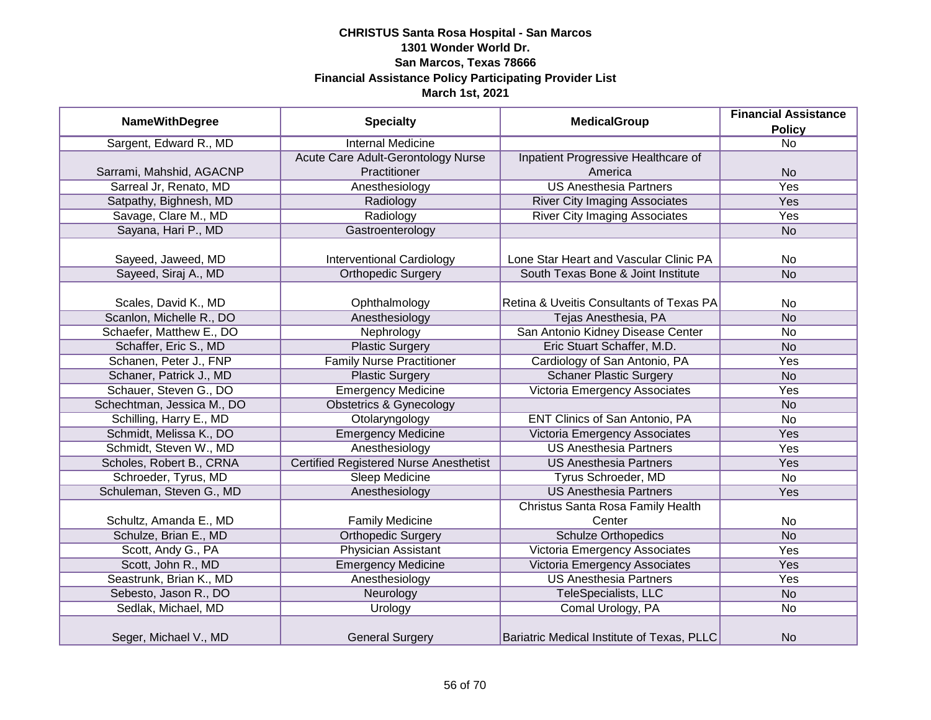| <b>NameWithDegree</b>      | <b>Specialty</b>                              | <b>MedicalGroup</b>                        | <b>Financial Assistance</b> |
|----------------------------|-----------------------------------------------|--------------------------------------------|-----------------------------|
|                            |                                               | <b>Policy</b>                              |                             |
| Sargent, Edward R., MD     | <b>Internal Medicine</b>                      |                                            | $\overline{N}$              |
|                            | Acute Care Adult-Gerontology Nurse            | Inpatient Progressive Healthcare of        |                             |
| Sarrami, Mahshid, AGACNP   | Practitioner                                  | America                                    | <b>No</b>                   |
| Sarreal Jr, Renato, MD     | Anesthesiology                                | <b>US Anesthesia Partners</b>              | <b>Yes</b>                  |
| Satpathy, Bighnesh, MD     | Radiology                                     | <b>River City Imaging Associates</b>       | <b>Yes</b>                  |
| Savage, Clare M., MD       | Radiology                                     | <b>River City Imaging Associates</b>       | Yes                         |
| Sayana, Hari P., MD        | Gastroenterology                              |                                            | <b>No</b>                   |
|                            |                                               |                                            |                             |
| Sayeed, Jaweed, MD         | <b>Interventional Cardiology</b>              | Lone Star Heart and Vascular Clinic PA     | <b>No</b>                   |
| Sayeed, Siraj A., MD       | <b>Orthopedic Surgery</b>                     | South Texas Bone & Joint Institute         | <b>No</b>                   |
|                            |                                               |                                            |                             |
| Scales, David K., MD       | Ophthalmology                                 | Retina & Uveitis Consultants of Texas PA   | <b>No</b>                   |
| Scanlon, Michelle R., DO   | Anesthesiology                                | Tejas Anesthesia, PA                       | <b>No</b>                   |
| Schaefer, Matthew E., DO   | Nephrology                                    | San Antonio Kidney Disease Center          | <b>No</b>                   |
| Schaffer, Eric S., MD      | <b>Plastic Surgery</b>                        | Eric Stuart Schaffer, M.D.                 | <b>No</b>                   |
| Schanen, Peter J., FNP     | <b>Family Nurse Practitioner</b>              | Cardiology of San Antonio, PA              | Yes                         |
| Schaner, Patrick J., MD    | <b>Plastic Surgery</b>                        | <b>Schaner Plastic Surgery</b>             | <b>No</b>                   |
| Schauer, Steven G., DO     | <b>Emergency Medicine</b>                     | Victoria Emergency Associates              | Yes                         |
| Schechtman, Jessica M., DO | <b>Obstetrics &amp; Gynecology</b>            |                                            | <b>No</b>                   |
| Schilling, Harry E., MD    | Otolaryngology                                | <b>ENT Clinics of San Antonio, PA</b>      | <b>No</b>                   |
| Schmidt, Melissa K., DO    | <b>Emergency Medicine</b>                     | Victoria Emergency Associates              | Yes                         |
| Schmidt, Steven W., MD     | Anesthesiology                                | <b>US Anesthesia Partners</b>              | Yes                         |
| Scholes, Robert B., CRNA   | <b>Certified Registered Nurse Anesthetist</b> | <b>US Anesthesia Partners</b>              | Yes                         |
| Schroeder, Tyrus, MD       | Sleep Medicine                                | Tyrus Schroeder, MD                        | <b>No</b>                   |
| Schuleman, Steven G., MD   | Anesthesiology                                | <b>US Anesthesia Partners</b>              | Yes                         |
|                            |                                               | Christus Santa Rosa Family Health          |                             |
| Schultz, Amanda E., MD     | <b>Family Medicine</b>                        | Center                                     | No                          |
| Schulze, Brian E., MD      | <b>Orthopedic Surgery</b>                     | <b>Schulze Orthopedics</b>                 | <b>No</b>                   |
| Scott, Andy G., PA         | <b>Physician Assistant</b>                    | Victoria Emergency Associates              | Yes                         |
| Scott, John R., MD         | <b>Emergency Medicine</b>                     | Victoria Emergency Associates              | Yes                         |
| Seastrunk, Brian K., MD    | Anesthesiology                                | <b>US Anesthesia Partners</b>              | Yes                         |
| Sebesto, Jason R., DO      | Neurology                                     | TeleSpecialists, LLC                       | <b>No</b>                   |
| Sedlak, Michael, MD        | Urology                                       | Comal Urology, PA                          | No                          |
| Seger, Michael V., MD      | <b>General Surgery</b>                        | Bariatric Medical Institute of Texas, PLLC | <b>No</b>                   |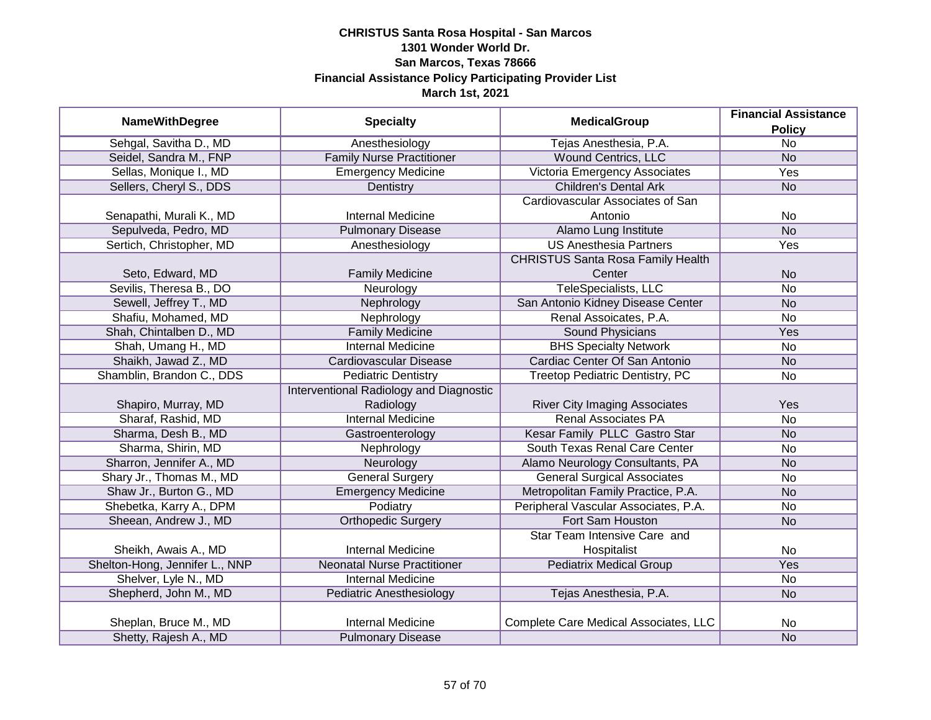|                                |                                         | <b>MedicalGroup</b>                      | <b>Financial Assistance</b> |
|--------------------------------|-----------------------------------------|------------------------------------------|-----------------------------|
| <b>NameWithDegree</b>          | <b>Specialty</b>                        |                                          | <b>Policy</b>               |
| Sehgal, Savitha D., MD         | Anesthesiology                          | Tejas Anesthesia, P.A.                   | $\overline{No}$             |
| Seidel, Sandra M., FNP         | <b>Family Nurse Practitioner</b>        | <b>Wound Centrics, LLC</b>               | <b>No</b>                   |
| Sellas, Monique I., MD         | <b>Emergency Medicine</b>               | Victoria Emergency Associates            | <b>Yes</b>                  |
| Sellers, Cheryl S., DDS        | Dentistry                               | <b>Children's Dental Ark</b>             | <b>No</b>                   |
|                                |                                         | Cardiovascular Associates of San         |                             |
| Senapathi, Murali K., MD       | <b>Internal Medicine</b>                | Antonio                                  | No                          |
| Sepulveda, Pedro, MD           | <b>Pulmonary Disease</b>                | Alamo Lung Institute                     | N <sub>o</sub>              |
| Sertich, Christopher, MD       | Anesthesiology                          | <b>US Anesthesia Partners</b>            | Yes                         |
|                                |                                         | <b>CHRISTUS Santa Rosa Family Health</b> |                             |
| Seto, Edward, MD               | <b>Family Medicine</b>                  | Center                                   | <b>No</b>                   |
| Sevilis, Theresa B., DO        | Neurology                               | <b>TeleSpecialists, LLC</b>              | <b>No</b>                   |
| Sewell, Jeffrey T., MD         | Nephrology                              | San Antonio Kidney Disease Center        | <b>No</b>                   |
| Shafiu, Mohamed, MD            | Nephrology                              | Renal Assoicates, P.A.                   | No                          |
| Shah, Chintalben D., MD        | <b>Family Medicine</b>                  | <b>Sound Physicians</b>                  | Yes                         |
| Shah, Umang H., MD             | <b>Internal Medicine</b>                | <b>BHS Specialty Network</b>             | No                          |
| Shaikh, Jawad Z., MD           | Cardiovascular Disease                  | Cardiac Center Of San Antonio            | <b>No</b>                   |
| Shamblin, Brandon C., DDS      | <b>Pediatric Dentistry</b>              | Treetop Pediatric Dentistry, PC          | No                          |
|                                | Interventional Radiology and Diagnostic |                                          |                             |
| Shapiro, Murray, MD            | Radiology                               | <b>River City Imaging Associates</b>     | Yes                         |
| Sharaf, Rashid, MD             | <b>Internal Medicine</b>                | <b>Renal Associates PA</b>               | <b>No</b>                   |
| Sharma, Desh B., MD            | Gastroenterology                        | Kesar Family PLLC Gastro Star            | <b>No</b>                   |
| Sharma, Shirin, MD             | Nephrology                              | South Texas Renal Care Center            | No                          |
| Sharron, Jennifer A., MD       | Neurology                               | Alamo Neurology Consultants, PA          | <b>No</b>                   |
| Shary Jr., Thomas M., MD       | <b>General Surgery</b>                  | <b>General Surgical Associates</b>       | No                          |
| Shaw Jr., Burton G., MD        | <b>Emergency Medicine</b>               | Metropolitan Family Practice, P.A.       | <b>No</b>                   |
| Shebetka, Karry A., DPM        | Podiatry                                | Peripheral Vascular Associates, P.A.     | No                          |
| Sheean, Andrew J., MD          | <b>Orthopedic Surgery</b>               | Fort Sam Houston                         | <b>No</b>                   |
|                                |                                         | Star Team Intensive Care and             |                             |
| Sheikh, Awais A., MD           | <b>Internal Medicine</b>                | Hospitalist                              | No                          |
| Shelton-Hong, Jennifer L., NNP | <b>Neonatal Nurse Practitioner</b>      | <b>Pediatrix Medical Group</b>           | Yes                         |
| Shelver, Lyle N., MD           | <b>Internal Medicine</b>                |                                          | No                          |
| Shepherd, John M., MD          | Pediatric Anesthesiology                | Tejas Anesthesia, P.A.                   | <b>No</b>                   |
|                                |                                         |                                          |                             |
| Sheplan, Bruce M., MD          | <b>Internal Medicine</b>                | Complete Care Medical Associates, LLC    | No                          |
| Shetty, Rajesh A., MD          | <b>Pulmonary Disease</b>                |                                          | <b>No</b>                   |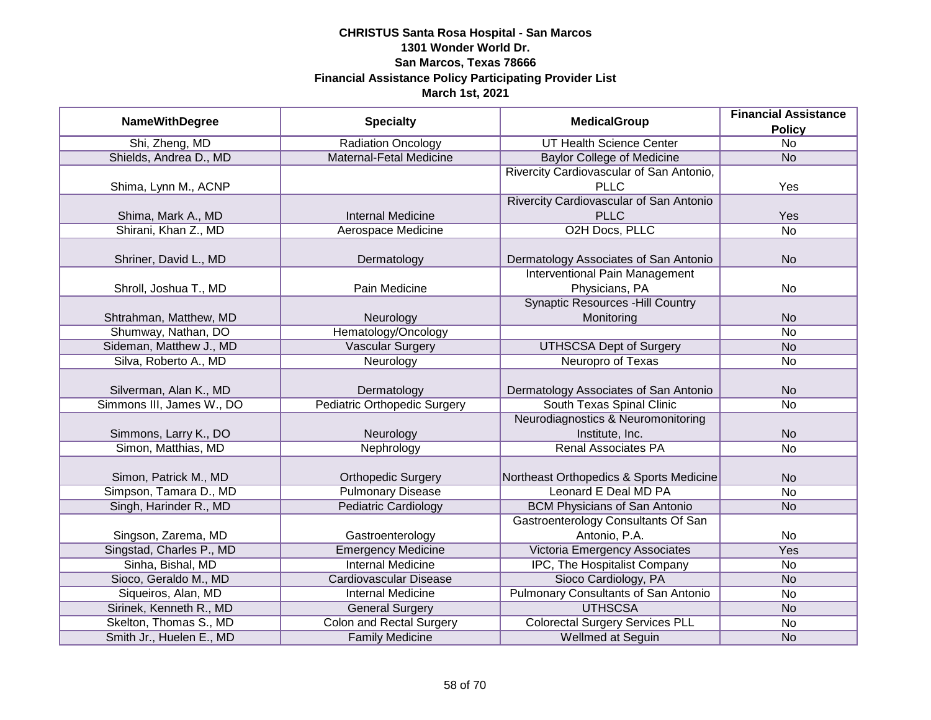|                           |                                     |                                             | <b>Financial Assistance</b> |
|---------------------------|-------------------------------------|---------------------------------------------|-----------------------------|
| <b>NameWithDegree</b>     | <b>Specialty</b>                    | <b>MedicalGroup</b>                         | <b>Policy</b>               |
| Shi, Zheng, MD            | <b>Radiation Oncology</b>           | <b>UT Health Science Center</b>             | $\overline{No}$             |
| Shields, Andrea D., MD    | Maternal-Fetal Medicine             | <b>Baylor College of Medicine</b>           | <b>No</b>                   |
|                           |                                     | Rivercity Cardiovascular of San Antonio,    |                             |
| Shima, Lynn M., ACNP      |                                     | <b>PLLC</b>                                 | Yes                         |
|                           |                                     | Rivercity Cardiovascular of San Antonio     |                             |
| Shima, Mark A., MD        | <b>Internal Medicine</b>            | <b>PLLC</b>                                 | Yes                         |
| Shirani, Khan Z., MD      | Aerospace Medicine                  | O2H Docs, PLLC                              | $\overline{No}$             |
|                           |                                     |                                             |                             |
| Shriner, David L., MD     | Dermatology                         | Dermatology Associates of San Antonio       | <b>No</b>                   |
|                           |                                     | <b>Interventional Pain Management</b>       |                             |
| Shroll, Joshua T., MD     | Pain Medicine                       | Physicians, PA                              | No                          |
|                           |                                     | <b>Synaptic Resources -Hill Country</b>     |                             |
| Shtrahman, Matthew, MD    | Neurology                           | Monitoring                                  | <b>No</b>                   |
| Shumway, Nathan, DO       | Hematology/Oncology                 |                                             | No                          |
| Sideman, Matthew J., MD   | Vascular Surgery                    | <b>UTHSCSA Dept of Surgery</b>              | <b>No</b>                   |
| Silva, Roberto A., MD     | Neurology                           | Neuropro of Texas                           | No                          |
|                           |                                     |                                             |                             |
| Silverman, Alan K., MD    | Dermatology                         | Dermatology Associates of San Antonio       | <b>No</b>                   |
| Simmons III, James W., DO | <b>Pediatric Orthopedic Surgery</b> | South Texas Spinal Clinic                   | <b>No</b>                   |
|                           |                                     | Neurodiagnostics & Neuromonitoring          |                             |
| Simmons, Larry K., DO     | Neurology                           | Institute, Inc.                             | <b>No</b>                   |
| Simon, Matthias, MD       | Nephrology                          | <b>Renal Associates PA</b>                  | <b>No</b>                   |
|                           |                                     |                                             |                             |
| Simon, Patrick M., MD     | <b>Orthopedic Surgery</b>           | Northeast Orthopedics & Sports Medicine     | <b>No</b>                   |
| Simpson, Tamara D., MD    | <b>Pulmonary Disease</b>            | Leonard E Deal MD PA                        | <b>No</b>                   |
| Singh, Harinder R., MD    | <b>Pediatric Cardiology</b>         | <b>BCM Physicians of San Antonio</b>        | <b>No</b>                   |
|                           |                                     | <b>Gastroenterology Consultants Of San</b>  |                             |
| Singson, Zarema, MD       | Gastroenterology                    | Antonio, P.A.                               | No                          |
| Singstad, Charles P., MD  | <b>Emergency Medicine</b>           | Victoria Emergency Associates               | Yes                         |
| Sinha, Bishal, MD         | <b>Internal Medicine</b>            | IPC, The Hospitalist Company                | No                          |
| Sioco, Geraldo M., MD     | <b>Cardiovascular Disease</b>       | Sioco Cardiology, PA                        | <b>No</b>                   |
| Siqueiros, Alan, MD       | <b>Internal Medicine</b>            | <b>Pulmonary Consultants of San Antonio</b> | No                          |
| Sirinek, Kenneth R., MD   | <b>General Surgery</b>              | <b>UTHSCSA</b>                              | <b>No</b>                   |
| Skelton, Thomas S., MD    | <b>Colon and Rectal Surgery</b>     | <b>Colorectal Surgery Services PLL</b>      | No                          |
| Smith Jr., Huelen E., MD  | <b>Family Medicine</b>              | Wellmed at Seguin                           | <b>No</b>                   |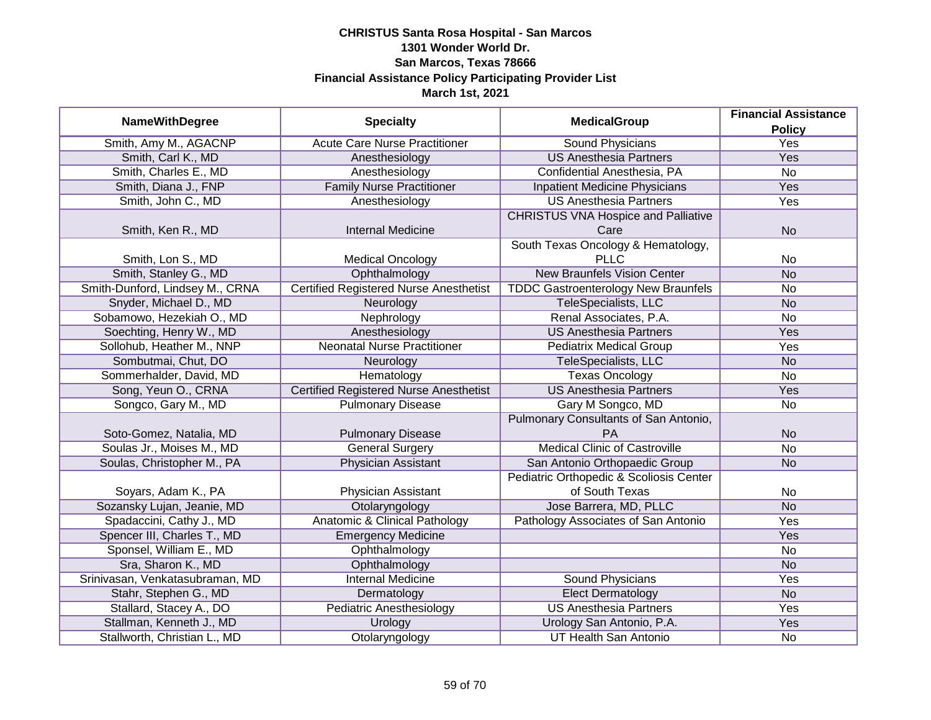|                                 |                                               | <b>MedicalGroup</b>                        | <b>Financial Assistance</b> |
|---------------------------------|-----------------------------------------------|--------------------------------------------|-----------------------------|
| <b>NameWithDegree</b>           | <b>Specialty</b>                              |                                            | <b>Policy</b>               |
| Smith, Amy M., AGACNP           | <b>Acute Care Nurse Practitioner</b>          | <b>Sound Physicians</b>                    | <b>Yes</b>                  |
| Smith, Carl K., MD              | Anesthesiology                                | <b>US Anesthesia Partners</b>              | Yes                         |
| Smith, Charles E., MD           | Anesthesiology                                | Confidential Anesthesia, PA                | $\overline{No}$             |
| Smith, Diana J., FNP            | <b>Family Nurse Practitioner</b>              | <b>Inpatient Medicine Physicians</b>       | <b>Yes</b>                  |
| Smith, John C., MD              | Anesthesiology                                | <b>US Anesthesia Partners</b>              | <b>Yes</b>                  |
|                                 |                                               | <b>CHRISTUS VNA Hospice and Palliative</b> |                             |
| Smith, Ken R., MD               | <b>Internal Medicine</b>                      | Care                                       | <b>No</b>                   |
|                                 |                                               | South Texas Oncology & Hematology,         |                             |
| Smith, Lon S., MD               | <b>Medical Oncology</b>                       | <b>PLLC</b>                                | <b>No</b>                   |
| Smith, Stanley G., MD           | Ophthalmology                                 | <b>New Braunfels Vision Center</b>         | <b>No</b>                   |
| Smith-Dunford, Lindsey M., CRNA | <b>Certified Registered Nurse Anesthetist</b> | <b>TDDC Gastroenterology New Braunfels</b> | <b>No</b>                   |
| Snyder, Michael D., MD          | Neurology                                     | TeleSpecialists, LLC                       | <b>No</b>                   |
| Sobamowo, Hezekiah O., MD       | Nephrology                                    | Renal Associates, P.A.                     | <b>No</b>                   |
| Soechting, Henry W., MD         | Anesthesiology                                | <b>US Anesthesia Partners</b>              | Yes                         |
| Sollohub, Heather M., NNP       | <b>Neonatal Nurse Practitioner</b>            | <b>Pediatrix Medical Group</b>             | Yes                         |
| Sombutmai, Chut, DO             | Neurology                                     | TeleSpecialists, LLC                       | <b>No</b>                   |
| Sommerhalder, David, MD         | Hematology                                    | <b>Texas Oncology</b>                      | <b>No</b>                   |
| Song, Yeun O., CRNA             | <b>Certified Registered Nurse Anesthetist</b> | <b>US Anesthesia Partners</b>              | <b>Yes</b>                  |
| Songco, Gary M., MD             | <b>Pulmonary Disease</b>                      | Gary M Songco, MD                          | No                          |
|                                 |                                               | Pulmonary Consultants of San Antonio,      |                             |
| Soto-Gomez, Natalia, MD         | <b>Pulmonary Disease</b>                      | PA                                         | <b>No</b>                   |
| Soulas Jr., Moises M., MD       | <b>General Surgery</b>                        | <b>Medical Clinic of Castroville</b>       | <b>No</b>                   |
| Soulas, Christopher M., PA      | Physician Assistant                           | San Antonio Orthopaedic Group              | <b>No</b>                   |
|                                 |                                               | Pediatric Orthopedic & Scoliosis Center    |                             |
| Soyars, Adam K., PA             | Physician Assistant                           | of South Texas                             | No                          |
| Sozansky Lujan, Jeanie, MD      | Otolaryngology                                | Jose Barrera, MD, PLLC                     | <b>No</b>                   |
| Spadaccini, Cathy J., MD        | <b>Anatomic &amp; Clinical Pathology</b>      | Pathology Associates of San Antonio        | Yes                         |
| Spencer III, Charles T., MD     | <b>Emergency Medicine</b>                     |                                            | Yes                         |
| Sponsel, William E., MD         | Ophthalmology                                 |                                            | No                          |
| Sra, Sharon K., MD              | Ophthalmology                                 |                                            | <b>No</b>                   |
| Srinivasan, Venkatasubraman, MD | <b>Internal Medicine</b>                      | <b>Sound Physicians</b>                    | <b>Yes</b>                  |
| Stahr, Stephen G., MD           | Dermatology                                   | <b>Elect Dermatology</b>                   | <b>No</b>                   |
| Stallard, Stacey A., DO         | <b>Pediatric Anesthesiology</b>               | <b>US Anesthesia Partners</b>              | <b>Yes</b>                  |
| Stallman, Kenneth J., MD        | Urology                                       | Urology San Antonio, P.A.                  | <b>Yes</b>                  |
| Stallworth, Christian L., MD    | Otolaryngology                                | <b>UT Health San Antonio</b>               | No                          |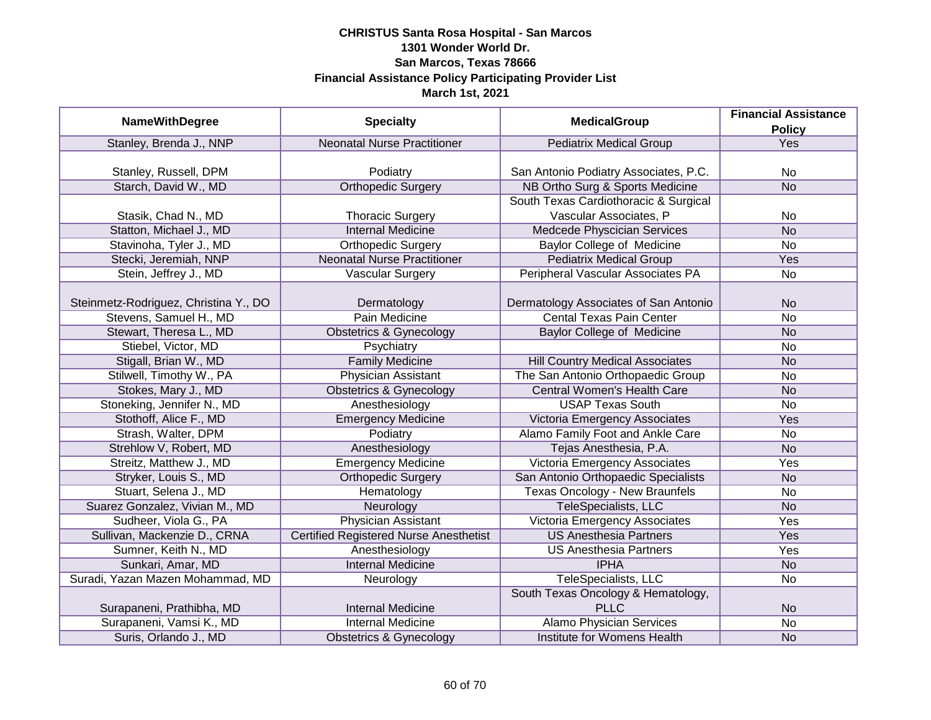|                                       |                                               | <b>MedicalGroup</b>                    | <b>Financial Assistance</b> |
|---------------------------------------|-----------------------------------------------|----------------------------------------|-----------------------------|
| <b>NameWithDegree</b>                 | <b>Specialty</b>                              |                                        | <b>Policy</b>               |
| Stanley, Brenda J., NNP               | <b>Neonatal Nurse Practitioner</b>            | <b>Pediatrix Medical Group</b>         | Yes                         |
|                                       |                                               |                                        |                             |
| Stanley, Russell, DPM                 | Podiatry                                      | San Antonio Podiatry Associates, P.C.  | No                          |
| Starch, David W., MD                  | <b>Orthopedic Surgery</b>                     | NB Ortho Surg & Sports Medicine        | <b>No</b>                   |
|                                       |                                               | South Texas Cardiothoracic & Surgical  |                             |
| Stasik, Chad N., MD                   | <b>Thoracic Surgery</b>                       | Vascular Associates, P                 | No                          |
| Statton, Michael J., MD               | <b>Internal Medicine</b>                      | Medcede Physcician Services            | <b>No</b>                   |
| Stavinoha, Tyler J., MD               | <b>Orthopedic Surgery</b>                     | Baylor College of Medicine             | <b>No</b>                   |
| Stecki, Jeremiah, NNP                 | <b>Neonatal Nurse Practitioner</b>            | <b>Pediatrix Medical Group</b>         | Yes                         |
| Stein, Jeffrey J., MD                 | Vascular Surgery                              | Peripheral Vascular Associates PA      | No                          |
|                                       |                                               |                                        |                             |
| Steinmetz-Rodriguez, Christina Y., DO | Dermatology                                   | Dermatology Associates of San Antonio  | <b>No</b>                   |
| Stevens, Samuel H., MD                | Pain Medicine                                 | <b>Cental Texas Pain Center</b>        | No                          |
| Stewart, Theresa L., MD               | <b>Obstetrics &amp; Gynecology</b>            | <b>Baylor College of Medicine</b>      | <b>No</b>                   |
| Stiebel, Victor, MD                   | Psychiatry                                    |                                        | No                          |
| Stigall, Brian W., MD                 | <b>Family Medicine</b>                        | <b>Hill Country Medical Associates</b> | <b>No</b>                   |
| Stilwell, Timothy W., PA              | <b>Physician Assistant</b>                    | The San Antonio Orthopaedic Group      | No                          |
| Stokes, Mary J., MD                   | <b>Obstetrics &amp; Gynecology</b>            | <b>Central Women's Health Care</b>     | <b>No</b>                   |
| Stoneking, Jennifer N., MD            | Anesthesiology                                | <b>USAP Texas South</b>                | No                          |
| Stothoff, Alice F., MD                | <b>Emergency Medicine</b>                     | Victoria Emergency Associates          | Yes                         |
| Strash, Walter, DPM                   | Podiatry                                      | Alamo Family Foot and Ankle Care       | <b>No</b>                   |
| Strehlow V, Robert, MD                | Anesthesiology                                | Tejas Anesthesia, P.A.                 | <b>No</b>                   |
| Streitz, Matthew J., MD               | <b>Emergency Medicine</b>                     | Victoria Emergency Associates          | Yes                         |
| Stryker, Louis S., MD                 | <b>Orthopedic Surgery</b>                     | San Antonio Orthopaedic Specialists    | <b>No</b>                   |
| Stuart, Selena J., MD                 | Hematology                                    | Texas Oncology - New Braunfels         | <b>No</b>                   |
| Suarez Gonzalez, Vivian M., MD        | Neurology                                     | <b>TeleSpecialists, LLC</b>            | <b>No</b>                   |
| Sudheer, Viola G., PA                 | <b>Physician Assistant</b>                    | Victoria Emergency Associates          | Yes                         |
| Sullivan, Mackenzie D., CRNA          | <b>Certified Registered Nurse Anesthetist</b> | <b>US Anesthesia Partners</b>          | Yes                         |
| Sumner, Keith N., MD                  | Anesthesiology                                | <b>US Anesthesia Partners</b>          | Yes                         |
| Sunkari, Amar, MD                     | <b>Internal Medicine</b>                      | <b>IPHA</b>                            | <b>No</b>                   |
| Suradi, Yazan Mazen Mohammad, MD      | Neurology                                     | TeleSpecialists, LLC                   | No                          |
|                                       |                                               | South Texas Oncology & Hematology,     |                             |
| Surapaneni, Prathibha, MD             | <b>Internal Medicine</b>                      | <b>PLLC</b>                            | <b>No</b>                   |
| Surapaneni, Vamsi K., MD              | <b>Internal Medicine</b>                      | <b>Alamo Physician Services</b>        | $\overline{No}$             |
| Suris, Orlando J., MD                 | <b>Obstetrics &amp; Gynecology</b>            | Institute for Womens Health            | <b>No</b>                   |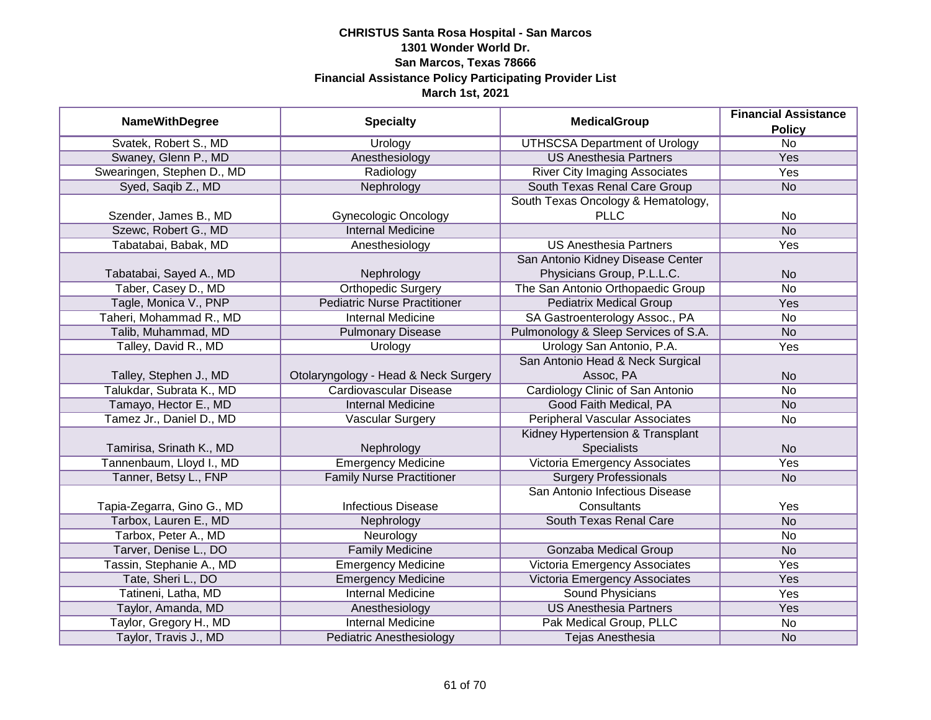| <b>NameWithDegree</b>      | <b>Specialty</b>                     | <b>MedicalGroup</b>                   | <b>Financial Assistance</b>      |
|----------------------------|--------------------------------------|---------------------------------------|----------------------------------|
| Svatek, Robert S., MD      | Urology                              | <b>UTHSCSA Department of Urology</b>  | <b>Policy</b><br>$\overline{No}$ |
| Swaney, Glenn P., MD       | Anesthesiology                       | <b>US Anesthesia Partners</b>         | <b>Yes</b>                       |
| Swearingen, Stephen D., MD | Radiology                            | <b>River City Imaging Associates</b>  | <b>Yes</b>                       |
| Syed, Saqib Z., MD         | Nephrology                           | South Texas Renal Care Group          | <b>No</b>                        |
|                            |                                      | South Texas Oncology & Hematology,    |                                  |
| Szender, James B., MD      | <b>Gynecologic Oncology</b>          | <b>PLLC</b>                           | No                               |
| Szewc, Robert G., MD       | <b>Internal Medicine</b>             |                                       | <b>No</b>                        |
| Tabatabai, Babak, MD       | Anesthesiology                       | <b>US Anesthesia Partners</b>         | Yes                              |
|                            |                                      | San Antonio Kidney Disease Center     |                                  |
| Tabatabai, Sayed A., MD    | Nephrology                           | Physicians Group, P.L.L.C.            | <b>No</b>                        |
| Taber, Casey D., MD        | <b>Orthopedic Surgery</b>            | The San Antonio Orthopaedic Group     | <b>No</b>                        |
| Tagle, Monica V., PNP      | <b>Pediatric Nurse Practitioner</b>  | <b>Pediatrix Medical Group</b>        | Yes                              |
| Taheri, Mohammad R., MD    | <b>Internal Medicine</b>             | SA Gastroenterology Assoc., PA        | No                               |
| Talib, Muhammad, MD        | <b>Pulmonary Disease</b>             | Pulmonology & Sleep Services of S.A.  | <b>No</b>                        |
| Talley, David R., MD       | Urology                              | Urology San Antonio, P.A.             | Yes                              |
|                            |                                      | San Antonio Head & Neck Surgical      |                                  |
| Talley, Stephen J., MD     | Otolaryngology - Head & Neck Surgery | Assoc, PA                             | <b>No</b>                        |
| Talukdar, Subrata K., MD   | <b>Cardiovascular Disease</b>        | Cardiology Clinic of San Antonio      | No                               |
| Tamayo, Hector E., MD      | <b>Internal Medicine</b>             | Good Faith Medical, PA                | <b>No</b>                        |
| Tamez Jr., Daniel D., MD   | <b>Vascular Surgery</b>              | <b>Peripheral Vascular Associates</b> | No                               |
|                            |                                      | Kidney Hypertension & Transplant      |                                  |
| Tamirisa, Srinath K., MD   | Nephrology                           | <b>Specialists</b>                    | <b>No</b>                        |
| Tannenbaum, Lloyd I., MD   | <b>Emergency Medicine</b>            | Victoria Emergency Associates         | Yes                              |
| Tanner, Betsy L., FNP      | <b>Family Nurse Practitioner</b>     | <b>Surgery Professionals</b>          | <b>No</b>                        |
|                            |                                      | San Antonio Infectious Disease        |                                  |
| Tapia-Zegarra, Gino G., MD | <b>Infectious Disease</b>            | Consultants                           | Yes                              |
| Tarbox, Lauren E., MD      | Nephrology                           | South Texas Renal Care                | <b>No</b>                        |
| Tarbox, Peter A., MD       | Neurology                            |                                       | No                               |
| Tarver, Denise L., DO      | <b>Family Medicine</b>               | <b>Gonzaba Medical Group</b>          | <b>No</b>                        |
| Tassin, Stephanie A., MD   | <b>Emergency Medicine</b>            | Victoria Emergency Associates         | Yes                              |
| Tate, Sheri L., DO         | <b>Emergency Medicine</b>            | Victoria Emergency Associates         | Yes                              |
| Tatineni, Latha, MD        | <b>Internal Medicine</b>             | <b>Sound Physicians</b>               | Yes                              |
| Taylor, Amanda, MD         | Anesthesiology                       | <b>US Anesthesia Partners</b>         | Yes                              |
| Taylor, Gregory H., MD     | <b>Internal Medicine</b>             | Pak Medical Group, PLLC               | No                               |
| Taylor, Travis J., MD      | <b>Pediatric Anesthesiology</b>      | Tejas Anesthesia                      | <b>No</b>                        |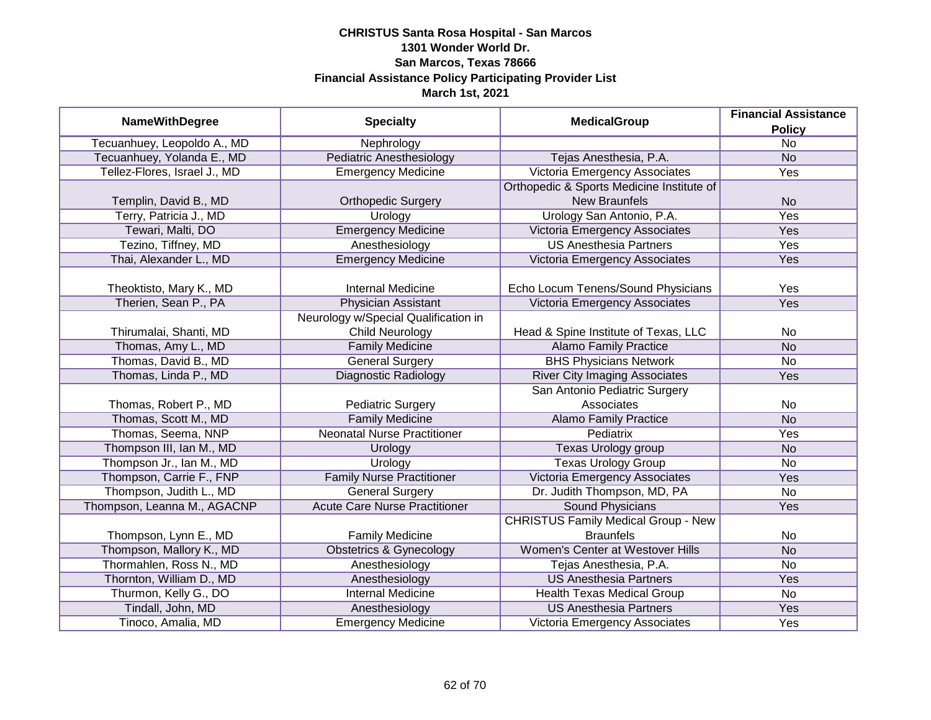| <b>MedicalGroup</b>          | <b>Financial Assistance</b>          |                                            |                 |
|------------------------------|--------------------------------------|--------------------------------------------|-----------------|
| <b>NameWithDegree</b>        | <b>Specialty</b>                     |                                            | <b>Policy</b>   |
| Tecuanhuey, Leopoldo A., MD  | Nephrology                           |                                            | $\overline{No}$ |
| Tecuanhuey, Yolanda E., MD   | <b>Pediatric Anesthesiology</b>      | Tejas Anesthesia, P.A.                     | <b>No</b>       |
| Tellez-Flores, Israel J., MD | <b>Emergency Medicine</b>            | Victoria Emergency Associates              | Yes             |
|                              |                                      | Orthopedic & Sports Medicine Institute of  |                 |
| Templin, David B., MD        | <b>Orthopedic Surgery</b>            | <b>New Braunfels</b>                       | <b>No</b>       |
| Terry, Patricia J., MD       | Urology                              | Urology San Antonio, P.A.                  | Yes             |
| Tewari, Malti, DO            | <b>Emergency Medicine</b>            | Victoria Emergency Associates              | Yes             |
| Tezino, Tiffney, MD          | Anesthesiology                       | <b>US Anesthesia Partners</b>              | Yes             |
| Thai, Alexander L., MD       | <b>Emergency Medicine</b>            | Victoria Emergency Associates              | Yes             |
|                              |                                      |                                            |                 |
| Theoktisto, Mary K., MD      | <b>Internal Medicine</b>             | Echo Locum Tenens/Sound Physicians         | Yes             |
| Therien, Sean P., PA         | <b>Physician Assistant</b>           | Victoria Emergency Associates              | Yes             |
|                              | Neurology w/Special Qualification in |                                            |                 |
| Thirumalai, Shanti, MD       | <b>Child Neurology</b>               | Head & Spine Institute of Texas, LLC       | No              |
| Thomas, Amy L., MD           | <b>Family Medicine</b>               | <b>Alamo Family Practice</b>               | <b>No</b>       |
| Thomas, David B., MD         | <b>General Surgery</b>               | <b>BHS Physicians Network</b>              | <b>No</b>       |
| Thomas, Linda P., MD         | <b>Diagnostic Radiology</b>          | <b>River City Imaging Associates</b>       | Yes             |
|                              |                                      | San Antonio Pediatric Surgery              |                 |
| Thomas, Robert P., MD        | <b>Pediatric Surgery</b>             | Associates                                 | No              |
| Thomas, Scott M., MD         | <b>Family Medicine</b>               | <b>Alamo Family Practice</b>               | <b>No</b>       |
| Thomas, Seema, NNP           | <b>Neonatal Nurse Practitioner</b>   | <b>Pediatrix</b>                           | Yes             |
| Thompson III, Ian M., MD     | Urology                              | Texas Urology group                        | <b>No</b>       |
| Thompson Jr., Ian M., MD     | Urology                              | <b>Texas Urology Group</b>                 | No              |
| Thompson, Carrie F., FNP     | <b>Family Nurse Practitioner</b>     | Victoria Emergency Associates              | Yes             |
| Thompson, Judith L., MD      | General Surgery                      | Dr. Judith Thompson, MD, PA                | <b>No</b>       |
| Thompson, Leanna M., AGACNP  | <b>Acute Care Nurse Practitioner</b> | <b>Sound Physicians</b>                    | Yes             |
|                              |                                      | <b>CHRISTUS Family Medical Group - New</b> |                 |
| Thompson, Lynn E., MD        | <b>Family Medicine</b>               | <b>Braunfels</b>                           | No              |
| Thompson, Mallory K., MD     | <b>Obstetrics &amp; Gynecology</b>   | Women's Center at Westover Hills           | <b>No</b>       |
| Thormahlen, Ross N., MD      | Anesthesiology                       | Tejas Anesthesia, P.A.                     | No              |
| Thornton, William D., MD     | Anesthesiology                       | <b>US Anesthesia Partners</b>              | <b>Yes</b>      |
| Thurmon, Kelly G., DO        | <b>Internal Medicine</b>             | Health Texas Medical Group                 | No              |
| Tindall, John, MD            | Anesthesiology                       | <b>US Anesthesia Partners</b>              | Yes             |
| Tinoco, Amalia, MD           | <b>Emergency Medicine</b>            | Victoria Emergency Associates              | Yes             |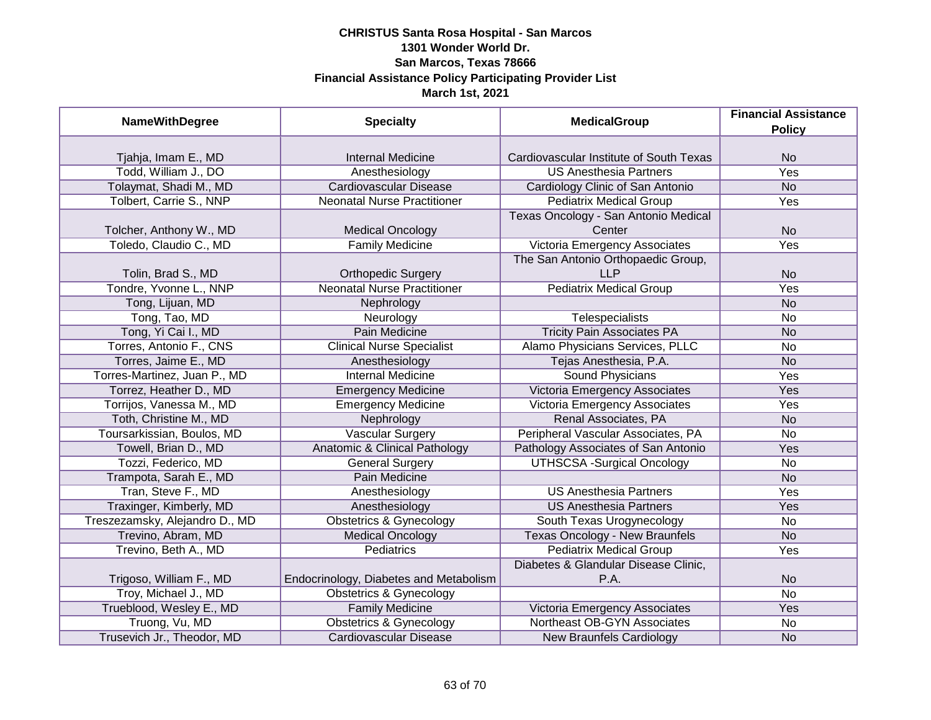| <b>NameWithDegree</b>          | <b>Specialty</b>                       | <b>MedicalGroup</b>                     | <b>Financial Assistance</b> |
|--------------------------------|----------------------------------------|-----------------------------------------|-----------------------------|
|                                |                                        |                                         | <b>Policy</b>               |
| Tjahja, Imam E., MD            | <b>Internal Medicine</b>               | Cardiovascular Institute of South Texas | <b>No</b>                   |
| Todd, William J., DO           | Anesthesiology                         | <b>US Anesthesia Partners</b>           | <b>Yes</b>                  |
| Tolaymat, Shadi M., MD         | <b>Cardiovascular Disease</b>          | Cardiology Clinic of San Antonio        | <b>No</b>                   |
| Tolbert, Carrie S., NNP        | <b>Neonatal Nurse Practitioner</b>     | <b>Pediatrix Medical Group</b>          | Yes                         |
|                                |                                        | Texas Oncology - San Antonio Medical    |                             |
| Tolcher, Anthony W., MD        | <b>Medical Oncology</b>                | Center                                  | <b>No</b>                   |
| Toledo, Claudio C., MD         | <b>Family Medicine</b>                 | Victoria Emergency Associates           | Yes                         |
|                                |                                        | The San Antonio Orthopaedic Group,      |                             |
| Tolin, Brad S., MD             | <b>Orthopedic Surgery</b>              | <b>LLP</b>                              | <b>No</b>                   |
| Tondre, Yvonne L., NNP         | <b>Neonatal Nurse Practitioner</b>     | <b>Pediatrix Medical Group</b>          | Yes                         |
| Tong, Lijuan, MD               | Nephrology                             |                                         | <b>No</b>                   |
| Tong, Tao, MD                  | Neurology                              | Telespecialists                         | <b>No</b>                   |
| Tong, Yi Cai I., MD            | <b>Pain Medicine</b>                   | <b>Tricity Pain Associates PA</b>       | <b>No</b>                   |
| Torres, Antonio F., CNS        | <b>Clinical Nurse Specialist</b>       | Alamo Physicians Services, PLLC         | No                          |
| Torres, Jaime E., MD           | Anesthesiology                         | Tejas Anesthesia, P.A.                  | <b>No</b>                   |
| Torres-Martinez, Juan P., MD   | <b>Internal Medicine</b>               | Sound Physicians                        | Yes                         |
| Torrez, Heather D., MD         | <b>Emergency Medicine</b>              | <b>Victoria Emergency Associates</b>    | Yes                         |
| Torrijos, Vanessa M., MD       | <b>Emergency Medicine</b>              | Victoria Emergency Associates           | Yes                         |
| Toth, Christine M., MD         | Nephrology                             | Renal Associates, PA                    | <b>No</b>                   |
| Toursarkissian, Boulos, MD     | <b>Vascular Surgery</b>                | Peripheral Vascular Associates, PA      | <b>No</b>                   |
| Towell, Brian D., MD           | Anatomic & Clinical Pathology          | Pathology Associates of San Antonio     | Yes                         |
| Tozzi, Federico, MD            | <b>General Surgery</b>                 | <b>UTHSCSA -Surgical Oncology</b>       | <b>No</b>                   |
| Trampota, Sarah E., MD         | Pain Medicine                          |                                         | <b>No</b>                   |
| Tran, Steve F., MD             | Anesthesiology                         | <b>US Anesthesia Partners</b>           | Yes                         |
| Traxinger, Kimberly, MD        | Anesthesiology                         | <b>US Anesthesia Partners</b>           | Yes                         |
| Treszezamsky, Alejandro D., MD | <b>Obstetrics &amp; Gynecology</b>     | South Texas Urogynecology               | <b>No</b>                   |
| Trevino, Abram, MD             | <b>Medical Oncology</b>                | <b>Texas Oncology - New Braunfels</b>   | <b>No</b>                   |
| Trevino, Beth A., MD           | <b>Pediatrics</b>                      | <b>Pediatrix Medical Group</b>          | Yes                         |
|                                |                                        | Diabetes & Glandular Disease Clinic,    |                             |
| Trigoso, William F., MD        | Endocrinology, Diabetes and Metabolism | P.A.                                    | <b>No</b>                   |
| Troy, Michael J., MD           | <b>Obstetrics &amp; Gynecology</b>     |                                         | $\overline{No}$             |
| Trueblood, Wesley E., MD       | <b>Family Medicine</b>                 | Victoria Emergency Associates           | Yes                         |
| Truong, Vu, MD                 | <b>Obstetrics &amp; Gynecology</b>     | Northeast OB-GYN Associates             | No                          |
| Trusevich Jr., Theodor, MD     | <b>Cardiovascular Disease</b>          | <b>New Braunfels Cardiology</b>         | <b>No</b>                   |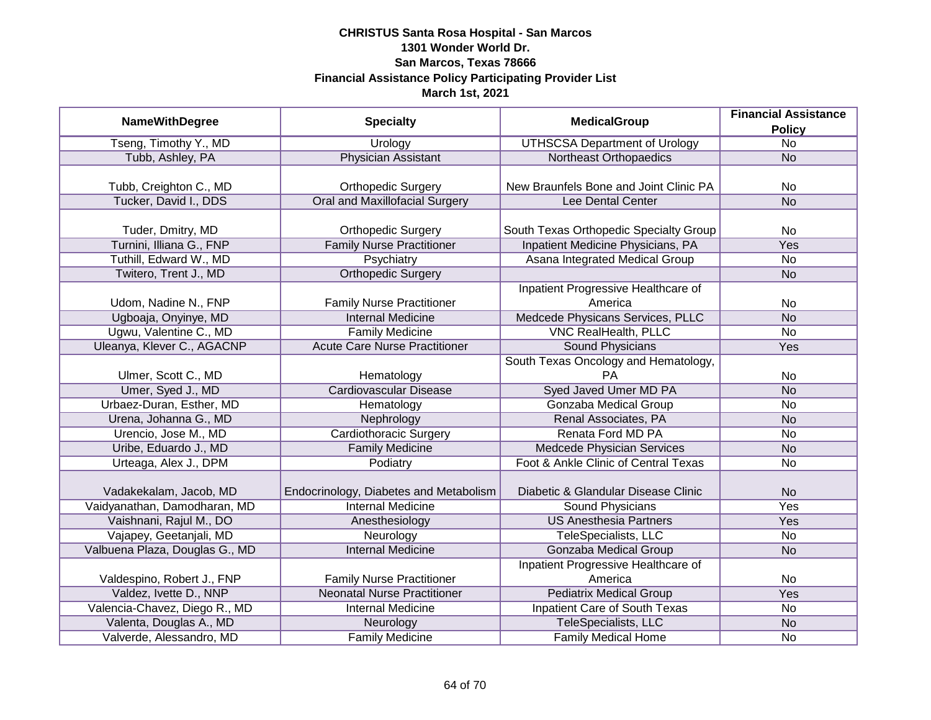|                                |                                        | <b>MedicalGroup</b>                    | <b>Financial Assistance</b> |
|--------------------------------|----------------------------------------|----------------------------------------|-----------------------------|
| <b>NameWithDegree</b>          | <b>Specialty</b>                       |                                        | <b>Policy</b>               |
| Tseng, Timothy Y., MD          | Urology                                | <b>UTHSCSA Department of Urology</b>   | $\overline{No}$             |
| Tubb, Ashley, PA               | Physician Assistant                    | Northeast Orthopaedics                 | <b>No</b>                   |
|                                |                                        |                                        |                             |
| Tubb, Creighton C., MD         | <b>Orthopedic Surgery</b>              | New Braunfels Bone and Joint Clinic PA | <b>No</b>                   |
| Tucker, David I., DDS          | <b>Oral and Maxillofacial Surgery</b>  | Lee Dental Center                      | <b>No</b>                   |
|                                |                                        |                                        |                             |
| Tuder, Dmitry, MD              | <b>Orthopedic Surgery</b>              | South Texas Orthopedic Specialty Group | No                          |
| Turnini, Illiana G., FNP       | <b>Family Nurse Practitioner</b>       | Inpatient Medicine Physicians, PA      | <b>Yes</b>                  |
| Tuthill, Edward W., MD         | Psychiatry                             | Asana Integrated Medical Group         | No                          |
| Twitero, Trent J., MD          | <b>Orthopedic Surgery</b>              |                                        | <b>No</b>                   |
|                                |                                        | Inpatient Progressive Healthcare of    |                             |
| Udom, Nadine N., FNP           | <b>Family Nurse Practitioner</b>       | America                                | <b>No</b>                   |
| Ugboaja, Onyinye, MD           | <b>Internal Medicine</b>               | Medcede Physicans Services, PLLC       | <b>No</b>                   |
| Ugwu, Valentine C., MD         | <b>Family Medicine</b>                 | <b>VNC RealHealth, PLLC</b>            | <b>No</b>                   |
| Uleanya, Klever C., AGACNP     | <b>Acute Care Nurse Practitioner</b>   | <b>Sound Physicians</b>                | Yes                         |
|                                |                                        | South Texas Oncology and Hematology,   |                             |
| Ulmer, Scott C., MD            | Hematology                             | РA                                     | No                          |
| Umer, Syed J., MD              | <b>Cardiovascular Disease</b>          | Syed Javed Umer MD PA                  | <b>No</b>                   |
| Urbaez-Duran, Esther, MD       | Hematology                             | <b>Gonzaba Medical Group</b>           | <b>No</b>                   |
| Urena, Johanna G., MD          | Nephrology                             | Renal Associates, PA                   | <b>No</b>                   |
| Urencio, Jose M., MD           | <b>Cardiothoracic Surgery</b>          | Renata Ford MD PA                      | <b>No</b>                   |
| Uribe, Eduardo J., MD          | <b>Family Medicine</b>                 | Medcede Physician Services             | <b>No</b>                   |
| Urteaga, Alex J., DPM          | Podiatry                               | Foot & Ankle Clinic of Central Texas   | <b>No</b>                   |
|                                |                                        |                                        |                             |
| Vadakekalam, Jacob, MD         | Endocrinology, Diabetes and Metabolism | Diabetic & Glandular Disease Clinic    | <b>No</b>                   |
| Vaidyanathan, Damodharan, MD   | <b>Internal Medicine</b>               | <b>Sound Physicians</b>                | <b>Yes</b>                  |
| Vaishnani, Rajul M., DO        | Anesthesiology                         | <b>US Anesthesia Partners</b>          | Yes                         |
| Vajapey, Geetanjali, MD        | Neurology                              | TeleSpecialists, LLC                   | No                          |
| Valbuena Plaza, Douglas G., MD | <b>Internal Medicine</b>               | Gonzaba Medical Group                  | <b>No</b>                   |
|                                |                                        | Inpatient Progressive Healthcare of    |                             |
| Valdespino, Robert J., FNP     | <b>Family Nurse Practitioner</b>       | America                                | No                          |
| Valdez, Ivette D., NNP         | <b>Neonatal Nurse Practitioner</b>     | <b>Pediatrix Medical Group</b>         | <b>Yes</b>                  |
| Valencia-Chavez, Diego R., MD  | <b>Internal Medicine</b>               | Inpatient Care of South Texas          | <b>No</b>                   |
| Valenta, Douglas A., MD        | Neurology                              | TeleSpecialists, LLC                   | N <sub>o</sub>              |
| Valverde, Alessandro, MD       | <b>Family Medicine</b>                 | <b>Family Medical Home</b>             | <b>No</b>                   |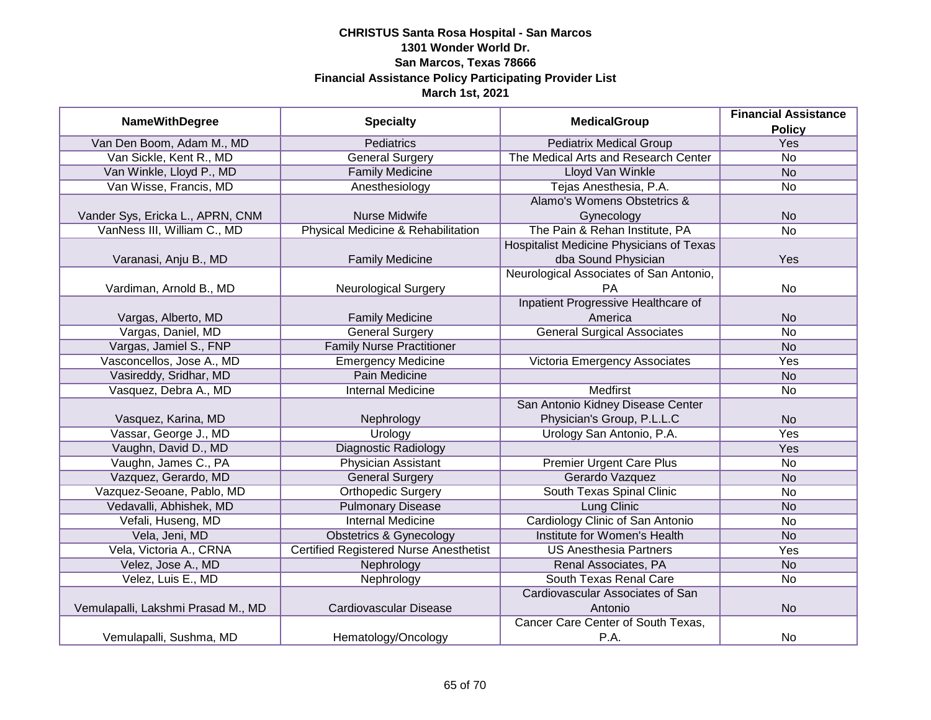| <b>NameWithDegree</b>              | <b>Specialty</b>                              | <b>MedicalGroup</b>                      | <b>Financial Assistance</b> |
|------------------------------------|-----------------------------------------------|------------------------------------------|-----------------------------|
|                                    |                                               |                                          | <b>Policy</b>               |
| Van Den Boom, Adam M., MD          | <b>Pediatrics</b>                             | <b>Pediatrix Medical Group</b>           | <b>Yes</b>                  |
| Van Sickle, Kent R., MD            | <b>General Surgery</b>                        | The Medical Arts and Research Center     | $\overline{No}$             |
| Van Winkle, Lloyd P., MD           | <b>Family Medicine</b>                        | <b>Lloyd Van Winkle</b>                  | <b>No</b>                   |
| Van Wisse, Francis, MD             | Anesthesiology                                | Tejas Anesthesia, P.A.                   | <b>No</b>                   |
|                                    |                                               | Alamo's Womens Obstetrics &              |                             |
| Vander Sys, Ericka L., APRN, CNM   | Nurse Midwife                                 | Gynecology                               | <b>No</b>                   |
| VanNess III, William C., MD        | Physical Medicine & Rehabilitation            | The Pain & Rehan Institute, PA           | <b>No</b>                   |
|                                    |                                               | Hospitalist Medicine Physicians of Texas |                             |
| Varanasi, Anju B., MD              | <b>Family Medicine</b>                        | dba Sound Physician                      | Yes                         |
|                                    |                                               | Neurological Associates of San Antonio,  |                             |
| Vardiman, Arnold B., MD            | <b>Neurological Surgery</b>                   | PA                                       | No                          |
|                                    |                                               | Inpatient Progressive Healthcare of      |                             |
| Vargas, Alberto, MD                | <b>Family Medicine</b>                        | America                                  | <b>No</b>                   |
| Vargas, Daniel, MD                 | <b>General Surgery</b>                        | <b>General Surgical Associates</b>       | <b>No</b>                   |
| Vargas, Jamiel S., FNP             | <b>Family Nurse Practitioner</b>              |                                          | <b>No</b>                   |
| Vasconcellos, Jose A., MD          | <b>Emergency Medicine</b>                     | Victoria Emergency Associates            | Yes                         |
| Vasireddy, Sridhar, MD             | <b>Pain Medicine</b>                          |                                          | <b>No</b>                   |
| Vasquez, Debra A., MD              | <b>Internal Medicine</b>                      | <b>Medfirst</b>                          | No                          |
|                                    |                                               | San Antonio Kidney Disease Center        |                             |
| Vasquez, Karina, MD                | Nephrology                                    | Physician's Group, P.L.L.C               | <b>No</b>                   |
| Vassar, George J., MD              | Urology                                       | Urology San Antonio, P.A.                | Yes                         |
| Vaughn, David D., MD               | <b>Diagnostic Radiology</b>                   |                                          | Yes                         |
| Vaughn, James C., PA               | <b>Physician Assistant</b>                    | <b>Premier Urgent Care Plus</b>          | <b>No</b>                   |
| Vazquez, Gerardo, MD               | <b>General Surgery</b>                        | Gerardo Vazquez                          | <b>No</b>                   |
| Vazquez-Seoane, Pablo, MD          | <b>Orthopedic Surgery</b>                     | South Texas Spinal Clinic                | <b>No</b>                   |
| Vedavalli, Abhishek, MD            | <b>Pulmonary Disease</b>                      | Lung Clinic                              | <b>No</b>                   |
| Vefali, Huseng, MD                 | <b>Internal Medicine</b>                      | Cardiology Clinic of San Antonio         | <b>No</b>                   |
| Vela, Jeni, MD                     | <b>Obstetrics &amp; Gynecology</b>            | Institute for Women's Health             | <b>No</b>                   |
| Vela, Victoria A., CRNA            | <b>Certified Registered Nurse Anesthetist</b> | <b>US Anesthesia Partners</b>            | Yes                         |
| Velez, Jose A., MD                 | Nephrology                                    | Renal Associates, PA                     | <b>No</b>                   |
| Velez, Luis E., MD                 | Nephrology                                    | South Texas Renal Care                   | <b>No</b>                   |
|                                    |                                               | Cardiovascular Associates of San         |                             |
| Vemulapalli, Lakshmi Prasad M., MD | Cardiovascular Disease                        | Antonio                                  | <b>No</b>                   |
|                                    |                                               | Cancer Care Center of South Texas,       |                             |
| Vemulapalli, Sushma, MD            | Hematology/Oncology                           | P.A.                                     | <b>No</b>                   |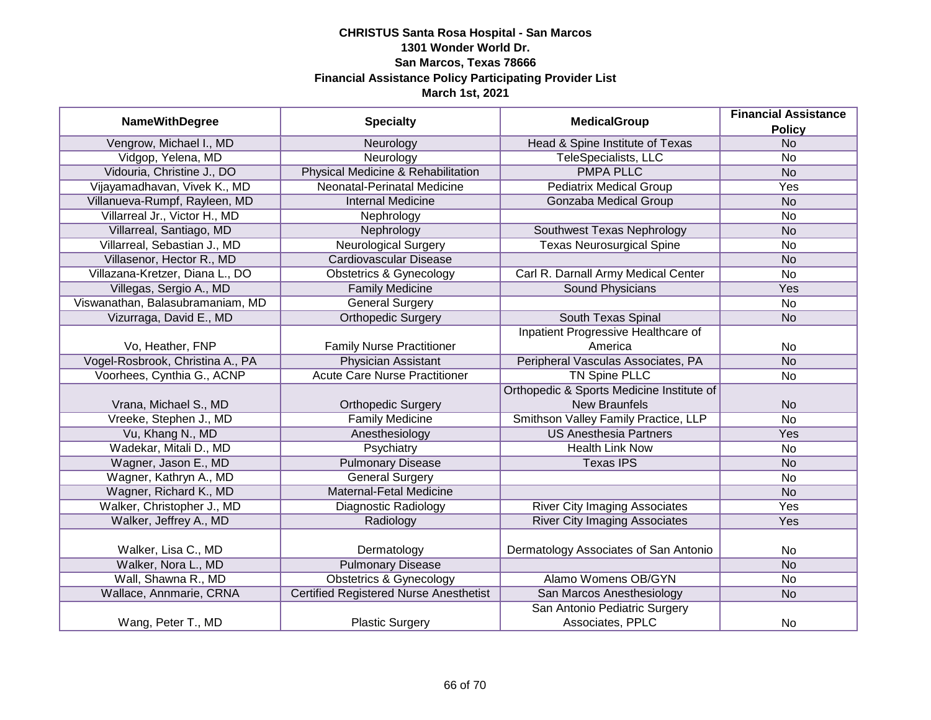| <b>NameWithDegree</b>            | <b>Specialty</b>                              | <b>MedicalGroup</b>                         | <b>Financial Assistance</b> |
|----------------------------------|-----------------------------------------------|---------------------------------------------|-----------------------------|
|                                  |                                               |                                             | <b>Policy</b>               |
| Vengrow, Michael I., MD          | Neurology                                     | Head & Spine Institute of Texas             | N <sub>o</sub>              |
| Vidgop, Yelena, MD               | Neurology                                     | <b>TeleSpecialists, LLC</b>                 | No                          |
| Vidouria, Christine J., DO       | Physical Medicine & Rehabilitation            | <b>PMPA PLLC</b>                            | <b>No</b>                   |
| Vijayamadhavan, Vivek K., MD     | Neonatal-Perinatal Medicine                   | <b>Pediatrix Medical Group</b>              | Yes                         |
| Villanueva-Rumpf, Rayleen, MD    | <b>Internal Medicine</b>                      | <b>Gonzaba Medical Group</b>                | <b>No</b>                   |
| Villarreal Jr., Victor H., MD    | Nephrology                                    |                                             | <b>No</b>                   |
| Villarreal, Santiago, MD         | Nephrology                                    | Southwest Texas Nephrology                  | <b>No</b>                   |
| Villarreal, Sebastian J., MD     | Neurological Surgery                          | <b>Texas Neurosurgical Spine</b>            | No                          |
| Villasenor, Hector R., MD        | Cardiovascular Disease                        |                                             | <b>No</b>                   |
| Villazana-Kretzer, Diana L., DO  | <b>Obstetrics &amp; Gynecology</b>            | Carl R. Darnall Army Medical Center         | No                          |
| Villegas, Sergio A., MD          | <b>Family Medicine</b>                        | <b>Sound Physicians</b>                     | Yes                         |
| Viswanathan, Balasubramaniam, MD | <b>General Surgery</b>                        |                                             | No                          |
| Vizurraga, David E., MD          | <b>Orthopedic Surgery</b>                     | South Texas Spinal                          | <b>No</b>                   |
|                                  |                                               | Inpatient Progressive Healthcare of         |                             |
| Vo, Heather, FNP                 | <b>Family Nurse Practitioner</b>              | America                                     | No                          |
| Vogel-Rosbrook, Christina A., PA | <b>Physician Assistant</b>                    | Peripheral Vasculas Associates, PA          | <b>No</b>                   |
| Voorhees, Cynthia G., ACNP       | <b>Acute Care Nurse Practitioner</b>          | <b>TN Spine PLLC</b>                        | <b>No</b>                   |
|                                  |                                               | Orthopedic & Sports Medicine Institute of   |                             |
| Vrana, Michael S., MD            | <b>Orthopedic Surgery</b>                     | <b>New Braunfels</b>                        | <b>No</b>                   |
| Vreeke, Stephen J., MD           | <b>Family Medicine</b>                        | <b>Smithson Valley Family Practice, LLP</b> | No                          |
| Vu, Khang N., MD                 | Anesthesiology                                | <b>US Anesthesia Partners</b>               | Yes                         |
| Wadekar, Mitali D., MD           | Psychiatry                                    | <b>Health Link Now</b>                      | No                          |
| Wagner, Jason E., MD             | <b>Pulmonary Disease</b>                      | <b>Texas IPS</b>                            | <b>No</b>                   |
| Wagner, Kathryn A., MD           | <b>General Surgery</b>                        |                                             | No                          |
| Wagner, Richard K., MD           | <b>Maternal-Fetal Medicine</b>                |                                             | <b>No</b>                   |
| Walker, Christopher J., MD       | Diagnostic Radiology                          | <b>River City Imaging Associates</b>        | Yes                         |
| Walker, Jeffrey A., MD           | Radiology                                     | <b>River City Imaging Associates</b>        | Yes                         |
|                                  |                                               |                                             |                             |
| Walker, Lisa C., MD              | Dermatology                                   | Dermatology Associates of San Antonio       | <b>No</b>                   |
| Walker, Nora L., MD              | <b>Pulmonary Disease</b>                      |                                             | <b>No</b>                   |
| Wall, Shawna R., MD              | <b>Obstetrics &amp; Gynecology</b>            | Alamo Womens OB/GYN                         | <b>No</b>                   |
| Wallace, Annmarie, CRNA          | <b>Certified Registered Nurse Anesthetist</b> | San Marcos Anesthesiology                   | <b>No</b>                   |
|                                  |                                               | San Antonio Pediatric Surgery               |                             |
| Wang, Peter T., MD               | <b>Plastic Surgery</b>                        | Associates, PPLC                            | No                          |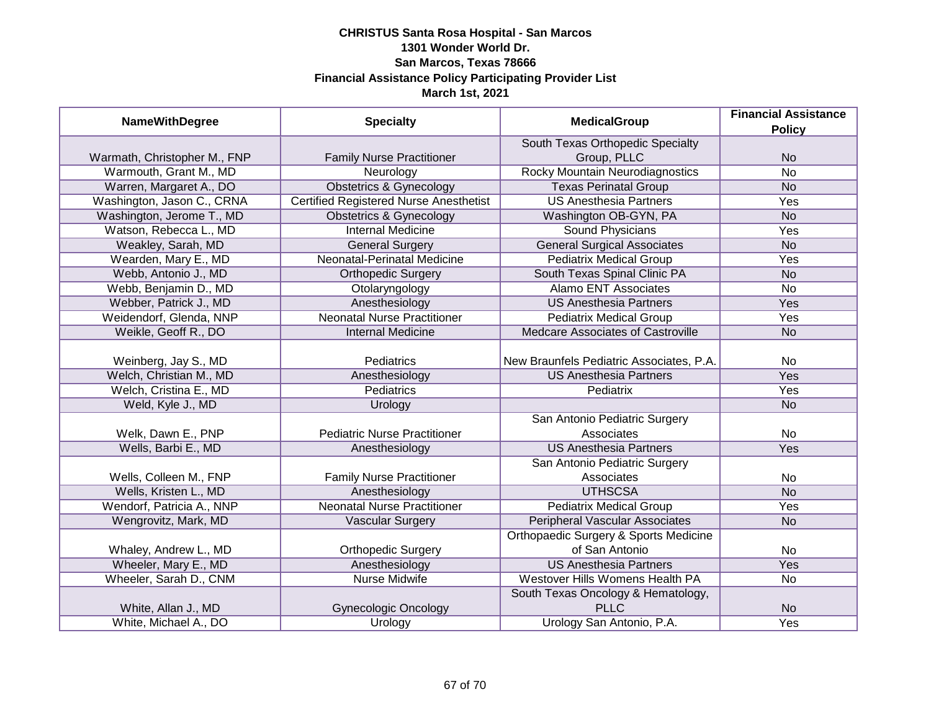| <b>NameWithDegree</b>        | <b>Specialty</b><br><b>MedicalGroup</b>       | <b>Financial Assistance</b>              |                 |
|------------------------------|-----------------------------------------------|------------------------------------------|-----------------|
|                              |                                               |                                          | <b>Policy</b>   |
|                              |                                               | South Texas Orthopedic Specialty         |                 |
| Warmath, Christopher M., FNP | <b>Family Nurse Practitioner</b>              | Group, PLLC                              | <b>No</b>       |
| Warmouth, Grant M., MD       | Neurology                                     | <b>Rocky Mountain Neurodiagnostics</b>   | $\overline{No}$ |
| Warren, Margaret A., DO      | <b>Obstetrics &amp; Gynecology</b>            | <b>Texas Perinatal Group</b>             | <b>No</b>       |
| Washington, Jason C., CRNA   | <b>Certified Registered Nurse Anesthetist</b> | <b>US Anesthesia Partners</b>            | Yes             |
| Washington, Jerome T., MD    | <b>Obstetrics &amp; Gynecology</b>            | Washington OB-GYN, PA                    | <b>No</b>       |
| Watson, Rebecca L., MD       | <b>Internal Medicine</b>                      | Sound Physicians                         | <b>Yes</b>      |
| Weakley, Sarah, MD           | <b>General Surgery</b>                        | <b>General Surgical Associates</b>       | <b>No</b>       |
| Wearden, Mary E., MD         | Neonatal-Perinatal Medicine                   | <b>Pediatrix Medical Group</b>           | Yes             |
| Webb, Antonio J., MD         | <b>Orthopedic Surgery</b>                     | South Texas Spinal Clinic PA             | <b>No</b>       |
| Webb, Benjamin D., MD        | Otolaryngology                                | <b>Alamo ENT Associates</b>              | <b>No</b>       |
| Webber, Patrick J., MD       | Anesthesiology                                | <b>US Anesthesia Partners</b>            | Yes             |
| Weidendorf, Glenda, NNP      | <b>Neonatal Nurse Practitioner</b>            | <b>Pediatrix Medical Group</b>           | Yes             |
| Weikle, Geoff R., DO         | <b>Internal Medicine</b>                      | <b>Medcare Associates of Castroville</b> | <b>No</b>       |
|                              |                                               |                                          |                 |
| Weinberg, Jay S., MD         | Pediatrics                                    | New Braunfels Pediatric Associates, P.A. | No              |
| Welch, Christian M., MD      | Anesthesiology                                | <b>US Anesthesia Partners</b>            | Yes             |
| Welch, Cristina E., MD       | <b>Pediatrics</b>                             | Pediatrix                                | Yes             |
| Weld, Kyle J., MD            | Urology                                       |                                          | <b>No</b>       |
|                              |                                               | San Antonio Pediatric Surgery            |                 |
| Welk, Dawn E., PNP           | <b>Pediatric Nurse Practitioner</b>           | Associates                               | No              |
| Wells, Barbi E., MD          | Anesthesiology                                | <b>US Anesthesia Partners</b>            | Yes             |
|                              |                                               | San Antonio Pediatric Surgery            |                 |
| Wells, Colleen M., FNP       | <b>Family Nurse Practitioner</b>              | Associates                               | No              |
| Wells, Kristen L., MD        | Anesthesiology                                | <b>UTHSCSA</b>                           | <b>No</b>       |
| Wendorf, Patricia A., NNP    | <b>Neonatal Nurse Practitioner</b>            | <b>Pediatrix Medical Group</b>           | Yes             |
| Wengrovitz, Mark, MD         | <b>Vascular Surgery</b>                       | <b>Peripheral Vascular Associates</b>    | <b>No</b>       |
|                              |                                               | Orthopaedic Surgery & Sports Medicine    |                 |
| Whaley, Andrew L., MD        | <b>Orthopedic Surgery</b>                     | of San Antonio                           | No              |
| Wheeler, Mary E., MD         | Anesthesiology                                | <b>US Anesthesia Partners</b>            | Yes             |
| Wheeler, Sarah D., CNM       | <b>Nurse Midwife</b>                          | Westover Hills Womens Health PA          | No              |
|                              |                                               | South Texas Oncology & Hematology,       |                 |
| White, Allan J., MD          | <b>Gynecologic Oncology</b>                   | <b>PLLC</b>                              | <b>No</b>       |
| White, Michael A., DO        | Urology                                       | Urology San Antonio, P.A.                | Yes             |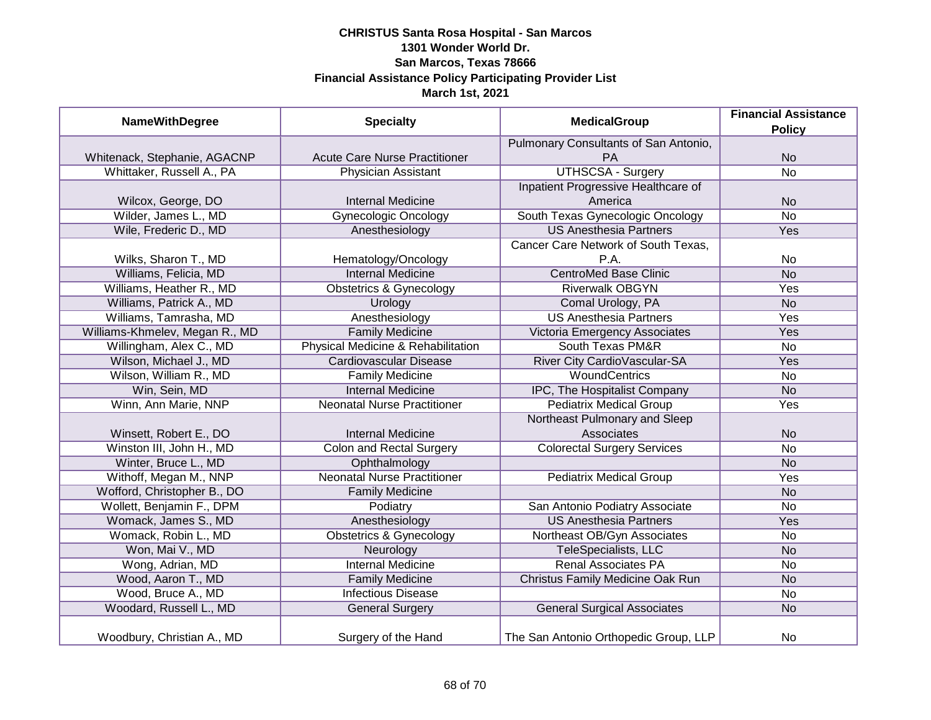| <b>NameWithDegree</b>          | <b>Specialty</b>                     | <b>MedicalGroup</b>                   | <b>Financial Assistance</b><br><b>Policy</b> |
|--------------------------------|--------------------------------------|---------------------------------------|----------------------------------------------|
|                                |                                      | Pulmonary Consultants of San Antonio, |                                              |
| Whitenack, Stephanie, AGACNP   | <b>Acute Care Nurse Practitioner</b> | PA                                    | <b>No</b>                                    |
| Whittaker, Russell A., PA      | <b>Physician Assistant</b>           | <b>UTHSCSA - Surgery</b>              | $\overline{No}$                              |
|                                |                                      | Inpatient Progressive Healthcare of   |                                              |
| Wilcox, George, DO             | <b>Internal Medicine</b>             | America                               | <b>No</b>                                    |
| Wilder, James L., MD           | <b>Gynecologic Oncology</b>          | South Texas Gynecologic Oncology      | <b>No</b>                                    |
| Wile, Frederic D., MD          | Anesthesiology                       | <b>US Anesthesia Partners</b>         | Yes                                          |
|                                |                                      | Cancer Care Network of South Texas,   |                                              |
| Wilks, Sharon T., MD           | Hematology/Oncology                  | P.A.                                  | <b>No</b>                                    |
| Williams, Felicia, MD          | <b>Internal Medicine</b>             | <b>CentroMed Base Clinic</b>          | <b>No</b>                                    |
| Williams, Heather R., MD       | <b>Obstetrics &amp; Gynecology</b>   | <b>Riverwalk OBGYN</b>                | Yes                                          |
| Williams, Patrick A., MD       | Urology                              | Comal Urology, PA                     | <b>No</b>                                    |
| Williams, Tamrasha, MD         | Anesthesiology                       | <b>US Anesthesia Partners</b>         | Yes                                          |
| Williams-Khmelev, Megan R., MD | <b>Family Medicine</b>               | Victoria Emergency Associates         | Yes                                          |
| Willingham, Alex C., MD        | Physical Medicine & Rehabilitation   | <b>South Texas PM&amp;R</b>           | <b>No</b>                                    |
| Wilson, Michael J., MD         | <b>Cardiovascular Disease</b>        | River City CardioVascular-SA          | Yes                                          |
| Wilson, William R., MD         | <b>Family Medicine</b>               | WoundCentrics                         | <b>No</b>                                    |
| Win, Sein, MD                  | <b>Internal Medicine</b>             | IPC, The Hospitalist Company          | <b>No</b>                                    |
| Winn, Ann Marie, NNP           | <b>Neonatal Nurse Practitioner</b>   | <b>Pediatrix Medical Group</b>        | Yes                                          |
|                                |                                      | Northeast Pulmonary and Sleep         |                                              |
| Winsett, Robert E., DO         | <b>Internal Medicine</b>             | Associates                            | <b>No</b>                                    |
| Winston III, John H., MD       | <b>Colon and Rectal Surgery</b>      | <b>Colorectal Surgery Services</b>    | <b>No</b>                                    |
| Winter, Bruce L., MD           | Ophthalmology                        |                                       | <b>No</b>                                    |
| Withoff, Megan M., NNP         | <b>Neonatal Nurse Practitioner</b>   | <b>Pediatrix Medical Group</b>        | Yes                                          |
| Wofford, Christopher B., DO    | <b>Family Medicine</b>               |                                       | <b>No</b>                                    |
| Wollett, Benjamin F., DPM      | Podiatry                             | San Antonio Podiatry Associate        | <b>No</b>                                    |
| Womack, James S., MD           | Anesthesiology                       | <b>US Anesthesia Partners</b>         | Yes                                          |
| Womack, Robin L., MD           | <b>Obstetrics &amp; Gynecology</b>   | Northeast OB/Gyn Associates           | No                                           |
| Won, Mai V., MD                | Neurology                            | TeleSpecialists, LLC                  | <b>No</b>                                    |
| Wong, Adrian, MD               | <b>Internal Medicine</b>             | <b>Renal Associates PA</b>            | <b>No</b>                                    |
| Wood, Aaron T., MD             | <b>Family Medicine</b>               | Christus Family Medicine Oak Run      | <b>No</b>                                    |
| Wood, Bruce A., MD             | <b>Infectious Disease</b>            |                                       | <b>No</b>                                    |
| Woodard, Russell L., MD        | <b>General Surgery</b>               | <b>General Surgical Associates</b>    | <b>No</b>                                    |
| Woodbury, Christian A., MD     | Surgery of the Hand                  | The San Antonio Orthopedic Group, LLP | <b>No</b>                                    |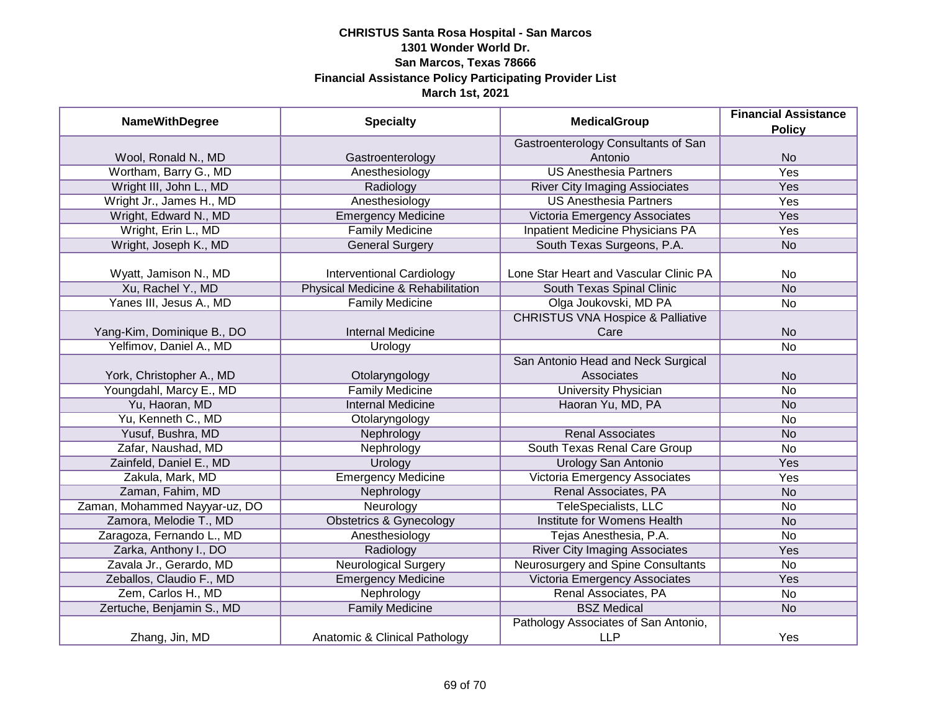| <b>NameWithDegree</b>         | <b>Specialty</b>                   | <b>MedicalGroup</b>                                | <b>Financial Assistance</b><br><b>Policy</b> |
|-------------------------------|------------------------------------|----------------------------------------------------|----------------------------------------------|
|                               |                                    | Gastroenterology Consultants of San                |                                              |
| Wool, Ronald N., MD           | Gastroenterology                   | Antonio                                            | <b>No</b>                                    |
| Wortham, Barry G., MD         | Anesthesiology                     | <b>US Anesthesia Partners</b>                      | <b>Yes</b>                                   |
| Wright III, John L., MD       | Radiology                          | <b>River City Imaging Assiociates</b>              | Yes                                          |
| Wright Jr., James H., MD      | Anesthesiology                     | <b>US Anesthesia Partners</b>                      | Yes                                          |
| Wright, Edward N., MD         | Emergency Medicine                 | Victoria Emergency Associates                      | Yes                                          |
| Wright, Erin L., MD           | <b>Family Medicine</b>             | <b>Inpatient Medicine Physicians PA</b>            | <b>Yes</b>                                   |
| Wright, Joseph K., MD         | <b>General Surgery</b>             | South Texas Surgeons, P.A.                         | <b>No</b>                                    |
| Wyatt, Jamison N., MD         | <b>Interventional Cardiology</b>   | Lone Star Heart and Vascular Clinic PA             | No                                           |
| Xu, Rachel Y., MD             | Physical Medicine & Rehabilitation | South Texas Spinal Clinic                          | <b>No</b>                                    |
| Yanes III, Jesus A., MD       | <b>Family Medicine</b>             | Olga Joukovski, MD PA                              | <b>No</b>                                    |
|                               |                                    | <b>CHRISTUS VNA Hospice &amp; Palliative</b>       |                                              |
| Yang-Kim, Dominique B., DO    | <b>Internal Medicine</b>           | Care                                               | <b>No</b>                                    |
| Yelfimov, Daniel A., MD       | Urology                            |                                                    | <b>No</b>                                    |
|                               |                                    | San Antonio Head and Neck Surgical                 |                                              |
| York, Christopher A., MD      | Otolaryngology                     | Associates                                         | <b>No</b>                                    |
| Youngdahl, Marcy E., MD       | <b>Family Medicine</b>             | <b>University Physician</b>                        | <b>No</b>                                    |
| Yu, Haoran, MD                | <b>Internal Medicine</b>           | Haoran Yu, MD, PA                                  | <b>No</b>                                    |
| Yu, Kenneth C., MD            | Otolaryngology                     |                                                    | <b>No</b>                                    |
| Yusuf, Bushra, MD             | Nephrology                         | <b>Renal Associates</b>                            | <b>No</b>                                    |
| Zafar, Naushad, MD            | Nephrology                         | South Texas Renal Care Group                       | <b>No</b>                                    |
| Zainfeld, Daniel E., MD       | Urology                            | Urology San Antonio                                | Yes                                          |
| Zakula, Mark, MD              | <b>Emergency Medicine</b>          | Victoria Emergency Associates                      | Yes                                          |
| Zaman, Fahim, MD              | Nephrology                         | Renal Associates, PA                               | <b>No</b>                                    |
| Zaman, Mohammed Nayyar-uz, DO | Neurology                          | TeleSpecialists, LLC                               | <b>No</b>                                    |
| Zamora, Melodie T., MD        | <b>Obstetrics &amp; Gynecology</b> | Institute for Womens Health                        | <b>No</b>                                    |
| Zaragoza, Fernando L., MD     | Anesthesiology                     | Tejas Anesthesia, P.A.                             | <b>No</b>                                    |
| Zarka, Anthony I., DO         | Radiology                          | <b>River City Imaging Associates</b>               | Yes                                          |
| Zavala Jr., Gerardo, MD       | <b>Neurological Surgery</b>        | Neurosurgery and Spine Consultants                 | <b>No</b>                                    |
| Zeballos, Claudio F., MD      | <b>Emergency Medicine</b>          | Victoria Emergency Associates                      | <b>Yes</b>                                   |
| Zem, Carlos H., MD            | Nephrology                         | Renal Associates, PA                               | <b>No</b>                                    |
| Zertuche, Benjamin S., MD     | <b>Family Medicine</b>             | <b>BSZ Medical</b>                                 | <b>No</b>                                    |
| Zhang, Jin, MD                | Anatomic & Clinical Pathology      | Pathology Associates of San Antonio,<br><b>LLP</b> | Yes                                          |